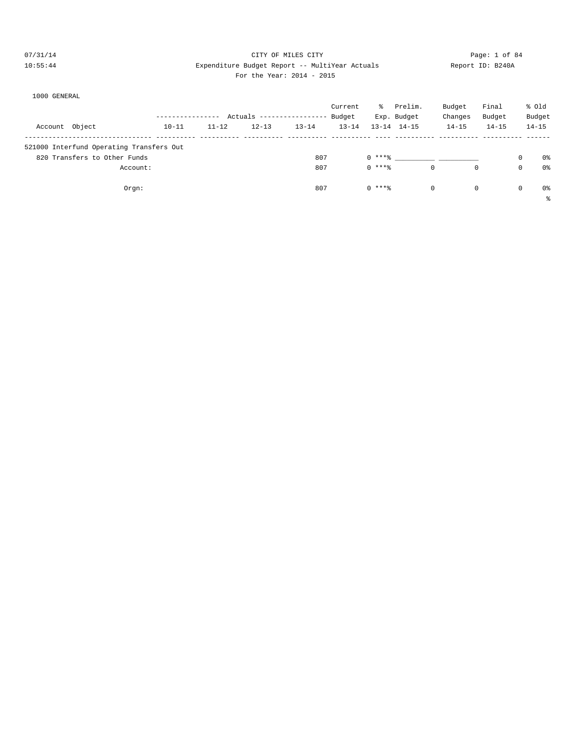#### 07/31/14 Page: 1 of 84 10:55:44 Expenditure Budget Report -- MultiYear Actuals Report ID: B240A For the Year: 2014 - 2015

| For the Year: 2014 - 201 |  |  |
|--------------------------|--|--|
|                          |  |  |

|  | 1000 GENERAL |  |  |
|--|--------------|--|--|
|  |              |  |  |

|                                          |           |           |                        |           | Current   | ៖        | Prelim.             | Budget     | Final       | % old          |
|------------------------------------------|-----------|-----------|------------------------|-----------|-----------|----------|---------------------|------------|-------------|----------------|
|                                          |           |           | Actuals $------------$ |           | Budget    |          | Exp. Budget         | Changes    | Budget      | Budget         |
| Account Object                           | $10 - 11$ | $11 - 12$ | $12 - 13$              | $13 - 14$ | $13 - 14$ |          | $13 - 14$ $14 - 15$ | $14 - 15$  | $14 - 15$   | $14 - 15$      |
| 521000 Interfund Operating Transfers Out |           |           |                        |           |           |          |                     |            |             |                |
| 820 Transfers to Other Funds             |           |           |                        | 807       |           | $0***8$  |                     |            | 0           | 0%             |
| Account:                                 |           |           |                        | 807       |           | $0***8$  | $\mathbf 0$         | $^{\circ}$ | $\mathbf 0$ | 0 <sup>8</sup> |
| Orgn:                                    |           |           |                        | 807       |           | $0$ **** | 0                   | $^{\circ}$ | $\circ$     | 0%             |
|                                          |           |           |                        |           |           |          |                     |            |             | る              |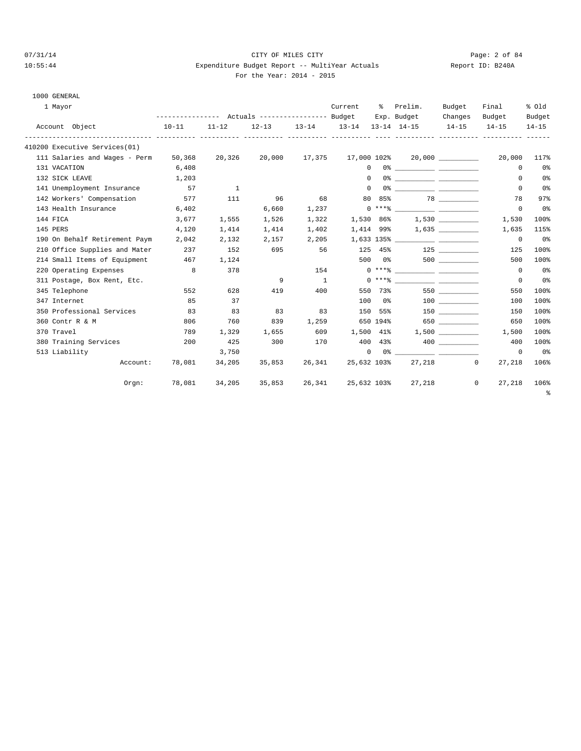### 07/31/14 Page: 2 of 84 10:55:44 Expenditure Budget Report -- MultiYear Actuals Report ID: B240A For the Year:  $2014 -$

| 1000 GENERAL |
|--------------|

| 1 Mayor                       |          |                                                 |                |           |                | Current             | ి        | Prelim.                                                                                                                                                                                                                                                                                                                  | Budget    | Final                | % old          |
|-------------------------------|----------|-------------------------------------------------|----------------|-----------|----------------|---------------------|----------|--------------------------------------------------------------------------------------------------------------------------------------------------------------------------------------------------------------------------------------------------------------------------------------------------------------------------|-----------|----------------------|----------------|
|                               |          | --------------- Actuals ---------------- Budget |                |           |                |                     |          | Exp. Budget                                                                                                                                                                                                                                                                                                              | Changes   | Budget               | Budget         |
| Account Object                |          | $10 - 11$                                       | $11 - 12$      | $12 - 13$ |                | $13 - 14$ $13 - 14$ |          | $13 - 14$ $14 - 15$                                                                                                                                                                                                                                                                                                      | $14 - 15$ | $14 - 15$            | $14 - 15$      |
| 410200 Executive Services(01) |          |                                                 |                |           |                |                     |          |                                                                                                                                                                                                                                                                                                                          |           |                      |                |
| 111 Salaries and Wages - Perm |          | 50,368                                          | 20,326         | 20,000    | 17,375         |                     |          | $17,000$ $102\$ $20,000$ $\qquad \qquad$                                                                                                                                                                                                                                                                                 |           | 20,000               | 117%           |
| 131 VACATION                  |          | 6,408                                           |                |           |                | $\Omega$            |          |                                                                                                                                                                                                                                                                                                                          |           | $\Omega$             | 0%             |
| 132 SICK LEAVE                |          | 1,203                                           |                |           |                | $\Omega$            |          |                                                                                                                                                                                                                                                                                                                          |           | $\Omega$             | 0 <sup>o</sup> |
| 141 Unemployment Insurance    |          | 57                                              | $\overline{1}$ |           |                | $\Omega$            |          |                                                                                                                                                                                                                                                                                                                          |           | $\mathbf 0$          | 0 <sup>°</sup> |
| 142 Workers' Compensation     |          | 577                                             | 111            | 96        | 68             | 80                  |          | 85% 78                                                                                                                                                                                                                                                                                                                   |           | 78                   | 97%            |
| 143 Health Insurance          |          | 6,402                                           |                | 6,660     | 1,237          |                     |          |                                                                                                                                                                                                                                                                                                                          |           | $\Omega$             | 0 <sup>°</sup> |
| 144 FICA                      |          | 3,677                                           | 1,555          | 1,526     | 1,322          |                     |          |                                                                                                                                                                                                                                                                                                                          |           | 1,530                | 100%           |
| 145 PERS                      |          | 4,120                                           | 1,414          | 1,414     | 1,402          | 1,414 99%           |          |                                                                                                                                                                                                                                                                                                                          |           | 1,635                | 115%           |
| 190 On Behalf Retirement Paym |          | 2,042                                           | 2,132          | 2,157     | 2,205          |                     |          |                                                                                                                                                                                                                                                                                                                          |           | $^{\circ}$           | 0 <sup>°</sup> |
| 210 Office Supplies and Mater |          | 237                                             | 152            | 695       | 56             |                     | 125 45%  | 125                                                                                                                                                                                                                                                                                                                      |           | 125                  | 100%           |
| 214 Small Items of Equipment  |          | 467                                             | 1,124          |           |                | 500                 |          | $0$ 응                                                                                                                                                                                                                                                                                                                    | 500 000   | 500                  | 100%           |
| 220 Operating Expenses        |          | $_{\rm 8}$                                      | 378            |           | 154            |                     |          |                                                                                                                                                                                                                                                                                                                          |           | $^{\circ}$           | 0 <sub>8</sub> |
| 311 Postage, Box Rent, Etc.   |          |                                                 |                | 9         | $\overline{1}$ |                     |          | $0***$ $\frac{1}{2}$ $\frac{1}{2}$ $\frac{1}{2}$ $\frac{1}{2}$ $\frac{1}{2}$ $\frac{1}{2}$ $\frac{1}{2}$ $\frac{1}{2}$ $\frac{1}{2}$ $\frac{1}{2}$ $\frac{1}{2}$ $\frac{1}{2}$ $\frac{1}{2}$ $\frac{1}{2}$ $\frac{1}{2}$ $\frac{1}{2}$ $\frac{1}{2}$ $\frac{1}{2}$ $\frac{1}{2}$ $\frac{1}{2}$ $\frac{1}{2}$ $\frac{1}{$ |           | $^{\circ}$           | 0 <sub>8</sub> |
| 345 Telephone                 |          | 552                                             | 628            | 419       | 400            |                     | 550 73%  |                                                                                                                                                                                                                                                                                                                          | 550       | 550                  | 100%           |
| 347 Internet                  |          | 85                                              | 37             |           |                | 100                 |          | $0\,$ $\,$                                                                                                                                                                                                                                                                                                               | 100 000   | 100                  | 100%           |
| 350 Professional Services     |          | 83                                              | 83             | 83        | 83             | 150                 |          | 55%                                                                                                                                                                                                                                                                                                                      | 150 30    | 150                  | 100%           |
| 360 Contr R & M               |          | 806                                             | 760            | 839       | 1,259          |                     | 650 194% |                                                                                                                                                                                                                                                                                                                          | 650 700   | 650                  | 100%           |
| 370 Travel                    |          | 789                                             | 1,329          | 1,655     | 609            | 1,500 41%           |          |                                                                                                                                                                                                                                                                                                                          |           | 1,500                | 100%           |
| 380 Training Services         |          | 200                                             | 425            | 300       | 170            |                     |          | 400 43%                                                                                                                                                                                                                                                                                                                  |           | 400                  | 100%           |
| 513 Liability                 |          |                                                 | 3,750          |           |                | $\mathbf 0$         |          |                                                                                                                                                                                                                                                                                                                          |           | $^{\circ}$           | 0 <sub>8</sub> |
|                               | Account: | 78,081                                          | 34,205         | 35,853    | 26,341         | 25,632 103%         |          |                                                                                                                                                                                                                                                                                                                          | 27, 218   | $^{\circ}$<br>27,218 | 106%           |
|                               | Orem:    | 78,081                                          | 34,205         | 35,853    | 26,341         | 25,632 103%         |          | 27,218                                                                                                                                                                                                                                                                                                                   |           | 0<br>27,218          | 106%           |
|                               |          |                                                 |                |           |                |                     |          |                                                                                                                                                                                                                                                                                                                          |           |                      | ႜ              |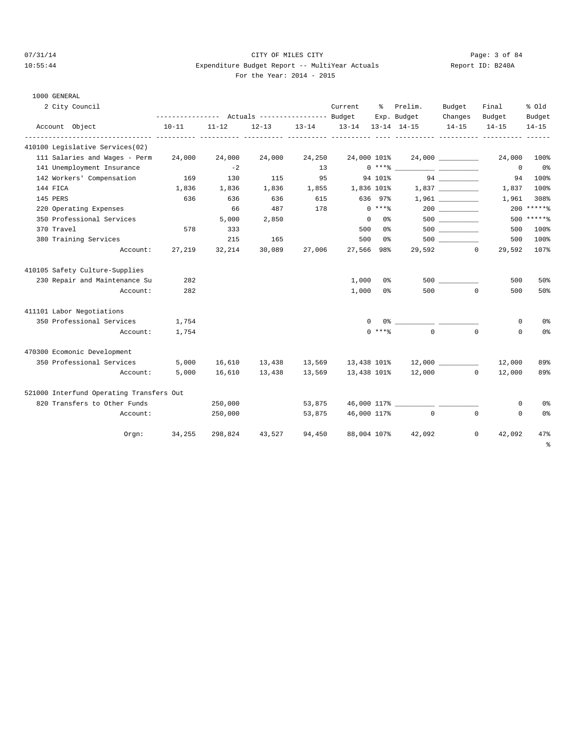1000 GENERAL

# 07/31/14 Page: 3 of 84 10:55:44 Expenditure Budget Report -- MultiYear Actuals Report ID: B240A For the Year: 2014 - 2015

| 2 City Council                           |           |           |           |        | Current                 | ႜႜၟ            | Prelim.<br>Exp. Budget                                                                                                                                                                                                                                                                                                 | Budget<br>Changes | Final<br>Budget   | % old<br>Budget |
|------------------------------------------|-----------|-----------|-----------|--------|-------------------------|----------------|------------------------------------------------------------------------------------------------------------------------------------------------------------------------------------------------------------------------------------------------------------------------------------------------------------------------|-------------------|-------------------|-----------------|
| Account Object                           | $10 - 11$ | $11 - 12$ | $12 - 13$ |        | 13-14 13-14 13-14 14-15 |                |                                                                                                                                                                                                                                                                                                                        | $14 - 15$         | $14 - 15$         | $14 - 15$       |
| 410100 Legislative Services(02)          |           |           |           |        |                         |                |                                                                                                                                                                                                                                                                                                                        |                   |                   |                 |
| 111 Salaries and Wages - Perm            | 24,000    | 24,000    | 24,000    | 24,250 | 24,000 101%             |                |                                                                                                                                                                                                                                                                                                                        |                   | 24,000            | 100%            |
| 141 Unemployment Insurance               |           | $-2$      |           | 13     |                         |                | $0***$ $****$                                                                                                                                                                                                                                                                                                          |                   | $\mathbf{0}$      | $0\,$ s         |
| 142 Workers' Compensation                | 169       | 130       | 115       | 95     |                         | 94 101%        |                                                                                                                                                                                                                                                                                                                        |                   | 94                | 100%            |
| 144 FICA                                 | 1,836     | 1,836     | 1,836     |        | 1,855 1,836 101%        |                |                                                                                                                                                                                                                                                                                                                        |                   | 1,837             | 100%            |
| 145 PERS                                 | 636       | 636       | 636       | 615    |                         | 636 97%        |                                                                                                                                                                                                                                                                                                                        |                   | 1,961             | 308%            |
| 220 Operating Expenses                   |           | 66        | 487       | 178    |                         | $0$ ****       |                                                                                                                                                                                                                                                                                                                        | 200               |                   | $200$ ******    |
| 350 Professional Services                |           | 5,000     | 2,850     |        | $\overline{0}$          | 0 %            |                                                                                                                                                                                                                                                                                                                        |                   |                   | $500$ *****%    |
| 370 Travel                               | 578       | 333       |           |        |                         | 500 0%         |                                                                                                                                                                                                                                                                                                                        |                   | 500               | 100%            |
| 380 Training Services                    |           | 215       | 165       |        | 500                     | 0 <sup>8</sup> |                                                                                                                                                                                                                                                                                                                        | 500 000           | 500               | 100%            |
| Account:                                 | 27,219    | 32,214    | 30,089    | 27,006 | 27,566 98%              |                |                                                                                                                                                                                                                                                                                                                        | 29,592 0          | 29,592            | 107%            |
| 410105 Safety Culture-Supplies           |           |           |           |        |                         |                |                                                                                                                                                                                                                                                                                                                        |                   |                   |                 |
| 230 Repair and Maintenance Su            | 282       |           |           |        | 1,000                   | 0%             |                                                                                                                                                                                                                                                                                                                        |                   | 500               | 50%             |
| Account:                                 | 282       |           |           |        | 1,000                   | 0%             | 500                                                                                                                                                                                                                                                                                                                    |                   | $\Omega$<br>500   | 50%             |
| 411101 Labor Negotiations                |           |           |           |        |                         |                |                                                                                                                                                                                                                                                                                                                        |                   |                   |                 |
| 350 Professional Services                | 1,754     |           |           |        |                         | $\Omega$       | $0$ $\frac{1}{2}$ $\frac{1}{2}$ $\frac{1}{2}$ $\frac{1}{2}$ $\frac{1}{2}$ $\frac{1}{2}$ $\frac{1}{2}$ $\frac{1}{2}$ $\frac{1}{2}$ $\frac{1}{2}$ $\frac{1}{2}$ $\frac{1}{2}$ $\frac{1}{2}$ $\frac{1}{2}$ $\frac{1}{2}$ $\frac{1}{2}$ $\frac{1}{2}$ $\frac{1}{2}$ $\frac{1}{2}$ $\frac{1}{2}$ $\frac{1}{2}$ $\frac{1}{2$ |                   | 0                 | 0%              |
| Account:                                 | 1,754     |           |           |        |                         | $0$ ****       | $\Omega$                                                                                                                                                                                                                                                                                                               |                   | $\Omega$<br>0     | 0%              |
| 470300 Ecomonic Development              |           |           |           |        |                         |                |                                                                                                                                                                                                                                                                                                                        |                   |                   |                 |
| 350 Professional Services                | 5,000     | 16,610    | 13,438    | 13,569 |                         |                |                                                                                                                                                                                                                                                                                                                        |                   | 12,000            | 89%             |
| Account:                                 | 5,000     | 16,610    | 13,438    | 13,569 | 13,438 101%             |                |                                                                                                                                                                                                                                                                                                                        | 12,000 0          | 12,000            | 89%             |
| 521000 Interfund Operating Transfers Out |           |           |           |        |                         |                |                                                                                                                                                                                                                                                                                                                        |                   |                   |                 |
| 820 Transfers to Other Funds             |           | 250,000   |           | 53,875 |                         |                | 46,000 117%                                                                                                                                                                                                                                                                                                            |                   | 0                 | 0%              |
| Account:                                 |           | 250,000   |           | 53,875 | 46,000 117%             |                | $\overline{0}$                                                                                                                                                                                                                                                                                                         |                   | 0<br>$\Omega$     | 0%              |
| Orem:                                    | 34,255    | 298,824   | 43,527    | 94,450 |                         | 88,004 107%    | 42,092                                                                                                                                                                                                                                                                                                                 |                   | $\circ$<br>42,092 | 47%             |
|                                          |           |           |           |        |                         |                |                                                                                                                                                                                                                                                                                                                        |                   |                   | ÷               |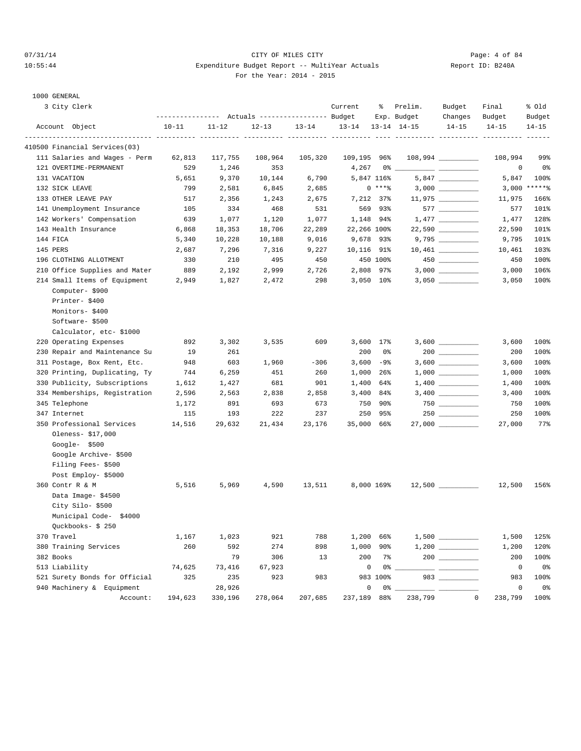#### 07/31/14 Page: 4 of 84 10:55:44 Expenditure Budget Report -- MultiYear Actuals Report ID: B240A For the Year: 2014 - 2015

| 3 City Clerk                             |               |               | --------------- Actuals ---------------- Budget |           | Current            | ႜ            | Prelim.<br>Exp. Budget | Budget<br>Changes    | Final<br>Budget    | % old<br>Budget |
|------------------------------------------|---------------|---------------|-------------------------------------------------|-----------|--------------------|--------------|------------------------|----------------------|--------------------|-----------------|
| Account Object                           | $10 - 11$     | $11 - 12$     | $12 - 13$                                       | $13 - 14$ | $13 - 14$          |              | $13 - 14$ $14 - 15$    | $14 - 15$            | $14 - 15$          | $14 - 15$       |
| 410500 Financial Services(03)            |               |               |                                                 |           |                    |              |                        |                      |                    |                 |
| 111 Salaries and Wages - Perm            | 62,813        | 117,755       | 108,964                                         | 105,320   | 109,195 96%        |              |                        | $108,994$ _________  | 108,994            | 99%             |
| 121 OVERTIME-PERMANENT                   | 529           | 1,246         | 353                                             |           | 4,267              |              | 0% __                  |                      | 0                  | 0%              |
| 131 VACATION                             | 5,651         | 9,370         | 10,144                                          | 6,790     |                    | 5,847 116%   |                        |                      | 5,847              | 100%            |
| 132 SICK LEAVE                           | 799           | 2,581         | 6,845                                           | 2,685     |                    | 0 ****       |                        | 3,000 __________     |                    | $3,000$ *****%  |
| 133 OTHER LEAVE PAY                      | 517           | 2,356         | 1,243                                           | 2,675     |                    | 7,212 37%    |                        | $11,975$ __________  | 11,975             | 166%            |
| 141 Unemployment Insurance               | 105           | 334           | 468                                             | 531       |                    | 569 93%      |                        |                      | 577                | 101%            |
| 142 Workers' Compensation                | 639           | 1,077         | 1,120                                           | 1,077     |                    | 1,148 94%    |                        |                      | 1,477              | 128%            |
| 143 Health Insurance                     | 6,868         | 18,353        | 18,706                                          | 22,289    | 22,266 100%        |              |                        | 22,590 __________    | 22,590             | 101%            |
| 144 FICA                                 | 5,340         | 10,228        | 10,188                                          | 9,016     |                    | 9,678 93%    |                        | 9,795 __________     | 9,795              | 101%            |
| 145 PERS                                 | 2,687         | 7,296         | 7,316                                           | 9,227     | 10,116 91%         |              |                        |                      | 10,461             | 103%            |
| 196 CLOTHING ALLOTMENT                   | 330           | 210           | 495                                             | 450       |                    | 450 100%     |                        | $450$ _________      | 450                | 100%            |
| 210 Office Supplies and Mater            | 889           | 2,192         | 2,999                                           | 2,726     |                    | 2,808 97%    |                        |                      | 3,000              | 106%            |
| 214 Small Items of Equipment             | 2,949         | 1,827         | 2,472                                           | 298       |                    | 3,050 10%    |                        |                      | 3,050              | 100%            |
| Computer-\$900                           |               |               |                                                 |           |                    |              |                        |                      |                    |                 |
| Printer-\$400                            |               |               |                                                 |           |                    |              |                        |                      |                    |                 |
| Monitors-\$400                           |               |               |                                                 |           |                    |              |                        |                      |                    |                 |
| Software-\$500                           |               |               |                                                 |           |                    |              |                        |                      |                    |                 |
| Calculator, etc-\$1000                   |               |               |                                                 |           |                    |              |                        |                      |                    |                 |
| 220 Operating Expenses                   | 892           | 3,302         | 3,535                                           | 609       |                    | 3,600 17%    |                        |                      | 3,600              | 100%            |
| 230 Repair and Maintenance Su            | 19            | 261           |                                                 |           | 200                | 0 %          |                        |                      | 200                | 100%            |
| 311 Postage, Box Rent, Etc.              | 948           | 603           | 1,960                                           | $-306$    |                    | $3,600 -98$  |                        |                      | 3,600              | 100%            |
| 320 Printing, Duplicating, Ty            | 744           | 6,259         | 451                                             | 260       |                    | 1,000 26%    |                        |                      | 1,000              | 100%            |
| 330 Publicity, Subscriptions             | 1,612         | 1,427         | 681                                             | 901       |                    | 1,400 64%    |                        |                      | 1,400              | 100%            |
| 334 Memberships, Registration            | 2,596         | 2,563         | 2,838                                           | 2,858     |                    | 3,400 84%    |                        | $3,400$ ____________ | 3,400              | 100%            |
| 345 Telephone                            | 1,172         | 891           | 693                                             | 673       |                    | 750 90%      |                        |                      | 750                | 100%            |
| 347 Internet                             | 115           | 193           | 222                                             | 237       |                    | 250 95%      |                        |                      | 250                | 100%            |
| 350 Professional Services                | 14,516        | 29,632        | 21,434                                          | 23,176    | 35,000 66%         |              |                        | $27,000$ _________   | 27,000             | 77%             |
| Oleness- \$17,000                        |               |               |                                                 |           |                    |              |                        |                      |                    |                 |
| Google-\$500                             |               |               |                                                 |           |                    |              |                        |                      |                    |                 |
| Google Archive- \$500                    |               |               |                                                 |           |                    |              |                        |                      |                    |                 |
| Filing Fees- \$500                       |               |               |                                                 |           |                    |              |                        |                      |                    |                 |
| Post Employ- \$5000                      |               |               |                                                 |           |                    |              |                        |                      |                    |                 |
| 360 Contr R & M                          | 5,516         | 5,969         | 4,590                                           | 13,511    |                    | 8,000 169%   |                        | $12,500$ _________   | 12,500             | 156%            |
| Data Image-\$4500                        |               |               |                                                 |           |                    |              |                        |                      |                    |                 |
| City Silo-\$500                          |               |               |                                                 |           |                    |              |                        |                      |                    |                 |
| Municipal Code-\$4000<br>Ouckbooks-\$250 |               |               |                                                 |           |                    |              |                        |                      |                    |                 |
|                                          |               |               |                                                 |           |                    |              |                        |                      |                    |                 |
| 370 Travel                               | 1,167         | 1,023         | 921                                             | 788       |                    | 1,200 66%    |                        |                      | 1,500              | 125%            |
| 380 Training Services                    | 260           | 592           | 274                                             | 898       | 1,000              | $90\%$       |                        |                      | 1,200              | 120%            |
| 382 Books<br>513 Liability               |               | 79            | 306                                             | 13        | 200<br>$\mathbb O$ | $7\%$<br>0 % |                        |                      | 200<br>$\mathbb O$ | 100%<br>0%      |
| 521 Surety Bonds for Official            | 74,625<br>325 | 73,416<br>235 | 67,923<br>923                                   | 983       |                    | 983 100%     |                        |                      | 983                | 100%            |
| 940 Machinery & Equipment                |               | 28,926        |                                                 |           | 0                  |              | $0\%$ __               |                      | $\mathbf 0$        | 0 <sub>8</sub>  |
| Account:                                 | 194,623       | 330,196       | 278,064                                         | 207,685   | 237,189 88%        |              | 238,799                | $\mathbb O$          | 238,799            | 100%            |
|                                          |               |               |                                                 |           |                    |              |                        |                      |                    |                 |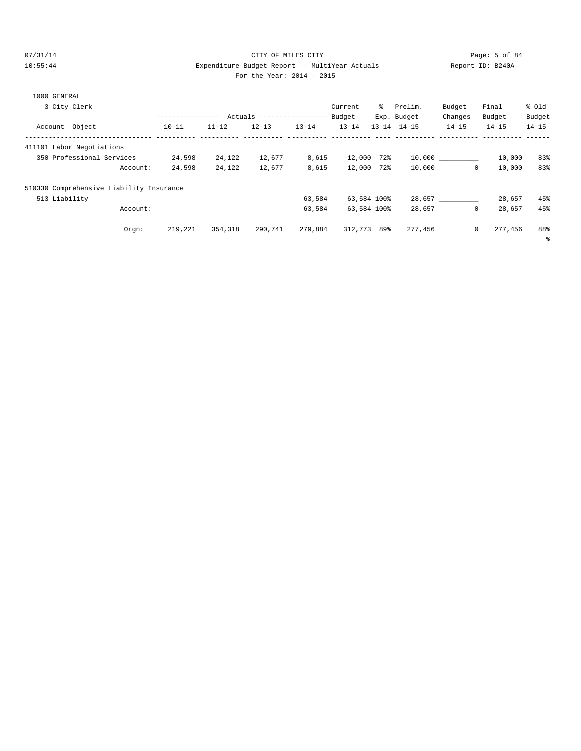# 07/31/14 Page: 5 of 84 10:55:44 Expenditure Budget Report -- MultiYear Actuals Report ID: B240A For the Year: 2014 - 2015

|                | 3 City Clerk                             | ---------------- |           | Actuals ----------------- |           | Current<br>Budget | ွေ  | Prelim.<br>Exp. Budget | Budget<br>Changes | Final<br>Budget | % old<br>Budget |
|----------------|------------------------------------------|------------------|-----------|---------------------------|-----------|-------------------|-----|------------------------|-------------------|-----------------|-----------------|
| Account Object |                                          | $10 - 11$        | $11 - 12$ | $12 - 13$                 | $13 - 14$ | $13 - 14$         |     | $13 - 14$ $14 - 15$    | $14 - 15$         | $14 - 15$       | $14 - 15$       |
|                | 411101 Labor Negotiations                |                  |           |                           |           |                   |     |                        |                   |                 |                 |
|                | 350 Professional Services                | 24,598           | 24,122    | 12,677                    | 8,615     | 12,000            | 72% |                        | 10,000 000        | 10,000          | 83%             |
|                | Account:                                 | 24,598           | 24,122    | 12,677                    | 8,615     | 12,000            | 72% | 10,000                 | 0                 | 10,000          | 83%             |
|                | 510330 Comprehensive Liability Insurance |                  |           |                           |           |                   |     |                        |                   |                 |                 |
| 513 Liability  |                                          |                  |           |                           | 63,584    | 63,584 100%       |     |                        | 28,657            | 28,657          | 45%             |
|                | Account:                                 |                  |           |                           | 63,584    | 63,584 100%       |     | 28,657                 | 0                 | 28,657          | 45%             |
|                | Orem:                                    | 219,221          | 354,318   | 290,741                   | 279,884   | 312,773           | 89% | 277,456                | 0                 | 277,456         | 88%             |
|                |                                          |                  |           |                           |           |                   |     |                        |                   |                 | $\epsilon$      |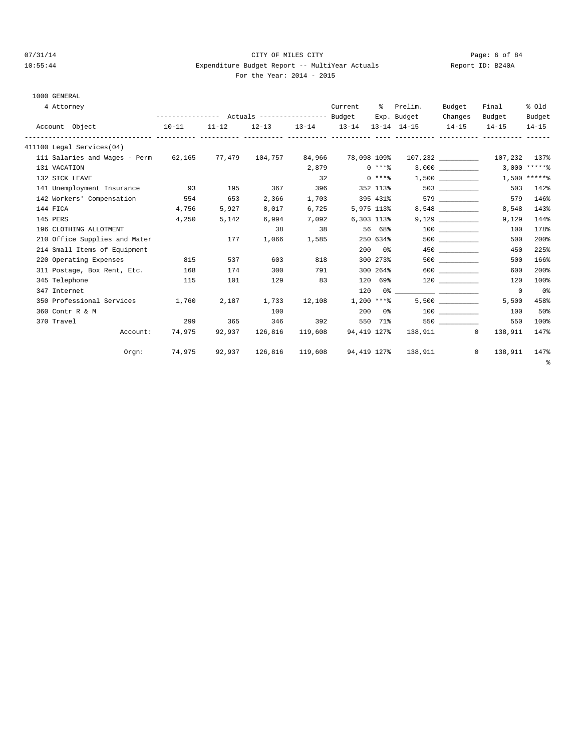# 07/31/14 Page: 6 of 84 10:55:44 Expenditure Budget Report -- MultiYear Actuals Report ID: B240A For the Year: 2014 - 2015

# 1000 GENERAL

| 4 Attorney      |                                               |           |        |                                                 |         | Current     | $\approx$            | Prelim.                                                       | Budget         | Final                     | % old           |
|-----------------|-----------------------------------------------|-----------|--------|-------------------------------------------------|---------|-------------|----------------------|---------------------------------------------------------------|----------------|---------------------------|-----------------|
|                 |                                               |           |        | --------------- Actuals ---------------- Budget |         |             |                      | Exp. Budget                                                   | Changes        | Budget                    | Budget          |
| Account Object  |                                               | $10 - 11$ | 11-12  |                                                 |         |             |                      | $12-13$ $13-14$ $13-14$ $13-14$ $14-15$ $14-15$               |                | $14 - 15$                 | $14 - 15$       |
|                 | 411100 Legal Services(04)                     |           |        |                                                 |         |             |                      |                                                               |                |                           |                 |
|                 | 111 Salaries and Wages - Perm $62,165$ 77,479 |           |        | 104,757                                         | 84,966  | 78,098 109% |                      |                                                               |                | 107,232 107,232 137%      |                 |
| 131 VACATION    |                                               |           |        |                                                 | 2,879   |             | $0***$               |                                                               | 3,000          |                           | $3,000$ ***** % |
| 132 SICK LEAVE  |                                               |           |        |                                                 | 32      |             | $0$ ****             |                                                               | 1,500          |                           | $1,500$ ******  |
|                 | 141 Unemployment Insurance                    | 93        | 195    | 367                                             | 396     |             |                      | 352 113%                                                      | 503 and $\sim$ | 503                       | 142%            |
|                 | 142 Workers' Compensation                     | 554       | 653    | 2,366                                           | 1,703   |             | 395 431%             |                                                               | 579 — 100      | 579                       | 146%            |
| 144 FICA        |                                               | 4,756     | 5,927  | 8,017                                           | 6,725   |             | 5,975 113%           |                                                               | 8,548          | 8,548                     | 143%            |
| 145 PERS        |                                               | 4,250     | 5,142  | 6,994                                           | 7,092   |             | 6,303 113%           |                                                               | 9,129          | 9,129                     | 144%            |
|                 | 196 CLOTHING ALLOTMENT                        |           |        | 38                                              | 38      |             | 56 68%               |                                                               | 100 000        | 100                       | 178%            |
|                 | 210 Office Supplies and Mater                 |           | 177    | 1,066                                           | 1,585   |             | 250 634%             |                                                               | 500 000        | 500                       | 200%            |
|                 | 214 Small Items of Equipment                  |           |        |                                                 |         |             | $200$ $0\frac{6}{3}$ |                                                               | 450 72         | 450                       | 225%            |
|                 | 220 Operating Expenses                        | 815       | 537    | 603                                             | 818     |             | 300 273%             |                                                               | 500 000        | 500                       | 166%            |
|                 | 311 Postage, Box Rent, Etc.                   | 168       | 174    | 300                                             | 791     |             | 300 264%             |                                                               | 600 000        | 600                       | 200%            |
| 345 Telephone   |                                               | 115       | 101    | 129                                             | 83      | 120         |                      | 69% ମ                                                         | 120            | 120                       | 100%            |
| 347 Internet    |                                               |           |        |                                                 |         | 120         |                      |                                                               |                | $\overline{0}$            | 0 <sup>8</sup>  |
|                 | 350 Professional Services                     | 1,760     | 2,187  | 1,733                                           | 12,108  |             | $1,200$ ****         |                                                               | 5,500          | 5,500                     | 458%            |
| 360 Contr R & M |                                               |           |        | 100                                             |         |             | $200$ $0\frac{6}{3}$ |                                                               | 100 000        | 100                       | 50%             |
| 370 Travel      |                                               | 299       | 365    | 346                                             | 392     |             | 550 71%              |                                                               | 550 350        | 550                       | 100%            |
|                 | Account:                                      | 74,975    | 92,937 | 126,816                                         | 119,608 | 94,419 127% |                      |                                                               | 138,911 0      | 138,911                   | 147%            |
|                 | Orem:                                         |           |        |                                                 |         |             |                      | 74,975   92,937   126,816   119,608   94,419   127%   138,911 |                | $\overline{0}$<br>138,911 | 147%            |

%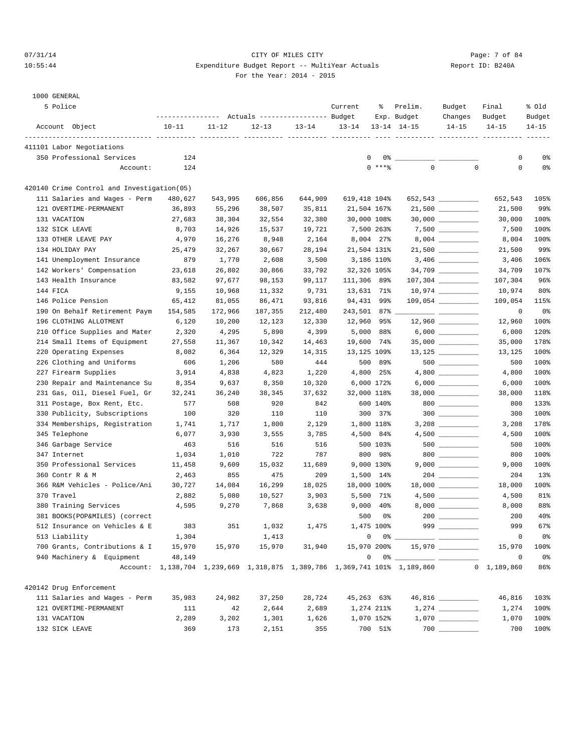# 07/31/14 Page: 7 of 84 10:55:44 Expenditure Budget Report -- MultiYear Actuals Report ID: B240A For the Year: 2014 - 2015

| 5 Police                                   |           | --------------- Actuals ---------------- Budget |           |           | Current      | ႜ              | Prelim.<br>Exp. Budget                                                                                                                                                                                                                                                                                                                                             | Budget<br>Changes   | Final<br>Budget | % old<br>Budget |
|--------------------------------------------|-----------|-------------------------------------------------|-----------|-----------|--------------|----------------|--------------------------------------------------------------------------------------------------------------------------------------------------------------------------------------------------------------------------------------------------------------------------------------------------------------------------------------------------------------------|---------------------|-----------------|-----------------|
| Account Object                             | $10 - 11$ | $11 - 12$                                       | $12 - 13$ | $13 - 14$ | $13 - 14$    |                | $13 - 14$ $14 - 15$                                                                                                                                                                                                                                                                                                                                                | $14 - 15$           | $14 - 15$       | $14 - 15$       |
| 411101 Labor Negotiations                  |           |                                                 |           |           |              |                |                                                                                                                                                                                                                                                                                                                                                                    |                     |                 |                 |
| 350 Professional Services                  | 124       |                                                 |           |           | $\mathbf{0}$ | $0\degree$ $-$ |                                                                                                                                                                                                                                                                                                                                                                    |                     | 0               | 0%              |
| Account:                                   | 124       |                                                 |           |           |              | $0$ ****       | $\mathbf 0$                                                                                                                                                                                                                                                                                                                                                        | $\mathbf 0$         | $\mathbf 0$     | 0%              |
|                                            |           |                                                 |           |           |              |                |                                                                                                                                                                                                                                                                                                                                                                    |                     |                 |                 |
| 420140 Crime Control and Investigation(05) |           |                                                 |           |           |              |                |                                                                                                                                                                                                                                                                                                                                                                    |                     |                 |                 |
| 111 Salaries and Wages - Perm              | 480,627   | 543,995                                         | 606,856   | 644,909   | 619,418 104% |                |                                                                                                                                                                                                                                                                                                                                                                    | 652,543             | 652,543         | 105%            |
| 121 OVERTIME-PERMANENT                     | 36,893    | 55,296                                          | 38,507    | 35,811    | 21,504 167%  |                |                                                                                                                                                                                                                                                                                                                                                                    | $21,500$ __________ | 21,500          | 99%             |
| 131 VACATION                               | 27,683    | 38,304                                          | 32,554    | 32,380    | 30,000 108%  |                |                                                                                                                                                                                                                                                                                                                                                                    |                     | 30,000          | 100%            |
| 132 SICK LEAVE                             | 8,703     | 14,926                                          | 15,537    | 19,721    | 7,500 263%   |                |                                                                                                                                                                                                                                                                                                                                                                    | 7,500 __________    | 7,500           | 100%            |
| 133 OTHER LEAVE PAY                        | 4,970     | 16,276                                          | 8,948     | 2,164     | 8,004 27%    |                |                                                                                                                                                                                                                                                                                                                                                                    |                     | 8,004           | 100%            |
| 134 HOLIDAY PAY                            | 25,479    | 32,267                                          | 30,667    | 28,194    | 21,504 131%  |                |                                                                                                                                                                                                                                                                                                                                                                    | $21,500$ __________ | 21,500          | 99%             |
| 141 Unemployment Insurance                 | 879       | 1,770                                           | 2,608     | 3,500     | 3,186 110%   |                |                                                                                                                                                                                                                                                                                                                                                                    |                     | 3,406           | 106%            |
| 142 Workers' Compensation                  | 23,618    | 26,802                                          | 30,866    | 33,792    | 32,326 105%  |                |                                                                                                                                                                                                                                                                                                                                                                    |                     | 34,709          | 107%            |
| 143 Health Insurance                       | 83,582    | 97,677                                          | 98,153    | 99,117    | 111,306 89%  |                |                                                                                                                                                                                                                                                                                                                                                                    |                     | 107,304         | 96%             |
| 144 FICA                                   | 9,155     | 10,968                                          | 11,332    | 9,731     | 13,631 71%   |                |                                                                                                                                                                                                                                                                                                                                                                    |                     | 10,974          | 80%             |
| 146 Police Pension                         | 65,412    | 81,055                                          | 86,471    | 93,816    | 94,431 99%   |                |                                                                                                                                                                                                                                                                                                                                                                    |                     | 109,054         | 115%            |
| 190 On Behalf Retirement Paym              | 154,585   | 172,966                                         | 187,355   | 212,480   | 243,501 87%  |                |                                                                                                                                                                                                                                                                                                                                                                    |                     | 0               | 0%              |
| 196 CLOTHING ALLOTMENT                     | 6,120     | 10,200                                          | 12,123    | 12,330    | 12,960       | 95%            |                                                                                                                                                                                                                                                                                                                                                                    |                     | 12,960          | 100%            |
| 210 Office Supplies and Mater              | 2,320     | 4,295                                           | 5,890     | 4,399     |              | 5,000 88%      |                                                                                                                                                                                                                                                                                                                                                                    | 6,000 __________    | 6,000           | 120%            |
| 214 Small Items of Equipment               | 27,558    | 11,367                                          | 10,342    | 14,463    | 19,600 74%   |                |                                                                                                                                                                                                                                                                                                                                                                    |                     | 35,000          | 178%            |
| 220 Operating Expenses                     | 8,082     | 6,364                                           | 12,329    | 14,315    | 13,125 109%  |                |                                                                                                                                                                                                                                                                                                                                                                    |                     | 13,125          | 100%            |
| 226 Clothing and Uniforms                  | 606       | 1,206                                           | 580       | 444       |              | 500 89%        |                                                                                                                                                                                                                                                                                                                                                                    |                     | 500             | 100%            |
| 227 Firearm Supplies                       | 3,914     | 4,838                                           | 4,823     | 1,220     |              | 4,800 25%      |                                                                                                                                                                                                                                                                                                                                                                    |                     | 4,800           | 100%            |
| 230 Repair and Maintenance Su              | 8,354     | 9,637                                           | 8,350     | 10,320    |              | 6,000 172%     |                                                                                                                                                                                                                                                                                                                                                                    |                     | 6,000           | 100%            |
| 231 Gas, Oil, Diesel Fuel, Gr              | 32,241    | 36,240                                          | 38,345    | 37,632    | 32,000 118%  |                |                                                                                                                                                                                                                                                                                                                                                                    |                     | 38,000          | 118%            |
| 311 Postage, Box Rent, Etc.                | 577       | 508                                             | 920       | 842       |              | 600 140%       |                                                                                                                                                                                                                                                                                                                                                                    | $800$               | 800             | 133%            |
| 330 Publicity, Subscriptions               | 100       | 320                                             | 110       | 110       |              | 300 37%        |                                                                                                                                                                                                                                                                                                                                                                    | $300$               | 300             | 100%            |
| 334 Memberships, Registration              | 1,741     | 1,717                                           | 1,800     | 2,129     |              | 1,800 118%     |                                                                                                                                                                                                                                                                                                                                                                    |                     | 3,208           | 178%            |
| 345 Telephone                              | 6,077     | 3,930                                           | 3,555     | 3,785     |              | 4,500 84%      |                                                                                                                                                                                                                                                                                                                                                                    |                     | 4,500           | 100%            |
| 346 Garbage Service                        | 463       | 516                                             | 516       | 516       |              | 500 103%       |                                                                                                                                                                                                                                                                                                                                                                    |                     | 500             | 100%            |
| 347 Internet                               | 1,034     | 1,010                                           | 722       | 787       | 800          | 98%            |                                                                                                                                                                                                                                                                                                                                                                    | $800$               | 800             | 100%            |
| 350 Professional Services                  | 11,458    | 9,609                                           | 15,032    | 11,689    |              | 9,000 130%     |                                                                                                                                                                                                                                                                                                                                                                    |                     | 9,000           | 100%            |
| 360 Contr R & M                            | 2,463     | 855                                             | 475       | 209       |              | 1,500 14%      |                                                                                                                                                                                                                                                                                                                                                                    |                     | 204             | 13%             |
| 366 R&M Vehicles - Police/Ani              | 30,727    | 14,084                                          | 16,299    | 18,025    | 18,000 100%  |                |                                                                                                                                                                                                                                                                                                                                                                    |                     | 18,000          | 100%            |
| 370 Travel                                 | 2,882     | 5,080                                           | 10,527    | 3,903     |              | 5,500 71%      |                                                                                                                                                                                                                                                                                                                                                                    |                     | 4,500           | 81%             |
| 380 Training Services                      | 4,595     | 9,270                                           | 7,868     | 3,638     | 9,000        | $40\%$         |                                                                                                                                                                                                                                                                                                                                                                    |                     | 8,000           | 88%             |
| 381 BOOKS(POP&MILES) (correct              |           |                                                 |           |           | 500          | 0%             |                                                                                                                                                                                                                                                                                                                                                                    |                     | 200             | 40%             |
| 512 Insurance on Vehicles & E              | 383       | 351                                             | 1,032     | 1,475     |              | 1,475 100%     |                                                                                                                                                                                                                                                                                                                                                                    | $999$               | 999             | 67%             |
| 513 Liability                              | 1,304     |                                                 | 1,413     |           |              |                |                                                                                                                                                                                                                                                                                                                                                                    |                     | $\mathsf 0$     | 0 <sub>8</sub>  |
| 700 Grants, Contributions & I              | 15,970    | 15,970                                          | 15,970    | 31,940    | 15,970 200%  |                |                                                                                                                                                                                                                                                                                                                                                                    |                     | 15,970          | 100%            |
| 940 Machinery & Equipment                  | 48,149    |                                                 |           |           |              |                | $\begin{picture}(150,10) \put(0,0){\vector(1,0){100}} \put(15,0){\vector(1,0){100}} \put(15,0){\vector(1,0){100}} \put(15,0){\vector(1,0){100}} \put(15,0){\vector(1,0){100}} \put(15,0){\vector(1,0){100}} \put(15,0){\vector(1,0){100}} \put(15,0){\vector(1,0){100}} \put(15,0){\vector(1,0){100}} \put(15,0){\vector(1,0){100}} \put(15,0){\vector(1,0){100}}$ |                     | 0               | 0%              |
|                                            |           |                                                 |           |           |              |                | Account: 1,138,704 1,239,669 1,318,875 1,389,786 1,369,741 101% 1,189,860                                                                                                                                                                                                                                                                                          |                     | 0 1, 189, 860   | 86%             |
| 420142 Drug Enforcement                    |           |                                                 |           |           |              |                |                                                                                                                                                                                                                                                                                                                                                                    |                     |                 |                 |
| 111 Salaries and Wages - Perm              | 35,983    | 24,982                                          | 37,250    | 28,724    | 45,263 63%   |                |                                                                                                                                                                                                                                                                                                                                                                    | 46,816 _________    | 46,816          | 103%            |
| 121 OVERTIME-PERMANENT                     | 111       | 42                                              | 2,644     | 2,689     |              | 1,274 211%     |                                                                                                                                                                                                                                                                                                                                                                    |                     | 1,274           | 100%            |
| 131 VACATION                               | 2,289     | 3,202                                           | 1,301     | 1,626     |              | 1,070 152%     |                                                                                                                                                                                                                                                                                                                                                                    |                     | 1,070           | 100%            |
| 132 SICK LEAVE                             | 369       | 173                                             | 2,151     | 355       |              | 700 51%        |                                                                                                                                                                                                                                                                                                                                                                    |                     | 700             | 100%            |
|                                            |           |                                                 |           |           |              |                |                                                                                                                                                                                                                                                                                                                                                                    |                     |                 |                 |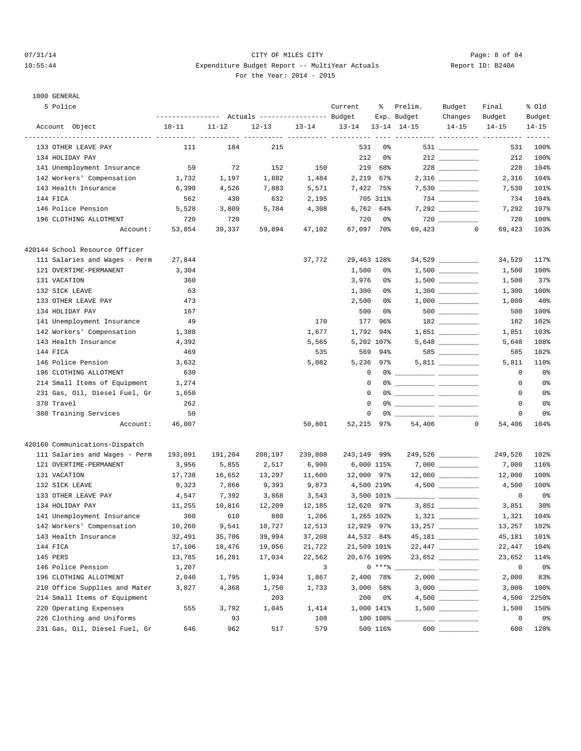# 07/31/14 Page: 8 of 84 10:55:44 Expenditure Budget Report -- MultiYear Actuals Report ID: B240A For the Year: 2014 - 2015

| 5 Police                       |           |                                                 |                                                     |           | Current           | ႜ                 | Prelim.      | Budget                                                | Final                                         | % Old     |
|--------------------------------|-----------|-------------------------------------------------|-----------------------------------------------------|-----------|-------------------|-------------------|--------------|-------------------------------------------------------|-----------------------------------------------|-----------|
|                                |           | --------------- Actuals ---------------- Budget |                                                     |           |                   |                   | Exp. Budget  | Changes                                               | Budget                                        | Budget    |
| Account Object                 | $10 - 11$ | $11 - 12$<br>-----------                        | $12 - 13$<br>---------- ---------- ----------- ---- | $13 - 14$ | 13-14 13-14 14-15 |                   |              | $14 - 15$                                             | $14 - 15$<br>---------- ---------- ---------- | $14 - 15$ |
| 133 OTHER LEAVE PAY            | 111       | 184                                             | 215                                                 |           | 531               | 0%                |              |                                                       | 531                                           | 100%      |
| 134 HOLIDAY PAY                |           |                                                 |                                                     |           | 212               | 0%                |              |                                                       | 212                                           | 100%      |
| 141 Unemployment Insurance     | 59        | 72                                              | 152                                                 | 150       | 219               | 68%               |              |                                                       | 228                                           | 104%      |
| 142 Workers' Compensation      | 1,732     | 1,197                                           | 1,882                                               | 1,484     | 2,219             | 67%               |              |                                                       | 2,316                                         | 104%      |
| 143 Health Insurance           | 6,390     | 4,526                                           | 7,883                                               | 5,571     |                   | 7,422 75%         |              | $7,530$ __________                                    | 7,530                                         | 101%      |
| 144 FICA                       | 562       | 430                                             | 632                                                 | 2,195     |                   | 705 311%          |              | $734 \ \ \underline{\hspace{1.5cm}}$                  | 734                                           | 104%      |
| 146 Police Pension             | 5,528     | 3,809                                           | 5,784                                               | 4,308     |                   | 6,762 64%         |              |                                                       | 7,292                                         | 107%      |
| 196 CLOTHING ALLOTMENT         | 720       | 720                                             |                                                     |           | 720               | 0%                |              |                                                       | 720                                           | 100%      |
| Account:                       | 53,854    | 39,337                                          | 59,894                                              | 47,102    | 67,097 70%        |                   | 69,423       | $\circ$                                               | 69,423                                        | 103%      |
| 420144 School Resource Officer |           |                                                 |                                                     |           |                   |                   |              |                                                       |                                               |           |
| 111 Salaries and Wages - Perm  | 27,844    |                                                 |                                                     | 37,772    | 29,463 128%       |                   |              |                                                       | 34,529                                        | 117%      |
| 121 OVERTIME-PERMANENT         | 3,304     |                                                 |                                                     |           | 1,500             | 0%                |              |                                                       | 1,500                                         | 100%      |
| 131 VACATION                   | 360       |                                                 |                                                     |           | 3,976             | 0%                |              |                                                       | 1,500                                         | 37%       |
| 132 SICK LEAVE                 | 63        |                                                 |                                                     |           | 1,300             | 0%                |              |                                                       | 1,300                                         | 100%      |
| 133 OTHER LEAVE PAY            | 473       |                                                 |                                                     |           | 2,500             | 0%                |              |                                                       | 1,000                                         | 40%       |
| 134 HOLIDAY PAY                | 167       |                                                 |                                                     |           | 500               | 0%                |              | 500 000                                               | 500                                           | 100%      |
| 141 Unemployment Insurance     | 49        |                                                 |                                                     | 170       | 177               | 96%               |              |                                                       | 182                                           | 102%      |
| 142 Workers' Compensation      | 1,388     |                                                 |                                                     | 1,677     | 1,792             | 94%               |              | $1,851$ ________                                      | 1,851                                         | 103%      |
| 143 Health Insurance           | 4,392     |                                                 |                                                     | 5,565     |                   | 5,202 107%        |              |                                                       | 5,648                                         | 108%      |
| 144 FICA                       | 469       |                                                 |                                                     | 535       |                   | 569 94%           |              | 585                                                   | 585                                           | 102%      |
| 146 Police Pension             | 3,632     |                                                 |                                                     | 5,082     |                   | 5,236 97%         |              | $5,811$ __________                                    | 5,811                                         | 110%      |
| 196 CLOTHING ALLOTMENT         | 630       |                                                 |                                                     |           | 0                 |                   |              |                                                       | 0                                             | 0%        |
| 214 Small Items of Equipment   | 1,274     |                                                 |                                                     |           | $\mathbf{0}$      |                   |              |                                                       | 0                                             | 0%        |
| 231 Gas, Oil, Diesel Fuel, Gr  | 1,650     |                                                 |                                                     |           | $\mathbf 0$       |                   |              |                                                       | $\circ$                                       | 0%        |
| 370 Travel                     | 262       |                                                 |                                                     |           | 0                 |                   |              |                                                       | 0                                             | 0%        |
| 380 Training Services          | 50        |                                                 |                                                     |           | 0                 |                   |              |                                                       | 0                                             | 0%        |
| Account:                       | 46,007    |                                                 |                                                     | 50,801    | 52,215 97%        |                   | 54,406       | $\mathbf{0}$                                          | 54,406                                        | 104%      |
| 420160 Communications-Dispatch |           |                                                 |                                                     |           |                   |                   |              |                                                       |                                               |           |
| 111 Salaries and Wages - Perm  | 193,091   | 191,204                                         | 208,197                                             | 239,808   | 243,149 99%       |                   |              | 249,526 ___________                                   | 249,526                                       | 102%      |
| 121 OVERTIME-PERMANENT         | 3,956     | 5,855                                           | 2,517                                               | 6,900     |                   | 6,000 115%        |              | 7,000 __________                                      | 7,000                                         | 116%      |
| 131 VACATION                   | 17,738    | 16,652                                          | 13,297                                              | 11,600    | 12,000 97%        |                   |              |                                                       | 12,000                                        | 100%      |
| 132 SICK LEAVE                 | 9,323     | 7,866                                           | 9,393                                               | 9,873     | 4,500 219%        |                   |              |                                                       | 4,500                                         | 100%      |
| 133 OTHER LEAVE PAY            | 4,547     | 7,392                                           | 3,868                                               | 3,543     |                   | $3,500$ 101% $\_$ |              |                                                       | 0                                             | 0%        |
| 134 HOLIDAY PAY                | 11,255    | 10,816                                          | 12,209                                              | 12,185    | 12,620 97%        |                   |              |                                                       | 3,851                                         | 30%       |
| 141 Unemployment Insurance     | 360       | 610                                             | 880                                                 | 1,286     |                   | 1,265 102%        |              |                                                       | 1,321                                         | 104%      |
| 142 Workers' Compensation      | 10,260    | 9,541                                           | 10,727                                              | 12,513    | 12,929 97%        |                   | $13,257$ ___ |                                                       | 13,257                                        | 102%      |
| 143 Health Insurance           | 32,491    | 35,706                                          | 39,994                                              | 37,208    | 44,532 84%        |                   |              |                                                       | 45,181                                        | 101%      |
| 144 FICA                       | 17,106    | 18,476                                          | 19,056                                              | 21,722    | 21,509 101%       |                   |              |                                                       | 22,447                                        | 104%      |
| 145 PERS                       | 13,785    | 16,281                                          | 17,034                                              | 22,562    | 20,676 109%       |                   |              | 23,652                                                | 23,652                                        | 114%      |
| 146 Police Pension             | 1,207     |                                                 |                                                     | 3         |                   | $0***$ $*$        |              | $\overline{\phantom{a}}$ and $\overline{\phantom{a}}$ | $\mathbf 0$                                   | 0%        |
| 196 CLOTHING ALLOTMENT         | 2,040     | 1,795                                           | 1,934                                               | 1,867     |                   | 2,400 78%         |              |                                                       | 2,000                                         | 83%       |
| 210 Office Supplies and Mater  | 3,827     | 4,368                                           | 1,750                                               | 1,733     |                   | $3,000$ 58%       |              |                                                       | 3,000                                         | 100%      |
| 214 Small Items of Equipment   |           |                                                 | 203                                                 |           | 200               | 0%                |              |                                                       | 4,500                                         | 2250%     |
| 220 Operating Expenses         | 555       | 3,792                                           | 1,045                                               | 1,414     |                   | 1,000 141%        |              |                                                       | 1,500                                         | 150%      |
| 226 Clothing and Uniforms      |           | 93                                              |                                                     | 108       |                   | $100 108$ $\_$    |              |                                                       | 0                                             | 0%        |
| 231 Gas, Oil, Diesel Fuel, Gr  | 646       | 962                                             | 517                                                 | 579       |                   | 500 116%          |              | 600                                                   | 600                                           | 120%      |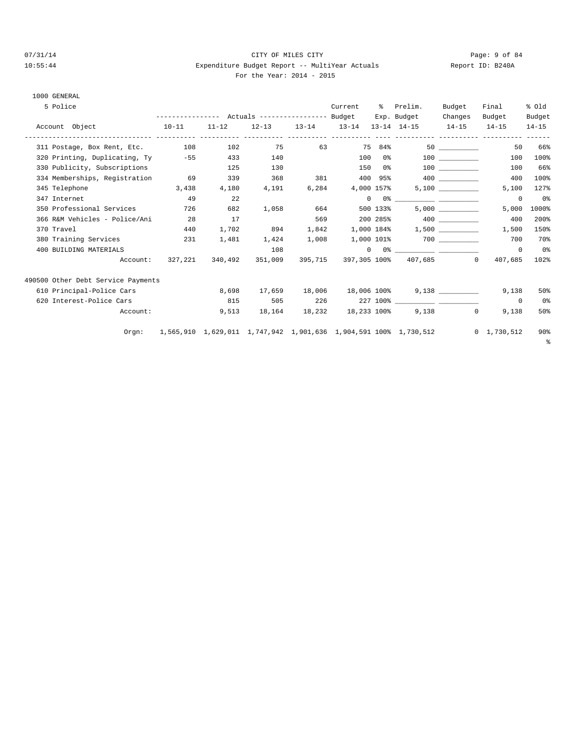# 07/31/14 Page: 9 of 84 10:55:44 Expenditure Budget Report -- MultiYear Actuals Report ID: B240A For the Year: 2014 - 2015

| 5 Police                              |         |           |                                 |           | Current    | ႜႜၟ      | Prelim.                                                                                                                                                                                                                                                                                                                                                            | Budget            | Final               | % old          |
|---------------------------------------|---------|-----------|---------------------------------|-----------|------------|----------|--------------------------------------------------------------------------------------------------------------------------------------------------------------------------------------------------------------------------------------------------------------------------------------------------------------------------------------------------------------------|-------------------|---------------------|----------------|
|                                       |         |           |                                 |           |            |          | Exp. Budget                                                                                                                                                                                                                                                                                                                                                        | Changes           | Budget              | Budget         |
| Account Object<br>$10 - 11$           |         | $11 - 12$ |                                 |           |            |          | $12-13$ $13-14$ $13-14$ $13-14$ $14-15$ $14-15$                                                                                                                                                                                                                                                                                                                    |                   | $14 - 15$           | $14 - 15$      |
| 311 Postage, Box Rent, Etc. 108 102   |         |           |                                 |           |            |          | 75 63 75 84% 50                                                                                                                                                                                                                                                                                                                                                    |                   | 50                  | 66%            |
| 320 Printing, Duplicating, Ty -55 433 |         |           | 140                             |           |            |          | $100 \t 0$ % $100$                                                                                                                                                                                                                                                                                                                                                 |                   | 100                 | 100%           |
| 330 Publicity, Subscriptions          |         | 125       | 130                             |           |            |          | 150 0%                                                                                                                                                                                                                                                                                                                                                             | 100 000           | 100                 | 66%            |
| 334 Memberships, Registration         | 69      | 339       | 368                             | 381       |            |          |                                                                                                                                                                                                                                                                                                                                                                    |                   | 400                 | 100%           |
| 345 Telephone 3,438                   |         | 4,180     | 4,191                           | 6,284     | 4,000 157% |          |                                                                                                                                                                                                                                                                                                                                                                    |                   | 5,100               | 127%           |
| 347 Internet                          | 49      | 22        |                                 |           |            |          | $\begin{picture}(150,10) \put(0,0){\vector(1,0){100}} \put(15,0){\vector(1,0){100}} \put(15,0){\vector(1,0){100}} \put(15,0){\vector(1,0){100}} \put(15,0){\vector(1,0){100}} \put(15,0){\vector(1,0){100}} \put(15,0){\vector(1,0){100}} \put(15,0){\vector(1,0){100}} \put(15,0){\vector(1,0){100}} \put(15,0){\vector(1,0){100}} \put(15,0){\vector(1,0){100}}$ |                   | $\mathbf 0$         | 0 <sup>8</sup> |
| 350 Professional Services             | 726     | 682       |                                 | 1,058 664 |            | 500 133% |                                                                                                                                                                                                                                                                                                                                                                    | 5,000             | 5,000               | 1000%          |
| 366 R&M Vehicles - Police/Ani 28      |         | 17        |                                 | 569       |            |          | 200 285% 400 400                                                                                                                                                                                                                                                                                                                                                   |                   | 400                 | 200%           |
| 370 Travel                            | 440     | 1,702     | 894                             |           |            |          | $1,842$ 1,000 184% 1,500 _________                                                                                                                                                                                                                                                                                                                                 |                   | 1,500               | 150%           |
| 380 Training Services                 | 231     | 1,481     | 1,424                           |           |            |          | $1,008$ $1,000$ $101\%$ 700                                                                                                                                                                                                                                                                                                                                        |                   | 700                 | 70%            |
| 400 BUILDING MATERIALS                |         |           | 108                             |           |            |          | $\begin{picture}(150,10) \put(0,0){\vector(1,0){100}} \put(15,0){\vector(1,0){100}} \put(15,0){\vector(1,0){100}} \put(15,0){\vector(1,0){100}} \put(15,0){\vector(1,0){100}} \put(15,0){\vector(1,0){100}} \put(15,0){\vector(1,0){100}} \put(15,0){\vector(1,0){100}} \put(15,0){\vector(1,0){100}} \put(15,0){\vector(1,0){100}} \put(15,0){\vector(1,0){100}}$ |                   | $\overline{0}$      | 0 <sup>8</sup> |
| Account:                              | 327,221 | 340,492   | 351,009                         |           |            |          | 395,715 397,305 100% 407,685 0                                                                                                                                                                                                                                                                                                                                     |                   | 407,685             | 102%           |
| 490500 Other Debt Service Payments    |         |           |                                 |           |            |          |                                                                                                                                                                                                                                                                                                                                                                    |                   |                     |                |
| 610 Principal-Police Cars             |         | 8,698     |                                 |           |            |          |                                                                                                                                                                                                                                                                                                                                                                    |                   | 9,138               | 50%            |
| 620 Interest-Police Cars              |         | 815       | 505                             | 226       |            |          |                                                                                                                                                                                                                                                                                                                                                                    |                   | $\overline{0}$      | 0%             |
| Account:                              |         |           | 9,513 18,164 18,232 18,233 100% |           |            |          |                                                                                                                                                                                                                                                                                                                                                                    | $\Omega$<br>9,138 | 9,138               | 50%            |
| Orgn:                                 |         |           |                                 |           |            |          | 1,565,910 1,629,011 1,747,942 1,901,636 1,904,591 100% 1,730,512                                                                                                                                                                                                                                                                                                   |                   | $0 \quad 1,730,512$ | $90\%$         |
|                                       |         |           |                                 |           |            |          |                                                                                                                                                                                                                                                                                                                                                                    |                   |                     | ႜႜ             |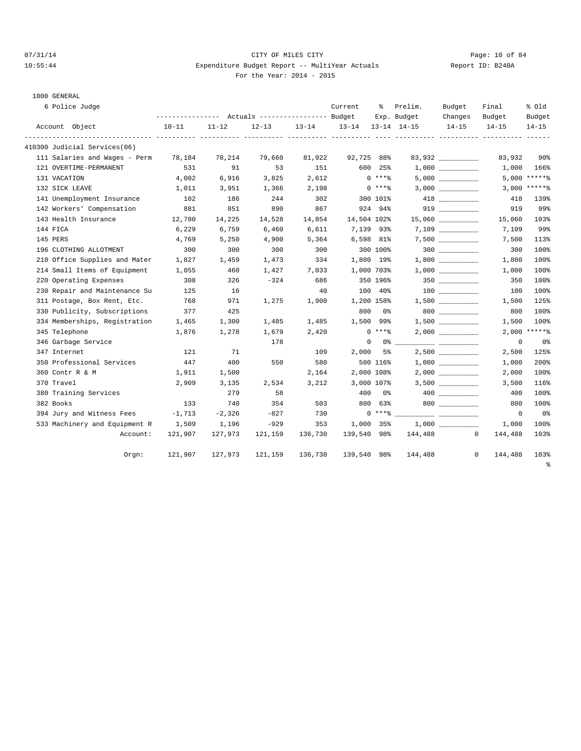# 07/31/14 Page: 10 of 84 10:55:44 Expenditure Budget Report -- MultiYear Actuals Report ID: B240A For the Year: 2014 - 2015

|  | 6 Police Judge |  |
|--|----------------|--|
|--|----------------|--|

| 6 Police Judge                   |           |           | --------------- Actuals ---------------- Budget |         | Current                                 | ႜႜႜၟ       | Prelim.<br>Exp. Budget | Budget<br>Changes    | Final<br>Budget         | % Old<br>Budget |
|----------------------------------|-----------|-----------|-------------------------------------------------|---------|-----------------------------------------|------------|------------------------|----------------------|-------------------------|-----------------|
| Account Object                   | $10 - 11$ | $11 - 12$ |                                                 |         | $12-13$ $13-14$ $13-14$ $13-14$ $14-15$ |            |                        | $14 - 15$            | $14 - 15$               | $14 - 15$       |
| 410300 Judicial Services(06)     |           |           |                                                 |         |                                         |            |                        |                      |                         |                 |
| 111 Salaries and Wages - Perm    | 78,184    | 78,214    | 79,660                                          | 81,922  | 92,725 88%                              |            |                        | 83,932               | 83,932                  | 90 <sub>8</sub> |
| 121 OVERTIME-PERMANENT           | 531       | 91        | 53                                              | 151     |                                         | 600 25%    |                        |                      | 1,000                   | 166%            |
| 131 VACATION                     | 4,002     | 6,916     | 3,825                                           | 2,612   |                                         | $0***$     |                        |                      |                         | 5,000 *****%    |
| 132 SICK LEAVE                   | 1,011     | 3,951     | 1,366                                           | 2,198   |                                         | $0***8$    |                        |                      |                         | $3,000$ *****%  |
| 141 Unemployment Insurance       | 102       | 186       | 244                                             | 302     |                                         | 300 101%   |                        |                      | 418                     | 139%            |
| 142 Workers' Compensation        | 881       | 851       | 890                                             | 867     |                                         | 924 94%    |                        |                      | 919                     | 99%             |
| 143 Health Insurance             | 12,780    | 14,225    | 14,528                                          | 14,854  | 14,504 102%                             |            |                        | $15,060$ ___________ | 15,060                  | 103%            |
| 144 FICA                         | 6,229     | 6,759     | 6,460                                           | 6,611   | 7,139 93%                               |            |                        |                      | 7,109                   | 99%             |
| 145 PERS                         | 4,769     | 5,250     | 4,900                                           | 5,364   |                                         | 6,598 81%  |                        |                      | 7,500                   | 113%            |
| 196 CLOTHING ALLOTMENT           | 300       | 300       | 300                                             | 300     | 300 100%                                |            |                        |                      | 300                     | 100%            |
| 210 Office Supplies and Mater    | 1,827     | 1,459     | 1,473                                           | 334     | 1,800 19%                               |            |                        |                      | 1,800                   | 100%            |
| 214 Small Items of Equipment     | 1,055     | 460       | 1,427                                           | 7,033   | 1,000 703%                              |            |                        |                      | 1,000                   | 100%            |
| 220 Operating Expenses           | 308       | 326       | $-324$                                          | 686     |                                         | 350 196%   |                        |                      | 350                     | 100%            |
| 230 Repair and Maintenance Su    | 125       | 16        |                                                 | 40      |                                         | 100 40%    |                        |                      | 100                     | 100%            |
| 311 Postage, Box Rent, Etc.      | 768       | 971       | 1,275                                           | 1,900   | 1,200 158%                              |            |                        |                      | 1,500                   | 125%            |
| 330 Publicity, Subscriptions     | 377       | 425       |                                                 |         | 800                                     | 0%         |                        | $800$                | 800                     | 100%            |
| 334 Memberships, Registration    | 1,465     | 1,300     | 1,485                                           | 1,485   |                                         | 1,500 99%  |                        |                      | 1,500                   | 100%            |
| 345 Telephone                    | 1,876     | 1,278     | 1,679                                           | 2,420   |                                         | $0***$     |                        |                      | 2,000                   | $*****$         |
| 346 Garbage Service              |           |           | 178                                             |         | $\circ$                                 |            |                        |                      | $\mathbf 0$             | 0%              |
| 347 Internet                     | 121       | 71        |                                                 | 109     | 2,000                                   | 5%ะ        |                        |                      | 2,500                   | 125%            |
| 350 Professional Services        | 447       | 400       | 550                                             | 580     |                                         | 500 116%   |                        | 1,000                | 1,000                   | 200%            |
| 360 Contr R & M                  | 1,911     | 1,500     |                                                 | 2,164   |                                         | 2,000 108% |                        |                      | 2,000                   | 100%            |
| 370 Travel                       | 2,909     | 3,135     | 2,534                                           | 3,212   |                                         | 3,000 107% |                        |                      | 3,500                   | 116%            |
| 380 Training Services            |           | 279       | 58                                              |         | 400                                     | 0 %        |                        | 400 000              | 400                     | 100%            |
| 382 Books                        | 133       | 740       | 354                                             | 503     |                                         | 800 63%    |                        | $800$                | 800                     | 100%            |
| 394 Jury and Witness Fees -1,713 |           | $-2,326$  | $-827$                                          | 730     |                                         | $0***8$    |                        |                      | $\overline{0}$          | 0%              |
| 533 Machinery and Equipment R    | 1,509     | 1,196     | $-929$                                          | 353     |                                         | 1,000 35%  |                        |                      | 1,000                   | 100%            |
| Account:                         | 121,907   | 127,973   | 121,159                                         | 136,730 | 139,540 98%                             |            | 144,488                |                      | $\mathbf{0}$<br>144,488 | 103%            |
| Orgn:                            | 121,907   | 127,973   | 121,159                                         | 136,730 | 139,540 98%                             |            | 144,488                |                      | $\mathbf{0}$<br>144,488 | 103%            |
|                                  |           |           |                                                 |         |                                         |            |                        |                      |                         | နွ              |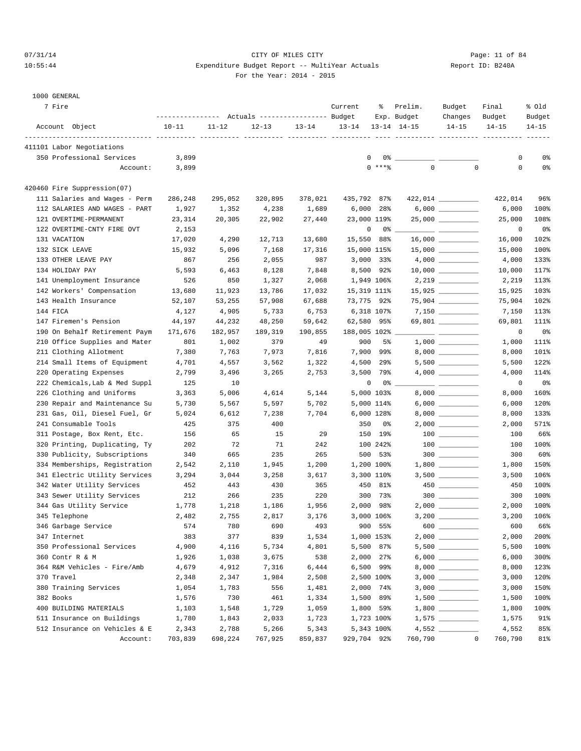# 07/31/14 Page: 11 of 84 10:55:44 Expenditure Budget Report -- MultiYear Actuals Report ID: B240A For the Year: 2014 - 2015

| 7 Fire                         | ----------------- |           | Actuals ----------------- Budget |           | Current      | ႜ           | Prelim.<br>Exp. Budget | Budget<br>Changes                                                                                                                                                                                                                                                                                                                                                                                                                                                          | Final<br>Budget | % old<br>Budget |
|--------------------------------|-------------------|-----------|----------------------------------|-----------|--------------|-------------|------------------------|----------------------------------------------------------------------------------------------------------------------------------------------------------------------------------------------------------------------------------------------------------------------------------------------------------------------------------------------------------------------------------------------------------------------------------------------------------------------------|-----------------|-----------------|
| Account Object                 | $10 - 11$         | $11 - 12$ | $12 - 13$                        | $13 - 14$ | $13 - 14$    |             | $13 - 14$ $14 - 15$    | $14 - 15$                                                                                                                                                                                                                                                                                                                                                                                                                                                                  | $14 - 15$       | $14 - 15$       |
| 411101 Labor Negotiations      |                   |           |                                  |           |              |             |                        |                                                                                                                                                                                                                                                                                                                                                                                                                                                                            |                 |                 |
| 350 Professional Services      | 3,899             |           |                                  |           |              | 0<br>0%     |                        |                                                                                                                                                                                                                                                                                                                                                                                                                                                                            | 0               | 0%              |
| Account:                       | 3,899             |           |                                  |           |              | $0$ ****    | $\mathbf 0$            | $\mathbf 0$                                                                                                                                                                                                                                                                                                                                                                                                                                                                | $\mathbf 0$     | 0%              |
| 420460 Fire Suppression(07)    |                   |           |                                  |           |              |             |                        |                                                                                                                                                                                                                                                                                                                                                                                                                                                                            |                 |                 |
| 111 Salaries and Wages - Perm  | 286,248           | 295,052   | 320,895                          | 378,021   | 435,792 87%  |             |                        |                                                                                                                                                                                                                                                                                                                                                                                                                                                                            | 422,014         | 96%             |
| 112 SALARIES AND WAGES - PART  | 1,927             | 1,352     | 4,238                            | 1,689     | 6,000        | 28%         |                        |                                                                                                                                                                                                                                                                                                                                                                                                                                                                            | 6,000           | 100%            |
| 121 OVERTIME-PERMANENT         | 23,314            | 20,305    | 22,902                           | 27,440    |              | 23,000 119% |                        |                                                                                                                                                                                                                                                                                                                                                                                                                                                                            | 25,000          | 108%            |
| 122 OVERTIME-CNTY FIRE OVT     | 2,153             |           |                                  |           |              | 0<br>0%     |                        |                                                                                                                                                                                                                                                                                                                                                                                                                                                                            | 0               | 0%              |
| 131 VACATION                   | 17,020            | 4,290     | 12,713                           | 13,680    |              | 15,550 88%  |                        |                                                                                                                                                                                                                                                                                                                                                                                                                                                                            | 16,000          | 102%            |
| 132 SICK LEAVE                 | 15,932            | 5,096     | 7,168                            | 17,316    |              | 15,000 115% |                        |                                                                                                                                                                                                                                                                                                                                                                                                                                                                            | 15,000          | 100%            |
| 133 OTHER LEAVE PAY            | 867               | 256       | 2,055                            | 987       |              | 3,000 33%   |                        |                                                                                                                                                                                                                                                                                                                                                                                                                                                                            | 4,000           | 133%            |
| 134 HOLIDAY PAY                | 5,593             | 6,463     | 8,128                            | 7,848     |              | 8,500 92%   |                        |                                                                                                                                                                                                                                                                                                                                                                                                                                                                            | 10,000          | 117%            |
| 141 Unemployment Insurance     | 526               | 850       | 1,327                            | 2,068     |              | 1,949 106%  |                        | $2,219$                                                                                                                                                                                                                                                                                                                                                                                                                                                                    | 2,219           | 113%            |
| 142 Workers' Compensation      | 13,680            | 11,923    | 13,786                           | 17,032    |              | 15,319 111% |                        | $15,925$ _________                                                                                                                                                                                                                                                                                                                                                                                                                                                         | 15,925          | 103%            |
| 143 Health Insurance           | 52,107            | 53,255    | 57,908                           | 67,688    |              | 73,775 92%  |                        |                                                                                                                                                                                                                                                                                                                                                                                                                                                                            | 75,904          | 102%            |
| 144 FICA                       | 4,127             | 4,905     | 5,733                            | 6,753     |              | 6,318 107%  |                        |                                                                                                                                                                                                                                                                                                                                                                                                                                                                            | 7,150           | 113%            |
| 147 Firemen's Pension          | 44,197            | 44,232    | 48,250                           | 59,642    |              | 62,580 95%  |                        | 69,801 _________                                                                                                                                                                                                                                                                                                                                                                                                                                                           | 69,801          | 111%            |
| 190 On Behalf Retirement Paym  | 171,676           | 182,957   | 189,319                          | 190,855   | 188,005 102% |             |                        | $\frac{1}{2} \left( \frac{1}{2} \right) \left( \frac{1}{2} \right) \left( \frac{1}{2} \right) \left( \frac{1}{2} \right) \left( \frac{1}{2} \right) \left( \frac{1}{2} \right) \left( \frac{1}{2} \right) \left( \frac{1}{2} \right) \left( \frac{1}{2} \right) \left( \frac{1}{2} \right) \left( \frac{1}{2} \right) \left( \frac{1}{2} \right) \left( \frac{1}{2} \right) \left( \frac{1}{2} \right) \left( \frac{1}{2} \right) \left( \frac{1}{2} \right) \left( \frac$ | 0               | 0%              |
| 210 Office Supplies and Mater  | 801               | 1,002     | 379                              | 49        | 900          | 5%          |                        |                                                                                                                                                                                                                                                                                                                                                                                                                                                                            | 1,000           | 111%            |
| 211 Clothing Allotment         | 7,380             | 7,763     | 7,973                            | 7,816     |              | 7,900 99%   |                        |                                                                                                                                                                                                                                                                                                                                                                                                                                                                            | 8,000           | 101%            |
| 214 Small Items of Equipment   | 4,701             | 4,557     | 3,562                            | 1,322     | 4,500        | 29%         |                        |                                                                                                                                                                                                                                                                                                                                                                                                                                                                            | 5,500           | 122%            |
| 220 Operating Expenses         | 2,799             | 3,496     | 3,265                            | 2,753     |              | $3,500$ 79% |                        |                                                                                                                                                                                                                                                                                                                                                                                                                                                                            | 4,000           | 114%            |
| 222 Chemicals, Lab & Med Suppl | 125               | 10        |                                  |           |              | 0<br>0%     |                        | <u> 22 - 22 - 22 - 22 - 22 - 22 - 2</u>                                                                                                                                                                                                                                                                                                                                                                                                                                    | 0               | 0 <sup>°</sup>  |
| 226 Clothing and Uniforms      | 3,363             | 5,006     | 4,614                            | 5,144     |              | 5,000 103%  |                        |                                                                                                                                                                                                                                                                                                                                                                                                                                                                            | 8,000           | 160%            |
| 230 Repair and Maintenance Su  | 5,730             | 5,567     | 5,597                            | 5,702     |              | 5,000 114%  |                        |                                                                                                                                                                                                                                                                                                                                                                                                                                                                            | 6,000           | 120%            |
| 231 Gas, Oil, Diesel Fuel, Gr  | 5,024             | 6,612     | 7,238                            | 7,704     |              | 6,000 128%  |                        |                                                                                                                                                                                                                                                                                                                                                                                                                                                                            | 8,000           | 133%            |
| 241 Consumable Tools           | 425               | 375       | 400                              |           | 350          | 0%          |                        |                                                                                                                                                                                                                                                                                                                                                                                                                                                                            | 2,000           | 571%            |
| 311 Postage, Box Rent, Etc.    | 156               | 65        | 15                               | 29        |              | 150 19%     |                        |                                                                                                                                                                                                                                                                                                                                                                                                                                                                            | 100             | 66%             |
| 320 Printing, Duplicating, Ty  | 202               | 72        | 71                               | 242       |              | 100 242%    |                        |                                                                                                                                                                                                                                                                                                                                                                                                                                                                            | 100             | 100%            |
| 330 Publicity, Subscriptions   | 340               | 665       | 235                              | 265       |              | 500 53%     |                        | $300$                                                                                                                                                                                                                                                                                                                                                                                                                                                                      | 300             | 60%             |
| 334 Memberships, Registration  | 2,542             | 2,110     | 1,945                            | 1,200     |              | 1,200 100%  |                        |                                                                                                                                                                                                                                                                                                                                                                                                                                                                            | 1,800           | 150%            |
| 341 Electric Utility Services  | 3,294             | 3,044     | 3,258                            | 3,617     |              | 3,300 110%  |                        |                                                                                                                                                                                                                                                                                                                                                                                                                                                                            | 3,500           | 106%            |
| 342 Water Utility Services     | 452               | 443       | 430                              | 365       |              | 450 81%     |                        |                                                                                                                                                                                                                                                                                                                                                                                                                                                                            | 450             | 100%            |
| 343 Sewer Utility Services     | 212               | 266       | 235                              | 220       |              | 300 73%     |                        | $300$                                                                                                                                                                                                                                                                                                                                                                                                                                                                      | 300             | 100%            |
| 344 Gas Utility Service        | 1,778             | 1,218     | 1,186                            | 1,956     | 2,000        | 98%         |                        |                                                                                                                                                                                                                                                                                                                                                                                                                                                                            | 2,000           | 100%            |
| 345 Telephone                  | 2,482             | 2,755     | 2,817                            | 3,176     |              | 3,000 106%  |                        |                                                                                                                                                                                                                                                                                                                                                                                                                                                                            | 3,200           | 106%            |
| 346 Garbage Service            | 574               | 780       | 690                              | 493       |              | 900 55%     |                        | 600 _________                                                                                                                                                                                                                                                                                                                                                                                                                                                              | 600             | 66%             |
| 347 Internet                   | 383               | 377       | 839                              | 1,534     |              | 1,000 153%  |                        |                                                                                                                                                                                                                                                                                                                                                                                                                                                                            | 2,000           | 200%            |
| 350 Professional Services      | 4,900             | 4,116     | 5,734                            | 4,801     |              | 5,500 87%   |                        |                                                                                                                                                                                                                                                                                                                                                                                                                                                                            | 5,500           | 100%            |
| 360 Contr R & M                | 1,926             | 1,038     | 3,675                            | 538       |              | 2,000 27%   |                        | $6,000$                                                                                                                                                                                                                                                                                                                                                                                                                                                                    | 6,000           | 300%            |
| 364 R&M Vehicles - Fire/Amb    | 4,679             | 4,912     | 7,316                            | 6,444     |              | 6,500 99%   |                        |                                                                                                                                                                                                                                                                                                                                                                                                                                                                            | 8,000           | 123%            |
| 370 Travel                     | 2,348             | 2,347     | 1,984                            | 2,508     |              | 2,500 100%  |                        |                                                                                                                                                                                                                                                                                                                                                                                                                                                                            | 3,000           | 120%            |
| 380 Training Services          | 1,054             | 1,783     | 556                              | 1,481     |              | 2,000 74%   |                        |                                                                                                                                                                                                                                                                                                                                                                                                                                                                            | 3,000           | 150%            |
| 382 Books                      | 1,576             | 730       | 461                              | 1,334     |              | 1,500 89%   |                        |                                                                                                                                                                                                                                                                                                                                                                                                                                                                            | 1,500           | 100%            |
| 400 BUILDING MATERIALS         | 1,103             | 1,548     | 1,729                            | 1,059     |              | 1,800 59%   |                        |                                                                                                                                                                                                                                                                                                                                                                                                                                                                            | 1,800           | 100%            |
| 511 Insurance on Buildings     | 1,780             | 1,843     | 2,033                            | 1,723     |              | 1,723 100%  |                        |                                                                                                                                                                                                                                                                                                                                                                                                                                                                            | 1,575           | 91%             |
| 512 Insurance on Vehicles & E  | 2,343             | 2,788     | 5,266                            | 5,343     |              | 5,343 100%  |                        |                                                                                                                                                                                                                                                                                                                                                                                                                                                                            | 4,552           | 85%             |
| Account:                       | 703,839           | 698,224   | 767,925                          | 859,837   | 929,704 92%  |             | 760,790                | $\mathbf 0$                                                                                                                                                                                                                                                                                                                                                                                                                                                                | 760,790         | 81%             |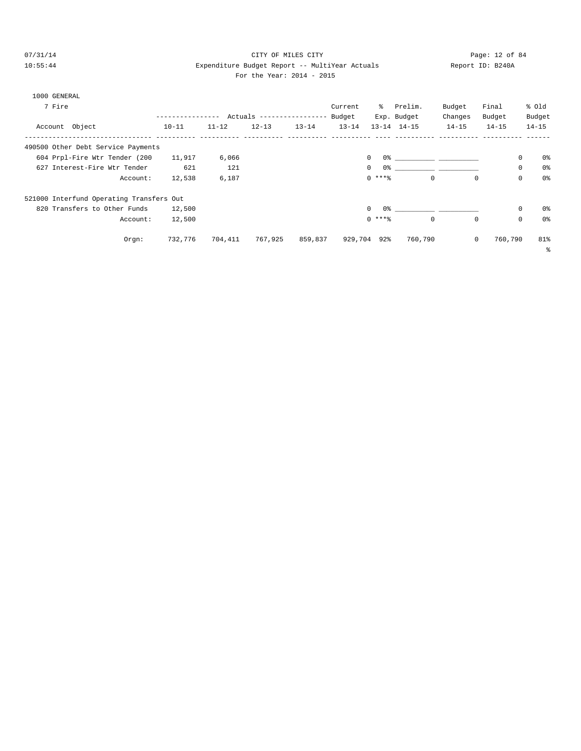# 07/31/14 Page: 12 of 84 10:55:44 Expenditure Budget Report -- MultiYear Actuals Report ID: B240A

| For the Year: 2014 - 2015 |  |  |
|---------------------------|--|--|
|                           |  |  |

| 1000 GENERAL                             |                  |           |                            |           |           |                     |                                                                                                                                                                                                                               |             |           |             |                |
|------------------------------------------|------------------|-----------|----------------------------|-----------|-----------|---------------------|-------------------------------------------------------------------------------------------------------------------------------------------------------------------------------------------------------------------------------|-------------|-----------|-------------|----------------|
| 7 Fire                                   |                  |           |                            |           | Current   | ိ                   | Prelim.                                                                                                                                                                                                                       | Budget      | Final     | % old       |                |
|                                          | ---------------- |           | Actuals ------------------ |           | Budget    |                     | Exp. Budget                                                                                                                                                                                                                   | Changes     | Budget    | Budget      |                |
| Account Object                           | $10 - 11$        | $11 - 12$ | $12 - 13$                  | $13 - 14$ | $13 - 14$ |                     | $13 - 14$ $14 - 15$                                                                                                                                                                                                           | $14 - 15$   | $14 - 15$ | $14 - 15$   |                |
| 490500 Other Debt Service Payments       |                  |           |                            |           |           |                     |                                                                                                                                                                                                                               |             |           |             |                |
| 604 Prpl-Fire Wtr Tender (200            | 11,917           | 6,066     |                            |           |           | $\circ$             | 0.3 - 0.3 - 0.3 - 0.3 - 0.3 - 0.3 - 0.3 - 0.3 - 0.3 - 0.3 - 0.3 - 0.3 - 0.3 - 0.3 - 0.3 - 0.3 - 0.3 - 0.3 - 0.3 - 0.3 - 0.3 - 0.3 - 0.3 - 0.3 - 0.3 - 0.3 - 0.3 - 0.3 - 0.3 - 0.3 - 0.3 - 0.3 - 0.3 - 0.3 - 0.3 - 0.3 - 0.3 - |             |           | 0           | 0%             |
| 627 Interest-Fire Wtr Tender             | 621              | 121       |                            |           |           | 0 %<br>$\mathbf{0}$ |                                                                                                                                                                                                                               |             |           | $\mathbf 0$ | 0 <sup>°</sup> |
| Account:                                 | 12,538           | 6,187     |                            |           |           | $0***$              | $\mathbf 0$                                                                                                                                                                                                                   | 0           |           | $\mathbf 0$ | 0 <sub>8</sub> |
| 521000 Interfund Operating Transfers Out |                  |           |                            |           |           |                     |                                                                                                                                                                                                                               |             |           |             |                |
| 820 Transfers to Other Funds             | 12,500           |           |                            |           |           | $\Omega$<br>0%      |                                                                                                                                                                                                                               |             |           | $\mathbf 0$ | 0%             |
| Account:                                 | 12,500           |           |                            |           |           | $0$ ****            | $\Omega$                                                                                                                                                                                                                      | $\Omega$    |           | $\mathbf 0$ | 0 <sup>°</sup> |
| $Orgn$ :                                 | 732,776          | 704,411   | 767,925                    | 859,837   |           | 929,704 92%         | 760,790                                                                                                                                                                                                                       | $\mathbf 0$ | 760,790   |             | 81%            |
|                                          |                  |           |                            |           |           |                     |                                                                                                                                                                                                                               |             |           |             | る              |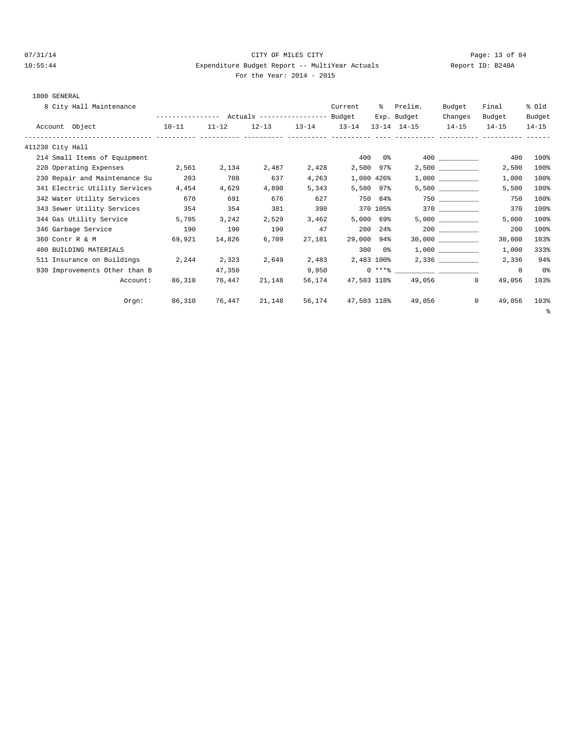# 07/31/14 Page: 13 of 84 10:55:44 Expenditure Budget Report -- MultiYear Actuals Report ID: B240A For the Year: 2014 - 2015

| 8 City Hall Maintenance       |                                                 |           |        |                         | Current     | - 옹                   | Prelim.             | Budget               | Final                    | % old     |
|-------------------------------|-------------------------------------------------|-----------|--------|-------------------------|-------------|-----------------------|---------------------|----------------------|--------------------------|-----------|
|                               | --------------- Actuals ---------------- Budget |           |        |                         |             |                       | Exp. Budget         | Changes              | Budget                   | Budget    |
| Account Object                | $10 - 11$                                       | $11 - 12$ |        | $12-13$ $13-14$ $13-14$ |             |                       | $13 - 14$ $14 - 15$ | $14 - 15$            | $14 - 15$                | $14 - 15$ |
| 411230 City Hall              |                                                 |           |        |                         |             |                       |                     |                      |                          |           |
| 214 Small Items of Equipment  |                                                 |           |        |                         |             | 400 0%                |                     |                      | 400                      | 100%      |
| 220 Operating Expenses 2,561  |                                                 | 2,134     | 2,487  | 2,428                   |             | 2,500 97%             |                     | $2,500$ ____________ | 2,500                    | 100%      |
| 230 Repair and Maintenance Su | 203                                             | 708       | 637    | 4,263                   |             | 1,000 426%            |                     |                      | 1,000                    | 100%      |
| 341 Electric Utility Services | 4,454                                           | 4,629     | 4,890  | 5,343                   |             | 5,500 97%             |                     |                      | 5,500                    | 100%      |
| 342 Water Utility Services    | 678                                             | 691       | 676    | 627                     |             | 750 84%               |                     |                      | 750                      | 100%      |
| 343 Sewer Utility Services    | 354                                             | 354       | 381    | 390                     |             | 370 105%              |                     | 370 370              | 370                      | 100%      |
| 344 Gas Utility Service       | 5,705                                           | 3,242     | 2,529  | 3,462                   |             | $5,000$ 69%           |                     |                      | 5,000                    | 100%      |
| 346 Garbage Service           | 190                                             | 190       | 190    | 47                      |             | 200 24%               |                     |                      | 200                      | 100%      |
| 360 Contr R & M               | 69.921                                          | 14,826    | 6,709  | 27,181                  | 29,000 94%  |                       |                     |                      | 30,000                   | 103%      |
| 400 BUILDING MATERIALS        |                                                 |           |        |                         |             | $3000$ $0\frac{6}{3}$ |                     |                      | 1,000                    | 333%      |
| 511 Insurance on Buildings    | 2,244                                           | 2,323     | 2,649  | 2,483                   | 2,483 100%  |                       |                     | 2,336                | 2,336                    | 94%       |
| 930 Improvements Other than B |                                                 | 47,350    |        | 9,950                   |             |                       | $0***$ $****$       |                      | $^{\circ}$               | 0%        |
| Account:                      | 86,310                                          | 76,447    | 21,148 | 56,174                  | 47,503 118% |                       |                     | 49,056<br>$^{\circ}$ | 49,056                   | 103%      |
| Orgn:                         | 86,310                                          | 76,447    | 21,148 | 56,174                  | 47,503 118% |                       | 49,056              |                      | $\overline{0}$<br>49,056 | 103%      |
|                               |                                                 |           |        |                         |             |                       |                     |                      |                          | ి         |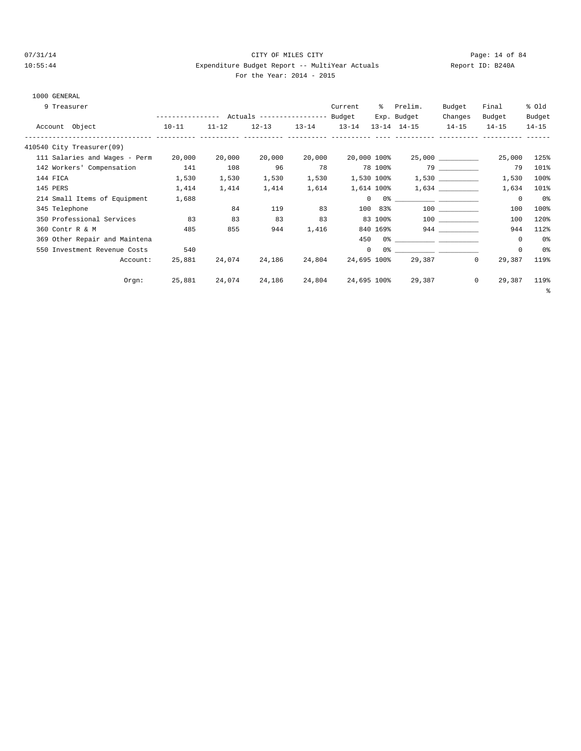# $O7/31/14$  Page: 14 of 84 10:55:44 Expenditure Budget Report -- MultiYear Actuals Report ID: B240A For the Year: 2014 - 2015

| 9 Treasurer                   |        |           |           |                     | Current     | ိ          | Prelim.                                                                                                                                                                                                                                                                                                                                                            | Budget                | Final                  | % old     |
|-------------------------------|--------|-----------|-----------|---------------------|-------------|------------|--------------------------------------------------------------------------------------------------------------------------------------------------------------------------------------------------------------------------------------------------------------------------------------------------------------------------------------------------------------------|-----------------------|------------------------|-----------|
|                               |        |           |           |                     |             |            | Exp. Budget                                                                                                                                                                                                                                                                                                                                                        | Changes               | Budget                 | Budget    |
| Account Object<br>$10-11$     |        | $11 - 12$ | $12 - 13$ | $13 - 14$ $13 - 14$ |             |            | 13-14 14-15 14-15                                                                                                                                                                                                                                                                                                                                                  |                       | $14 - 15$              | $14 - 15$ |
| 410540 City Treasurer(09)     |        |           |           |                     |             |            |                                                                                                                                                                                                                                                                                                                                                                    |                       |                        |           |
| 111 Salaries and Wages - Perm | 20,000 | 20,000    | 20,000    | 20,000              | 20,000 100% |            |                                                                                                                                                                                                                                                                                                                                                                    | $25,000$ ____________ | 25,000                 | 125%      |
| 142 Workers' Compensation     | 141    | 108       | 96        | 78                  |             | 78 100%    |                                                                                                                                                                                                                                                                                                                                                                    | 79 — 10               | 79                     | 101%      |
| 144 FICA                      | 1,530  | 1,530     | 1,530     | 1,530               | 1,530 100%  |            |                                                                                                                                                                                                                                                                                                                                                                    |                       | 1,530                  | 100%      |
| 145 PERS                      | 1,414  | 1,414     | 1,414     | 1,614               |             | 1,614 100% |                                                                                                                                                                                                                                                                                                                                                                    | 1,634                 | 1,634                  | 101%      |
| 214 Small Items of Equipment  | 1,688  |           |           |                     |             |            | $\begin{picture}(180,10) \put(0,0){\vector(1,0){100}} \put(10,0){\vector(1,0){100}} \put(10,0){\vector(1,0){100}} \put(10,0){\vector(1,0){100}} \put(10,0){\vector(1,0){100}} \put(10,0){\vector(1,0){100}} \put(10,0){\vector(1,0){100}} \put(10,0){\vector(1,0){100}} \put(10,0){\vector(1,0){100}} \put(10,0){\vector(1,0){100}} \put(10,0){\vector(1,0){100}}$ |                       | $^{\circ}$             | 0%        |
| 345 Telephone                 |        | 84        | 119       | 83                  |             | 100 83%    |                                                                                                                                                                                                                                                                                                                                                                    | 100 000               | 100                    | 100%      |
| 350 Professional Services     | 83     | 83        | 83        | 83                  |             | 83 100%    |                                                                                                                                                                                                                                                                                                                                                                    | 100 000               | 100                    | 120%      |
| 360 Contr R & M               | 485    | 855       | 944       | 1,416               |             | 840 169%   |                                                                                                                                                                                                                                                                                                                                                                    |                       | 944                    | 112%      |
| 369 Other Repair and Maintena |        |           |           |                     | 450         |            | $0$ $\frac{1}{2}$ $\frac{1}{2}$ $\frac{1}{2}$ $\frac{1}{2}$ $\frac{1}{2}$ $\frac{1}{2}$ $\frac{1}{2}$ $\frac{1}{2}$ $\frac{1}{2}$ $\frac{1}{2}$ $\frac{1}{2}$ $\frac{1}{2}$ $\frac{1}{2}$ $\frac{1}{2}$ $\frac{1}{2}$ $\frac{1}{2}$ $\frac{1}{2}$ $\frac{1}{2}$ $\frac{1}{2}$ $\frac{1}{2}$ $\frac{1}{2}$ $\frac{1}{2$                                             |                       | 0                      | 0%        |
| 550 Investment Revenue Costs  | 540    |           |           |                     | $\circ$     | 0%         |                                                                                                                                                                                                                                                                                                                                                                    |                       | $\mathbf 0$            | 0%        |
| Account:                      | 25,881 | 24,074    | 24,186    | 24,804              | 24,695 100% |            | 29,387                                                                                                                                                                                                                                                                                                                                                             |                       | $^{\circ}$<br>29,387   | 119%      |
| $Orgn$ :                      | 25,881 | 24,074    | 24,186    | 24,804              | 24,695 100% |            | 29,387                                                                                                                                                                                                                                                                                                                                                             |                       | $\mathbf{0}$<br>29,387 | 119%      |
|                               |        |           |           |                     |             |            |                                                                                                                                                                                                                                                                                                                                                                    |                       |                        | ್ಠಿ       |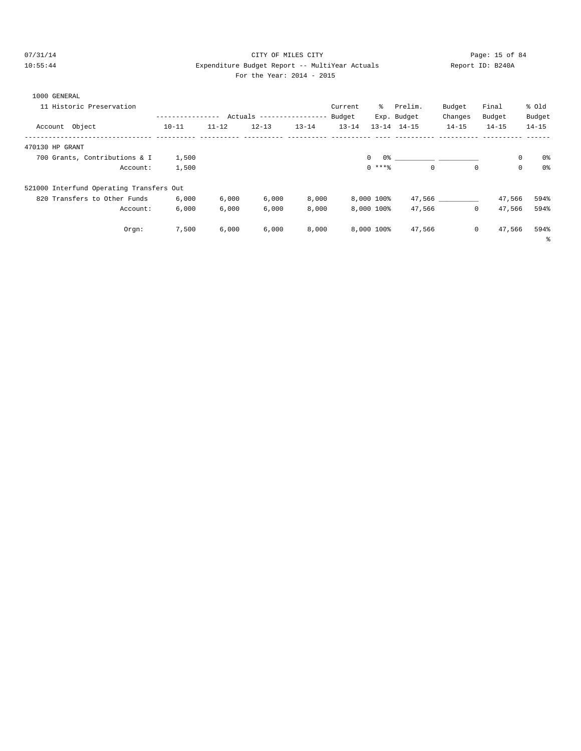# $O7/31/14$  Page: 15 of 84 10:55:44 Expenditure Budget Report -- MultiYear Actuals Report ID: B240A For the Year: 2014 - 2015

| For the Year: $2014 - 20$ |  |  |  |  |  |  |
|---------------------------|--|--|--|--|--|--|
|---------------------------|--|--|--|--|--|--|

| 1000 GENERAL<br>11 Historic Preservation | ---------------- |           | Actuals ----------------- |           | Current<br>Budget | ိ            | Prelim.<br>Exp. Budget | Budget<br>Changes | Final<br>Budget | % old<br>Budget |
|------------------------------------------|------------------|-----------|---------------------------|-----------|-------------------|--------------|------------------------|-------------------|-----------------|-----------------|
| Account Object                           | $10 - 11$        | $11 - 12$ | $12 - 13$                 | $13 - 14$ | $13 - 14$         |              | $13 - 14$ $14 - 15$    | $14 - 15$         | $14 - 15$       | $14 - 15$       |
| 470130 HP GRANT                          |                  |           |                           |           |                   |              |                        |                   |                 |                 |
| 700 Grants, Contributions & I            | 1,500            |           |                           |           |                   | $\mathbf{0}$ |                        |                   | 0               | 0%              |
| Account:                                 | 1,500            |           |                           |           |                   | $0$ ****     | $\Omega$               | $\mathbf 0$       | $\mathbf 0$     | 0 <sup>8</sup>  |
| 521000 Interfund Operating Transfers Out |                  |           |                           |           |                   |              |                        |                   |                 |                 |
| 820 Transfers to Other Funds             | 6,000            | 6,000     | 6,000                     | 8,000     |                   | 8,000 100%   |                        | 47,566            | 47,566          | 594%            |
| Account:                                 | 6,000            | 6.000     | 6,000                     | 8,000     |                   | 8,000 100%   | 47,566                 | $\mathbf{0}$      | 47,566          | 594%            |
| Orgn:                                    | 7,500            | 6,000     | 6,000                     | 8,000     |                   | 8,000 100%   | 47,566                 | $\mathbf 0$       | 47,566          | 594%            |
|                                          |                  |           |                           |           |                   |              |                        |                   |                 | နွ              |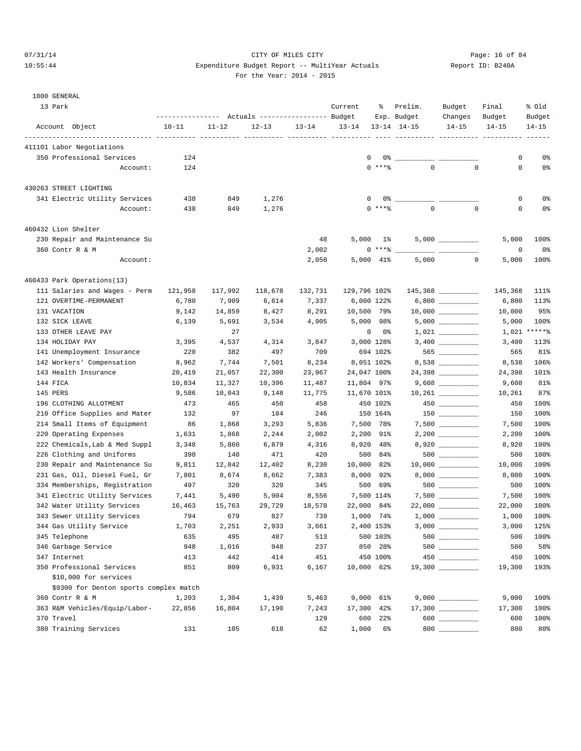## 07/31/14 Page: 16 of 84 10:55:44 Expenditure Budget Report -- MultiYear Actuals Report ID: B240A For the Year: 2014 - 2015

| 13 Park                                | ---------------- |           | Actuals ----------------- Budget |           | Current      | ႜွ         | Prelim.<br>Exp. Budget | Budget<br>Changes | Final<br>Budget | % old<br>Budget |
|----------------------------------------|------------------|-----------|----------------------------------|-----------|--------------|------------|------------------------|-------------------|-----------------|-----------------|
| Account Object                         | $10 - 11$        | $11 - 12$ | $12 - 13$                        | $13 - 14$ | $13 - 14$    |            | $13 - 14$ $14 - 15$    | $14 - 15$         | $14 - 15$       | $14 - 15$       |
| 411101 Labor Negotiations              |                  |           |                                  |           |              |            |                        |                   |                 |                 |
| 350 Professional Services              | 124              |           |                                  |           | 0            |            | $0^{\frac{6}{5}}$ __   |                   | 0               | 0 <sup>8</sup>  |
| Account:                               | 124              |           |                                  |           |              | $0$ ****   | $\Omega$               | $\mathbf{0}$      | $\mathbf 0$     | 0%              |
|                                        |                  |           |                                  |           |              |            |                        |                   |                 |                 |
| 430263 STREET LIGHTING                 |                  |           |                                  |           |              |            |                        |                   |                 |                 |
| 341 Electric Utility Services          | 438              | 849       | 1,276                            |           |              | 0%         |                        |                   | 0               | 0%              |
| Account:                               | 438              | 849       | 1,276                            |           |              | $0$ ****   | $\mathbf 0$            | $\mathbf 0$       | $\mathbf 0$     | 0%              |
| 460432 Lion Shelter                    |                  |           |                                  |           |              |            |                        |                   |                 |                 |
| 230 Repair and Maintenance Su          |                  |           |                                  | 48        | 5,000        | 1%         |                        |                   | 5,000           | 100%            |
| 360 Contr R & M                        |                  |           |                                  | 2,002     | $\mathbf{0}$ | $***$ $%$  |                        |                   | 0               | 0 <sup>8</sup>  |
| Account:                               |                  |           |                                  | 2,050     |              | 5,000 41%  | 5,000                  | $\mathbf 0$       | 5,000           | 100%            |
| 460433 Park Operations(13)             |                  |           |                                  |           |              |            |                        |                   |                 |                 |
| 111 Salaries and Wages - Perm          | 121,958          | 117,992   | 118,678                          | 132,731   | 129,796 102% |            |                        |                   | 145,368         | 111%            |
| 121 OVERTIME-PERMANENT                 | 6,780            | 7,909     | 6,614                            | 7,337     |              | 6,000 122% |                        |                   | 6,800           | 113%            |
| 131 VACATION                           | 9,142            | 14,859    | 8,427                            | 8,291     | 10,500 79%   |            |                        |                   | 10,000          | 95%             |
| 132 SICK LEAVE                         | 6,139            | 5,691     | 3,534                            | 4,905     |              | 5,000 98%  |                        |                   | 5,000           | 100%            |
| 133 OTHER LEAVE PAY                    |                  | 27        |                                  |           | 0            | 0%         |                        |                   | 1,021           | ******          |
| 134 HOLIDAY PAY                        | 3,395            | 4,537     | 4,314                            | 3,847     |              | 3,000 128% |                        |                   | 3,400           | 113%            |
| 141 Unemployment Insurance             | 220              | 382       | 497                              | 709       |              | 694 102%   |                        | 565 __________    | 565             | 81%             |
| 142 Workers' Compensation              | 8,962            | 7,744     | 7,501                            | 8,234     |              | 8,051 102% |                        |                   | 8,538           | 106%            |
| 143 Health Insurance                   | 20,419           | 21,057    | 22,300                           | 23,967    | 24,047 100%  |            |                        |                   | 24,398          | 101%            |
| 144 FICA                               | 10,834           | 11,327    | 10,396                           | 11,487    | 11,804 97%   |            |                        |                   | 9,608           | 81%             |
| 145 PERS                               | 9,586            | 10,043    | 9,148                            | 11,775    | 11,670 101%  |            |                        |                   | 10,261          | 87%             |
| 196 CLOTHING ALLOTMENT                 | 473              | 465       | 450                              | 458       |              | 450 102%   |                        | $450$ ___________ | 450             | 100%            |
| 210 Office Supplies and Mater          | 132              | 97        | 184                              | 246       |              | 150 164%   |                        |                   | 150             | 100%            |
| 214 Small Items of Equipment           | 86               | 1,868     | 3,293                            | 5,836     |              | 7,500 78%  |                        |                   | 7,500           | 100%            |
| 220 Operating Expenses                 | 1,631            | 1,868     | 2,244                            | 2,002     | 2,200        | 91%        |                        |                   | 2,200           | 100%            |
| 222 Chemicals, Lab & Med Suppl         | 3,348            | 5,860     | 6,879                            | 4,316     | 8,920        | 48%        |                        | 8,920             | 8,920           | 100%            |
| 226 Clothing and Uniforms              | 398              | 140       | 471                              | 420       | 500          | 84%        |                        | $500$ ___________ | 500             | 100%            |
| 230 Repair and Maintenance Su          | 9,811            | 12,842    | 12,402                           | 8,230     | 10,000       | 82%        |                        |                   | 10,000          | 100%            |
| 231 Gas, Oil, Diesel Fuel, Gr          | 7,801            | 8,674     | 8,662                            | 7,383     | 8,000        | 92%        |                        |                   | 8,000           | 100%            |
| 334 Memberships, Registration          | 497              | 320       | 320                              | 345       | 500          | 69%        |                        |                   | 500             | 100%            |
| 341 Electric Utility Services          | 7,441            | 5,490     | 5,904                            | 8,556     |              | 7,500 114% |                        |                   | 7,500           | 100%            |
| 342 Water Utility Services             | 16,463           | 15,763    | 29,729                           | 18,578    | 22,000       | 84%        |                        |                   | 22,000          | 100%            |
| 343 Sewer Utility Services             | 794              | 679       | 827                              | 739       |              | 1,000 74%  |                        |                   | 1,000           | 100%            |
| 344 Gas Utility Service                | 1,703            | 2,251     | 2,933                            | 3,661     |              | 2,400 153% | $3,000$ __             |                   | 3,000           | 125%            |
| 345 Telephone                          | 635              | 495       | 487                              | 513       |              | 500 103%   |                        |                   | 500             | 100%            |
| 346 Garbage Service                    | 948              | 1,016     | 948                              | 237       |              | 850 28%    |                        |                   | 500             | 58%             |
| 347 Internet                           | 413              | 442       | 414                              | 451       |              | 450 100%   |                        |                   | 450             | 100%            |
| 350 Professional Services              | 851              | 809       | 6,931                            | 6,167     | 10,000 62%   |            |                        |                   | 19,300          | 193%            |
| \$10,000 for services                  |                  |           |                                  |           |              |            |                        |                   |                 |                 |
| \$9300 for Denton sports complex match |                  |           |                                  |           |              |            |                        |                   |                 |                 |
| 360 Contr R & M                        | 1,203            | 1,304     | 1,439                            | 5,463     |              | 9,000 61%  |                        |                   | 9,000           | 100%            |
| 363 R&M Vehicles/Equip/Labor-          | 22,856           | 16,804    | 17,190                           | 7,243     | 17,300       | 42%        |                        | 17,300 __________ | 17,300          | 100%            |
| 370 Travel                             |                  |           |                                  | 129       | 600          | 22%        |                        | $600$             | 600             | 100%            |
| 380 Training Services                  | 131              | 105       | 618                              | 62        | 1,000        | $6\%$      |                        | $800$             | 800             | 80%             |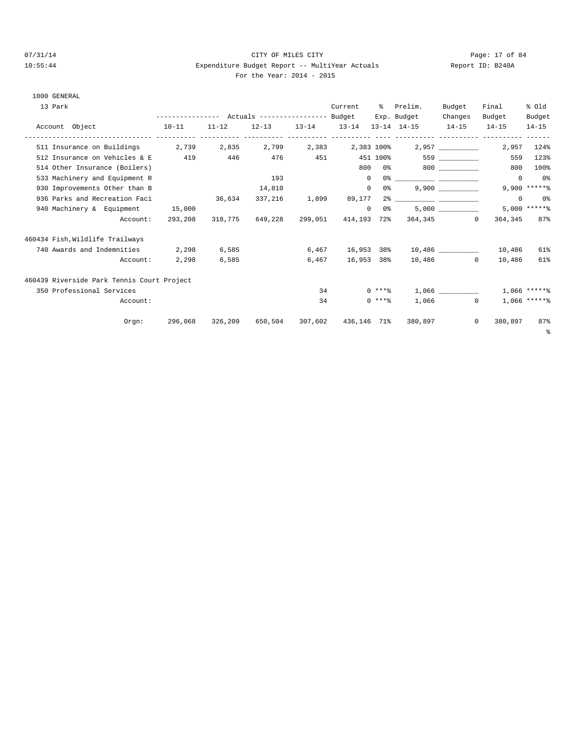1000 GENERAL

### 07/31/14 Page: 17 of 84 10:55:44 Expenditure Budget Report -- MultiYear Actuals Report ID: B240A  $914 - 2015$

|  | For the Year: 2014 |  |
|--|--------------------|--|
|  |                    |  |

| 13 Park                                                                                                                                    |         |       |                                     |    | Current |          | % Prelim.                                                                                                                                                                                                                                                                                                                                                          | Budget            | Final       | % Old             |
|--------------------------------------------------------------------------------------------------------------------------------------------|---------|-------|-------------------------------------|----|---------|----------|--------------------------------------------------------------------------------------------------------------------------------------------------------------------------------------------------------------------------------------------------------------------------------------------------------------------------------------------------------------------|-------------------|-------------|-------------------|
|                                                                                                                                            |         |       |                                     |    |         |          | Exp. Budget                                                                                                                                                                                                                                                                                                                                                        | Changes           | Budget      | Budget            |
| Account Object<br>$10-11$<br>.composition-differential composition and the composition of the composition of the composition and the compo |         |       |                                     |    |         |          | $11-12$ $12-13$ $13-14$ $13-14$ $13-14$ $14-15$ $14-15$ $14-15$                                                                                                                                                                                                                                                                                                    |                   |             | $14 - 15$         |
| 511 Insurance on Buildings 2,739 2,835 2,799 2,383 2,383 100%                                                                              |         |       |                                     |    |         |          |                                                                                                                                                                                                                                                                                                                                                                    | 2,957 ___________ |             | 2,957 124%        |
| 512 Insurance on Vehicles & E                                                                                                              | 419     |       |                                     |    |         |          | 446 476 451 451 100% 559                                                                                                                                                                                                                                                                                                                                           |                   |             | 559 123%          |
| 514 Other Insurance (Boilers)                                                                                                              |         |       |                                     |    |         |          | 800 0% 800                                                                                                                                                                                                                                                                                                                                                         |                   | 800         | 100%              |
| 533 Machinery and Equipment R                                                                                                              |         |       | 193                                 |    |         |          | $\begin{picture}(150,10) \put(0,0){\vector(1,0){100}} \put(15,0){\vector(1,0){100}} \put(15,0){\vector(1,0){100}} \put(15,0){\vector(1,0){100}} \put(15,0){\vector(1,0){100}} \put(15,0){\vector(1,0){100}} \put(15,0){\vector(1,0){100}} \put(15,0){\vector(1,0){100}} \put(15,0){\vector(1,0){100}} \put(15,0){\vector(1,0){100}} \put(15,0){\vector(1,0){100}}$ |                   | $\Omega$    | 0%                |
| 930 Improvements Other than B                                                                                                              |         |       | 14,810                              |    |         | $\circ$  |                                                                                                                                                                                                                                                                                                                                                                    | 9,900             |             | $9,900$ ***** %   |
| 936 Parks and Recreation Faci                                                                                                              |         |       | 36,634 337,216 1,899                |    | 89,177  |          |                                                                                                                                                                                                                                                                                                                                                                    |                   | $^{\circ}$  | 0%                |
| 940 Machinery & Equipment 15,000                                                                                                           |         |       |                                     |    |         | $\Omega$ | $0\,$ % and $0\,$ $\sim$                                                                                                                                                                                                                                                                                                                                           |                   |             | $5.000$ ***** %   |
| Account:                                                                                                                                   | 293,208 |       | 318,775 649,228 299,051             |    |         |          | 414,193 72% 364,345 0                                                                                                                                                                                                                                                                                                                                              |                   | 364,345 87% |                   |
| 460434 Fish, Wildlife Trailways                                                                                                            |         |       |                                     |    |         |          |                                                                                                                                                                                                                                                                                                                                                                    |                   |             |                   |
| 740 Awards and Indemnities 2,298                                                                                                           |         | 6,585 |                                     |    |         |          | $6,467$ $16,953$ $38\%$ $10,486$ 10.189 10,486                                                                                                                                                                                                                                                                                                                     |                   |             | 61%               |
| Account:                                                                                                                                   | 2,298   | 6,585 |                                     |    |         |          | $6,467$ 16,953 38% 10,486 0                                                                                                                                                                                                                                                                                                                                        |                   | 10,486      | 61%               |
| 460439 Riverside Park Tennis Court Project                                                                                                 |         |       |                                     |    |         |          |                                                                                                                                                                                                                                                                                                                                                                    |                   |             |                   |
| 350 Professional Services                                                                                                                  |         |       |                                     |    | 34      |          | $0***$ $1,066$                                                                                                                                                                                                                                                                                                                                                     |                   |             | $1.066$ *****%    |
| Account:                                                                                                                                   |         |       |                                     | 34 |         | $0$ **** |                                                                                                                                                                                                                                                                                                                                                                    | $1.066$ 0         |             | 1,066 ******      |
| Orem:                                                                                                                                      | 296,068 |       | 326,209 650,504 307,602 436,146 71% |    |         |          | 380,897                                                                                                                                                                                                                                                                                                                                                            | $^{\circ}$        | 380,897     | 87%<br>$\epsilon$ |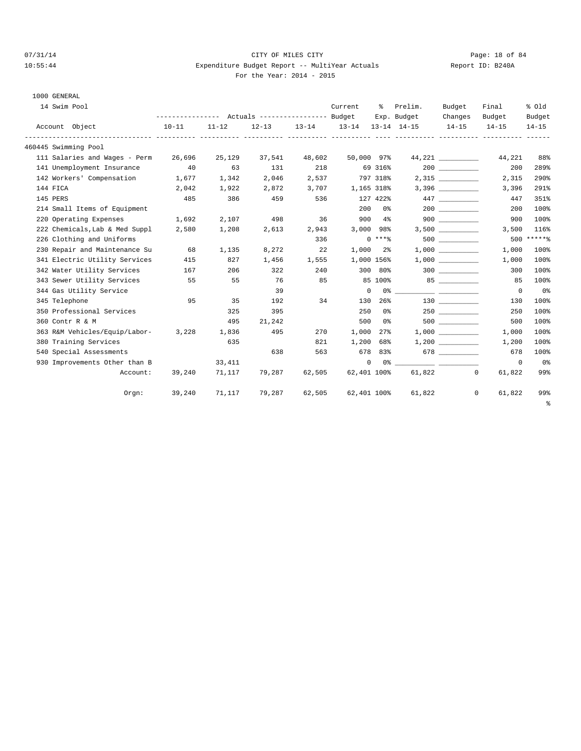#### 07/31/14 Page: 18 of 84 10:55:44 Expenditure Budget Report -- MultiYear Actuals Report ID: B240A For the Year: 2014 - 2015

| 1000 GENERAL                    |        |        |                     |        |                   |                |             |                    |                     |                     |
|---------------------------------|--------|--------|---------------------|--------|-------------------|----------------|-------------|--------------------|---------------------|---------------------|
| 14 Swim Pool                    |        |        |                     |        | Current           |                | % Prelim.   | Budget             | Final               | % old               |
|                                 |        |        |                     |        |                   |                | Exp. Budget | Changes<br>$14-15$ | Budget<br>$14 - 15$ | Budget<br>$14 - 15$ |
| Account Object<br>$10-11$       |        | 11-12  | $12 - 13$ $13 - 14$ |        | 13-14 13-14 14-15 |                |             |                    |                     |                     |
| 460445 Swimming Pool            |        |        |                     |        |                   |                |             |                    |                     |                     |
| 111 Salaries and Wages - Perm   | 26,696 | 25,129 | 37,541              | 48,602 | 50,000 97%        |                |             |                    | 44,221              | 88%                 |
| 141 Unemployment Insurance 40   |        | 63     | 131                 | 218    | 69 316%           |                |             |                    | 200                 | 289%                |
| 142 Workers' Compensation 1,677 |        | 1,342  | 2,046               | 2,537  |                   | 797 318%       |             | 2,315              | 2,315               | 290%                |
| 144 FICA                        | 2,042  | 1,922  | 2,872               | 3,707  | 1,165 318%        |                |             |                    | 3,396               | 291%                |
| 145 PERS                        | 485    | 386    | 459                 | 536    | 127 422%          |                |             | 447                | 447                 | 351%                |
| 214 Small Items of Equipment    |        |        |                     |        | 200               | 0 <sup>8</sup> |             | 200                | 200                 | 100%                |
| 220 Operating Expenses          | 1,692  | 2,107  | 498                 | 36     | $900$ 4%          |                |             | $900$              | 900                 | 100%                |
| 222 Chemicals, Lab & Med Suppl  | 2,580  | 1,208  | 2,613               | 2,943  | 3,000 98%         |                |             | 3,500              | 3,500               | 116%                |
| 226 Clothing and Uniforms       |        |        |                     | 336    |                   | $0***8$        |             | 500 000            |                     | $500$ ******        |
| 230 Repair and Maintenance Su   | 68     | 1,135  | 8,272               |        | $1,000$ 2%        |                |             |                    | 1,000               | 100%                |
| 341 Electric Utility Services   | 415    | 827    | 1,456               | 1,555  | 1,000 156%        |                |             | 1,000              | 1,000               | 100%                |
| 342 Water Utility Services      | 167    | 206    | 322                 | 240    |                   | 300 80%        |             | 300                | 300                 | 100%                |
| 343 Sewer Utility Services      | 55     | 55     | 76                  | 85     |                   | 85 100%        |             | $85$ __________    | 85                  | 100%                |
| 344 Gas Utility Service         |        |        | 39                  |        | $\circ$           |                |             |                    | $\Omega$            | - 0 %               |
| 345 Telephone                   | 95     | 35     | 192                 | 34     | 130               | $26\%$         |             |                    | 130                 | 100%                |
|                                 |        |        |                     |        |                   |                |             |                    |                     |                     |

 350 Professional Services 325 395 250 0% 250 \_\_\_\_\_\_\_\_\_\_ 250 100% 360 Contr R & M 300 100% 495 21, 242 500 0% 500 100% 500 500 500 500 100% 363 R&M Vehicles/Equip/Labor- 3,228 1,836 495 270 1,000 27% 1,000 \_\_\_\_\_\_\_\_\_\_ 1,000 100% 380 Training Services 635 821 1,200 68% 1,200 \_\_\_\_\_\_\_\_\_\_ 1,200 100% 540 Special Assessments 638 563 678 83% 678 \_\_\_\_\_\_\_\_\_\_ 678 100% 930 Improvements Other than B 33,411 0 0% \_\_\_\_\_\_\_\_\_\_ \_\_\_\_\_\_\_\_\_\_ 0 0%

Account: 39,240 71,117 79,287 62,505 62,401 100% 61,822 0 61,822 99%

 Orgn: 39,240 71,117 79,287 62,505 62,401 100% 61,822 0 61,822 99% %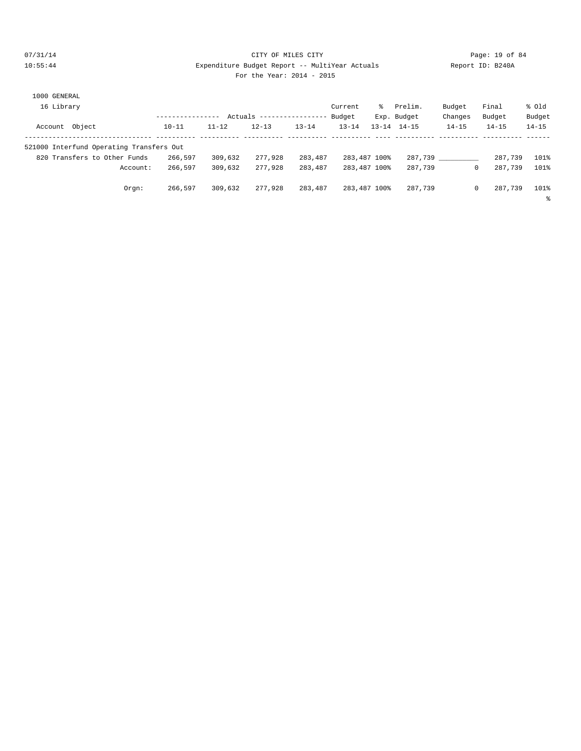#### 07/31/14 Page: 19 of 84 10:55:44 Expenditure Budget Report -- MultiYear Actuals Report ID: B240A For the Year: 2014 - 2015

| 1000 GENERAL                             |           |           |           |                   |              |         |                     |              |           |           |
|------------------------------------------|-----------|-----------|-----------|-------------------|--------------|---------|---------------------|--------------|-----------|-----------|
| 16 Library                               |           |           |           |                   | Current      | - 왕 - 종 | Prelim.             | Budget       | Final     | % old     |
|                                          |           | Actuals   |           | ----------------- | Budget       |         | Exp. Budget         | Changes      | Budget    | Budget    |
| Account Object                           | $10 - 11$ | $11 - 12$ | $12 - 13$ | $13 - 14$         | $13 - 14$    |         | $13 - 14$ $14 - 15$ | $14 - 15$    | $14 - 15$ | $14 - 15$ |
| 521000 Interfund Operating Transfers Out |           |           |           |                   |              |         |                     |              |           |           |
| 820 Transfers to Other Funds             | 266,597   | 309,632   | 277,928   | 283,487           | 283,487 100% |         | 287,739             |              | 287,739   | 101%      |
| Account:                                 | 266,597   | 309,632   | 277,928   | 283,487           | 283,487 100% |         | 287,739             | 0            | 287,739   | 101%      |
| Orgn:                                    | 266,597   | 309,632   | 277,928   | 283,487           | 283,487 100% |         | 287,739             | $\mathbf{0}$ | 287,739   | 101%      |
|                                          |           |           |           |                   |              |         |                     |              |           | နွ        |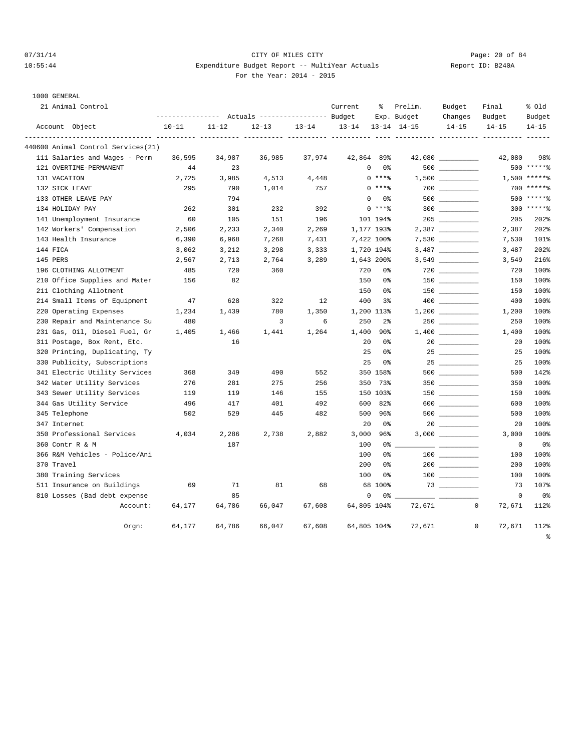# 07/31/14 Page: 20 of 84 10:55:44 Expenditure Budget Report -- MultiYear Actuals Report ID: B240A For the Year: 2014 - 2015

| 21 Animal Control                  |           |           |                                                       |           | Current   | နွ                             | Prelim.             | Budget    | Final                 | % old                      |
|------------------------------------|-----------|-----------|-------------------------------------------------------|-----------|-----------|--------------------------------|---------------------|-----------|-----------------------|----------------------------|
|                                    |           |           | ---------------    Actuals ----------------    Budget |           |           |                                | Exp. Budget         | Changes   | Budget                | Budget                     |
| Account Object                     | $10 - 11$ | $11 - 12$ | $12 - 13$                                             | $13 - 14$ | $13 - 14$ |                                | $13 - 14$ $14 - 15$ | $14 - 15$ | $14 - 15$             | $14 - 15$<br>$- - - - - -$ |
| 440600 Animal Control Services(21) |           |           |                                                       |           |           |                                |                     |           |                       |                            |
| 111 Salaries and Wages - Perm      | 36,595    | 34,987    | 36,985                                                | 37,974    |           | 42,864 89%                     |                     |           | 42,080                | 98%                        |
| 121 OVERTIME-PERMANENT             | 44        | 23        |                                                       |           |           | $\mathbf{0}$<br>0 <sup>o</sup> |                     |           |                       | 500 ******                 |
| 131 VACATION                       | 2,725     | 3,985     | 4,513                                                 | 4,448     |           | $0$ ****                       |                     |           |                       | $1,500$ *****%             |
| 132 SICK LEAVE                     | 295       | 790       | 1,014                                                 | 757       |           | $0$ ****                       |                     |           |                       | $700$ ******               |
| 133 OTHER LEAVE PAY                |           | 794       |                                                       |           |           | $\mathbf 0$<br>0%              |                     |           |                       | 500 ******                 |
| 134 HOLIDAY PAY                    | 262       | 301       | 232                                                   | 392       |           | $0$ ****                       |                     | 300       |                       | 300 ******                 |
| 141 Unemployment Insurance         | 60        | 105       | 151                                                   | 196       |           | 101 194%                       |                     |           | 205                   | 202%                       |
| 142 Workers' Compensation          | 2,506     | 2,233     | 2,340                                                 | 2,269     |           | 1,177 193%                     |                     |           | 2,387                 | 202%                       |
| 143 Health Insurance               | 6,390     | 6,968     | 7,268                                                 | 7,431     |           | 7,422 100%                     |                     |           | 7,530                 | 101%                       |
| 144 FICA                           | 3,062     | 3,212     | 3,298                                                 | 3,333     |           | 1,720 194%                     |                     |           | 3,487                 | 202%                       |
| 145 PERS                           | 2,567     | 2,713     | 2,764                                                 | 3,289     |           | 1,643 200%                     |                     |           | 3,549                 | 216%                       |
| 196 CLOTHING ALLOTMENT             | 485       | 720       | 360                                                   |           | 720       | 0%                             |                     |           | 720                   | 100%                       |
| 210 Office Supplies and Mater      | 156       | 82        |                                                       |           | 150       | 0%                             |                     |           | 150                   | 100%                       |
| 211 Clothing Allotment             |           |           |                                                       |           | 150       | 0%                             |                     |           | 150                   | 100%                       |
| 214 Small Items of Equipment       | 47        | 628       | 322                                                   | 12        | 400       | 3%                             |                     |           | 400                   | 100%                       |
| 220 Operating Expenses             | 1,234     | 1,439     | 780                                                   | 1,350     |           | 1,200 113%                     |                     |           | 1,200                 | 100%                       |
| 230 Repair and Maintenance Su      | 480       |           | 3                                                     | 6         | 250       | $2\frac{6}{9}$                 |                     |           | 250                   | 100%                       |
| 231 Gas, Oil, Diesel Fuel, Gr      | 1,405     | 1,466     | 1,441                                                 | 1,264     | 1,400     | 90%                            |                     |           | 1,400                 | 100%                       |
| 311 Postage, Box Rent, Etc.        |           | 16        |                                                       |           | 20        | 0%                             |                     |           | 20                    | 100%                       |
| 320 Printing, Duplicating, Ty      |           |           |                                                       |           | 25        | 0%                             |                     | 25        | 25                    | 100%                       |
| 330 Publicity, Subscriptions       |           |           |                                                       |           | 25        | 0%                             |                     | 25        | 25                    | 100%                       |
| 341 Electric Utility Services      | 368       | 349       | 490                                                   | 552       |           | 350 158%                       |                     | 500       | 500                   | 142%                       |
| 342 Water Utility Services         | 276       | 281       | 275                                                   | 256       | 350       | 73%                            |                     |           | 350                   | 100%                       |
| 343 Sewer Utility Services         | 119       | 119       | 146                                                   | 155       |           | 150 103%                       |                     |           | 150                   | 100%                       |
| 344 Gas Utility Service            | 496       | 417       | 401                                                   | 492       | 600       | 82%                            |                     | $600$     | 600                   | 100%                       |
| 345 Telephone                      | 502       | 529       | 445                                                   | 482       | 500       | 96%                            |                     | $500$     | 500                   | 100%                       |
| 347 Internet                       |           |           |                                                       |           | 20        | 0%                             |                     |           | 20                    | 100%                       |
| 350 Professional Services          | 4,034     | 2,286     | 2,738                                                 | 2,882     | 3,000     | 96%                            |                     |           | 3,000                 | 100%                       |
| 360 Contr R & M                    |           | 187       |                                                       |           | 100       | 0%                             |                     |           | $\mathbf 0$           | 0%                         |
| 366 R&M Vehicles - Police/Ani      |           |           |                                                       |           | 100       | 0 <sup>8</sup>                 |                     |           | 100                   | 100%                       |
| 370 Travel                         |           |           |                                                       |           | 200       | 0%                             |                     |           | 200                   | 100%                       |
| 380 Training Services              |           |           |                                                       |           | 100       | 0%                             |                     |           | 100                   | 100%                       |
| 511 Insurance on Buildings         | 69        | 71        | 81                                                    | 68        |           | 68 100%                        |                     |           | 73                    | 107%                       |
| 810 Losses (Bad debt expense       |           | 85        |                                                       |           |           | $\mathsf 0$<br>0%              |                     |           | 0                     | 0 <sup>8</sup>             |
| Account:                           | 64,177    | 64,786    | 66,047                                                | 67,608    |           | 64,805 104%                    | 72,671              |           | $\mathbf 0$<br>72,671 | 112%                       |
| $0$ rgn:                           | 64,177    | 64,786    | 66,047                                                | 67,608    |           | 64,805 104%                    | 72,671              |           | $\mathbf 0$<br>72,671 | 112%<br>$\epsilon$         |
|                                    |           |           |                                                       |           |           |                                |                     |           |                       |                            |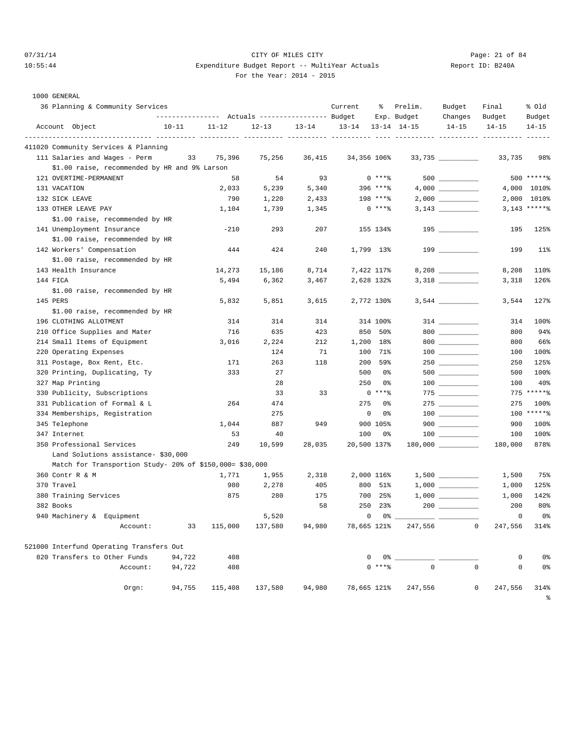# 07/31/14 Page: 21 of 84 10:55:44 Expenditure Budget Report -- MultiYear Actuals Report ID: B240A For the Year: 2014 - 2015

| 36 Planning & Community Services                         |           | ---------------    Actuals ----------------    Budget |           |           | Current     | ႜ                 | Prelim.<br>Exp. Budget | Budget<br>Changes                                | Final<br>Budget                 | % old<br>Budget |
|----------------------------------------------------------|-----------|-------------------------------------------------------|-----------|-----------|-------------|-------------------|------------------------|--------------------------------------------------|---------------------------------|-----------------|
| Account Object                                           | $10 - 11$ | $11 - 12$                                             | $12 - 13$ | $13 - 14$ | $13 - 14$   |                   | $13 - 14$ $14 - 15$    | $14 - 15$                                        | $14 - 15$                       | $14 - 15$       |
| 411020 Community Services & Planning                     |           |                                                       |           |           |             |                   |                        |                                                  | ---------- ---------- --------- |                 |
| 111 Salaries and Wages - Perm                            | 33        | 75,396                                                | 75,256    | 36,415    | 34,356 106% |                   |                        | 33,735 ___________                               | 33,735                          | 98%             |
| \$1.00 raise, recommended by HR and 9% Larson            |           |                                                       |           |           |             |                   |                        |                                                  |                                 |                 |
| 121 OVERTIME-PERMANENT                                   |           | 58                                                    | 54        | 93        |             | $0$ ****          |                        |                                                  |                                 | 500 ******      |
| 131 VACATION                                             |           | 2,033                                                 | 5,239     | 5,340     |             | 396 ****          |                        |                                                  |                                 | 4,000 1010%     |
| 132 SICK LEAVE                                           |           | 790                                                   | 1,220     | 2,433     |             | 198 ****          |                        | $2\, , \, 0\,0\,0\quad \underline{\hspace{1cm}}$ | 2,000                           | 1010%           |
| 133 OTHER LEAVE PAY                                      |           | 1,104                                                 | 1,739     | 1,345     |             | $0***8$           |                        |                                                  |                                 | $3,143$ ******  |
| \$1.00 raise, recommended by HR                          |           |                                                       |           |           |             |                   |                        |                                                  |                                 |                 |
| 141 Unemployment Insurance                               |           | $-210$                                                | 293       | 207       |             | 155 134%          |                        |                                                  | 195                             | 125%            |
| \$1.00 raise, recommended by HR                          |           |                                                       |           |           |             |                   |                        |                                                  |                                 |                 |
| 142 Workers' Compensation                                |           | 444                                                   | 424       | 240       |             | 1,799 13%         |                        |                                                  | 199                             | 11%             |
| \$1.00 raise, recommended by HR                          |           |                                                       |           |           |             |                   |                        |                                                  |                                 |                 |
| 143 Health Insurance                                     |           | 14,273                                                | 15,186    | 8,714     |             | 7,422 117%        |                        |                                                  | 8,208                           | 110%            |
| 144 FICA                                                 |           | 5,494                                                 | 6,362     | 3,467     |             | 2,628 132%        |                        |                                                  | 3,318                           | 126%            |
| \$1.00 raise, recommended by HR                          |           |                                                       |           |           |             |                   |                        |                                                  |                                 |                 |
| 145 PERS                                                 |           | 5,832                                                 | 5,851     | 3,615     |             | 2,772 130%        |                        |                                                  | 3,544                           | 127%            |
| \$1.00 raise, recommended by HR                          |           |                                                       |           |           |             |                   |                        |                                                  |                                 |                 |
| 196 CLOTHING ALLOTMENT                                   |           | 314                                                   | 314       | 314       |             | 314 100%          |                        |                                                  | 314                             | 100%            |
| 210 Office Supplies and Mater                            |           | 716                                                   | 635       | 423       | 850         | 50%               |                        | 800                                              | 800                             | 94%             |
| 214 Small Items of Equipment                             |           | 3,016                                                 | 2,224     | 212       |             | 1,200 18%         |                        | $800$                                            | 800                             | 66%             |
| 220 Operating Expenses                                   |           |                                                       | 124       | 71        | 100         | 71%               |                        | $\begin{tabular}{c} 100 \end{tabular}$           | 100                             | 100%            |
| 311 Postage, Box Rent, Etc.                              |           | 171                                                   | 263       | 118       | 200         | 59%               |                        | 250                                              | 250                             | 125%            |
| 320 Printing, Duplicating, Ty                            |           | 333                                                   | 27        |           | 500         | 0%                |                        |                                                  | 500                             | 100%            |
| 327 Map Printing                                         |           |                                                       | 28        |           | 250         | 0%                |                        |                                                  | 100                             | 40%             |
| 330 Publicity, Subscriptions                             |           |                                                       | 33        | 33        |             | $0***8$           |                        | $775$                                            |                                 | 775 ******      |
| 331 Publication of Formal & L                            |           | 264                                                   | 474       |           | 275         | 0%                |                        | $\begin{tabular}{c} 275 \end{tabular}$           | 275                             | 100%            |
| 334 Memberships, Registration                            |           |                                                       | 275       |           | 0           | 0%                |                        |                                                  |                                 | 100 ******      |
| 345 Telephone                                            |           | 1,044                                                 | 887       | 949       |             | 900 105%          |                        | $900$                                            | 900                             | 100%            |
| 347 Internet                                             |           | 53                                                    | 40        |           | 100         | 0%                |                        | $\begin{tabular}{c} 100 \end{tabular}$           | 100                             | 100%            |
| 350 Professional Services                                |           | 249                                                   | 10,599    | 28,035    | 20,500 137% |                   |                        | $180,000$ __________                             | 180,000                         | 878%            |
| Land Solutions assistance- \$30,000                      |           |                                                       |           |           |             |                   |                        |                                                  |                                 |                 |
| Match for Transportion Study- 20% of \$150,000= \$30,000 |           |                                                       |           |           |             |                   |                        |                                                  |                                 |                 |
| 360 Contr R & M                                          |           | 1,771                                                 | 1,955     | 2,318     |             | 2,000 116%        |                        |                                                  | 1,500                           | 75%             |
| 370 Travel                                               |           | 980                                                   | 2,278     | 405       |             | 800 51%           |                        |                                                  | 1,000                           | 125%            |
| 380 Training Services                                    |           | 875                                                   | 280       | 175       |             | 700 25%           |                        |                                                  | 1,000                           | 142%            |
| 382 Books                                                |           |                                                       |           | 58        | 250         | $23\%$            |                        |                                                  | 200                             | 80%             |
| 940 Machinery & Equipment                                |           |                                                       | 5,520     |           |             | $\mathbf 0$<br>0% |                        |                                                  | 0                               | 0%              |
| Account:                                                 |           | 33 115,000 137,580                                    |           | 94,980    | 78,665 121% |                   | 247,556                | $\overline{0}$                                   | 247,556 314%                    |                 |
| 521000 Interfund Operating Transfers Out                 |           |                                                       |           |           |             |                   |                        |                                                  |                                 |                 |
| 820 Transfers to Other Funds                             | 94,722    | 408                                                   |           |           | 0           | 0%                |                        |                                                  | 0                               | 0%              |
| Account:                                                 | 94,722    | 408                                                   |           |           |             | $0$ ****          | $\mathbf 0$            |                                                  | $\mathbf 0$<br>$\mathsf 0$      | 0 <sup>°</sup>  |
| Orgn:                                                    | 94,755    | 115,408                                               | 137,580   | 94,980    | 78,665 121% |                   | 247,556                |                                                  | 0<br>247,556                    | 314%<br>ႜ       |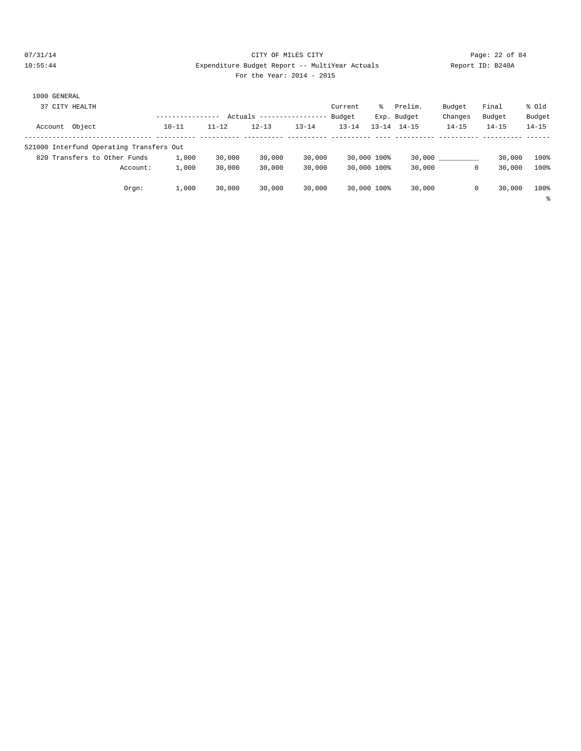#### 07/31/14 Page: 22 of 84 10:55:44 Expenditure Budget Report -- MultiYear Actuals Report ID: B240A For the Year: 2014 - 2015

| 1000 GENERAL                             |           |           |           |                 |           |             |             |           |           |           |
|------------------------------------------|-----------|-----------|-----------|-----------------|-----------|-------------|-------------|-----------|-----------|-----------|
| 37 CITY HEALTH                           |           |           |           |                 | Current   | ွေ          | Prelim.     | Budget    | Final     | % old     |
|                                          |           | Actuals   |           | --------------- | Budget    |             | Exp. Budget | Changes   | Budget    | Budget    |
| Account Object                           | $10 - 11$ | $11 - 12$ | $12 - 13$ | $13 - 14$       | $13 - 14$ | $13 - 14$   | $14 - 15$   | $14 - 15$ | $14 - 15$ | $14 - 15$ |
| 521000 Interfund Operating Transfers Out |           |           |           |                 |           |             |             |           |           |           |
| 820 Transfers to Other Funds             | 1,000     | 30,000    | 30,000    | 30,000          |           | 30,000 100% | 30,000      |           | 30,000    | 100%      |
| Account:                                 | 1,000     | 30,000    | 30,000    | 30,000          |           | 30,000 100% | 30,000      | 0         | 30,000    | 100%      |
| Orgn:                                    | 1,000     | 30,000    | 30,000    | 30,000          |           | 30,000 100% | 30,000      | 0         | 30,000    | 100%      |
|                                          |           |           |           |                 |           |             |             |           |           | နွ        |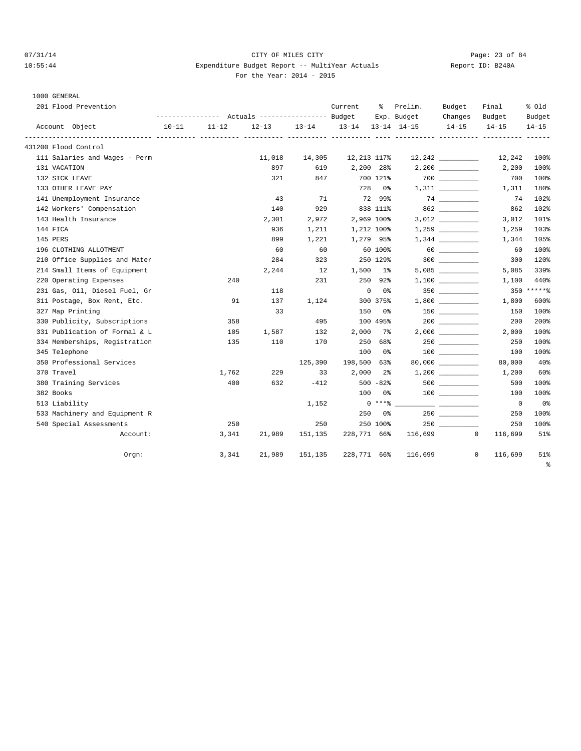# 07/31/14 Page: 23 of 84 10:55:44 Expenditure Budget Report -- MultiYear Actuals Report ID: B240A For the Year: 2014 - 2015

1000 GENERAL<br>201 Flood Prevention

| 201 Flood Prevention<br>Current<br>ွေ<br>Prelim.<br>Budget<br>Final<br>--------------- Actuals ---------------- Budget<br>Exp. Budget<br>Changes<br>Budget<br>$10 - 11$<br>$11 - 12$<br>$12 - 13$<br>$13 - 14$<br>$13 - 14$<br>$13 - 14$ $14 - 15$<br>$14 - 15$<br>$14 - 15$<br>Account Object<br>431200 Flood Control<br>111 Salaries and Wages - Perm<br>11,018<br>14,305<br>12,213 117%<br>897<br>619<br>2,200 28%<br>131 VACATION<br>700 000<br>132 SICK LEAVE<br>321<br>847<br>700 121%<br>133 OTHER LEAVE PAY<br>728<br>0 <sup>8</sup><br>72 99%<br>74<br>141 Unemployment Insurance<br>43<br>71 | % Old<br>Budget<br>$14 - 15$<br>12,242<br>100%<br>100%<br>2,200<br>100%<br>700 |
|--------------------------------------------------------------------------------------------------------------------------------------------------------------------------------------------------------------------------------------------------------------------------------------------------------------------------------------------------------------------------------------------------------------------------------------------------------------------------------------------------------------------------------------------------------------------------------------------------------|--------------------------------------------------------------------------------|
|                                                                                                                                                                                                                                                                                                                                                                                                                                                                                                                                                                                                        |                                                                                |
|                                                                                                                                                                                                                                                                                                                                                                                                                                                                                                                                                                                                        |                                                                                |
|                                                                                                                                                                                                                                                                                                                                                                                                                                                                                                                                                                                                        |                                                                                |
|                                                                                                                                                                                                                                                                                                                                                                                                                                                                                                                                                                                                        |                                                                                |
|                                                                                                                                                                                                                                                                                                                                                                                                                                                                                                                                                                                                        |                                                                                |
|                                                                                                                                                                                                                                                                                                                                                                                                                                                                                                                                                                                                        |                                                                                |
|                                                                                                                                                                                                                                                                                                                                                                                                                                                                                                                                                                                                        |                                                                                |
|                                                                                                                                                                                                                                                                                                                                                                                                                                                                                                                                                                                                        | 180%<br>1,311                                                                  |
|                                                                                                                                                                                                                                                                                                                                                                                                                                                                                                                                                                                                        | 74<br>102%                                                                     |
| 862<br>929<br>838 111%<br>142 Workers' Compensation<br>140                                                                                                                                                                                                                                                                                                                                                                                                                                                                                                                                             | 862<br>102%                                                                    |
| 143 Health Insurance<br>2,969 100%<br>2,301<br>2,972                                                                                                                                                                                                                                                                                                                                                                                                                                                                                                                                                   | 101%<br>3,012                                                                  |
| 144 FICA<br>936<br>1,211<br>1,212 100%                                                                                                                                                                                                                                                                                                                                                                                                                                                                                                                                                                 | 103%<br>1,259                                                                  |
| 145 PERS<br>899<br>1,221<br>1,279 95%                                                                                                                                                                                                                                                                                                                                                                                                                                                                                                                                                                  | 105%<br>1,344                                                                  |
| 60<br>60<br>196 CLOTHING ALLOTMENT<br>60<br>60 100%                                                                                                                                                                                                                                                                                                                                                                                                                                                                                                                                                    | 100%<br>60                                                                     |
| 210 Office Supplies and Mater<br>300<br>284<br>323<br>250 129%                                                                                                                                                                                                                                                                                                                                                                                                                                                                                                                                         | 120%<br>300                                                                    |
| 214 Small Items of Equipment<br>2,244<br>12<br>1,500<br>$1\%$                                                                                                                                                                                                                                                                                                                                                                                                                                                                                                                                          | 5,085<br>339%                                                                  |
| 220 Operating Expenses<br>231<br>250<br>92%<br>240                                                                                                                                                                                                                                                                                                                                                                                                                                                                                                                                                     | 440%<br>1,100                                                                  |
| 231 Gas, Oil, Diesel Fuel, Gr<br>118<br>$\mathbf 0$<br>0%                                                                                                                                                                                                                                                                                                                                                                                                                                                                                                                                              | 350 ******                                                                     |
| 311 Postage, Box Rent, Etc.<br>300 375%<br>91<br>137<br>1,124                                                                                                                                                                                                                                                                                                                                                                                                                                                                                                                                          | 600%<br>1,800                                                                  |
| 327 Map Printing<br>33<br>150<br>0%                                                                                                                                                                                                                                                                                                                                                                                                                                                                                                                                                                    | 100%<br>150                                                                    |
| 358<br>495<br>100 495%<br>$200$<br>330 Publicity, Subscriptions                                                                                                                                                                                                                                                                                                                                                                                                                                                                                                                                        | 200<br>200%                                                                    |
| 331 Publication of Formal & L<br>2,000<br>105<br>1,587<br>132<br>7%<br>$2,000$ ____________                                                                                                                                                                                                                                                                                                                                                                                                                                                                                                            | 100%<br>2,000                                                                  |
| 334 Memberships, Registration<br>250<br>250<br>110<br>170<br>68%<br>135                                                                                                                                                                                                                                                                                                                                                                                                                                                                                                                                | 100%<br>250                                                                    |
| 345 Telephone<br>100<br>0%                                                                                                                                                                                                                                                                                                                                                                                                                                                                                                                                                                             | 100%<br>100                                                                    |
| 80,000 __________<br>350 Professional Services<br>198,500<br>125,390<br>63%                                                                                                                                                                                                                                                                                                                                                                                                                                                                                                                            | 40%<br>80,000                                                                  |
| 370 Travel<br>1,762<br>229<br>33<br>2,000<br>$2\,$                                                                                                                                                                                                                                                                                                                                                                                                                                                                                                                                                     | 60%<br>1,200                                                                   |
| 380 Training Services<br>400<br>632<br>$-412$<br>$500 - 82$                                                                                                                                                                                                                                                                                                                                                                                                                                                                                                                                            | 100%<br>500                                                                    |
| 382 Books<br>100<br>0 %                                                                                                                                                                                                                                                                                                                                                                                                                                                                                                                                                                                | 100%<br>100                                                                    |
| $0***$ $*$<br>513 Liability<br>1,152                                                                                                                                                                                                                                                                                                                                                                                                                                                                                                                                                                   | 0 <sup>°</sup><br>$\overline{0}$                                               |
| 533 Machinery and Equipment R<br>250<br>0%                                                                                                                                                                                                                                                                                                                                                                                                                                                                                                                                                             | 100%<br>250                                                                    |
| 250<br>250<br>250 100%<br>250<br>540 Special Assessments                                                                                                                                                                                                                                                                                                                                                                                                                                                                                                                                               | 100%<br>250                                                                    |
| 228,771 66%<br>3,341<br>21,989<br>151,135<br>116,699<br>$^{\circ}$<br>116,699<br>Account:                                                                                                                                                                                                                                                                                                                                                                                                                                                                                                              | 51%                                                                            |
| 3,341<br>21,989<br>228,771 66%<br>116,699<br>$\mathbf 0$<br>Orgn:<br>151,135<br>116,699                                                                                                                                                                                                                                                                                                                                                                                                                                                                                                                |                                                                                |

%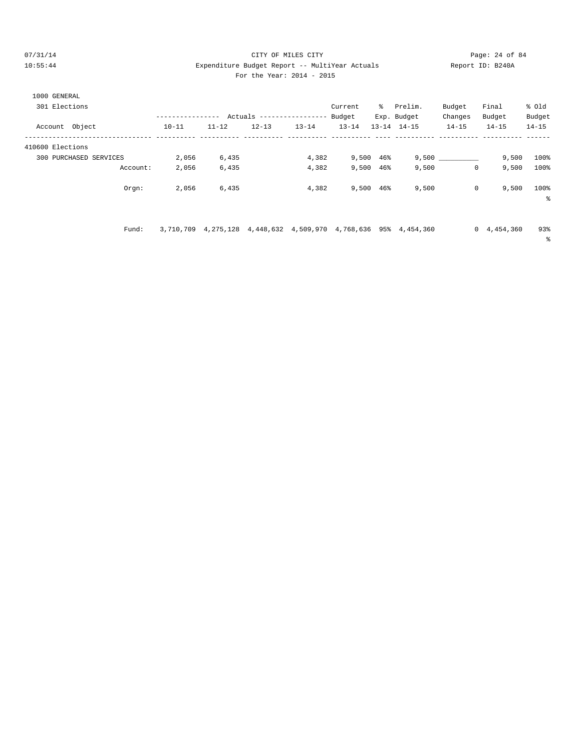### $O7/31/14$  Page: 24 of 84 10:55:44 Expenditure Budget Report -- MultiYear Actuals Report ID: B240A For the Year: 2014 - 2015

|  | For the Year: $2014 - 2$ |  |  |
|--|--------------------------|--|--|
|  |                          |  |  |

%

| 1000 GENERAL<br>301 Elections |           |           |           | Actuals ----------------- | Current<br>Budget | ိ         | Prelim.<br>Exp. Budget | Budget<br>Changes | Final<br>Budget | % old<br>Budget |
|-------------------------------|-----------|-----------|-----------|---------------------------|-------------------|-----------|------------------------|-------------------|-----------------|-----------------|
| Account Object                | $10 - 11$ | $11 - 12$ | $12 - 13$ | $13 - 14$                 | $13 - 14$         | $13 - 14$ | $14 - 15$              | $14 - 15$         | $14 - 15$       | $14 - 15$       |
| 410600 Elections              |           |           |           |                           |                   |           |                        |                   |                 |                 |
| PURCHASED SERVICES<br>300     | 2,056     | 6,435     |           | 4,382                     | 9,500             | 46%       | 9.500                  |                   | 9,500           | 100%            |
| Account:                      | 2,056     | 6,435     |           | 4,382                     | 9,500             | 46%       | 9,500                  |                   | 9,500<br>0      | 100%            |
| Orgn:                         | 2,056     | 6,435     |           | 4,382                     | 9,500             | 46%       | 9,500                  |                   | 9,500<br>0      | 100%            |

Fund: 3,710,709 4,275,128 4,448,632 4,509,970 4,768,636 95% 4,454,360 0 4,454,360 93%

%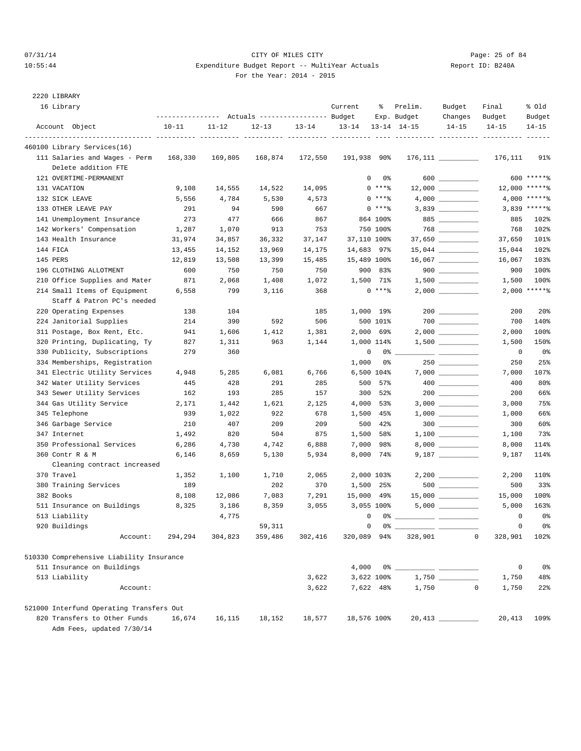# $O7/31/14$  Page: 25 of 84 10:55:44 Expenditure Budget Report -- MultiYear Actuals For the Year: 2014 - 2015

| Report ID: B240A |  |
|------------------|--|
|                  |  |

2220 LIBRARY

| 16 Library                               |           |           | Actuals ----------------- Budget |           | Current     | ႜ                  | Prelim.<br>Exp. Budget | Budget<br>Changes    | Final<br>Budget | % old<br>Budget |
|------------------------------------------|-----------|-----------|----------------------------------|-----------|-------------|--------------------|------------------------|----------------------|-----------------|-----------------|
| Account Object                           | $10 - 11$ | $11 - 12$ | $12 - 13$                        | $13 - 14$ | $13 - 14$   |                    | $13 - 14$ $14 - 15$    | $14 - 15$            | $14 - 15$       | $14 - 15$       |
| 460100 Library Services(16)              |           |           |                                  |           |             |                    |                        |                      |                 |                 |
| 111 Salaries and Wages - Perm            | 168,330   | 169,805   | 168,874                          | 172,550   | 191,938 90% |                    |                        | $176,111$ __________ | 176,111         | 91%             |
| Delete addition FTE                      |           |           |                                  |           |             |                    |                        |                      |                 |                 |
| 121 OVERTIME-PERMANENT                   |           |           |                                  |           |             | $\mathbf{0}$<br>0% |                        | 600 ________         |                 | 600 ******      |
| 131 VACATION                             | 9,108     | 14,555    | 14,522                           | 14,095    |             | $0***8$            |                        |                      |                 | 12,000 ******   |
| 132 SICK LEAVE                           | 5,556     | 4,784     | 5,530                            | 4,573     |             | $0***8$            |                        |                      |                 | 4,000 ******    |
| 133 OTHER LEAVE PAY                      | 291       | 94        | 590                              | 667       |             | $0***8$            |                        |                      |                 | $3,839$ ******  |
| 141 Unemployment Insurance               | 273       | 477       | 666                              | 867       |             | 864 100%           |                        | 885                  | 885             | 102%            |
| 142 Workers' Compensation                | 1,287     | 1,070     | 913                              | 753       |             | 750 100%           |                        |                      | 768             | 102%            |
| 143 Health Insurance                     | 31,974    | 34,857    | 36,332                           | 37,147    | 37,110 100% |                    |                        | 37,650 __________    | 37,650          | 101%            |
| 144 FICA                                 | 13,455    | 14,152    | 13,969                           | 14,175    | 14,683 97%  |                    |                        | $15,044$ _________   | 15,044          | 102%            |
| 145 PERS                                 | 12,819    | 13,508    | 13,399                           | 15,485    | 15,489 100% |                    |                        | $16,067$ __________  | 16,067          | 103%            |
| 196 CLOTHING ALLOTMENT                   | 600       | 750       | 750                              | 750       |             | 900 83%            |                        | $900$                | 900             | 100%            |
| 210 Office Supplies and Mater            | 871       | 2,068     | 1,408                            | 1,072     |             | 1,500 71%          |                        |                      | 1,500           | 100%            |
| 214 Small Items of Equipment             | 6,558     | 799       | 3,116                            | 368       |             | $0$ ****           |                        |                      |                 | $2,000$ *****%  |
| Staff & Patron PC's needed               |           |           |                                  |           |             |                    |                        |                      |                 |                 |
| 220 Operating Expenses                   | 138       | 104       |                                  | 185       |             | 1,000 19%          |                        |                      | 200             | 20 <sub>8</sub> |
| 224 Janitorial Supplies                  | 214       | 390       | 592                              | 506       |             | 500 101%           |                        |                      | 700             | 140%            |
| 311 Postage, Box Rent, Etc.              | 941       | 1,606     | 1,412                            | 1,381     |             | 2,000 69%          |                        |                      | 2,000           | 100%            |
| 320 Printing, Duplicating, Ty            | 827       | 1,311     | 963                              | 1,144     |             | 1,000 114%         |                        |                      | 1,500           | 150%            |
| 330 Publicity, Subscriptions             | 279       | 360       |                                  |           |             | 0<br>0%            |                        |                      | 0               | 0 <sup>8</sup>  |
| 334 Memberships, Registration            |           |           |                                  |           | 1,000       | 0%                 |                        |                      | 250             | 25%             |
| 341 Electric Utility Services            | 4,948     | 5,285     | 6,081                            | 6,766     |             | 6,500 104%         |                        |                      | 7,000           | 107%            |
| 342 Water Utility Services               | 445       | 428       | 291                              | 285       |             | 500 57%            |                        |                      | 400             | 80%             |
| 343 Sewer Utility Services               | 162       | 193       | 285                              | 157       | 300         | 52%                |                        |                      | 200             | 66%             |
| 344 Gas Utility Service                  | 2,171     | 1,442     | 1,621                            | 2,125     | 4,000       | 53%                |                        |                      | 3,000           | 75%             |
| 345 Telephone                            | 939       | 1,022     | 922                              | 678       |             | 1,500 45%          |                        |                      | 1,000           | 66%             |
| 346 Garbage Service                      | 210       | 407       | 209                              | 209       | 500         | 42%                |                        | $300$                | 300             | 60%             |
| 347 Internet                             | 1,492     | 820       | 504                              | 875       |             | 1,500 58%          |                        |                      | 1,100           | 73%             |
| 350 Professional Services                | 6,286     | 4,730     | 4,742                            | 6,888     |             | 7,000 98%          |                        |                      | 8,000           | 114%            |
| 360 Contr R & M                          | 6,146     | 8,659     | 5,130                            | 5,934     |             | 8,000 74%          |                        |                      | 9,187           | 114%            |
| Cleaning contract increased              |           |           |                                  |           |             |                    |                        |                      |                 |                 |
| 370 Travel                               | 1,352     | 1,100     | 1,710                            | 2,065     |             | 2,000 103%         |                        |                      | 2,200           | 110%            |
| 380 Training Services                    | 189       |           | 202                              | 370       |             | 1,500 25%          |                        | $500$ _________      | 500             | 33%             |
| 382 Books                                | 8,108     | 12,086    | 7,083                            | 7,291     | 15,000 49%  |                    |                        |                      | 15,000          | 100%            |
| 511 Insurance on Buildings               | 8,325     | 3,186     | 8,359                            | 3,055     |             | 3,055 100%         |                        |                      | 5,000           | 163%            |
| 513 Liability                            |           | 4,775     |                                  |           |             | $\mathbf 0$        | $0\%$ $\qquad$         |                      | 0               | 0%              |
| 920 Buildings                            |           |           | 59,311                           |           |             | $0\qquad 0\,$ %    |                        |                      | 0               | 0.‱             |
| Account:                                 | 294,294   | 304,823   | 359,486                          | 302,416   | 320,089 94% |                    | 328,901                | 0                    | 328,901         | 102%            |
| 510330 Comprehensive Liability Insurance |           |           |                                  |           |             |                    |                        |                      |                 |                 |
| 511 Insurance on Buildings               |           |           |                                  |           | 4,000       |                    |                        |                      | $\mathbb O$     | 0%              |
| 513 Liability                            |           |           |                                  | 3,622     |             | 3,622 100%         |                        |                      | 1,750           | 48%             |
| Account:                                 |           |           |                                  | 3,622     |             | 7,622 48%          | 1,750                  | 0                    | 1,750           | $22$ %          |
| 521000 Interfund Operating Transfers Out |           |           |                                  |           |             |                    |                        |                      |                 |                 |
| 820 Transfers to Other Funds             | 16,674    | 16,115    | 18,152                           | 18,577    | 18,576 100% |                    |                        | $20,413$ _________   | 20,413          | 109%            |

Adm Fees, updated 7/30/14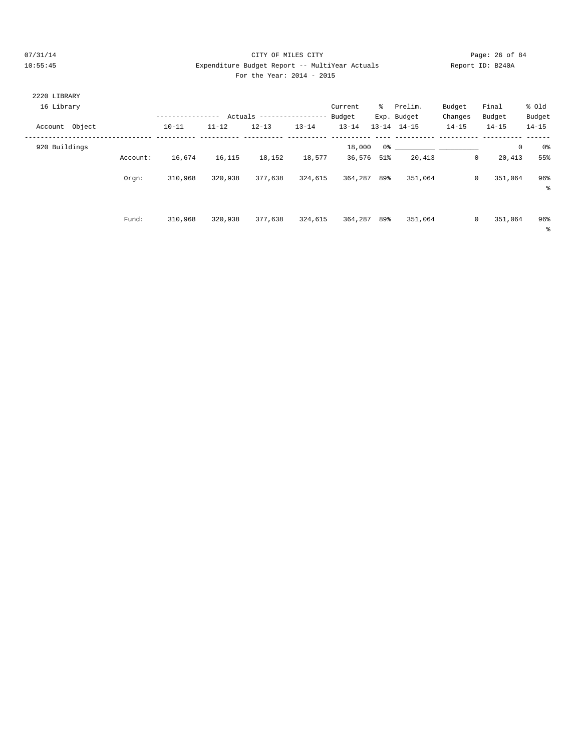#### 07/31/14 Page: 26 of 84 10:55:45 Expenditure Budget Report -- MultiYear Actuals Report ID: B240A For the Year: 2014 - 2015

| 2220 LIBRARY<br>16 Library |          | ---------------- | Actuals   |           | ------------------ | Current<br>Budget | ိ      | Prelim.<br>Exp. Budget | Budget<br>Changes | Final<br>Budget        | % old<br>Budget   |
|----------------------------|----------|------------------|-----------|-----------|--------------------|-------------------|--------|------------------------|-------------------|------------------------|-------------------|
| Account Object             |          | $10 - 11$        | $11 - 12$ | $12 - 13$ | $13 - 14$          | $13 - 14$         |        | $13 - 14$ $14 - 15$    | $14 - 15$         | $14 - 15$              | $14 - 15$         |
| 920 Buildings              |          |                  |           |           |                    | 18,000            |        |                        |                   | $\mathbb O$            | 0%                |
|                            | Account: | 16,674           | 16,115    | 18,152    | 18,577             | 36,576            | $51\%$ | 20,413                 |                   | $\mathbf{0}$<br>20,413 | 55%               |
|                            | Orgn:    | 310,968          | 320,938   | 377,638   | 324,615            | 364,287           | 89%    | 351,064                |                   | 0<br>351,064           | 96%<br>နွ         |
|                            | Fund:    | 310,968          | 320,938   | 377,638   | 324,615            | 364,287           | 89%    | 351,064                |                   | 0<br>351,064           | 96%<br>$\epsilon$ |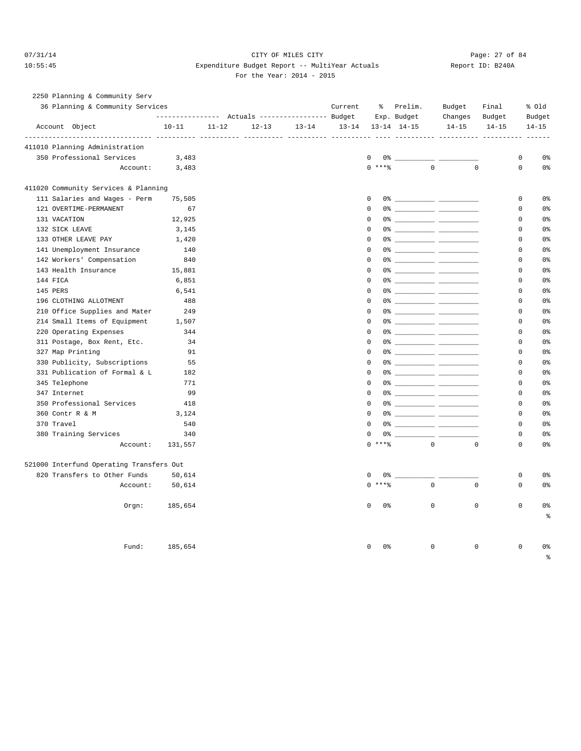#### 07/31/14 Page: 27 of 84 10:55:45 Expenditure Budget Report -- MultiYear Actuals Report ID: B240A For the Year: 2014 - 2015

| 2250 Planning & Community Serv           |                                                       |           |           |           |           |                       |                                                                                                                                                                                                                                                                                                                        |           |             |             |                |
|------------------------------------------|-------------------------------------------------------|-----------|-----------|-----------|-----------|-----------------------|------------------------------------------------------------------------------------------------------------------------------------------------------------------------------------------------------------------------------------------------------------------------------------------------------------------------|-----------|-------------|-------------|----------------|
| 36 Planning & Community Services         |                                                       |           |           |           | Current   | ွေ                    | Prelim.                                                                                                                                                                                                                                                                                                                | Budget    | Final       |             | % Old          |
|                                          | ---------------    Actuals ----------------    Budget |           |           |           |           |                       | Exp. Budget                                                                                                                                                                                                                                                                                                            | Changes   | Budget      |             | Budget         |
| Account Object                           | $10 - 11$                                             | $11 - 12$ | $12 - 13$ | $13 - 14$ | $13 - 14$ |                       | $13 - 14$ $14 - 15$                                                                                                                                                                                                                                                                                                    | $14 - 15$ | $14 - 15$   |             | $14 - 15$      |
| 411010 Planning Administration           |                                                       |           |           |           |           |                       |                                                                                                                                                                                                                                                                                                                        |           |             |             |                |
| 350 Professional Services                | 3,483                                                 |           |           |           |           | $\mathbf 0$           |                                                                                                                                                                                                                                                                                                                        |           |             | 0           | 0 <sup>8</sup> |
| Account:                                 | 3,483                                                 |           |           |           |           | $0$ ****              | $\Omega$                                                                                                                                                                                                                                                                                                               |           | $\Omega$    | $\Omega$    | 0 <sup>°</sup> |
| 411020 Community Services & Planning     |                                                       |           |           |           |           |                       |                                                                                                                                                                                                                                                                                                                        |           |             |             |                |
| 111 Salaries and Wages - Perm            | 75,505                                                |           |           |           |           | $\mathbf 0$           |                                                                                                                                                                                                                                                                                                                        |           |             | $\mathbf 0$ | 0 <sup>°</sup> |
| 121 OVERTIME-PERMANENT                   | 67                                                    |           |           |           |           | $\Omega$              |                                                                                                                                                                                                                                                                                                                        |           |             | $\mathbf 0$ | 0 <sup>°</sup> |
| 131 VACATION                             | 12,925                                                |           |           |           |           | $\mathbf 0$           |                                                                                                                                                                                                                                                                                                                        |           |             | $\mathbf 0$ | 0 <sup>°</sup> |
| 132 SICK LEAVE                           | 3,145                                                 |           |           |           |           | $\mathbf 0$           |                                                                                                                                                                                                                                                                                                                        |           |             | $\mathbf 0$ | 0 <sup>°</sup> |
| 133 OTHER LEAVE PAY                      | 1,420                                                 |           |           |           |           | $\Omega$              |                                                                                                                                                                                                                                                                                                                        |           |             | $\mathbf 0$ | 0 <sub>8</sub> |
| 141 Unemployment Insurance               | 140                                                   |           |           |           |           | $\mathbf 0$           |                                                                                                                                                                                                                                                                                                                        |           |             | 0           | 0 <sup>°</sup> |
| 142 Workers' Compensation                | 840                                                   |           |           |           |           | $\Omega$              |                                                                                                                                                                                                                                                                                                                        |           |             | $\Omega$    | 0 <sup>°</sup> |
| 143 Health Insurance                     | 15,881                                                |           |           |           |           | $\mathbf 0$           |                                                                                                                                                                                                                                                                                                                        |           |             | $\mathsf 0$ | 0 <sup>°</sup> |
| 144 FICA                                 | 6,851                                                 |           |           |           |           | $\Omega$              |                                                                                                                                                                                                                                                                                                                        |           |             | $\Omega$    | 0 <sup>°</sup> |
| 145 PERS                                 | 6,541                                                 |           |           |           |           | 0                     |                                                                                                                                                                                                                                                                                                                        |           |             | $\mathbf 0$ | 0%             |
| 196 CLOTHING ALLOTMENT                   | 488                                                   |           |           |           |           | $\Omega$              |                                                                                                                                                                                                                                                                                                                        |           |             | $\Omega$    | 0 <sup>8</sup> |
| 210 Office Supplies and Mater            | 249                                                   |           |           |           |           | 0                     |                                                                                                                                                                                                                                                                                                                        |           |             | $\mathbf 0$ | 0 <sup>°</sup> |
| 214 Small Items of Equipment             | 1,507                                                 |           |           |           |           | $\Omega$              |                                                                                                                                                                                                                                                                                                                        |           |             | $\Omega$    | 0 <sup>°</sup> |
| 220 Operating Expenses                   | 344                                                   |           |           |           |           | $\mathbf 0$           |                                                                                                                                                                                                                                                                                                                        |           |             | $\mathbf 0$ | 0 <sup>°</sup> |
| 311 Postage, Box Rent, Etc.              | 34                                                    |           |           |           |           | $\mathbf 0$           |                                                                                                                                                                                                                                                                                                                        |           |             | $\mathbf 0$ | 0 <sup>°</sup> |
| 327 Map Printing                         | 91                                                    |           |           |           |           | $\Omega$              |                                                                                                                                                                                                                                                                                                                        |           |             | $\Omega$    | 0 <sup>°</sup> |
| 330 Publicity, Subscriptions             | 55                                                    |           |           |           |           | $\Omega$              |                                                                                                                                                                                                                                                                                                                        |           |             | $\mathbf 0$ | 0 <sup>8</sup> |
| 331 Publication of Formal & L            | 182                                                   |           |           |           |           | $\mathbf 0$           |                                                                                                                                                                                                                                                                                                                        |           |             | $\mathbf 0$ | 0 <sup>8</sup> |
| 345 Telephone                            | 771                                                   |           |           |           |           | $\Omega$              |                                                                                                                                                                                                                                                                                                                        |           |             | $\Omega$    | 0 <sup>8</sup> |
| 347 Internet                             | 99                                                    |           |           |           |           | $\mathbf 0$           |                                                                                                                                                                                                                                                                                                                        |           |             | $\mathbf 0$ | 0 <sup>°</sup> |
| 350 Professional Services                | 418                                                   |           |           |           |           | $\Omega$              |                                                                                                                                                                                                                                                                                                                        |           |             | $\Omega$    | 0 <sup>°</sup> |
| 360 Contr R & M                          | 3,124                                                 |           |           |           |           | $\mathbf 0$           |                                                                                                                                                                                                                                                                                                                        |           |             | $\mathbf 0$ | 0 <sup>°</sup> |
| 370 Travel                               | 540                                                   |           |           |           |           | $\Omega$              |                                                                                                                                                                                                                                                                                                                        |           |             | $\Omega$    | 0 <sup>°</sup> |
| 380 Training Services                    | 340                                                   |           |           |           |           | 0                     | $0$ $\frac{1}{2}$ $\frac{1}{2}$ $\frac{1}{2}$ $\frac{1}{2}$ $\frac{1}{2}$ $\frac{1}{2}$ $\frac{1}{2}$ $\frac{1}{2}$ $\frac{1}{2}$ $\frac{1}{2}$ $\frac{1}{2}$ $\frac{1}{2}$ $\frac{1}{2}$ $\frac{1}{2}$ $\frac{1}{2}$ $\frac{1}{2}$ $\frac{1}{2}$ $\frac{1}{2}$ $\frac{1}{2}$ $\frac{1}{2}$ $\frac{1}{2}$ $\frac{1}{2$ |           |             | $\mathbf 0$ | 0 <sup>8</sup> |
| Account:                                 | 131,557                                               |           |           |           |           | $\Omega$<br>$***$ $%$ | $\Omega$                                                                                                                                                                                                                                                                                                               |           | $\Omega$    | $\Omega$    | 0 <sup>8</sup> |
|                                          |                                                       |           |           |           |           |                       |                                                                                                                                                                                                                                                                                                                        |           |             |             |                |
| 521000 Interfund Operating Transfers Out |                                                       |           |           |           |           |                       |                                                                                                                                                                                                                                                                                                                        |           |             |             |                |
| 820 Transfers to Other Funds             | 50,614                                                |           |           |           |           | $\mathbf 0$           | 0 왕                                                                                                                                                                                                                                                                                                                    |           |             | $\mathbf 0$ | 0 <sup>°</sup> |
| Account:                                 | 50,614                                                |           |           |           |           | $0$ ****              | $\Omega$                                                                                                                                                                                                                                                                                                               |           | $\Omega$    | $\Omega$    | 0 <sup>°</sup> |
| Orgn:                                    | 185,654                                               |           |           |           |           | $\mathbf 0$<br>0%     | 0                                                                                                                                                                                                                                                                                                                      |           | $\mathbf 0$ | $\mathbf 0$ | 0 <sup>°</sup> |
|                                          |                                                       |           |           |           |           |                       |                                                                                                                                                                                                                                                                                                                        |           |             |             | $\epsilon$     |
| Fund:                                    | 185,654                                               |           |           |           |           | 0 <sup>°</sup><br>0   | $\mathsf 0$                                                                                                                                                                                                                                                                                                            |           | $\mathbf 0$ | $\mathbf 0$ | 0%             |
|                                          |                                                       |           |           |           |           |                       |                                                                                                                                                                                                                                                                                                                        |           |             |             | နွ             |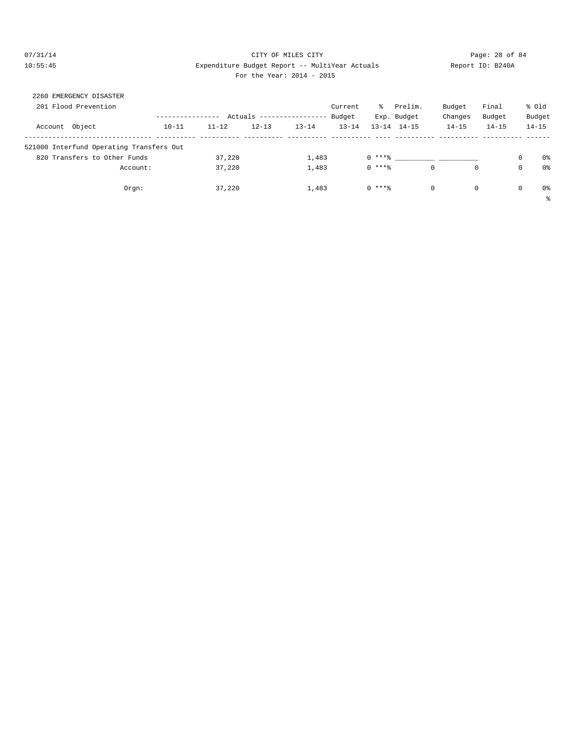#### 07/31/14 Page: 28 of 84 10:55:45 Expenditure Budget Report -- MultiYear Actuals Report ID: B240A For the Year: 2014 - 2015

| 2260 EMERGENCY DISASTER                  |           |           |           |                   |           |          |                     |           |             |             |                |
|------------------------------------------|-----------|-----------|-----------|-------------------|-----------|----------|---------------------|-----------|-------------|-------------|----------------|
| 201 Flood Prevention                     |           |           |           |                   | Current   | ိ        | Prelim.             | Budget    | Final       |             | % Old          |
|                                          |           | Actuals   |           | ----------------- | Budget    |          | Exp. Budget         | Changes   | Budget      |             | Budget         |
| Account Object                           | $10 - 11$ | $11 - 12$ | $12 - 13$ | $13 - 14$         | $13 - 14$ |          | $13 - 14$ $14 - 15$ | $14 - 15$ | $14 - 15$   |             | $14 - 15$      |
| 521000 Interfund Operating Transfers Out |           |           |           |                   |           |          |                     |           |             |             |                |
| 820 Transfers to Other Funds             |           | 37,220    |           | 1,483             |           | $0$ **** |                     |           |             | 0           | 0%             |
| Account:                                 |           | 37,220    |           | 1,483             |           | $0$ **** | $\mathbf{0}$        |           | $\mathbf 0$ | $\mathbf 0$ | 0%             |
| Orgn:                                    |           | 37,220    |           | 1,483             |           | $0$ **** | $\circ$             |           | 0           | $\mathbf 0$ | 0 <sup>8</sup> |
|                                          |           |           |           |                   |           |          |                     |           |             |             | る              |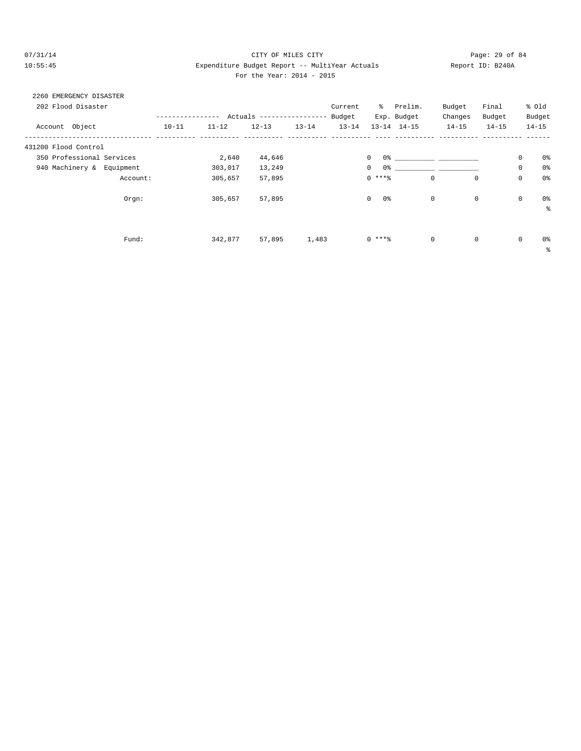# $O7/31/14$  Page: 29 of 84 10:55:45 Expenditure Budget Report -- MultiYear Actuals Report ID: B240A For the Year: 2014 - 2015

# 2260 EMERGENCY DISASTER

| 202 Flood Disaster           |           |           |                           |           | Current   | ိ                              | Prelim.                    | Budget      | Final     |             | % old          |
|------------------------------|-----------|-----------|---------------------------|-----------|-----------|--------------------------------|----------------------------|-------------|-----------|-------------|----------------|
|                              |           |           | Actuals ----------------- |           | Budget    |                                | Exp. Budget                | Changes     | Budget    |             | Budget         |
| Account Object               | $10 - 11$ | $11 - 12$ | $12 - 13$                 | $13 - 14$ | $13 - 14$ |                                | $13 - 14$ $14 - 15$        | $14 - 15$   | $14 - 15$ |             | $14 - 15$      |
| 431200 Flood Control         |           |           |                           |           |           |                                |                            |             |           |             |                |
| 350 Professional Services    |           | 2,640     | 44,646                    |           |           | $\circ$                        | $0$ 왕 아이는 아이에게 아이를 하지 않는다. |             |           | $\mathbb O$ | 0%             |
| 940 Machinery &<br>Equipment |           | 303,017   | 13,249                    |           |           | 0 <sup>°</sup><br>$\mathbf{0}$ |                            |             |           | $\mathbf 0$ | 0 <sup>o</sup> |
| Account:                     |           | 305,657   | 57,895                    |           |           | $0***$                         | 0                          | $\mathbf 0$ |           | $\mathbf 0$ | 0 <sup>o</sup> |
| Orgn:                        |           | 305,657   | 57,895                    |           |           | 0%<br>$\circ$                  | $\mathbf 0$                |             | 0         | $\mathbf 0$ | 0%             |
|                              |           |           |                           |           |           |                                |                            |             |           |             | ៖              |
|                              |           |           |                           |           |           |                                |                            |             |           |             |                |
| Fund:                        |           | 342,877   | 57,895                    | 1,483     |           | $0***8$                        | $\mathbf 0$                |             | 0         | $\mathbf 0$ | 0%             |
|                              |           |           |                           |           |           |                                |                            |             |           |             | န္             |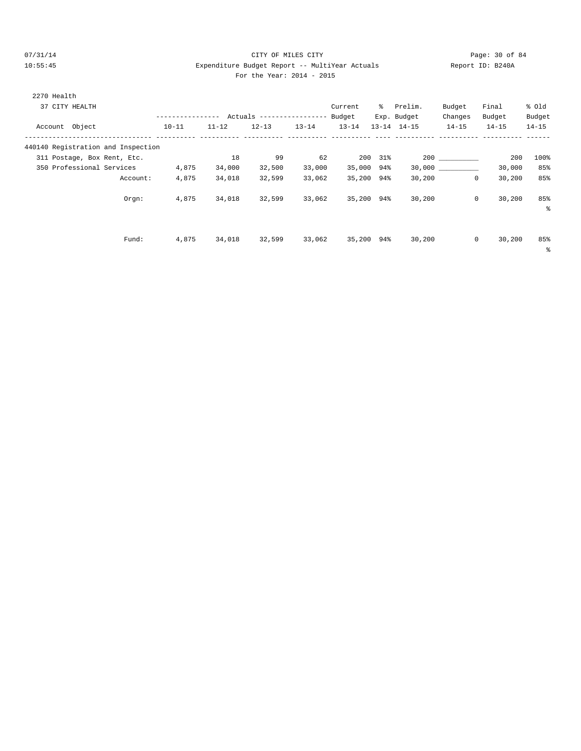# 07/31/14 Page: 30 of 84 10:55:45 Expenditure Budget Report -- MultiYear Actuals Report ID: B240A For the Year: 2014 - 2015

| For the Year: $2014 - 20$ |  |  |  |  |  |  |
|---------------------------|--|--|--|--|--|--|
|---------------------------|--|--|--|--|--|--|

| 2270 Health    |                |                                    |           |           |            |                   |           |     |                     |             |           |           |
|----------------|----------------|------------------------------------|-----------|-----------|------------|-------------------|-----------|-----|---------------------|-------------|-----------|-----------|
|                | 37 CITY HEALTH |                                    |           |           |            |                   | Current   | ៖   | Prelim.             | Budget      | Final     | % old     |
|                |                |                                    |           |           | Actuals -- | $- - - - - - - -$ | Budget    |     | Exp. Budget         | Changes     | Budget    | Budget    |
| Account Object |                |                                    | $10 - 11$ | $11 - 12$ | $12 - 13$  | $13 - 14$         | $13 - 14$ |     | $13 - 14$ $14 - 15$ | $14 - 15$   | $14 - 15$ | $14 - 15$ |
|                |                | 440140 Registration and Inspection |           |           |            |                   |           |     |                     |             |           |           |
|                |                | 311 Postage, Box Rent, Etc.        |           | 18        | 99         | 62                | 200       | 31% |                     | 200         | 200       | 100%      |
|                |                | 350 Professional Services          | 4,875     | 34,000    | 32,500     | 33,000            | 35,000    | 94% | 30,000              |             | 30,000    | 85%       |
|                |                | Account:                           | 4,875     | 34,018    | 32,599     | 33,062            | 35,200    | 94% | 30,200              | 0           | 30,200    | 85%       |
|                |                | Orem:                              | 4,875     | 34,018    | 32,599     | 33,062            | 35,200    | 94% | 30,200              | $\mathbf 0$ | 30,200    | 85%<br>る  |
|                |                |                                    |           |           |            |                   |           |     |                     |             |           |           |
|                |                | Fund:                              | 4,875     | 34,018    | 32,599     | 33,062            | 35,200    | 94% | 30,200              | $\mathbf 0$ | 30,200    | 85%       |

%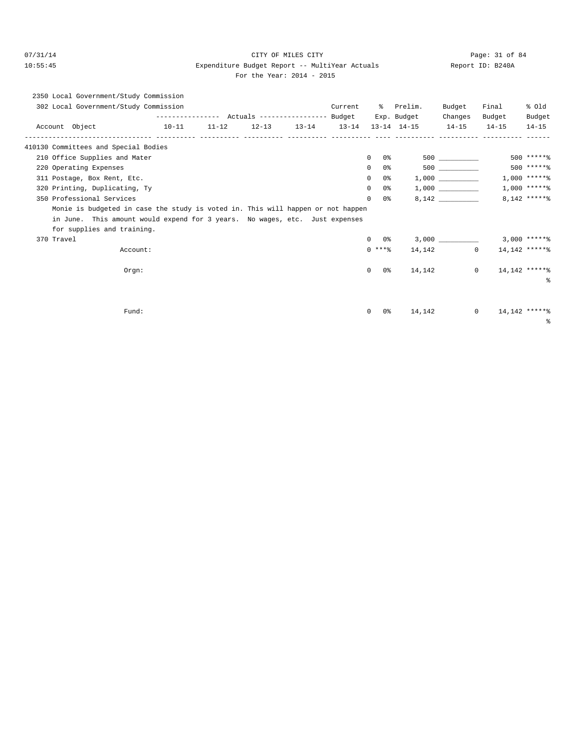# 07/31/14 Page: 31 of 84 10:55:45 Expenditure Budget Report -- MultiYear Actuals Report ID: B240A

| For the Year: 2014 - 2015 |  |
|---------------------------|--|
|                           |  |

|  | 2350 Local Government/Study Commission |                   |  |   |                                  |         |             |         |        |        |
|--|----------------------------------------|-------------------|--|---|----------------------------------|---------|-------------|---------|--------|--------|
|  | 302 Local Government/Study Commission  |                   |  |   |                                  | Current | Prelim.     | Budget  | Final  | % old  |
|  |                                        | ----------------- |  |   | Actuals ----------------- Budget |         | Exp. Budget | Changes | Budget | Budget |
|  |                                        |                   |  | . | .                                |         |             | .       | .      |        |

|            | Account Object                                                                  | $10-11$ | $11 - 12$ |  |                     | $12-13$ $13-14$ $13-14$ $13-14$ $14-15$ $14-15$ |         | $14 - 15$                       | $14 - 15$      |
|------------|---------------------------------------------------------------------------------|---------|-----------|--|---------------------|-------------------------------------------------|---------|---------------------------------|----------------|
|            | 410130 Committees and Special Bodies                                            |         |           |  |                     |                                                 |         |                                 |                |
|            | 210 Office Supplies and Mater                                                   |         |           |  | $\Omega$<br>0 %     |                                                 | 500 000 |                                 | $500$ ***** %  |
|            | 220 Operating Expenses                                                          |         |           |  | $\mathbf{0}$<br>0 % |                                                 | 500 000 |                                 | 500 ******     |
|            | 311 Postage, Box Rent, Etc.                                                     |         |           |  | $\mathbf{0}$<br>0 % |                                                 |         |                                 | $1,000$ *****% |
|            | 320 Printing, Duplicating, Ty                                                   |         |           |  | $\Omega$<br>0%      |                                                 |         |                                 | $1,000$ ****** |
|            | 350 Professional Services                                                       |         |           |  | $\Omega$<br>0 %     |                                                 | 8,142   |                                 | 8,142 ******   |
|            | Monie is budgeted in case the study is voted in. This will happen or not happen |         |           |  |                     |                                                 |         |                                 |                |
|            | in June. This amount would expend for 3 years. No wages, etc. Just expenses     |         |           |  |                     |                                                 |         |                                 |                |
|            | for supplies and training.                                                      |         |           |  |                     |                                                 |         |                                 |                |
| 370 Travel |                                                                                 |         |           |  | $0\qquad 0$ %       |                                                 |         | $3,000$ $3,000$ $****$ $*$      |                |
|            | Account:                                                                        |         |           |  | $0$ ****            |                                                 | 14, 142 | 14,142 ******<br>$\overline{0}$ |                |
|            | $Orgn$ :                                                                        |         |           |  | $\circ$<br>0 %      |                                                 | 14,142  | 14,142 ******<br>$\circ$        |                |
|            |                                                                                 |         |           |  |                     |                                                 |         |                                 | $\approx$      |
|            |                                                                                 |         |           |  |                     |                                                 |         |                                 |                |
|            | Fund:                                                                           |         |           |  | $\circ$<br>0응       | 14,142                                          |         | $\mathbf{0}$                    | 14,142 ******  |
|            |                                                                                 |         |           |  |                     |                                                 |         |                                 | ွေ             |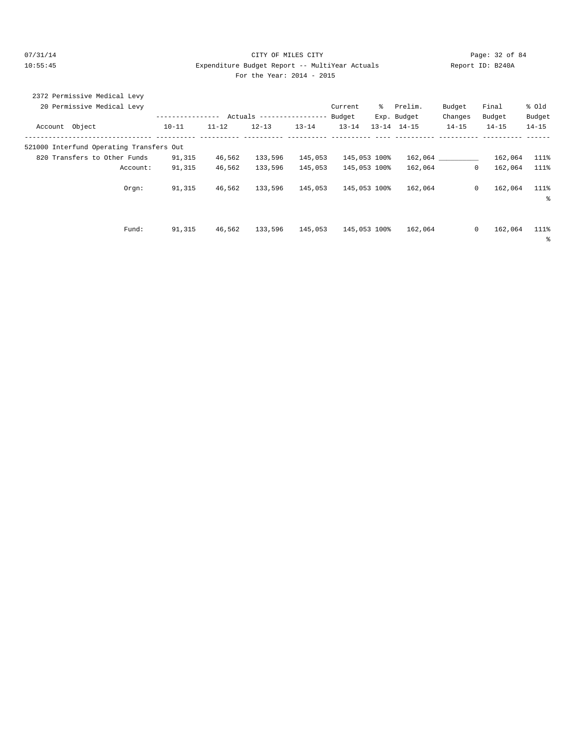#### 07/31/14 Page: 32 of 84 10:55:45 Expenditure Budget Report -- MultiYear Actuals Report ID: B240A For the Year: 2014 - 2015

| 2372 Permissive Medical Levy             |           |           |                            |           |              |              |                     |           |              |           |
|------------------------------------------|-----------|-----------|----------------------------|-----------|--------------|--------------|---------------------|-----------|--------------|-----------|
| 20 Permissive Medical Levy               |           |           |                            |           | Current      | ိ            | Prelim.             | Budget    | Final        | % old     |
|                                          |           |           | Actuals ------------------ |           | Budget       |              | Exp. Budget         | Changes   | Budget       | Budget    |
| Account Object                           | $10 - 11$ | $11 - 12$ | $12 - 13$                  | $13 - 14$ | $13 - 14$    |              | $13 - 14$ $14 - 15$ | $14 - 15$ | $14 - 15$    | $14 - 15$ |
| 521000 Interfund Operating Transfers Out |           |           |                            |           |              |              |                     |           |              |           |
| 820 Transfers to Other Funds             | 91,315    | 46,562    | 133,596                    | 145,053   |              | 145,053 100% |                     | 162,064   | 162,064      | 111%      |
| Account:                                 | 91,315    | 46,562    | 133,596                    | 145,053   |              | 145,053 100% | 162,064             |           | 0<br>162,064 | 111%      |
| Orgn:                                    | 91,315    | 46,562    | 133,596                    | 145,053   | 145,053 100% |              | 162,064             |           | 0<br>162,064 | 111%      |
|                                          |           |           |                            |           |              |              |                     |           |              | နွ        |
|                                          |           |           |                            |           |              |              |                     |           |              |           |
| Fund:                                    | 91,315    | 46,562    | 133,596                    | 145,053   | 145,053 100% |              | 162,064             |           | 0<br>162,064 | 111%      |

%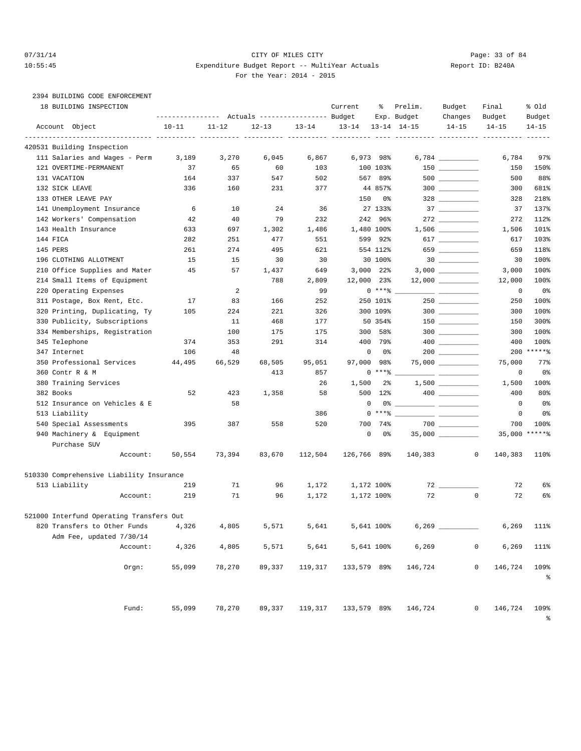# 07/31/14 Page: 33 of 84 10:55:45 Expenditure Budget Report -- MultiYear Actuals Report ID: B240A For the Year: 2014 - 2015

# 2394 BUILDING CODE ENFORCEMENT

|              | 18 BUILDING INSPECTION                   | ---------------- |           | Actuals ----------------- Budget |           | Current     | ႜ                 | Prelim.<br>Exp. Budget | Budget<br>Changes                                                                                                                                                                                                                                                                                                                                   | Final<br>Budget        | % old<br>Budget |
|--------------|------------------------------------------|------------------|-----------|----------------------------------|-----------|-------------|-------------------|------------------------|-----------------------------------------------------------------------------------------------------------------------------------------------------------------------------------------------------------------------------------------------------------------------------------------------------------------------------------------------------|------------------------|-----------------|
|              | Account Object                           | $10 - 11$        | $11 - 12$ | $12 - 13$                        | $13 - 14$ | $13 - 14$   |                   | $13 - 14$ $14 - 15$    | $14 - 15$                                                                                                                                                                                                                                                                                                                                           | $14 - 15$              | $14 - 15$       |
|              | 420531 Building Inspection               |                  |           |                                  |           | ----- ----  |                   |                        |                                                                                                                                                                                                                                                                                                                                                     |                        |                 |
|              | 111 Salaries and Wages - Perm            | 3,189            | 3,270     | 6,045                            | 6,867     |             | 6,973 98%         |                        |                                                                                                                                                                                                                                                                                                                                                     | 6,784                  | 97%             |
|              | 121 OVERTIME-PERMANENT                   | 37               | 65        | 60                               | 103       |             | 100 103%          |                        |                                                                                                                                                                                                                                                                                                                                                     | 150                    | 150%            |
| 131 VACATION |                                          | 164              | 337       | 547                              | 502       |             | 567 89%           |                        |                                                                                                                                                                                                                                                                                                                                                     | 500                    | 88%             |
|              | 132 SICK LEAVE                           | 336              | 160       | 231                              | 377       |             | 44 857%           |                        | $300$                                                                                                                                                                                                                                                                                                                                               | 300                    | 681%            |
|              | 133 OTHER LEAVE PAY                      |                  |           |                                  |           | 150         | 0%                |                        | $328$                                                                                                                                                                                                                                                                                                                                               | 328                    | 218%            |
|              | 141 Unemployment Insurance               | 6                | 10        | 24                               | 36        |             | 27 133%           |                        |                                                                                                                                                                                                                                                                                                                                                     | 37                     | 137%            |
|              | 142 Workers' Compensation                | 42               | 40        | 79                               | 232       | 242         | 96%               |                        |                                                                                                                                                                                                                                                                                                                                                     | 272                    | 112%            |
|              | 143 Health Insurance                     | 633              | 697       | 1,302                            | 1,486     |             | 1,480 100%        |                        |                                                                                                                                                                                                                                                                                                                                                     | 1,506                  | 101%            |
| 144 FICA     |                                          | 282              | 251       | 477                              | 551       |             | 599 92%           |                        | 617                                                                                                                                                                                                                                                                                                                                                 | 617                    | 103%            |
| 145 PERS     |                                          | 261              | 274       | 495                              | 621       |             | 554 112%          |                        | 659                                                                                                                                                                                                                                                                                                                                                 | 659                    | 118%            |
|              | 196 CLOTHING ALLOTMENT                   | 15               | 15        | 30                               | 30        |             | 30 100%           |                        |                                                                                                                                                                                                                                                                                                                                                     | 30                     | 100%            |
|              | 210 Office Supplies and Mater            | 45               | 57        | 1,437                            | 649       | 3,000       | 22%               |                        |                                                                                                                                                                                                                                                                                                                                                     | 3,000                  | 100%            |
|              | 214 Small Items of Equipment             |                  |           | 788                              | 2,809     |             | 12,000 23%        |                        |                                                                                                                                                                                                                                                                                                                                                     | 12,000                 | 100%            |
|              | 220 Operating Expenses                   |                  | 2         |                                  | 99        |             | $0***8$           |                        |                                                                                                                                                                                                                                                                                                                                                     | 0                      | 0%              |
|              | 311 Postage, Box Rent, Etc.              | 17               | 83        | 166                              | 252       |             | 250 101%          |                        |                                                                                                                                                                                                                                                                                                                                                     | 250                    | 100%            |
|              | 320 Printing, Duplicating, Ty            | 105              | 224       | 221                              | 326       |             | 300 109%          |                        | $300$                                                                                                                                                                                                                                                                                                                                               | 300                    | 100%            |
|              | 330 Publicity, Subscriptions             |                  | 11        | 468                              | 177       |             | 50 354%           |                        |                                                                                                                                                                                                                                                                                                                                                     | 150                    | 300%            |
|              | 334 Memberships, Registration            |                  | 100       | 175                              | 175       | 300         | 58%               |                        |                                                                                                                                                                                                                                                                                                                                                     | 300                    | 100%            |
|              | 345 Telephone                            | 374              | 353       | 291                              | 314       | 400         | 79%               |                        | $\begin{picture}(20,20) \put(0,0){\line(1,0){10}} \put(15,0){\line(1,0){10}} \put(15,0){\line(1,0){10}} \put(15,0){\line(1,0){10}} \put(15,0){\line(1,0){10}} \put(15,0){\line(1,0){10}} \put(15,0){\line(1,0){10}} \put(15,0){\line(1,0){10}} \put(15,0){\line(1,0){10}} \put(15,0){\line(1,0){10}} \put(15,0){\line(1,0){10}} \put(15,0){\line(1$ | 400                    | 100%            |
| 347 Internet |                                          | 106              | 48        |                                  |           |             | $\mathbf 0$<br>0% |                        |                                                                                                                                                                                                                                                                                                                                                     |                        | 200 ******      |
|              | 350 Professional Services                | 44,495           | 66,529    | 68,505                           | 95,051    | 97,000      | 98%               |                        |                                                                                                                                                                                                                                                                                                                                                     | 75,000                 | 77%             |
|              | 360 Contr R & M                          |                  |           | 413                              | 857       |             | 0 ****            |                        |                                                                                                                                                                                                                                                                                                                                                     | 0                      | 0%              |
|              | 380 Training Services                    |                  |           |                                  | 26        | 1,500       | $2\frac{6}{9}$    |                        | $1,500$ _________                                                                                                                                                                                                                                                                                                                                   | 1,500                  | 100%            |
| 382 Books    |                                          | 52               | 423       | 1,358                            | 58        | 500         | 12%               |                        |                                                                                                                                                                                                                                                                                                                                                     | 400                    | 80%             |
|              | 512 Insurance on Vehicles & E            |                  | 58        |                                  |           |             | $\mathbf 0$       | $0\,$ $\,$             |                                                                                                                                                                                                                                                                                                                                                     | 0                      | 0 <sub>8</sub>  |
|              | 513 Liability                            |                  |           |                                  | 386       |             | $0***$ $*$        |                        |                                                                                                                                                                                                                                                                                                                                                     | 0                      | 0 <sub>8</sub>  |
|              | 540 Special Assessments                  | 395              | 387       | 558                              | 520       | 700         | 74%               |                        | $700$                                                                                                                                                                                                                                                                                                                                               | 700                    | 100%            |
|              | 940 Machinery & Equipment                |                  |           |                                  |           |             | 0<br>0%           |                        | $35,000$ __________                                                                                                                                                                                                                                                                                                                                 | 35,000                 | $*****$         |
|              | Purchase SUV                             |                  |           |                                  |           |             |                   |                        |                                                                                                                                                                                                                                                                                                                                                     |                        |                 |
|              | Account:                                 | 50,554           | 73,394    | 83,670                           | 112,504   | 126,766 89% |                   | 140,383                |                                                                                                                                                                                                                                                                                                                                                     | 0<br>140,383           | 110%            |
|              | 510330 Comprehensive Liability Insurance |                  |           |                                  |           |             |                   |                        |                                                                                                                                                                                                                                                                                                                                                     |                        |                 |
|              | 513 Liability                            | 219              | 71        | 96                               | 1,172     |             | 1,172 100%        |                        |                                                                                                                                                                                                                                                                                                                                                     | 72                     | 6%              |
|              | Account:                                 | 219              | 71        | 96                               | 1,172     |             | 1,172 100%        | 72                     |                                                                                                                                                                                                                                                                                                                                                     | $\mathbf 0$<br>72      | 6%              |
|              | 521000 Interfund Operating Transfers Out |                  |           |                                  |           |             |                   |                        |                                                                                                                                                                                                                                                                                                                                                     |                        |                 |
|              | 820 Transfers to Other Funds 4,326       |                  | 4,805     | 5,571                            | 5,641     |             | 5,641 100%        | 6,269                  |                                                                                                                                                                                                                                                                                                                                                     |                        | 6,269 111%      |
|              | Adm Fee, updated 7/30/14                 |                  |           |                                  |           |             |                   |                        |                                                                                                                                                                                                                                                                                                                                                     |                        |                 |
|              | Account:                                 | 4,326            | 4,805     | 5,571                            | 5,641     |             | 5,641 100%        | 6,269                  |                                                                                                                                                                                                                                                                                                                                                     | 0<br>6,269             | 111%            |
|              | $0$ rgn:                                 | 55,099           | 78,270    | 89,337                           | 119,317   | 133,579 89% |                   | 146,724                |                                                                                                                                                                                                                                                                                                                                                     | $\mathbf 0$<br>146,724 | 109%<br>နွ      |
|              | Fund:                                    | 55,099           | 78,270    | 89,337                           | 119,317   | 133,579 89% |                   | 146,724                |                                                                                                                                                                                                                                                                                                                                                     | 0<br>146,724           | 109%<br>ಕಿ      |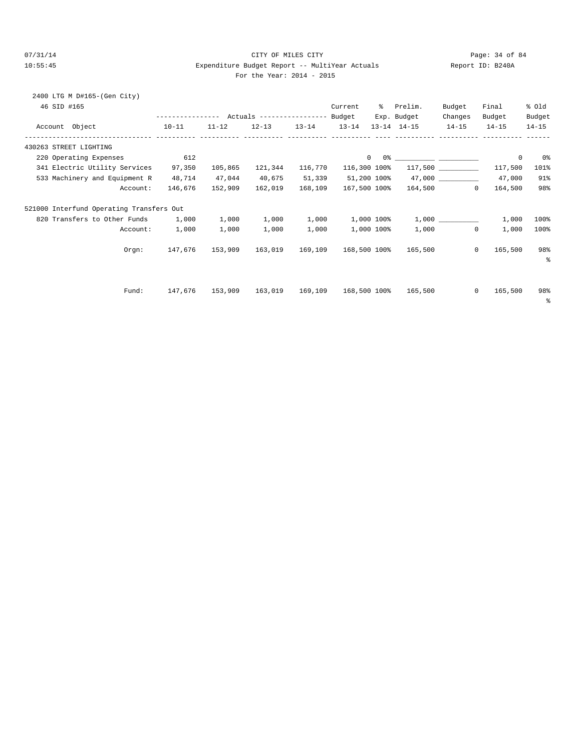#### 07/31/14 Page: 34 of 84 10:55:45 Expenditure Budget Report -- MultiYear Actuals Report ID: B240A For the Year: 2014 - 2015

|  |  | For the Year: $2014 - 20$ |  |  |  |
|--|--|---------------------------|--|--|--|
|--|--|---------------------------|--|--|--|

| 2400 LTG M D#165-(Gen City)<br>46 SID #165 |           |         |                                                 |         | Current      | % Prelim.               | Budget       | Final       | % old     |
|--------------------------------------------|-----------|---------|-------------------------------------------------|---------|--------------|-------------------------|--------------|-------------|-----------|
|                                            |           |         |                                                 |         |              | Exp. Budget             | Changes      | Budget      | Budget    |
| Account Object                             | $10 - 11$ |         | $11-12$ $12-13$ $13-14$ $13-14$ $13-14$ $14-15$ |         |              |                         | $14-15$      | $14 - 15$   | $14 - 15$ |
| 430263 STREET LIGHTING                     |           |         |                                                 |         |              |                         |              |             |           |
| 220 Operating Expenses                     | 612       |         |                                                 |         | $\circ$      |                         |              | $\mathbf 0$ | 0%        |
| 341 Electric Utility Services              | 97,350    | 105,865 | 121,344 116,770                                 |         | 116,300 100% |                         |              | 117,500     | 101%      |
| 533 Machinery and Equipment R              | 48,714    | 47,044  | 40,675                                          | 51,339  | 51,200 100%  |                         |              | 47,000      | 91%       |
| Account:                                   | 146,676   |         | 152,909 162,019                                 | 168,109 | 167,500 100% | 164,500                 | $\Omega$     | 164,500     | 98%       |
| 521000 Interfund Operating Transfers Out   |           |         |                                                 |         |              |                         |              |             |           |
| 820 Transfers to Other Funds 1,000         |           | 1,000   | 1,000                                           | 1,000   |              | $1,000$ $100$ % $1,000$ |              | 1,000       | 100%      |
| Account:                                   | 1,000     | 1,000   | 1,000                                           | 1,000   | 1,000 100%   | 1,000                   | $\mathbf{0}$ | 1,000       | 100%      |
| Orem:                                      | 147.676   | 153,909 | 163,019 169,109                                 |         | 168,500 100% | 165,500                 | $\mathbf{0}$ | 165,500     | 98%       |
|                                            |           |         |                                                 |         |              |                         |              |             | နွ        |
|                                            |           |         |                                                 |         |              |                         |              |             |           |
| Fund:                                      | 147,676   | 153,909 | 163,019 169,109                                 |         | 168,500 100% | 165,500                 | $\circ$      | 165,500     | 98%       |
|                                            |           |         |                                                 |         |              |                         |              |             | ್ಠಿ       |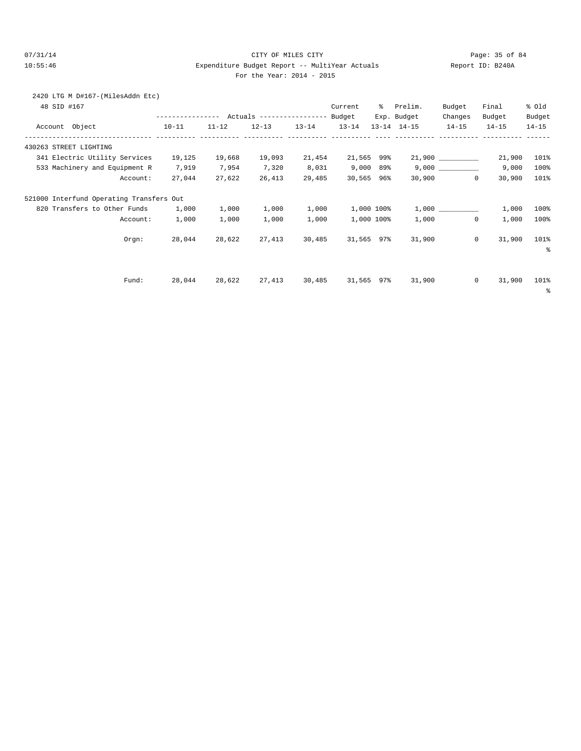2420 LTG M D#167-(MilesAddn Etc)

#### 07/31/14 Page: 35 of 84 10:55:46 Expenditure Budget Report -- MultiYear Actuals Report ID: B240A For the Year: 2014 - 2015

| 48 SID #167 |                                          |           |           |           |           | Current    | ႜႜၟ | Prelim.             | Budget    | Final                    | % old     |
|-------------|------------------------------------------|-----------|-----------|-----------|-----------|------------|-----|---------------------|-----------|--------------------------|-----------|
|             |                                          |           |           |           |           |            |     | Exp. Budget         | Changes   | Budget                   | Budget    |
|             | Account Object                           | $10 - 11$ | $11 - 12$ | $12 - 13$ | $13 - 14$ | $13 - 14$  |     | $13 - 14$ $14 - 15$ | $14 - 15$ | $14 - 15$                | $14 - 15$ |
|             | 430263 STREET LIGHTING                   |           |           |           |           |            |     |                     |           |                          |           |
|             | 341 Electric Utility Services            | 19,125    | 19,668    | 19,093    | 21,454    | 21,565 99% |     |                     |           | 21,900                   | 101%      |
|             | 533 Machinery and Equipment R            | 7,919     | 7,954     | 7,320     | 8,031     | 9,000 89%  |     |                     |           | 9,000                    | 100%      |
|             | Account:                                 | 27,044    | 27,622    | 26,413    | 29,485    | 30,565 96% |     |                     | 30,900    | 30,900<br>$\overline{0}$ | 101%      |
|             | 521000 Interfund Operating Transfers Out |           |           |           |           |            |     |                     |           |                          |           |
|             | 820 Transfers to Other Funds             | 1,000     | 1,000     | 1,000     | 1,000     | 1,000 100% |     |                     |           | 1,000                    | 100%      |
|             | Account:                                 | 1,000     | 1,000     | 1,000     | 1,000     | 1,000 100% |     | 1,000               |           | 1,000<br>$\overline{0}$  | 100%      |
|             | Orem:                                    | 28,044    | 28,622    | 27,413    | 30,485    | 31,565 97% |     | 31,900              |           | $\circ$<br>31,900        | 101%      |
|             |                                          |           |           |           |           |            |     |                     |           |                          | နွ        |
|             |                                          |           |           |           |           |            |     |                     |           |                          |           |
|             | Fund:                                    | 28,044    | 28,622    | 27,413    | 30,485    | 31,565 97% |     | 31,900              |           | $\circ$<br>31,900        | 101%      |
|             |                                          |           |           |           |           |            |     |                     |           |                          | နွ        |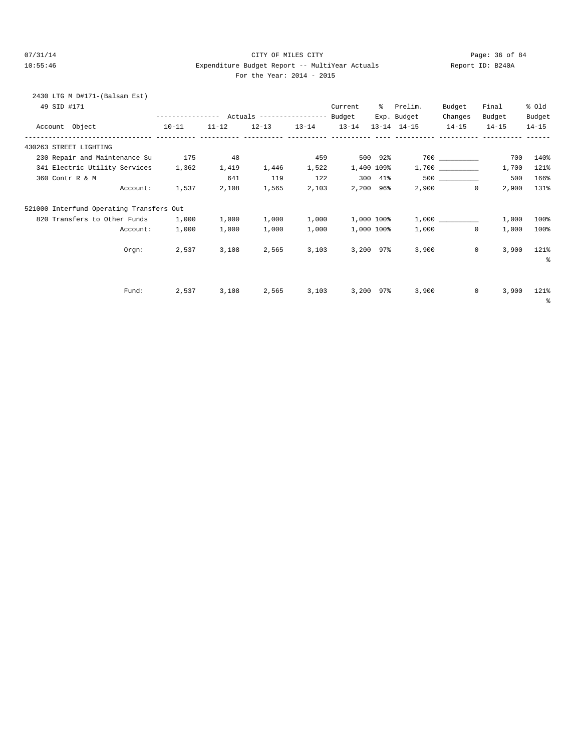#### 07/31/14 Page: 36 of 84 10:55:46 Expenditure Budget Report -- MultiYear Actuals Report ID: B240A For the Year: 2014 - 2015

|  |  | For the Year: $2014 - 20$ |  |  |  |
|--|--|---------------------------|--|--|--|
|--|--|---------------------------|--|--|--|

| <br>. .<br>. .<br> |  |
|--------------------|--|
|                    |  |
|                    |  |
|                    |  |
|                    |  |
|                    |  |

| 2430 LTG M D#171-(Balsam Est)<br>49 SID #171 |           |       |       |             | Current                     | % Prelim.                                                                      | Budget                  | Final                      | % Old               |
|----------------------------------------------|-----------|-------|-------|-------------|-----------------------------|--------------------------------------------------------------------------------|-------------------------|----------------------------|---------------------|
| Account Object                               | $10 - 11$ |       |       |             |                             | Exp. Budget<br>$11-12$ $12-13$ $13-14$ $13-14$ $13-14$ $14-15$ $14-15$ $14-15$ | Changes                 | Budget                     | Budget<br>$14 - 15$ |
| --------------- ---------- -----------       |           |       |       |             | ----------- ---------- ---- |                                                                                |                         |                            |                     |
| 430263 STREET LIGHTING                       |           |       |       |             |                             |                                                                                |                         |                            |                     |
| 230 Repair and Maintenance Su                | 175       | 48    |       | 459         | $500$ 92%                   |                                                                                |                         | 700                        | 140%                |
| 341 Electric Utility Services 1,362          |           | 1,419 |       | 1,446 1,522 | 1,400 109%                  |                                                                                | 1,700                   | 1,700                      | 121%                |
| 360 Contr R & M                              |           | 641   | 119   | 122         | 300 41%                     |                                                                                | 500 ____________        | 500                        | 166%                |
| Account:                                     | 1,537     | 2,108 |       |             | 1,565 2,103 2,200 96%       |                                                                                | $2,900$ 0               | 2,900                      | 131%                |
| 521000 Interfund Operating Transfers Out     |           |       |       |             |                             |                                                                                |                         |                            |                     |
| 820 Transfers to Other Funds                 | 1,000     | 1,000 |       | 1,000 1,000 | 1,000 100%                  |                                                                                |                         | 1,000                      | 100%                |
| Account:                                     | 1,000     | 1,000 | 1,000 | 1,000       | 1,000 100%                  |                                                                                | 1,000<br>$\overline{0}$ | 1,000                      | 100%                |
| Orem:                                        | 2,537     | 3,108 | 2,565 |             | 3,103 3,200 97%             | 3,900                                                                          |                         | $0 \qquad \qquad$<br>3,900 | 121%                |
|                                              |           |       |       |             |                             |                                                                                |                         |                            | ್ಠಿ                 |
| Fund:                                        | 2,537     | 3,108 | 2,565 | 3,103       | 3,200 97%                   | 3,900                                                                          |                         | $^{\circ}$<br>3,900        | 121%                |
|                                              |           |       |       |             |                             |                                                                                |                         |                            | ႜ                   |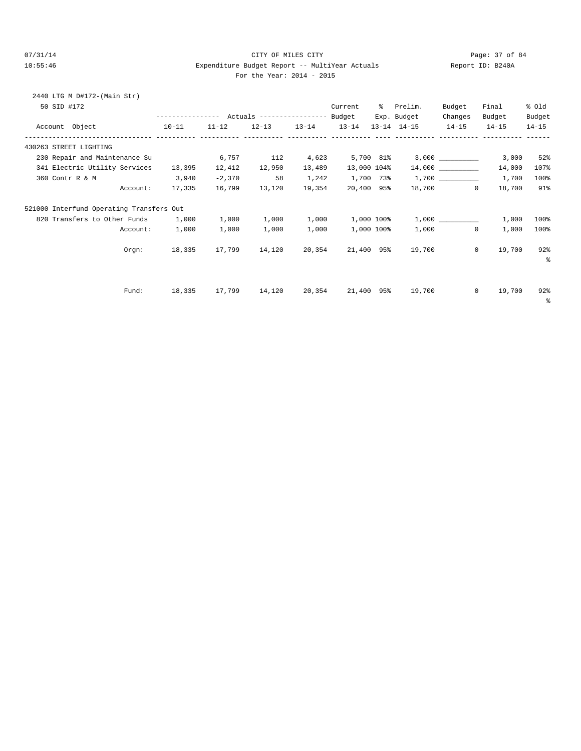### 07/31/14 Page: 37 of 84 10:55:46 Expenditure Budget Report -- MultiYear Actuals Report ID: B240A For the Year: 2014 - 2015

|  | For the Year: $2014$ - $20$ |  |  |
|--|-----------------------------|--|--|
|  |                             |  |  |

| 2440 LTG M D#172-(Main Str)<br>50 SID #172 |                                               |           |        |        | Current     | % Prelim.                                      | Budget   | Final                    | % old     |
|--------------------------------------------|-----------------------------------------------|-----------|--------|--------|-------------|------------------------------------------------|----------|--------------------------|-----------|
|                                            |                                               |           |        |        |             | Exp. Budget                                    | Changes  | Budget                   | Budget    |
| Account Object<br>$10-11$                  |                                               |           |        |        |             | 11-12 12-13 13-14 13-14 13-14 14-15 14-15      |          | $14 - 15$                | $14 - 15$ |
| 430263 STREET LIGHTING                     |                                               |           |        |        |             |                                                |          |                          |           |
| 230 Repair and Maintenance Su              |                                               | 6,757 112 |        |        |             | $4,623$ $5,700$ $81\%$ $3,000$ $\qquad \qquad$ |          | 3,000                    | 52%       |
| 341 Electric Utility Services              | 13,395                                        | 12,412    | 12,950 | 13,489 | 13,000 104% |                                                | 14,000   | 14,000                   | 107%      |
| 3,940<br>360 Contr R & M                   |                                               | $-2,370$  | 58     | 1,242  |             | $1,700$ 73% $1,700$ __________                 |          | 1,700                    | 100%      |
| Account: 17,335 16,799 13,120 19,354       |                                               |           |        |        | 20,400 95%  |                                                | 18,700 0 | 18,700                   | 91%       |
| 521000 Interfund Operating Transfers Out   |                                               |           |        |        |             |                                                |          |                          |           |
| 820 Transfers to Other Funds 1,000         |                                               | 1,000     | 1,000  | 1,000  |             | $1,000$ $100$ % $1,000$                        |          | 1,000                    | 100%      |
|                                            | Account: 1,000                                | 1,000     | 1,000  | 1,000  |             | 1,000 100% 1,000 0                             |          | 1,000                    | 100%      |
|                                            | Orgn: 18,335                                  |           |        |        |             | 17,799  14,120  20,354  21,400  95%  19,700  0 |          | 19,700                   | 92%<br>း  |
| Fund:                                      | 18,335 17,799 14,120 20,354 21,400 95% 19,700 |           |        |        |             |                                                |          | $\overline{0}$<br>19,700 | 92%<br>ႜ  |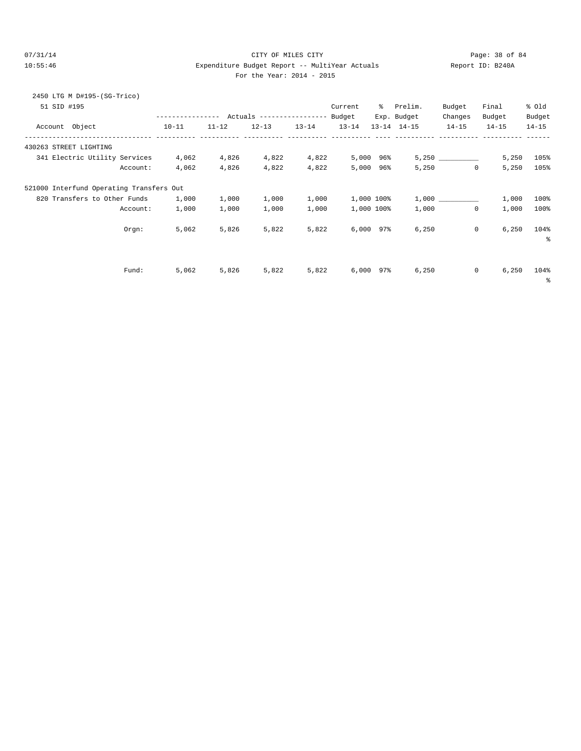# $O7/31/14$  Page: 38 of 84 10:55:46 Expenditure Budget Report -- MultiYear Actuals Report ID: B240A For the Year: 2014 - 2015

| For the Year: $2014 - 20$ |  |  |  |  |  |  |
|---------------------------|--|--|--|--|--|--|
|---------------------------|--|--|--|--|--|--|

| 2450 LTG M D#195-(SG-Trico)<br>51 SID #195 | ---------------- |           |                                               |           | Current        | ွေ  | Prelim.                            | Budget               | Final               | % old               |
|--------------------------------------------|------------------|-----------|-----------------------------------------------|-----------|----------------|-----|------------------------------------|----------------------|---------------------|---------------------|
| Account Object                             | $10 - 11$        | $11 - 12$ | Actuals ----------------- Budget<br>$12 - 13$ | $13 - 14$ | $13 - 14$      |     | Exp. Budget<br>$13 - 14$ $14 - 15$ | Changes<br>$14 - 15$ | Budget<br>$14 - 15$ | Budget<br>$14 - 15$ |
| 430263 STREET LIGHTING                     |                  |           |                                               |           |                |     |                                    |                      |                     |                     |
| 341 Electric Utility Services              | 4,062            | 4,826     | 4,822                                         | 4,822     | 5,000          | 96% |                                    | 5,250                | 5,250               | 105%                |
| Account:                                   | 4,062            | 4,826     | 4,822                                         | 4,822     | 5,000          | 96% | 5,250                              | $\circ$              | 5,250               | 105%                |
| 521000 Interfund Operating Transfers Out   |                  |           |                                               |           |                |     |                                    |                      |                     |                     |
| 820 Transfers to Other Funds               | 1,000            | 1,000     | 1,000                                         | 1,000     | 1,000 100%     |     |                                    | $1,000$ $\qquad$     | 1,000               | 100%                |
| Account:                                   | 1,000            | 1,000     | 1,000                                         | 1,000     | 1,000 100%     |     | 1,000                              | $\mathbf 0$          | 1,000               | 100%                |
| Orgn:                                      | 5,062            | 5,826     | 5,822                                         | 5,822     | $6,000$ $97\%$ |     | 6,250                              | $\mathbf 0$          | 6,250               | 104%<br>နွ          |
| Fund:                                      | 5,062            | 5,826     | 5,822                                         | 5,822     | 6,000          | 97% | 6,250                              | 0                    | 6,250               | 104%<br>နွ          |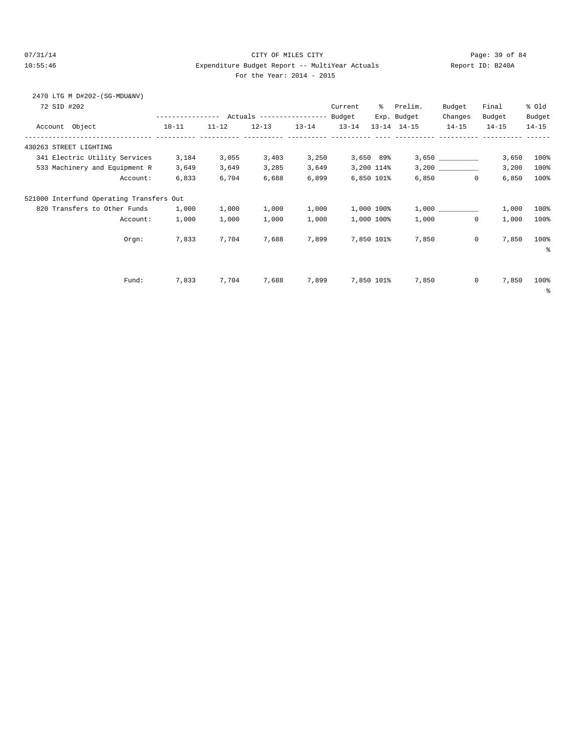2470 LTG M D#202-(SG-MDU&NV)

## 07/31/14 Page: 39 of 84 10:55:46 Expenditure Budget Report -- MultiYear Actuals Report ID: B240A For the Year: 2014 - 2015

| 72 SID #202                              | ---------------- |           | Actuals ----------------- |           | Current<br>Budget | ွေ          | Prelim.<br>Exp. Budget | Budget<br>Changes | Final<br>Budget | % old<br>Budget |
|------------------------------------------|------------------|-----------|---------------------------|-----------|-------------------|-------------|------------------------|-------------------|-----------------|-----------------|
| Account Object                           | $10 - 11$        | $11 - 12$ | $12 - 13$                 | $13 - 14$ | $13 - 14$         |             | $13 - 14$ $14 - 15$    | $14 - 15$         | $14 - 15$       | $14 - 15$       |
| 430263 STREET LIGHTING                   |                  |           |                           |           |                   |             |                        |                   |                 |                 |
| 341 Electric Utility Services            | 3,184            | 3,055     | 3,403                     | 3,250     |                   | $3,650$ 89% |                        | 3,650             | 3,650           | 100%            |
| 533 Machinery and Equipment R            | 3,649            | 3,649     | 3,285                     | 3,649     |                   | 3,200 114%  |                        |                   | 3,200           | 100%            |
| Account:                                 | 6,833            | 6,704     | 6,688                     | 6,899     |                   | 6,850 101%  | 6,850                  | $\mathbf 0$       | 6,850           | 100%            |
| 521000 Interfund Operating Transfers Out |                  |           |                           |           |                   |             |                        |                   |                 |                 |
| 820 Transfers to Other Funds             | 1,000            | 1,000     | 1,000                     | 1,000     |                   | 1,000 100%  |                        |                   | 1,000           | 100%            |
| Account:                                 | 1,000            | 1,000     | 1,000                     | 1,000     |                   | 1,000 100%  | 1,000                  | 0                 | 1,000           | 100%            |
| Orem:                                    | 7,833            | 7,704     | 7,688                     | 7,899     |                   | 7,850 101%  | 7,850                  | 0                 | 7,850           | 100%<br>နွ      |
|                                          |                  |           |                           |           |                   |             |                        |                   |                 |                 |
| Fund:                                    | 7,833            | 7,704     | 7,688                     | 7,899     |                   | 7,850 101%  | 7,850                  | 0                 | 7,850           | 100%<br>ႜ       |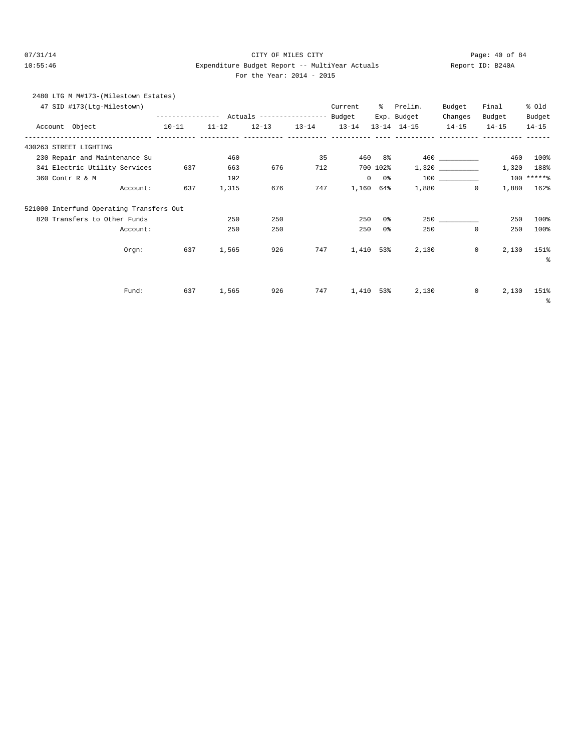# 07/31/14 Page: 40 of 84 10:55:46 Expenditure Budget Report -- MultiYear Actuals Report ID: B240A For the Year: 2014 - 2015

| 2480 LTG M M#173-(Milestown Estates) |                  |           |           |                           |         |                         |           |           |           |
|--------------------------------------|------------------|-----------|-----------|---------------------------|---------|-------------------------|-----------|-----------|-----------|
| 47 SID #173(Ltg-Milestown)           |                  |           |           |                           | Current | Prelim.                 | Budget    | Final     | % old     |
|                                      | ---------------- |           |           | Actuals ----------------- | Budget  | Exp. Budget             | Changes   | Budget    | Budget    |
| Account Object                       | $10 - 11$        | $11 - 12$ | $12 - 13$ | $13 - 14$                 |         | $13-14$ $13-14$ $14-15$ | $14 - 15$ | $14 - 15$ | $14 - 15$ |
|                                      |                  |           |           |                           |         |                         |           |           |           |

| 430263 STREET LIGHTING                   |     |       |     |     |           |          |       |             |       |            |
|------------------------------------------|-----|-------|-----|-----|-----------|----------|-------|-------------|-------|------------|
| 230 Repair and Maintenance Su            |     | 460   |     | 35  | 460       | $8\,$    |       | 460 000     | 460   | 100%       |
| 341 Electric Utility Services            | 637 | 663   | 676 | 712 |           | 700 102% |       |             | 1,320 | 188%       |
| 360 Contr R & M                          |     | 192   |     |     | $\circ$   | 0 %      |       |             |       | 100 ****** |
| Account:                                 | 637 | 1,315 | 676 | 747 | 1,160     | 64%      | 1,880 | 0           | 1,880 | 162%       |
| 521000 Interfund Operating Transfers Out |     |       |     |     |           |          |       |             |       |            |
| 820 Transfers to Other Funds             |     | 250   | 250 |     | 250       | 0%       |       | 250         | 250   | 100%       |
| Account:                                 |     | 250   | 250 |     | 250       | 0%       | 250   | $\mathbf 0$ | 250   | 100%       |
| Orgn:                                    | 637 | 1,565 | 926 | 747 | 1,410 53% |          | 2,130 | 0           | 2,130 | 151%<br>နွ |
|                                          |     |       |     |     |           |          |       |             |       |            |
| Fund:                                    | 637 | 1,565 | 926 | 747 | 1,410     | 53%      | 2,130 | 0           | 2,130 | 151%       |
|                                          |     |       |     |     |           |          |       |             |       | နွ         |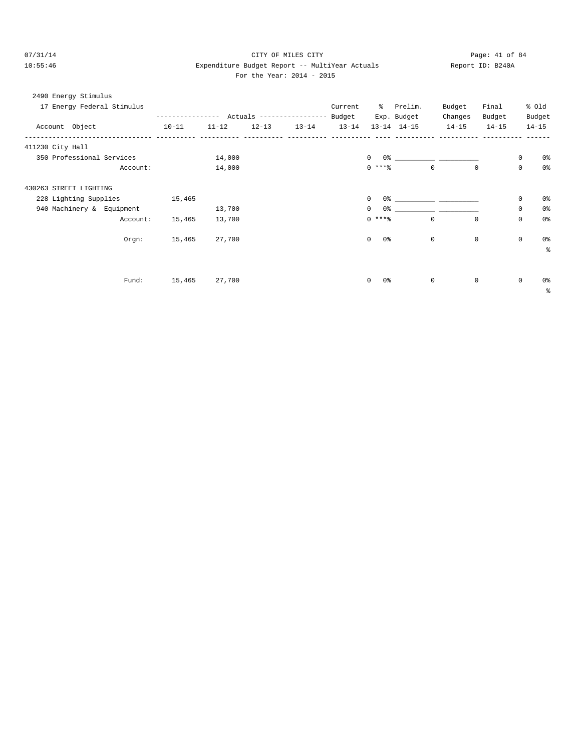# 07/31/14 Page: 41 of 84 10:55:46 Expenditure Budget Report -- MultiYear Actuals Report ID: B240A For the Year: 2014 - 2015

| 2490 Energy Stimulus |  |
|----------------------|--|
|----------------------|--|

| 17 Energy Federal Stimulus |          |           |           |                         | Current |                     | % Prelim.         | Budget                                                                                                                                                                                                                                                                                                                                                             | Final       |             | % old     |
|----------------------------|----------|-----------|-----------|-------------------------|---------|---------------------|-------------------|--------------------------------------------------------------------------------------------------------------------------------------------------------------------------------------------------------------------------------------------------------------------------------------------------------------------------------------------------------------------|-------------|-------------|-----------|
|                            |          |           |           |                         |         |                     | Exp. Budget       | Changes                                                                                                                                                                                                                                                                                                                                                            | Budget      |             | Budget    |
| Account Object             |          | $10 - 11$ | $11 - 12$ | $12-13$ $13-14$ $13-14$ |         |                     | 13-14 14-15 14-15 |                                                                                                                                                                                                                                                                                                                                                                    | $14 - 15$   |             | $14 - 15$ |
| 411230 City Hall           |          |           |           |                         |         |                     |                   |                                                                                                                                                                                                                                                                                                                                                                    |             |             |           |
| 350 Professional Services  |          |           | 14,000    |                         |         |                     |                   | $\begin{picture}(150,10) \put(0,0){\vector(1,0){100}} \put(15,0){\vector(1,0){100}} \put(15,0){\vector(1,0){100}} \put(15,0){\vector(1,0){100}} \put(15,0){\vector(1,0){100}} \put(15,0){\vector(1,0){100}} \put(15,0){\vector(1,0){100}} \put(15,0){\vector(1,0){100}} \put(15,0){\vector(1,0){100}} \put(15,0){\vector(1,0){100}} \put(15,0){\vector(1,0){100}}$ |             | 0           | 0%        |
|                            | Account: |           | 14,000    |                         |         | $0***$ $*$          |                   | $\overline{0}$                                                                                                                                                                                                                                                                                                                                                     | $\circ$     | 0           | 0%        |
| 430263 STREET LIGHTING     |          |           |           |                         |         |                     |                   |                                                                                                                                                                                                                                                                                                                                                                    |             |             |           |
| 228 Lighting Supplies      |          | 15,465    |           |                         |         | $\mathbf{0}$        |                   |                                                                                                                                                                                                                                                                                                                                                                    |             | 0           | 0%        |
| 940 Machinery & Equipment  |          |           | 13,700    |                         |         | $\circ$             |                   |                                                                                                                                                                                                                                                                                                                                                                    |             | $\mathbb O$ | 0%        |
|                            | Account: | 15,465    | 13,700    |                         |         | $0$ ****            |                   | 0                                                                                                                                                                                                                                                                                                                                                                  | $\circ$     | 0           | 0%        |
|                            | Orem:    | 15,465    | 27,700    |                         |         | $\circ$<br>0%       |                   | $\circ$                                                                                                                                                                                                                                                                                                                                                            | $\mathbf 0$ | 0           | 0%        |
|                            |          |           |           |                         |         |                     |                   |                                                                                                                                                                                                                                                                                                                                                                    |             |             | る         |
|                            |          |           |           |                         |         |                     |                   |                                                                                                                                                                                                                                                                                                                                                                    |             |             |           |
|                            | Fund:    | 15,465    | 27,700    |                         |         | $\mathbf{0}$<br>0 % |                   | $\circ$                                                                                                                                                                                                                                                                                                                                                            | $\mathbf 0$ | 0           | 0%        |
|                            |          |           |           |                         |         |                     |                   |                                                                                                                                                                                                                                                                                                                                                                    |             |             | နွ        |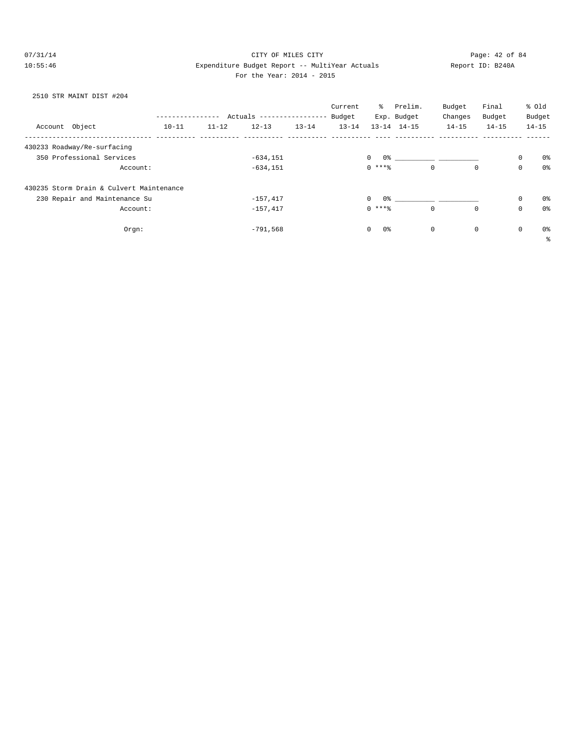## 07/31/14 Page: 42 of 84 10:55:46 Expenditure Budget Report -- MultiYear Actuals Report ID: B240A For the Year: 2014 - 2015

# 2510 STR MAINT DIST #204

|                                          |           |           |                           |           | Current   | ိ                  | Prelim.                                    | Budget       | Final       |             | % old      |
|------------------------------------------|-----------|-----------|---------------------------|-----------|-----------|--------------------|--------------------------------------------|--------------|-------------|-------------|------------|
|                                          |           |           | Actuals ----------------- |           | Budget    |                    | Exp. Budget                                | Changes      | Budget      |             | Budget     |
| Account Object                           | $10 - 11$ | $11 - 12$ | $12 - 13$                 | $13 - 14$ | $13 - 14$ |                    | $13 - 14$ $14 - 15$                        | $14 - 15$    | $14 - 15$   |             | $14 - 15$  |
| 430233 Roadway/Re-surfacing              |           |           |                           |           |           |                    |                                            |              |             |             |            |
| 350 Professional Services                |           |           | $-634, 151$               |           |           | $\circ$            |                                            |              |             | $\mathbf 0$ | 0%         |
| Account:                                 |           |           | $-634, 151$               |           |           | $0***8$            |                                            | $\mathbf{0}$ | $\mathbf 0$ | $\mathbf 0$ | 0%         |
| 430235 Storm Drain & Culvert Maintenance |           |           |                           |           |           |                    |                                            |              |             |             |            |
| 230 Repair and Maintenance Su            |           |           | $-157,417$                |           |           | $\circ$            | 0.왕 - 이 그는 아이들은 아이들의 사람들은 아이들의 사람들을 하고 있다. |              |             | $\mathbf 0$ | 0%         |
| Account:                                 |           |           | $-157,417$                |           |           | $0***8$            |                                            | $\mathbf 0$  | $\mathbf 0$ | $\mathbf 0$ | 0%         |
| Orgn:                                    |           |           | $-791,568$                |           |           | 0%<br>$\mathbf{0}$ |                                            | 0            | $\mathbf 0$ | $\mathbf 0$ | 0%         |
|                                          |           |           |                           |           |           |                    |                                            |              |             |             | $\epsilon$ |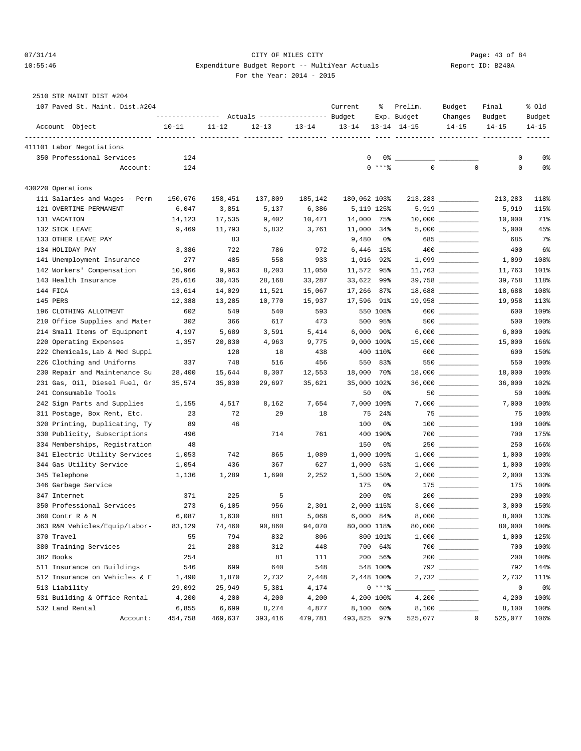# 07/31/14 Page: 43 of 84 10:55:46 Expenditure Budget Report -- MultiYear Actuals Report ID: B240A For the Year: 2014 - 2015

|  | 2510 STR MAINT DIST #204 |                                            |  |
|--|--------------------------|--------------------------------------------|--|
|  |                          | $107$ Decad Of Maint $D_{\text{int}}$ 4004 |  |

| 107 Paved St. Maint. Dist.#204 |                                                 |           |           |           | Current      | ႜ              | Prelim.             | Budget                                                                                                                                                                                                                                                                                                                                                                               | Final       | % old     |
|--------------------------------|-------------------------------------------------|-----------|-----------|-----------|--------------|----------------|---------------------|--------------------------------------------------------------------------------------------------------------------------------------------------------------------------------------------------------------------------------------------------------------------------------------------------------------------------------------------------------------------------------------|-------------|-----------|
|                                | --------------- Actuals ---------------- Budget |           |           |           |              |                | Exp. Budget         | Changes                                                                                                                                                                                                                                                                                                                                                                              | Budget      | Budget    |
| Account Object                 | $10 - 11$                                       | $11 - 12$ | $12 - 13$ | $13 - 14$ | $13 - 14$    |                | $13 - 14$ $14 - 15$ | $14 - 15$                                                                                                                                                                                                                                                                                                                                                                            | $14 - 15$   | $14 - 15$ |
| 411101 Labor Negotiations      |                                                 |           |           |           |              |                |                     |                                                                                                                                                                                                                                                                                                                                                                                      |             |           |
| 350 Professional Services      | 124                                             |           |           |           | $\mathbf{0}$ |                |                     |                                                                                                                                                                                                                                                                                                                                                                                      | 0           | 0%        |
| Account:                       | 124                                             |           |           |           |              | $0$ ****       | $\mathbf 0$         | $\mathbf 0$                                                                                                                                                                                                                                                                                                                                                                          | 0           | 0%        |
| 430220 Operations              |                                                 |           |           |           |              |                |                     |                                                                                                                                                                                                                                                                                                                                                                                      |             |           |
| 111 Salaries and Wages - Perm  | 150,676                                         | 158,451   | 137,809   | 185,142   | 180,062 103% |                |                     | 213, 283                                                                                                                                                                                                                                                                                                                                                                             | 213,283     | 118%      |
| 121 OVERTIME-PERMANENT         | 6,047                                           | 3,851     | 5,137     | 6,386     |              | 5,119 125%     |                     | 5,919 __________                                                                                                                                                                                                                                                                                                                                                                     | 5,919       | 115%      |
| 131 VACATION                   | 14,123                                          | 17,535    | 9,402     | 10,471    | 14,000       | 75%            |                     | $10,000$ _____________                                                                                                                                                                                                                                                                                                                                                               | 10,000      | 71%       |
| 132 SICK LEAVE                 | 9,469                                           | 11,793    | 5,832     | 3,761     | 11,000 34%   |                |                     |                                                                                                                                                                                                                                                                                                                                                                                      | 5,000       | 45%       |
| 133 OTHER LEAVE PAY            |                                                 | 83        |           |           | 9,480        | 0%             |                     |                                                                                                                                                                                                                                                                                                                                                                                      | 685         | $7\%$     |
| 134 HOLIDAY PAY                | 3,386                                           | 722       | 786       | 972       | 6,446        | 15%            |                     |                                                                                                                                                                                                                                                                                                                                                                                      | 400         | 6%        |
| 141 Unemployment Insurance     | 277                                             | 485       | 558       | 933       | 1,016        | 92%            |                     |                                                                                                                                                                                                                                                                                                                                                                                      | 1,099       | 108%      |
| 142 Workers' Compensation      | 10,966                                          | 9,963     | 8,203     | 11,050    | 11,572       | 95%            |                     |                                                                                                                                                                                                                                                                                                                                                                                      | 11,763      | 101%      |
| 143 Health Insurance           | 25,616                                          | 30,435    | 28,168    | 33,287    | 33,622       | 99%            |                     | 39,758 _________                                                                                                                                                                                                                                                                                                                                                                     | 39,758      | 118%      |
| 144 FICA                       | 13,614                                          | 14,029    | 11,521    | 15,067    | 17,266 87%   |                |                     |                                                                                                                                                                                                                                                                                                                                                                                      | 18,688      | 108%      |
| 145 PERS                       | 12,388                                          | 13,285    | 10,770    | 15,937    | 17,596 91%   |                |                     |                                                                                                                                                                                                                                                                                                                                                                                      | 19,958      | 113%      |
| 196 CLOTHING ALLOTMENT         | 602                                             | 549       | 540       | 593       |              | 550 108%       |                     | $\begin{picture}(0,0) \put(0,0){\dashbox{0.5}(0,0){ }} \put(1,0){\dashbox{0.5}(0,0){ }} \put(1,0){\dashbox{0.5}(0,0){ }} \put(1,0){\dashbox{0.5}(0,0){ }} \put(1,0){\dashbox{0.5}(0,0){ }} \put(1,0){\dashbox{0.5}(0,0){ }} \put(1,0){\dashbox{0.5}(0,0){ }} \put(1,0){\dashbox{0.5}(0,0){ }} \put(1,0){\dashbox{0.5}(0,0){ }} \put(1,0){\dashbox{0.5}(0,0){ }} \put(1,0){\dashbox{$ | 600         | 109%      |
| 210 Office Supplies and Mater  | 302                                             | 366       | 617       | 473       | 500          | 95%            |                     |                                                                                                                                                                                                                                                                                                                                                                                      | 500         | 100%      |
| 214 Small Items of Equipment   | 4,197                                           | 5,689     | 3,591     | 5,414     |              | $6,000$ $90\%$ |                     |                                                                                                                                                                                                                                                                                                                                                                                      | 6,000       | 100%      |
| 220 Operating Expenses         | 1,357                                           | 20,830    | 4,963     | 9,775     |              | 9,000 109%     |                     |                                                                                                                                                                                                                                                                                                                                                                                      | 15,000      | 166%      |
| 222 Chemicals, Lab & Med Suppl |                                                 | 128       | 18        | 438       |              | 400 110%       |                     | 600 000                                                                                                                                                                                                                                                                                                                                                                              | 600         | 150%      |
| 226 Clothing and Uniforms      | 337                                             | 748       | 516       | 456       | 550          | 83%            |                     | 550                                                                                                                                                                                                                                                                                                                                                                                  | 550         | 100%      |
| 230 Repair and Maintenance Su  | 28,400                                          | 15,644    | 8,307     | 12,553    | 18,000       | 70%            |                     |                                                                                                                                                                                                                                                                                                                                                                                      | 18,000      | 100%      |
| 231 Gas, Oil, Diesel Fuel, Gr  | 35,574                                          | 35,030    | 29,697    | 35,621    | 35,000 102%  |                |                     |                                                                                                                                                                                                                                                                                                                                                                                      | 36,000      | 102%      |
| 241 Consumable Tools           |                                                 |           |           |           | 50           | 0%             |                     |                                                                                                                                                                                                                                                                                                                                                                                      | 50          | 100%      |
| 242 Sign Parts and Supplies    | 1,155                                           | 4,517     | 8,162     | 7,654     |              | 7,000 109%     |                     |                                                                                                                                                                                                                                                                                                                                                                                      | 7,000       | 100%      |
| 311 Postage, Box Rent, Etc.    | 23                                              | 72        | 29        | 18        |              | 75 24%         |                     |                                                                                                                                                                                                                                                                                                                                                                                      | 75          | 100%      |
| 320 Printing, Duplicating, Ty  | 89                                              | 46        |           |           | 100          | 0%             |                     |                                                                                                                                                                                                                                                                                                                                                                                      | 100         | 100%      |
| 330 Publicity, Subscriptions   | 496                                             |           | 714       | 761       |              | 400 190%       |                     |                                                                                                                                                                                                                                                                                                                                                                                      | 700         | 175%      |
| 334 Memberships, Registration  | 48                                              |           |           |           | 150          | 0%             |                     |                                                                                                                                                                                                                                                                                                                                                                                      | 250         | 166%      |
| 341 Electric Utility Services  | 1,053                                           | 742       | 865       | 1,089     |              | 1,000 109%     |                     |                                                                                                                                                                                                                                                                                                                                                                                      | 1,000       | 100%      |
| 344 Gas Utility Service        | 1,054                                           | 436       | 367       | 627       | 1,000        | 63%            |                     |                                                                                                                                                                                                                                                                                                                                                                                      | 1,000       | 100%      |
| 345 Telephone                  | 1,136                                           | 1,289     | 1,690     | 2,252     |              | 1,500 150%     |                     |                                                                                                                                                                                                                                                                                                                                                                                      | 2,000       | 133%      |
| 346 Garbage Service            |                                                 |           |           |           | 175          | 0%             |                     |                                                                                                                                                                                                                                                                                                                                                                                      | 175         | 100%      |
| 347 Internet                   | 371                                             | 225       | 5         |           | 200          | 0%             |                     |                                                                                                                                                                                                                                                                                                                                                                                      | 200         | 100%      |
| 350 Professional Services      | 273                                             | 6,105     | 956       | 2,301     |              | 2,000 115%     |                     |                                                                                                                                                                                                                                                                                                                                                                                      | 3,000       | 150%      |
| 360 Contr R & M                | 6,087                                           | 1,630     | 881       | 5,068     |              | $6,000$ $84\%$ |                     |                                                                                                                                                                                                                                                                                                                                                                                      | 8,000       | 133%      |
| 363 R&M Vehicles/Equip/Labor-  | 83,129                                          | 74,460    | 90,860    | 94,070    | 80,000 118%  |                |                     |                                                                                                                                                                                                                                                                                                                                                                                      | 80,000      | 100%      |
| 370 Travel                     | 55                                              | 794       | 832       | 806       |              | 800 101%       |                     |                                                                                                                                                                                                                                                                                                                                                                                      | 1,000       | 125%      |
| 380 Training Services          | 21                                              | 288       | 312       | 448       |              | 700 64%        |                     |                                                                                                                                                                                                                                                                                                                                                                                      | 700         | 100%      |
| 382 Books                      | 254                                             |           | 81        | 111       |              | 200 56%        |                     |                                                                                                                                                                                                                                                                                                                                                                                      | 200         | 100%      |
| 511 Insurance on Buildings     | 546                                             | 699       | 640       | 548       |              | 548 100%       |                     |                                                                                                                                                                                                                                                                                                                                                                                      | 792         | 144%      |
| 512 Insurance on Vehicles & E  | 1,490                                           | 1,870     | 2,732     | 2,448     |              | 2,448 100%     |                     | 2,732 _________                                                                                                                                                                                                                                                                                                                                                                      | 2,732       | 111%      |
| 513 Liability                  | 29,092                                          | 25,949    | 5,381     | 4,174     |              | $0***8$        |                     |                                                                                                                                                                                                                                                                                                                                                                                      | $\mathbf 0$ | 0%        |
| 531 Building & Office Rental   | 4,200                                           | 4,200     | 4,200     | 4,200     |              | 4,200 100%     |                     |                                                                                                                                                                                                                                                                                                                                                                                      | 4,200       | 100%      |
| 532 Land Rental                | 6,855                                           | 6,699     | 8,274     | 4,877     |              | 8,100 60%      |                     |                                                                                                                                                                                                                                                                                                                                                                                      | 8,100       | 100%      |
| Account:                       | 454,758                                         | 469,637   | 393,416   | 479,781   | 493,825 97%  |                | 525,077             | $\overline{0}$                                                                                                                                                                                                                                                                                                                                                                       | 525,077     | 106%      |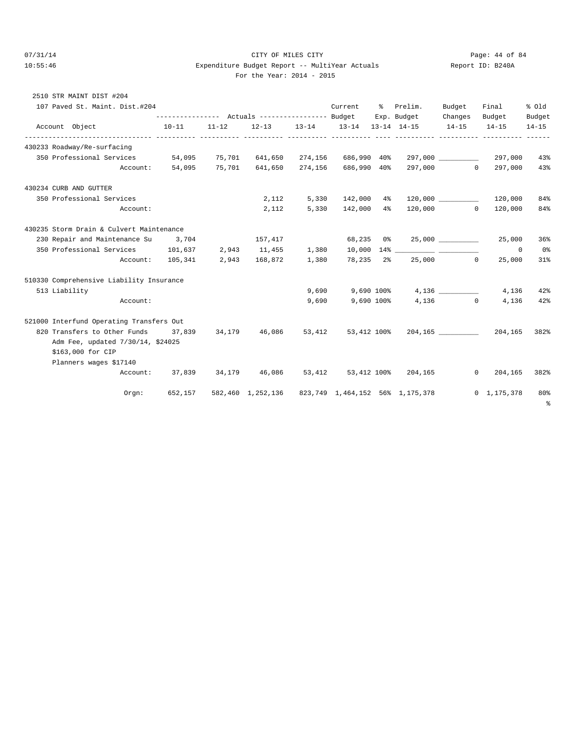# $O7/31/14$  Page: 44 of 84 10:55:46 Expenditure Budget Report -- MultiYear Actuals Report ID: B240A For the Year: 2014 - 2015

| For the Year: $2014 - 20$ |  |  |  |
|---------------------------|--|--|--|
|---------------------------|--|--|--|

| 2510 STR MAINT DIST #204                                                            |           |       |                               |        |                                                                 |  |                                                                                  |        |                                |                 |
|-------------------------------------------------------------------------------------|-----------|-------|-------------------------------|--------|-----------------------------------------------------------------|--|----------------------------------------------------------------------------------|--------|--------------------------------|-----------------|
| 107 Paved St. Maint. Dist.#204                                                      |           |       |                               |        | Current                                                         |  | % Prelim.<br>--------------- Actuals ---------------- Budget Exp. Budget Changes | Budget | Final<br>Budget                | % old<br>Budget |
| Account Object                                                                      | $10 - 11$ |       |                               |        | $11-12$ $12-13$ $13-14$ $13-14$ $13-14$ $14-15$ $14-15$ $14-15$ |  |                                                                                  |        |                                | $14 - 15$       |
| 430233 Roadway/Re-surfacing                                                         |           |       |                               |        |                                                                 |  |                                                                                  |        |                                |                 |
| 350 Professional Services 54,095 75,701 641,650 274,156 686,990 40% 297,000 287,000 |           |       |                               |        |                                                                 |  |                                                                                  |        |                                | 43%             |
|                                                                                     |           |       |                               |        |                                                                 |  | Account: 54,095 75,701 641,650 274,156 686,990 40% 297,000 0 297,000             |        |                                | 43%             |
| 430234 CURB AND GUTTER                                                              |           |       |                               |        |                                                                 |  |                                                                                  |        |                                |                 |
| 350 Professional Services                                                           |           |       | 2,112                         |        |                                                                 |  | 5,330  142,000  4%  120,000  120,000  120,000                                    |        |                                | 84%             |
| Account:                                                                            |           |       | 2,112                         |        |                                                                 |  | 5,330 142,000 4% 120,000 0 120,000                                               |        |                                | 84%             |
| 430235 Storm Drain & Culvert Maintenance                                            |           |       |                               |        |                                                                 |  |                                                                                  |        |                                |                 |
| 230 Repair and Maintenance Su 3,704                                                 |           |       | 157,417                       |        |                                                                 |  |                                                                                  |        | 25,000                         | 36%             |
| 350 Professional Services 101,637                                                   |           | 2,943 | 11,455                        | 1,380  |                                                                 |  |                                                                                  |        | $^{\circ}$                     | 0%              |
| Account: 105,341 2,943 168,872 1,380                                                |           |       |                               |        |                                                                 |  | 78,235 2% 25,000 0                                                               |        | 25,000                         | 31%             |
| 510330 Comprehensive Liability Insurance                                            |           |       |                               |        |                                                                 |  |                                                                                  |        |                                |                 |
| 513 Liability                                                                       |           |       |                               | 9,690  |                                                                 |  | 9,690 100%                                                                       | 4,136  | 4,136                          | 42%             |
| Account:                                                                            |           |       |                               | 9,690  |                                                                 |  | 9,690 100% 4,136 0                                                               |        | 4,136                          | 42%             |
| 521000 Interfund Operating Transfers Out                                            |           |       |                               |        |                                                                 |  |                                                                                  |        |                                |                 |
| 820 Transfers to Other Funds 37,839 34,179 46,086                                   |           |       |                               | 53,412 |                                                                 |  | 53,412 100% 204,165 204,165 382%                                                 |        |                                |                 |
| Adm Fee, updated 7/30/14, \$24025                                                   |           |       |                               |        |                                                                 |  |                                                                                  |        |                                |                 |
| \$163,000 for CIP                                                                   |           |       |                               |        |                                                                 |  |                                                                                  |        |                                |                 |
| Planners wages \$17140                                                              |           |       |                               |        |                                                                 |  |                                                                                  |        |                                |                 |
|                                                                                     |           |       | Account: 37,839 34,179 46,086 | 53,412 |                                                                 |  | 53,412 100% 204,165                                                              |        | $\Omega$<br>204,165            | 382%            |
| $0$ rqn:                                                                            | 652,157   |       |                               |        |                                                                 |  | 582,460 1,252,136 823,749 1,464,152 56% 1,175,378                                |        | $0 \quad 1,175,378 \quad 80\%$ | နွ              |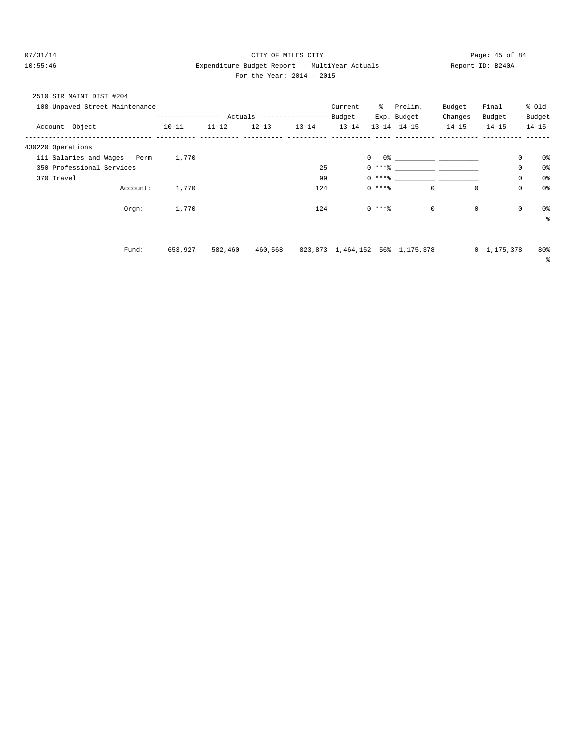# $O7/31/14$  Page: 45 of 84 10:55:46 Expenditure Budget Report -- MultiYear Actuals Report ID: B240A For the Year: 2014 - 2015

| For the Year: $2014 - 20$ |  |  |  |
|---------------------------|--|--|--|
|---------------------------|--|--|--|

| 2510 STR MAINT DIST #204 |                                |               |           |                           |           |           |            |                                 |           |                     |             |           |
|--------------------------|--------------------------------|---------------|-----------|---------------------------|-----------|-----------|------------|---------------------------------|-----------|---------------------|-------------|-----------|
|                          | 108 Unpaved Street Maintenance |               |           |                           |           | Current   | ိ          | Prelim.                         | Budget    | Final               |             | % old     |
|                          |                                | ------------- |           | Actuals ----------------- |           | Budget    |            | Exp. Budget                     | Changes   | Budget              |             | Budget    |
| Account Object           |                                | $10 - 11$     | $11 - 12$ | $12 - 13$                 | $13 - 14$ | $13 - 14$ |            | $13 - 14$ $14 - 15$             | $14 - 15$ | $14 - 15$           |             | $14 - 15$ |
| 430220 Operations        |                                |               |           |                           |           |           |            |                                 |           |                     |             |           |
|                          | 111 Salaries and Wages - Perm  | 1,770         |           |                           |           |           | 0          |                                 |           |                     | 0           | 0%        |
|                          | 350 Professional Services      |               |           |                           | 25        |           | $0***$ $*$ |                                 |           |                     | 0           | 0%        |
| 370 Travel               |                                |               |           |                           | 99        |           | $0***$     |                                 |           |                     | 0           | 0%        |
|                          | Account:                       | 1,770         |           |                           | 124       |           | $0***$     | 0                               |           | $^{\circ}$          | $\mathbf 0$ | 0%        |
|                          | Orgn:                          | 1,770         |           |                           | 124       |           | $0***$     | $\mathbf 0$                     |           | 0                   | $\mathbb O$ | 0%        |
|                          |                                |               |           |                           |           |           |            |                                 |           |                     |             | る         |
|                          |                                |               |           |                           |           |           |            |                                 |           |                     |             |           |
|                          | Fund:                          | 653,927       | 582,460   | 460,568                   |           |           |            | 823,873 1,464,152 56% 1,175,378 |           | $0 \quad 1,175,378$ |             | 80%       |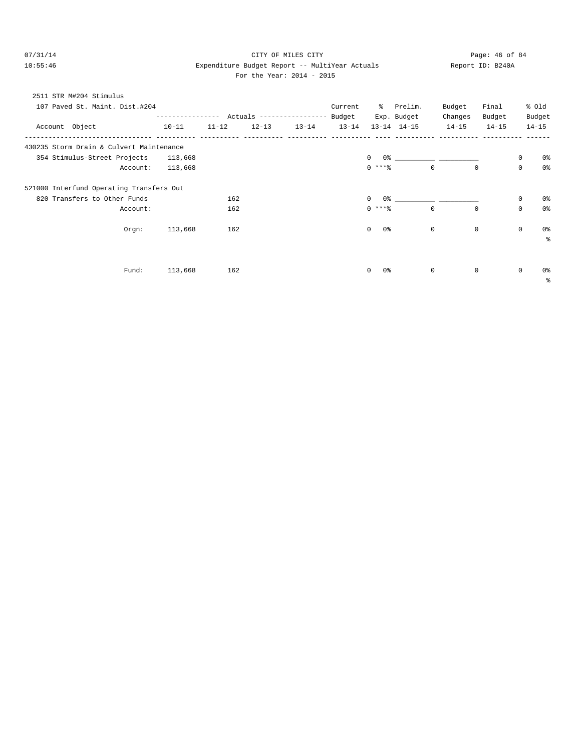# $O7/31/14$  Page: 46 of 84 10:55:46 Expenditure Budget Report -- MultiYear Actuals Report ID: B240A For the Year: 2014 - 2015

| For the Year: $2014 - 201$ |
|----------------------------|
|----------------------------|

| 2511 STR M#204 Stimulus                  |           |           |                         |         |                    |                     |           |             |             |                |
|------------------------------------------|-----------|-----------|-------------------------|---------|--------------------|---------------------|-----------|-------------|-------------|----------------|
| 107 Paved St. Maint. Dist.#204           |           |           |                         | Current |                    | % Prelim.           | Budget    | Final       |             | % Old          |
|                                          |           |           |                         |         |                    | Exp. Budget         | Changes   | Budget      |             | Budget         |
| Account Object                           | $10 - 11$ | $11 - 12$ | $12-13$ $13-14$ $13-14$ |         |                    | $13 - 14$ $14 - 15$ | $14 - 15$ | $14 - 15$   |             | $14 - 15$      |
| 430235 Storm Drain & Culvert Maintenance |           |           |                         |         |                    |                     |           |             |             |                |
| 354 Stimulus-Street Projects             | 113,668   |           |                         |         | $\Omega$           |                     |           |             | 0           | 0%             |
| Account:                                 | 113,668   |           |                         |         | $0$ ****           | $\Omega$            |           | $\Omega$    | $\mathbf 0$ | 0 <sup>8</sup> |
| 521000 Interfund Operating Transfers Out |           |           |                         |         |                    |                     |           |             |             |                |
| 820 Transfers to Other Funds             |           | 162       |                         |         | $\Omega$           |                     |           |             | 0           | 0%             |
| Account:                                 |           | 162       |                         |         | $0$ ****           | $\circ$             |           | $\mathbf 0$ | $\mathbf 0$ | 0%             |
| $Orgn$ :                                 | 113,668   | 162       |                         |         | $\circ$<br>0 %     | $\circ$             |           | $\mathbf 0$ | $\mathbf 0$ | 0%             |
|                                          |           |           |                         |         |                    |                     |           |             |             | ÷              |
|                                          |           |           |                         |         |                    |                     |           |             |             |                |
| Fund:                                    | 113,668   | 162       |                         |         | 0%<br>$\mathbf{0}$ | $\mathbf{0}$        |           | 0           | 0           | 0%             |
|                                          |           |           |                         |         |                    |                     |           |             |             | နွ             |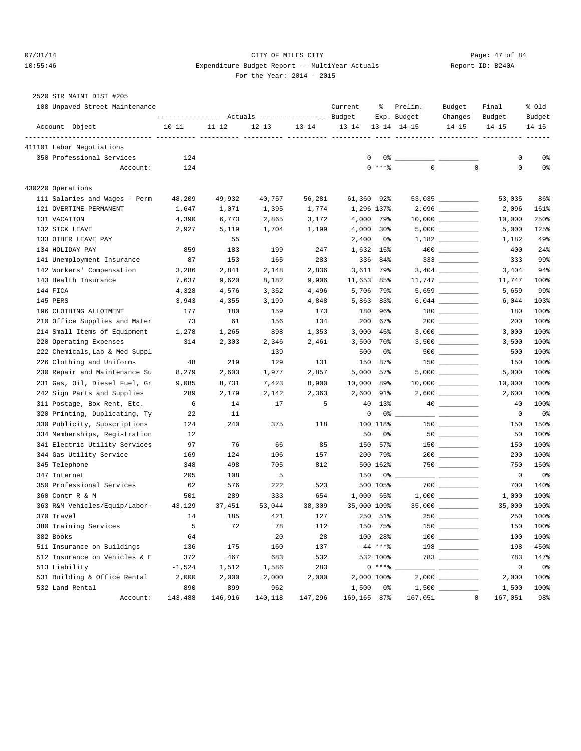# 07/31/14 Page: 47 of 84 10:55:46 Expenditure Budget Report -- MultiYear Actuals Report ID: B240A For the Year: 2014 - 2015

| 2520 STR MAINT DIST #205       |           |           |                                                 |           |             |               |                     |                                        |             |                |
|--------------------------------|-----------|-----------|-------------------------------------------------|-----------|-------------|---------------|---------------------|----------------------------------------|-------------|----------------|
| 108 Unpaved Street Maintenance |           |           |                                                 |           | Current     | ွေ            | Prelim.             | Budget                                 | Final       | % old          |
|                                |           |           | --------------- Actuals ---------------- Budget |           |             |               | Exp. Budget         | Changes                                | Budget      | Budget         |
| Account Object                 | $10 - 11$ | $11 - 12$ | $12 - 13$                                       | $13 - 14$ | $13 - 14$   |               | $13 - 14$ $14 - 15$ | $14 - 15$                              | $14 - 15$   | $14 - 15$      |
| 411101 Labor Negotiations      |           |           |                                                 |           |             |               |                     |                                        |             |                |
| 350 Professional Services      | 124       |           |                                                 |           | 0           | $0\%$ ___     |                     |                                        | 0           | 0%             |
| Account:                       | 124       |           |                                                 |           |             | $0$ ****      | $\mathbf 0$         | $\mathbf 0$                            | $\mathbf 0$ | 0 <sub>8</sub> |
| 430220 Operations              |           |           |                                                 |           |             |               |                     |                                        |             |                |
| 111 Salaries and Wages - Perm  | 48,209    | 49,932    | 40,757                                          | 56,281    | 61,360 92%  |               |                     | $53,035$ ___________                   | 53,035      | 86%            |
| 121 OVERTIME-PERMANENT         | 1,647     | 1,071     | 1,395                                           | 1,774     | 1,296 137%  |               |                     |                                        | 2,096       | 161%           |
| 131 VACATION                   | 4,390     | 6,773     | 2,865                                           | 3,172     | 4,000       | 79%           |                     |                                        | 10,000      | 250%           |
| 132 SICK LEAVE                 | 2,927     | 5,119     | 1,704                                           | 1,199     | 4,000       | $30\%$        |                     |                                        | 5,000       | 125%           |
| 133 OTHER LEAVE PAY            |           | 55        |                                                 |           | 2,400       | 0%            |                     |                                        | 1,182       | 49%            |
| 134 HOLIDAY PAY                | 859       | 183       | 199                                             | 247       | 1,632 15%   |               |                     |                                        | 400         | 24%            |
| 141 Unemployment Insurance     | 87        | 153       | 165                                             | 283       | 336         | 84%           |                     |                                        | 333         | 99%            |
| 142 Workers' Compensation      | 3,286     | 2,841     | 2,148                                           | 2,836     | 3,611 79%   |               |                     |                                        | 3,404       | 94%            |
| 143 Health Insurance           | 7,637     | 9,620     | 8,182                                           | 9,906     | 11,653 85%  |               |                     |                                        | 11,747      | 100%           |
| 144 FICA                       | 4,328     | 4,576     | 3,352                                           | 4,496     | 5,706       | 79%           |                     | $5,659$ _____________                  | 5,659       | 99%            |
| 145 PERS                       | 3,943     | 4,355     | 3,199                                           | 4,848     | 5,863       | 83%           |                     |                                        | 6,044       | 103%           |
| 196 CLOTHING ALLOTMENT         | 177       | 180       | 159                                             | 173       | 180         | 96%           |                     |                                        | 180         | 100%           |
| 210 Office Supplies and Mater  | 73        | 61        | 156                                             | 134       | 200         | 67%           |                     |                                        | 200         | 100%           |
| 214 Small Items of Equipment   | 1,278     | 1,265     | 898                                             | 1,353     | 3,000       | 45%           |                     |                                        | 3,000       | 100%           |
| 220 Operating Expenses         | 314       | 2,303     | 2,346                                           | 2,461     | 3,500       | 70%           |                     | $3,500$ ____________                   | 3,500       | 100%           |
| 222 Chemicals, Lab & Med Suppl |           |           | 139                                             |           | 500         | 0%            |                     | $500$ _________                        | 500         | 100%           |
| 226 Clothing and Uniforms      | 48        | 219       | 129                                             | 131       | 150         | 87%           |                     |                                        | 150         | 100%           |
| 230 Repair and Maintenance Su  | 8,279     | 2,603     | 1,977                                           | 2,857     | 5,000       | 57%           |                     |                                        | 5,000       | 100%           |
| 231 Gas, Oil, Diesel Fuel, Gr  | 9,085     | 8,731     | 7,423                                           | 8,900     | 10,000      | 89%           |                     |                                        | 10,000      | 100%           |
| 242 Sign Parts and Supplies    | 289       | 2,179     | 2,142                                           | 2,363     | 2,600       | 91%           |                     | $2,600$ ___________                    | 2,600       | 100%           |
| 311 Postage, Box Rent, Etc.    | 6         | 14        | 17                                              | 5         | 40          | $13\%$        |                     |                                        | 40          | 100%           |
| 320 Printing, Duplicating, Ty  | 22        | 11        |                                                 |           | 0           | 0%            |                     |                                        | 0           | 0%             |
| 330 Publicity, Subscriptions   | 124       | 240       | 375                                             | 118       |             | 100 118%      |                     |                                        | 150         | 150%           |
| 334 Memberships, Registration  | 12        |           |                                                 |           | 50          | 0%            |                     |                                        | 50          | 100%           |
| 341 Electric Utility Services  | 97        | 76        | 66                                              | 85        | 150         | 57%           |                     | $150$ __________                       | 150         | 100%           |
| 344 Gas Utility Service        | 169       | 124       | 106                                             | 157       | 200         | 79%           |                     |                                        | 200         | 100%           |
| 345 Telephone                  | 348       | 498       | 705                                             | 812       |             | 500 162%      |                     |                                        | 750         | 150%           |
| 347 Internet                   | 205       | 108       | 5                                               |           | 150         | 0 %           |                     |                                        | $\mathbf 0$ | 0%             |
| 350 Professional Services      | 62        | 576       | 222                                             | 523       |             | 500 105%      |                     |                                        | 700         | 140%           |
| 360 Contr R & M                | 501       | 289       | 333                                             | 654       | 1,000       | 65%           |                     |                                        | 1,000       | 100%           |
| 363 R&M Vehicles/Equip/Labor-  | 43,129    | 37,451    | 53,044                                          | 38,309    | 35,000 109% |               |                     |                                        | 35,000      | 100%           |
| 370 Travel                     | 14        | 185       | 421                                             | 127       |             | 250 51%       | $250$ $-$           |                                        | 250         | 100%           |
| 380 Training Services          | 5         | 72        | 78                                              | 112       |             | 150 75%       |                     | $150$                                  | 150         | 100%           |
| 382 Books                      | 64        |           | 20                                              | 28        |             | 100 28%       |                     | $100$                                  | 100         | 100%           |
| 511 Insurance on Buildings     | 136       | 175       | 160                                             | 137       |             | $-44$ *** $%$ |                     | $\begin{tabular}{c} 198 \end{tabular}$ | 198         | $-450$ %       |
| 512 Insurance on Vehicles & E  | 372       | 467       | 683                                             | 532       |             | 532 100%      |                     |                                        | 783         | 147%           |
| 513 Liability                  | $-1,524$  | 1,512     | 1,586                                           | 283       |             | $0$ *** $8$   |                     |                                        | $\mathbb O$ | 0%             |
| 531 Building & Office Rental   | 2,000     | 2,000     | 2,000                                           | 2,000     | 2,000 100%  |               |                     |                                        | 2,000       | 100%           |
| 532 Land Rental                | 890       | 899       | 962                                             |           | 1,500       | 0%            |                     |                                        | 1,500       | 100%           |
| Account:                       | 143,488   | 146,916   | 140,118                                         | 147,296   | 169,165 87% |               | 167,051             | $\mathbf 0$                            | 167,051     | 98%            |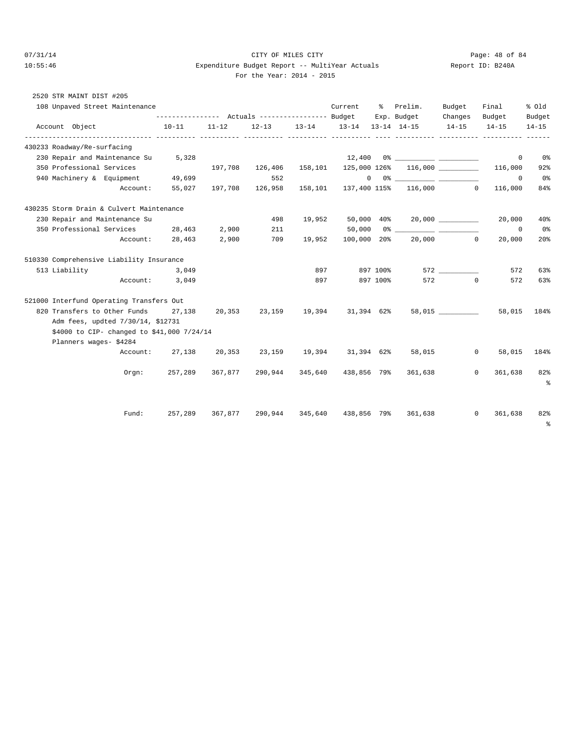# 07/31/14 Page: 48 of 84 10:55:46 Expenditure Budget Report -- MultiYear Actuals Report ID: B240A For the Year: 2014 - 2015

| 2520 STR MAINT DIST #205                   |                |                 |        |                                     |            |                               |          |                                                                                                                                                                                                                                                                                                                                                                    |                |                         |                |
|--------------------------------------------|----------------|-----------------|--------|-------------------------------------|------------|-------------------------------|----------|--------------------------------------------------------------------------------------------------------------------------------------------------------------------------------------------------------------------------------------------------------------------------------------------------------------------------------------------------------------------|----------------|-------------------------|----------------|
| 108 Unpaved Street Maintenance             |                |                 |        |                                     |            |                               |          | Current % Prelim.                                                                                                                                                                                                                                                                                                                                                  | Budget         | Final                   | % old          |
|                                            |                |                 |        |                                     |            |                               |          | --------------- Actuals ---------------- Budget Exp. Budget                                                                                                                                                                                                                                                                                                        | Changes Budget |                         | Budget         |
| Account Object                             |                | 10-11           | 11-12  |                                     |            | 12-13 13-14 13-14 13-14 14-15 |          |                                                                                                                                                                                                                                                                                                                                                                    | $14 - 15$      | $14 - 15$               | $14 - 15$      |
| 430233 Roadway/Re-surfacing                |                |                 |        |                                     |            |                               |          |                                                                                                                                                                                                                                                                                                                                                                    |                |                         |                |
| 230 Repair and Maintenance Su 5,328        |                |                 |        |                                     |            |                               |          |                                                                                                                                                                                                                                                                                                                                                                    |                | $\circ$                 | 0%             |
| 350 Professional Services                  |                |                 |        |                                     |            |                               |          | $197,708$ $126,406$ $158,101$ $125,000$ $126$ $116,000$                                                                                                                                                                                                                                                                                                            |                | 116,000                 | 92%            |
| 940 Machinery & Equipment                  |                | 49,699          |        | 552                                 |            |                               |          | $\begin{picture}(150,10) \put(0,0){\vector(1,0){100}} \put(15,0){\vector(1,0){100}} \put(15,0){\vector(1,0){100}} \put(15,0){\vector(1,0){100}} \put(15,0){\vector(1,0){100}} \put(15,0){\vector(1,0){100}} \put(15,0){\vector(1,0){100}} \put(15,0){\vector(1,0){100}} \put(15,0){\vector(1,0){100}} \put(15,0){\vector(1,0){100}} \put(15,0){\vector(1,0){100}}$ |                | $^{\circ}$              | 0 <sup>°</sup> |
|                                            |                | Account: 55,027 |        | 197,708 126,958                     | 158,101    |                               |          | 137,400 115% 116,000 0                                                                                                                                                                                                                                                                                                                                             |                | 116,000                 | 84%            |
| 430235 Storm Drain & Culvert Maintenance   |                |                 |        |                                     |            |                               |          |                                                                                                                                                                                                                                                                                                                                                                    |                |                         |                |
| 230 Repair and Maintenance Su              |                |                 |        | 498                                 | 19,952     |                               |          | $50,000$ $40\%$ 20,000 _________                                                                                                                                                                                                                                                                                                                                   |                | 20,000                  | 40%            |
| 350 Professional Services 28,463           |                |                 | 2,900  | 211                                 |            |                               |          | $50,000$ 0%                                                                                                                                                                                                                                                                                                                                                        |                | $\Omega$                | 0 <sub>8</sub> |
|                                            |                | Account: 28,463 | 2,900  |                                     | 709 19,952 |                               |          | 100,000 20% 20,000                                                                                                                                                                                                                                                                                                                                                 |                | $\Omega$<br>20,000      | 20%            |
| 510330 Comprehensive Liability Insurance   |                |                 |        |                                     |            |                               |          |                                                                                                                                                                                                                                                                                                                                                                    |                |                         |                |
| 513 Liability                              |                | 3,049           |        |                                     | 897        | 897 100%                      |          |                                                                                                                                                                                                                                                                                                                                                                    |                | 572                     | 63%            |
|                                            | Account: 3,049 |                 |        |                                     | 897        |                               | 897 100% |                                                                                                                                                                                                                                                                                                                                                                    | 572 0          | 572                     | 63%            |
| 521000 Interfund Operating Transfers Out   |                |                 |        |                                     |            |                               |          |                                                                                                                                                                                                                                                                                                                                                                    |                |                         |                |
| 820 Transfers to Other Funds 27,138 20,353 |                |                 |        |                                     |            | 23,159 19,394 31,394 62%      |          |                                                                                                                                                                                                                                                                                                                                                                    | 58,015         | 58,015                  | 184%           |
| Adm fees, updted 7/30/14, \$12731          |                |                 |        |                                     |            |                               |          |                                                                                                                                                                                                                                                                                                                                                                    |                |                         |                |
| \$4000 to CIP- changed to \$41,000 7/24/14 |                |                 |        |                                     |            |                               |          |                                                                                                                                                                                                                                                                                                                                                                    |                |                         |                |
| Planners wages- \$4284                     |                |                 |        |                                     |            |                               |          |                                                                                                                                                                                                                                                                                                                                                                    |                |                         |                |
|                                            |                | Account: 27,138 | 20,353 |                                     |            |                               |          | 23,159 19,394 31,394 62% 58,015                                                                                                                                                                                                                                                                                                                                    |                | $\mathbf{0}$            | 58,015 184%    |
|                                            | Orem:          |                 |        |                                     |            |                               |          | 257,289 367,877 290,944 345,640 438,856 79% 361,638                                                                                                                                                                                                                                                                                                                |                | $\mathbf{0}$<br>361,638 | 82%<br>ಿ       |
|                                            | Fund:          | 257,289         |        | 367,877 290,944 345,640 438,856 79% |            |                               |          | 361,638                                                                                                                                                                                                                                                                                                                                                            |                | $\mathbf{0}$<br>361,638 | 82%<br>ႜ       |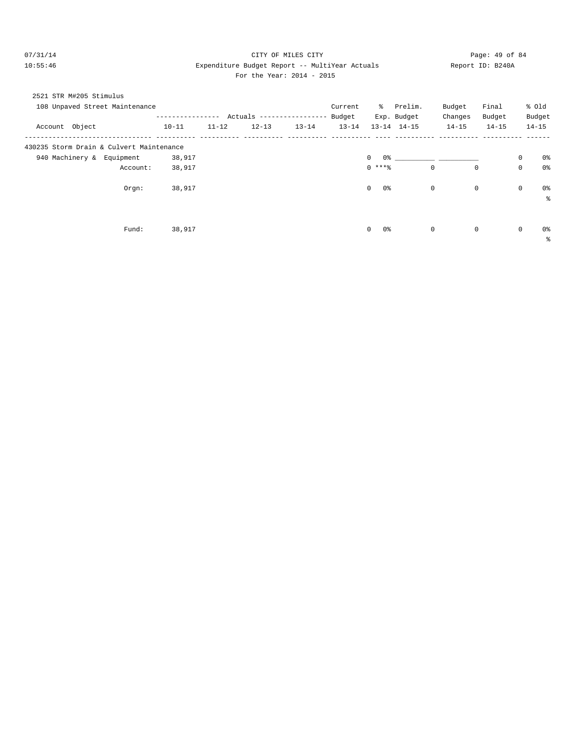# 07/31/14 Page: 49 of 84 10:55:46 Expenditure Budget Report -- MultiYear Actuals Report ID: B240A For the Year: 2014 - 2015

| 2521 STR M#205 Stimulus                  |          |           |           |                           |           |           |                      |                     |             |             |             |            |
|------------------------------------------|----------|-----------|-----------|---------------------------|-----------|-----------|----------------------|---------------------|-------------|-------------|-------------|------------|
| 108 Unpaved Street Maintenance           |          |           |           |                           |           | Current   | ိ                    | Prelim.             | Budget      | Final       |             | % old      |
|                                          |          |           |           | Actuals ----------------- |           | Budget    |                      | Exp. Budget         | Changes     | Budget      |             | Budget     |
| Account Object                           |          | $10 - 11$ | $11 - 12$ | $12 - 13$                 | $13 - 14$ | $13 - 14$ |                      | $13 - 14$ $14 - 15$ | $14 - 15$   | $14 - 15$   |             | $14 - 15$  |
| 430235 Storm Drain & Culvert Maintenance |          |           |           |                           |           |           |                      |                     |             |             |             |            |
| 940 Machinery & Equipment                |          | 38,917    |           |                           |           |           | 0%<br>$\mathbf 0$    |                     |             |             | $\mathbf 0$ | 0%         |
|                                          | Account: | 38,917    |           |                           |           |           | $0$ ****             |                     | $\mathbf 0$ | $\mathbf 0$ | $\mathbf 0$ | 0%         |
|                                          | $Orgn$ : | 38,917    |           |                           |           |           | $\mathbf 0$<br>$0\,$ |                     | 0           | $\mathbf 0$ | $\mathbf 0$ | 0%         |
|                                          |          |           |           |                           |           |           |                      |                     |             |             |             | နွ         |
|                                          |          |           |           |                           |           |           |                      |                     |             |             |             |            |
|                                          | Fund:    | 38,917    |           |                           |           |           | $\mathbf 0$<br>0 %   |                     | 0           | $\mathbf 0$ | $\mathbf 0$ | 0%         |
|                                          |          |           |           |                           |           |           |                      |                     |             |             |             | $\epsilon$ |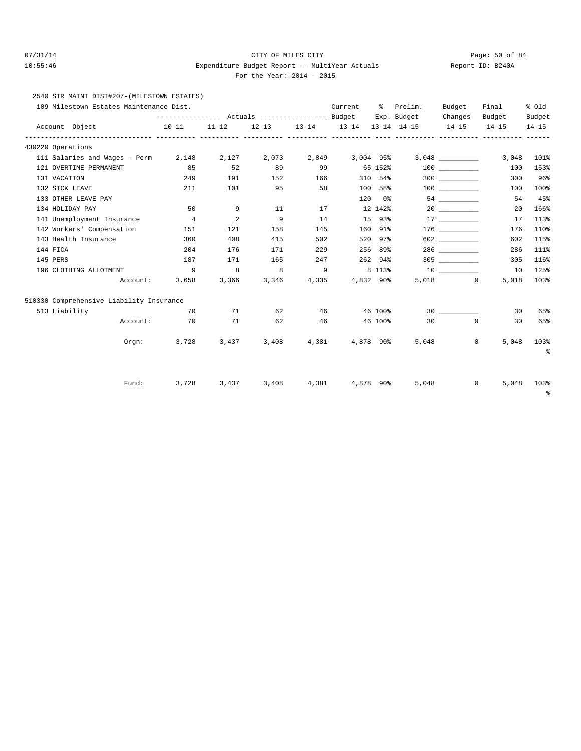# 07/31/14 Page: 50 of 84 10:55:46 Expenditure Budget Report -- MultiYear Actuals Report ID: B240A For the Year: 2014 - 2015

2540 STR MAINT DIST#207-(MILESTOWN ESTATES)

| 109 Milestown Estates Maintenance Dist.  |             |                            |       |                | Current         | - 응급 - 응급 | Prelim.     | Budget               | Final                                                                   | % old           |
|------------------------------------------|-------------|----------------------------|-------|----------------|-----------------|-----------|-------------|----------------------|-------------------------------------------------------------------------|-----------------|
|                                          |             |                            |       |                |                 |           | Exp. Budget | Changes              | Budget                                                                  | Budget          |
| Account Object                           |             |                            |       |                |                 |           |             |                      | $10-11$ $11-12$ $12-13$ $13-14$ $13-14$ $13-14$ $14-15$ $14-15$ $14-15$ | $14 - 15$       |
| 430220 Operations                        |             |                            |       |                |                 |           |             |                      |                                                                         |                 |
| 111 Salaries and Wages - Perm 2,148      |             | 2,127                      | 2,073 |                | 2,849 3,004 95% |           |             |                      | 3,048                                                                   | 101%            |
| 121 OVERTIME-PERMANENT                   | 85          | 52                         | 89    | 99             |                 | 65 152%   |             |                      | 100                                                                     | 153%            |
| 131 VACATION                             | 249         | 191                        | 152   | 166            |                 | 310 54%   |             | 300                  | 300                                                                     | 96%             |
| 132 SICK LEAVE                           | 211         | 101                        | 95    | 58             |                 | 100 58%   |             | 100 000              | 100                                                                     | 100%            |
| 133 OTHER LEAVE PAY                      |             |                            |       |                |                 | 120 0%    |             |                      | 54                                                                      | 45%             |
| 134 HOLIDAY PAY                          | 50          | 9                          | 11    | 17             |                 | 12 142%   |             | 20                   | 20                                                                      | 166%            |
| 141 Unemployment Insurance               | $\sim$ 4    | $\overline{\phantom{a}}$ 2 | 9     | 14             |                 | 15 93%    |             | 17                   | 17                                                                      | 113%            |
| 142 Workers' Compensation                | 151         | 121                        | 158   | 145            |                 | 160 91%   |             |                      | 176                                                                     | 110%            |
| 143 Health Insurance                     | 360         | 408                        | 415   | 502            |                 | 520 97%   |             | 602 700              | 602                                                                     | 115%            |
| 144 FICA                                 | 204         | 176                        | 171   | 229            |                 | 256 89%   |             | 286 728              | 286                                                                     | 111%            |
| 145 PERS                                 | 187         | 171                        | 165   | 247            |                 | 262 94%   |             | 305                  | 305                                                                     | 116%            |
| 196 CLOTHING ALLOTMENT                   | 9           | 8 <sup>1</sup>             |       | $\overline{9}$ |                 | 8 1 1 3 % |             | 10                   | 10                                                                      | 125%            |
| Account:                                 | 3,658       | 3,366                      | 3,346 | 4,335          |                 | 4,832 90% |             | 5,018 0              | 5,018                                                                   | 103%            |
| 510330 Comprehensive Liability Insurance |             |                            |       |                |                 |           |             |                      |                                                                         |                 |
| 513 Liability                            | 70          | 71                         | 62    |                | 46 — 10         |           | 46 100%     | 30                   | 30                                                                      | 65%             |
| Account:                                 | 70          | 71                         | 62    | 46             |                 |           | 46 100%     | 30<br>$\overline{0}$ | 30                                                                      | 65%             |
|                                          | Orgn: 3,728 | 3,437                      | 3,408 |                | 4,381 4,878 90% |           |             | 5,048                | $0 \qquad \qquad$<br>5,048                                              | 103%            |
|                                          |             |                            |       |                |                 |           |             |                      |                                                                         | $\epsilon$      |
|                                          |             |                            |       |                |                 |           |             |                      |                                                                         |                 |
| Fund:                                    | 3,728       | 3,437                      | 3,408 | 4,381          |                 | 4,878 90% | 5,048       |                      | $0 \qquad \qquad$<br>5,048                                              | 103%<br>း<br>စီ |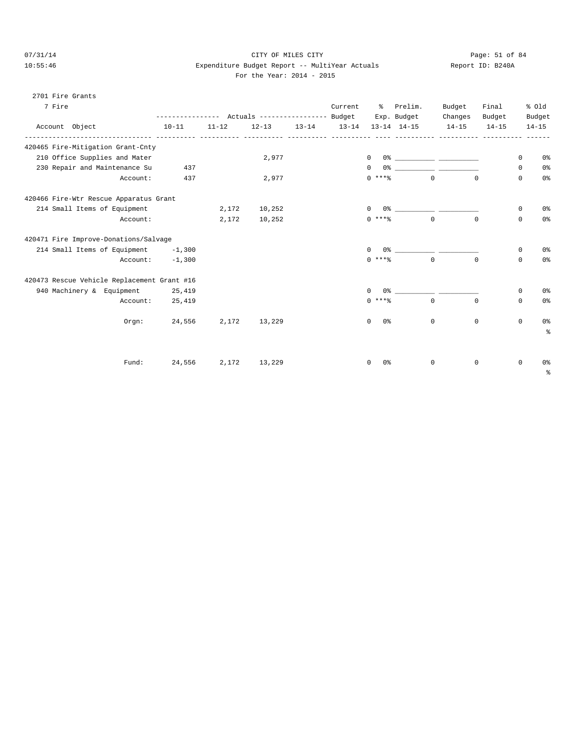# 07/31/14 Page: 51 of 84 10:55:46 Expenditure Budget Report -- MultiYear Actuals Report ID: B240A

|  | For the Year: 2014 - 2015 |  |  |
|--|---------------------------|--|--|
|  |                           |  |  |

| 2701 Fire Grants                            |                    |           |           |                         |                     |                                                                                                                                                                                                                             |             |             |             |                |
|---------------------------------------------|--------------------|-----------|-----------|-------------------------|---------------------|-----------------------------------------------------------------------------------------------------------------------------------------------------------------------------------------------------------------------------|-------------|-------------|-------------|----------------|
| 7 Fire                                      |                    |           |           | Current                 | $\sim$ $\sim$       | Prelim.                                                                                                                                                                                                                     | Budget      | Final       |             | % old          |
|                                             |                    |           |           |                         |                     | Exp. Budget                                                                                                                                                                                                                 | Changes     | Budget      |             | Budget         |
| Account Object                              | $10 - 11$          | $11 - 12$ | $12 - 13$ | 13-14 13-14 13-14 14-15 |                     |                                                                                                                                                                                                                             | $14 - 15$   | $14 - 15$   |             | $14 - 15$      |
| 420465 Fire-Mitigation Grant-Cnty           |                    |           |           |                         |                     |                                                                                                                                                                                                                             |             |             |             |                |
| 210 Office Supplies and Mater               |                    |           | 2,977     |                         | $\mathbf{0}$        |                                                                                                                                                                                                                             |             |             | 0           | 0 <sup>o</sup> |
| 230 Repair and Maintenance Su               | 437                |           |           |                         | $\Omega$            |                                                                                                                                                                                                                             |             |             | $\mathbf 0$ | 0 <sup>o</sup> |
| Account:                                    | 437                |           | 2,977     |                         | $0$ ****            | $\overline{0}$                                                                                                                                                                                                              |             | $\Omega$    | $\mathbf 0$ | 0%             |
| 420466 Fire-Wtr Rescue Apparatus Grant      |                    |           |           |                         |                     |                                                                                                                                                                                                                             |             |             |             |                |
| 214 Small Items of Equipment                |                    | 2,172     | 10,252    |                         | $\mathbf{0}$        | 0% _____________ ______                                                                                                                                                                                                     |             |             | 0           | 0 <sup>°</sup> |
| Account:                                    |                    | 2,172     | 10,252    |                         | $0***$ $*$          | $\overline{0}$                                                                                                                                                                                                              |             | $\Omega$    | $\mathbf 0$ | 0 <sup>o</sup> |
| 420471 Fire Improve-Donations/Salvage       |                    |           |           |                         |                     |                                                                                                                                                                                                                             |             |             |             |                |
| 214 Small Items of Equipment -1,300         |                    |           |           |                         | $\Omega$            | $0$ % and $0$ % and $0$ % and $0$ % and $0$ % and $0$ % and $0$ % and $0$ % and $0$ % and $0$ % and $0$ % and $0$ % and $0$ % and $0$ % and $0$ % and $0$ % and $0$ % and $0$ % and $0$ % and $0$ % and $0$ % and $0$ % and |             |             | 0           | 0 <sup>°</sup> |
|                                             | $Account: -1, 300$ |           |           |                         | $0$ ****            |                                                                                                                                                                                                                             | $\Omega$    | $\Omega$    | $\mathbf 0$ | 0 <sup>8</sup> |
| 420473 Rescue Vehicle Replacement Grant #16 |                    |           |           |                         |                     |                                                                                                                                                                                                                             |             |             |             |                |
| 940 Machinery & Equipment 25,419            |                    |           |           |                         | $\mathbf{0}$        | $0$ 왕 아이는 아이에게 아이를 하지 않는다.                                                                                                                                                                                                  |             |             | $\mathbf 0$ | 0 <sup>°</sup> |
| Account:                                    | 25,419             |           |           |                         | $0$ ****            |                                                                                                                                                                                                                             | $\Omega$    | $\mathbf 0$ | 0           | 0 <sup>°</sup> |
| Orem:                                       | 24,556             | 2,172     | 13,229    |                         | 0 %<br>$\mathbf{0}$ |                                                                                                                                                                                                                             | $\mathbf 0$ | $\mathbf 0$ | $\mathbf 0$ | 0 <sup>°</sup> |
|                                             |                    |           |           |                         |                     |                                                                                                                                                                                                                             |             |             |             | နွ             |
|                                             |                    |           |           |                         |                     |                                                                                                                                                                                                                             |             |             |             |                |
| Fund:                                       | 24,556             | 2,172     | 13,229    |                         | 0%<br>0             |                                                                                                                                                                                                                             | $\mathbf 0$ | 0           | $\mathbf 0$ | 0 <sup>8</sup> |
|                                             |                    |           |           |                         |                     |                                                                                                                                                                                                                             |             |             |             | နွ             |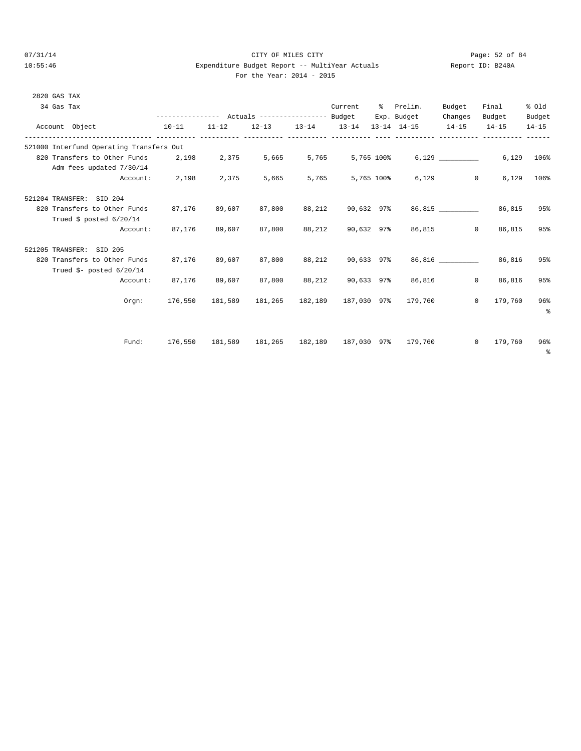# 07/31/14 Page: 52 of 84 10:55:46 Expenditure Budget Report -- MultiYear Actuals Report ID: B240A For the Year: 2014 - 2015

| 2820 GAS TAX             |                                                                       |                      |        |                                             |               |                          |                                                                                                                 |         |                           |                 |
|--------------------------|-----------------------------------------------------------------------|----------------------|--------|---------------------------------------------|---------------|--------------------------|-----------------------------------------------------------------------------------------------------------------|---------|---------------------------|-----------------|
| 34 Gas Tax               |                                                                       |                      |        |                                             |               | Current % Prelim.        |                                                                                                                 | Budget  | Final                     | % old           |
|                          |                                                                       |                      |        |                                             |               |                          | --------------- Actuals ---------------- Budget Exp. Budget                                                     | Changes | Budget Budget             |                 |
| Account Object           |                                                                       |                      |        |                                             |               |                          | $10-11 \qquad 11-12 \qquad 12-13 \qquad 13-14 \qquad 13-14 \qquad 13-14 \qquad 14-15 \qquad 14-15 \qquad 14-15$ |         |                           | $14 - 15$       |
|                          | 521000 Interfund Operating Transfers Out                              |                      |        |                                             |               |                          |                                                                                                                 |         |                           |                 |
|                          | 820 Transfers to Other Funds 2,198 2,375 5,665 5,765 5,765 100% 6,129 |                      |        |                                             |               |                          |                                                                                                                 |         |                           | 6,129 106%      |
|                          | Adm fees updated 7/30/14                                              |                      |        |                                             |               |                          |                                                                                                                 |         |                           |                 |
|                          |                                                                       | Account: 2,198 2,375 |        | 5,665                                       |               | 5,765 5,765 100%         |                                                                                                                 | 6,129   | $0 \qquad \qquad$         | $6.129$ $106\%$ |
| 521204 TRANSFER: SID 204 |                                                                       |                      |        |                                             |               |                          |                                                                                                                 |         |                           |                 |
|                          | 820 Transfers to Other Funds 87,176                                   |                      | 89,607 |                                             |               | 87,800 88,212 90,632 97% |                                                                                                                 |         | 86,815 86,815             | 95%             |
|                          | Trued \$ posted $6/20/14$                                             |                      |        |                                             |               |                          |                                                                                                                 |         |                           |                 |
|                          |                                                                       | Account: 87,176      | 89,607 |                                             |               |                          | 87,800 88,212 90,632 97% 86,815                                                                                 |         | 0 86,815                  | 95%             |
| 521205 TRANSFER: SID 205 |                                                                       |                      |        |                                             |               |                          |                                                                                                                 |         |                           |                 |
|                          | 820 Transfers to Other Funds                                          | 87,176               | 89,607 |                                             | 87,800 88,212 | 90,633 97%               |                                                                                                                 |         | 86,816 86,816             | 95%             |
|                          | Trued $\frac{1}{2}$ - posted 6/20/14                                  |                      |        |                                             |               |                          |                                                                                                                 |         |                           |                 |
|                          | Account:                                                              | 87,176               | 89,607 |                                             |               |                          | 87,800 88,212 90,633 97% 86,816                                                                                 |         | 86,816<br>$\circ$         | 95%             |
|                          | Orem:                                                                 |                      |        | 176,550 181,589 181,265 182,189 187,030 97% |               |                          | 179,760                                                                                                         |         | 179,760<br>$\overline{0}$ | 96%             |
|                          |                                                                       |                      |        |                                             |               |                          |                                                                                                                 |         |                           | ៖               |
|                          |                                                                       |                      |        |                                             |               |                          |                                                                                                                 |         |                           |                 |
|                          | Fund:                                                                 |                      |        |                                             |               |                          | 176,550 181,589 181,265 182,189 187,030 97% 179,760                                                             |         | $0 \qquad 179,760$        | 96%             |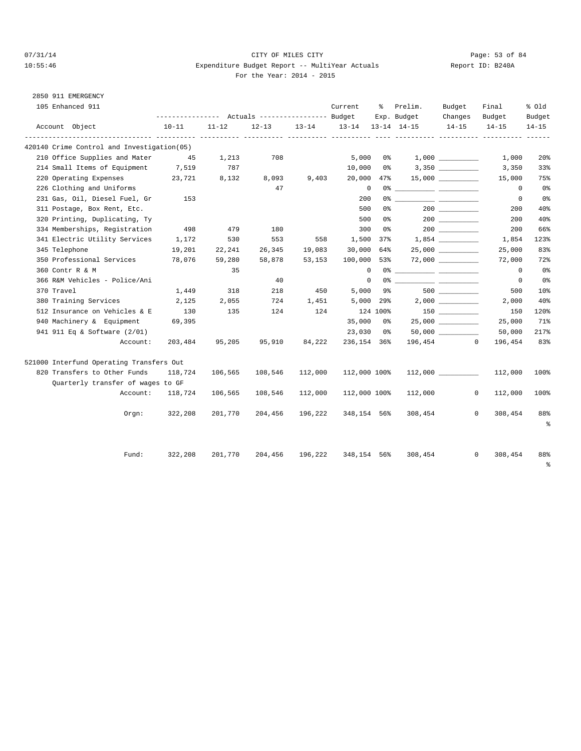# 07/31/14 Page: 53 of 84 10:55:46 Expenditure Budget Report -- MultiYear Actuals For the Year: 2014 - 2015

| Report ID: B240A |  |
|------------------|--|
|                  |  |

|  | 2850 911 EMERGENCY |
|--|--------------------|
|  |                    |

| 105 Enhanced 911 |                                             |                                                 | Current   |         |         |                                                                                                                                                                                                                                                                                                                                                                                                                                                                                                             |                | Prelim.<br>ႜွ | Budget    | Final                   | % old          |
|------------------|---------------------------------------------|-------------------------------------------------|-----------|---------|---------|-------------------------------------------------------------------------------------------------------------------------------------------------------------------------------------------------------------------------------------------------------------------------------------------------------------------------------------------------------------------------------------------------------------------------------------------------------------------------------------------------------------|----------------|---------------|-----------|-------------------------|----------------|
|                  |                                             |                                                 |           |         |         |                                                                                                                                                                                                                                                                                                                                                                                                                                                                                                             |                | Exp. Budget   | Changes   | Budget                  | Budget         |
|                  | Account Object                              | $10 - 11$<br>------------- ---------- --------- | $11 - 12$ |         |         | 12-13 13-14 13-14 13-14 14-15<br>$\frac{1}{2} \left( \frac{1}{2} \right) \left( \frac{1}{2} \right) \left( \frac{1}{2} \right) \left( \frac{1}{2} \right) \left( \frac{1}{2} \right) \left( \frac{1}{2} \right) \left( \frac{1}{2} \right) \left( \frac{1}{2} \right) \left( \frac{1}{2} \right) \left( \frac{1}{2} \right) \left( \frac{1}{2} \right) \left( \frac{1}{2} \right) \left( \frac{1}{2} \right) \left( \frac{1}{2} \right) \left( \frac{1}{2} \right) \left( \frac{1}{2} \right) \left( \frac$ |                |               | $14 - 15$ | $14 - 15$               | $14 - 15$      |
|                  | 420140 Crime Control and Investigation (05) |                                                 |           |         |         |                                                                                                                                                                                                                                                                                                                                                                                                                                                                                                             |                |               |           |                         |                |
|                  | 210 Office Supplies and Mater               | 45                                              | 1,213     | 708     |         | 5,000                                                                                                                                                                                                                                                                                                                                                                                                                                                                                                       | 0 %            |               | 1,000     | 1,000                   | 20%            |
|                  | 214 Small Items of Equipment 7,519          |                                                 | 787       |         |         | 10,000                                                                                                                                                                                                                                                                                                                                                                                                                                                                                                      | 0 %            |               |           | 3,350                   | 33%            |
|                  | 220 Operating Expenses                      | 23,721                                          | 8,132     | 8,093   | 9,403   | 20,000                                                                                                                                                                                                                                                                                                                                                                                                                                                                                                      | 47%            |               |           | 15,000                  | 75%            |
|                  | 226 Clothing and Uniforms                   |                                                 |           | 47      |         | $\overline{0}$                                                                                                                                                                                                                                                                                                                                                                                                                                                                                              |                |               |           | $\overline{0}$          | 0%             |
|                  | 231 Gas, Oil, Diesel Fuel, Gr               | 153                                             |           |         |         | 200                                                                                                                                                                                                                                                                                                                                                                                                                                                                                                         |                |               |           | $\circ$                 | 0%             |
|                  | 311 Postage, Box Rent, Etc.                 |                                                 |           |         |         | 500                                                                                                                                                                                                                                                                                                                                                                                                                                                                                                         | 0 <sup>8</sup> |               |           | 200                     | 40%            |
|                  | 320 Printing, Duplicating, Ty               |                                                 |           |         |         | 500                                                                                                                                                                                                                                                                                                                                                                                                                                                                                                         | 0 %            |               |           | 200                     | 40%            |
|                  | 334 Memberships, Registration               | 498                                             | 479       | 180     |         | 300                                                                                                                                                                                                                                                                                                                                                                                                                                                                                                         | 0 %            |               |           | 200                     | 66%            |
|                  | 341 Electric Utility Services               | 1,172                                           | 530       | 553     | 558     | 1,500 37%                                                                                                                                                                                                                                                                                                                                                                                                                                                                                                   |                |               |           | 1,854                   | 123%           |
|                  | 345 Telephone                               | 19,201                                          | 22,241    | 26,345  | 19,083  | 30,000 64%                                                                                                                                                                                                                                                                                                                                                                                                                                                                                                  |                |               |           | 25,000                  | 83%            |
|                  | 350 Professional Services                   | 78,076                                          | 59,280    | 58,878  | 53,153  | 100,000 53%                                                                                                                                                                                                                                                                                                                                                                                                                                                                                                 |                |               |           | 72,000                  | 72%            |
|                  | 360 Contr R & M                             |                                                 | 35        |         |         | $\Omega$                                                                                                                                                                                                                                                                                                                                                                                                                                                                                                    |                |               |           | $\Omega$                | 0 <sup>°</sup> |
|                  | 366 R&M Vehicles - Police/Ani               |                                                 |           | 40      |         | $\Omega$                                                                                                                                                                                                                                                                                                                                                                                                                                                                                                    |                |               |           | $\overline{0}$          | 0%             |
|                  | 370 Travel                                  | 1,449                                           | 318       | 218     | 450     | 5,000                                                                                                                                                                                                                                                                                                                                                                                                                                                                                                       | 9%             |               |           | 500                     | 10%            |
|                  | 380 Training Services                       | 2,125                                           | 2,055     | 724     | 1,451   | $5,000$ 29%                                                                                                                                                                                                                                                                                                                                                                                                                                                                                                 |                |               |           | 2,000                   | 40%            |
|                  | 512 Insurance on Vehicles & E               | 130                                             | 135       | 124     | 124     |                                                                                                                                                                                                                                                                                                                                                                                                                                                                                                             | 124 100%       |               | 150 000   | 150                     | 120%           |
|                  | 940 Machinery & Equipment                   | 69,395                                          |           |         |         | 35,000                                                                                                                                                                                                                                                                                                                                                                                                                                                                                                      | 0 %            |               |           | 25,000                  | 71%            |
|                  | 941 911 Eq & Software (2/01)                |                                                 |           |         |         | 23,030                                                                                                                                                                                                                                                                                                                                                                                                                                                                                                      | 0%             |               |           | 50,000                  | 217%           |
|                  | Account:                                    | 203,484                                         | 95,205    | 95,910  | 84,222  | 236,154 36%                                                                                                                                                                                                                                                                                                                                                                                                                                                                                                 |                |               | 196,454 0 | 196,454                 | 83%            |
|                  | 521000 Interfund Operating Transfers Out    |                                                 |           |         |         |                                                                                                                                                                                                                                                                                                                                                                                                                                                                                                             |                |               |           |                         |                |
|                  | 820 Transfers to Other Funds                | 118,724                                         | 106,565   | 108,546 | 112,000 | 112,000 100%                                                                                                                                                                                                                                                                                                                                                                                                                                                                                                |                |               | 112,000   | 112,000                 | 100%           |
|                  | Quarterly transfer of wages to GF           |                                                 |           |         |         |                                                                                                                                                                                                                                                                                                                                                                                                                                                                                                             |                |               |           |                         |                |
|                  | Account:                                    | 118,724                                         | 106,565   | 108,546 | 112,000 | 112,000 100%                                                                                                                                                                                                                                                                                                                                                                                                                                                                                                |                | 112,000       |           | $\mathbf 0$<br>112,000  | 100%           |
|                  | $0$ rqn:                                    | 322,208                                         | 201,770   | 204,456 | 196,222 | 348,154 56%                                                                                                                                                                                                                                                                                                                                                                                                                                                                                                 |                | 308,454       |           | $\mathbf{0}$<br>308,454 | 88%<br>နွ      |
|                  | Fund:                                       | 322,208                                         | 201,770   | 204,456 | 196,222 | 348,154 56%                                                                                                                                                                                                                                                                                                                                                                                                                                                                                                 |                | 308,454       |           | 308,454<br>$^{\circ}$   | 88%<br>る       |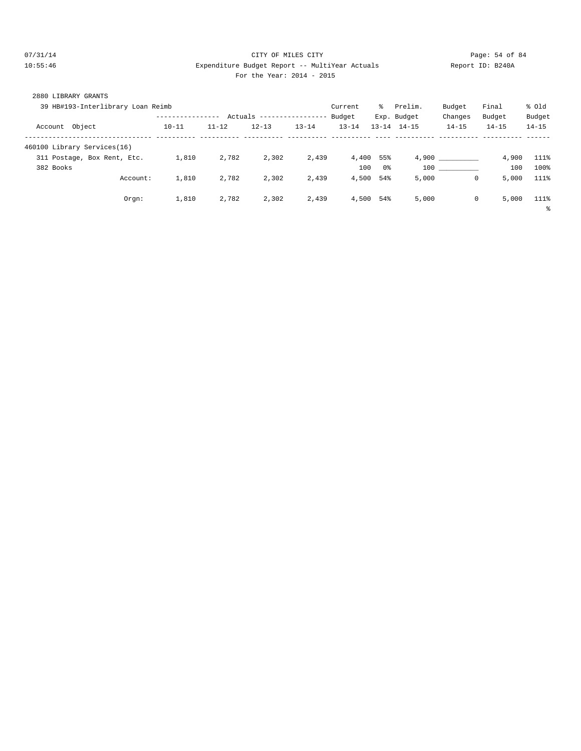# 07/31/14 Page: 54 of 84 10:55:46 Expenditure Budget Report -- MultiYear Actuals Report ID: B240A For the Year: 2014 - 2015

| 2880 LIBRARY GRANTS               |                  |           |                            |           |           |     |                     |            |           |           |
|-----------------------------------|------------------|-----------|----------------------------|-----------|-----------|-----|---------------------|------------|-----------|-----------|
| 39 HB#193-Interlibrary Loan Reimb |                  |           |                            |           | Current   | ိ   | Prelim.             | Budget     | Final     | % old     |
|                                   | ---------------- |           | Actuals ------------------ |           | Budget    |     | Exp. Budget         | Changes    | Budget    | Budget    |
| Object<br>Account                 | $10 - 11$        | $11 - 12$ | $12 - 13$                  | $13 - 14$ | $13 - 14$ |     | $13 - 14$ $14 - 15$ | $14 - 15$  | $14 - 15$ | $14 - 15$ |
| 460100 Library Services(16)       |                  |           |                            |           |           |     |                     |            |           |           |
| 311 Postage, Box Rent, Etc.       | 1,810            | 2,782     | 2,302                      | 2,439     | 4,400     | 55% |                     | 4,900      | 4,900     | 111%      |
| 382 Books                         |                  |           |                            |           | 100       | 0%  | 100                 |            | 100       | 100%      |
| Account:                          | 1,810            | 2,782     | 2,302                      | 2,439     | 4,500     | 54% | 5,000               | $^{\circ}$ | 5,000     | 111%      |
| Orgn:                             | 1,810            | 2,782     | 2,302                      | 2,439     | 4,500     | 54% | 5,000               | $^{\circ}$ | 5,000     | 111%      |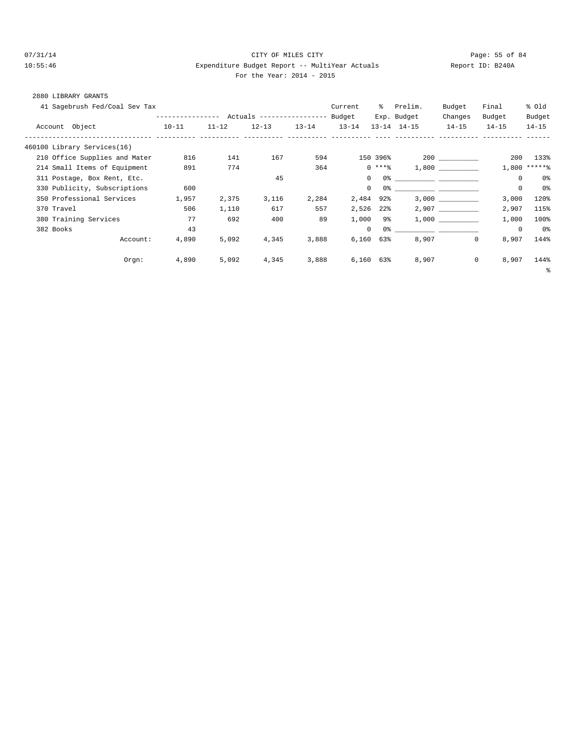# 07/31/14 Page: 55 of 84 10:55:46 Expenditure Budget Report -- MultiYear Actuals Report ID: B240A For the Year: 2014 - 2015

# 2880 LIBRARY GRANTS

| 41 Sagebrush Fed/Coal Sev Tax                     |                  | Current   | ွေ                        | Prelim.   | Budget         | Final      | % Old               |             |             |                |
|---------------------------------------------------|------------------|-----------|---------------------------|-----------|----------------|------------|---------------------|-------------|-------------|----------------|
|                                                   | ---------------- |           | Actuals ----------------- |           | Budget         |            | Exp. Budget         | Changes     | Budget      | Budget         |
| Account Object<br>---------------------- -------- | $10 - 11$        | $11 - 12$ | $12 - 13$                 | $13 - 14$ | $13 - 14$      |            | $13 - 14$ $14 - 15$ | $14 - 15$   | $14 - 15$   | $14 - 15$      |
| 460100 Library Services(16)                       |                  |           |                           |           |                |            |                     |             |             |                |
| 210 Office Supplies and Mater                     | 816              | 141       | 167                       | 594       |                | 150 396%   |                     |             | 200         | 133%           |
| 214 Small Items of Equipment                      | 891              | 774       |                           | 364       |                | $0***$ $*$ |                     | 1,800       |             | $1,800$ *****% |
| 311 Postage, Box Rent, Etc.                       |                  |           | 45                        |           | $\Omega$       |            |                     |             | $\mathbf 0$ | 0%             |
| 330 Publicity, Subscriptions                      | 600              |           |                           |           | $\mathbf{0}$   |            |                     |             | $\mathsf 0$ | 0 <sup>°</sup> |
| 350 Professional Services                         | 1,957            | 2,375     | 3,116                     | 2,284     | 2,484 92%      |            |                     | 3,000       | 3,000       | 120%           |
| 370 Travel                                        | 506              | 1,110     | 617                       | 557       | 2,526          | $22\%$     |                     | 2,907       | 2,907       | 115%           |
| 380 Training Services                             | 77               | 692       | 400                       | 89        | 1,000          | 9%         |                     | 1,000       | 1,000       | 100%           |
| 382 Books                                         | 43               |           |                           |           | $\circ$        |            |                     |             | $\mathbf 0$ | 0%             |
| Account:                                          | 4,890            | 5,092     | 4,345                     | 3,888     | 6,160          | 63%        | 8,907               | 0           | 8,907       | 144%           |
| Orgn:                                             | 4,890            | 5,092     | 4,345                     | 3,888     | $6,160$ $63\%$ |            | 8,907               | $\mathbf 0$ | 8,907       | 144%           |
|                                                   |                  |           |                           |           |                |            |                     |             |             | ႜ              |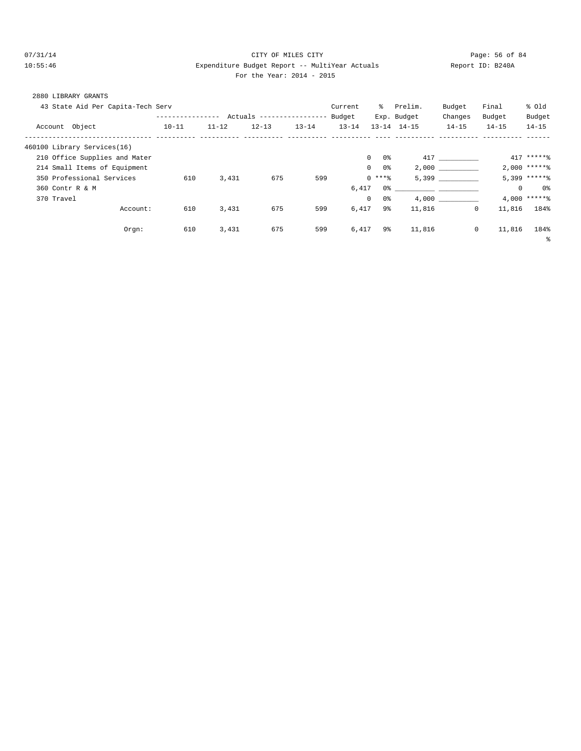# 07/31/14 Page: 56 of 84 10:55:46 Expenditure Budget Report -- MultiYear Actuals Report ID: B240A For the Year: 2014 - 2015

| 2880 LIBRARY GRANTS |                                   |                  |           |                           |           |           |                     |                                                                                                                                                                                                                               |           |                   |                 |
|---------------------|-----------------------------------|------------------|-----------|---------------------------|-----------|-----------|---------------------|-------------------------------------------------------------------------------------------------------------------------------------------------------------------------------------------------------------------------------|-----------|-------------------|-----------------|
|                     | 43 State Aid Per Capita-Tech Serv |                  |           |                           |           | Current   |                     | % Prelim.                                                                                                                                                                                                                     | Budget    | Final             | % old           |
|                     |                                   | ---------------- |           | Actuals ----------------- |           | Budget    |                     | Exp. Budget                                                                                                                                                                                                                   | Changes   | Budget            | Budget          |
| Account Object      |                                   | $10 - 11$        | $11 - 12$ | $12 - 13$                 | $13 - 14$ | $13 - 14$ |                     | $13 - 14$ $14 - 15$                                                                                                                                                                                                           | $14 - 15$ | $14 - 15$         | $14 - 15$       |
|                     | 460100 Library Services(16)       |                  |           |                           |           |           |                     |                                                                                                                                                                                                                               |           |                   |                 |
|                     | 210 Office Supplies and Mater     |                  |           |                           |           |           | 0 %<br>$\mathbf{0}$ |                                                                                                                                                                                                                               | 417       |                   | $417$ ******    |
|                     | 214 Small Items of Equipment      |                  |           |                           |           |           | $\Omega$<br>0%      |                                                                                                                                                                                                                               | 2.000     |                   | $2,000$ ******  |
|                     | 350 Professional Services         | 610              | 3,431     | 675                       | 599       |           | $0***8$             |                                                                                                                                                                                                                               | 5,399     |                   | $5,399$ ******  |
| 360 Contr R & M     |                                   |                  |           |                           |           | 6,417     |                     | 0.3 - 0.3 - 0.3 - 0.3 - 0.3 - 0.3 - 0.3 - 0.3 - 0.3 - 0.3 - 0.3 - 0.3 - 0.3 - 0.3 - 0.3 - 0.3 - 0.3 - 0.3 - 0.3 - 0.3 - 0.3 - 0.3 - 0.3 - 0.3 - 0.3 - 0.3 - 0.3 - 0.3 - 0.3 - 0.3 - 0.3 - 0.3 - 0.3 - 0.3 - 0.3 - 0.3 - 0.3 - |           | $\circ$           | 0%              |
| 370 Travel          |                                   |                  |           |                           |           | $\Omega$  | 0%                  |                                                                                                                                                                                                                               | 4.000     |                   | $4.000$ ***** \ |
|                     | Account:                          | 610              | 3,431     | 675                       | 599       | 6,417     | 9%                  | 11,816                                                                                                                                                                                                                        |           | $\circ$<br>11,816 | 184%            |
|                     | Orgn:                             | 610              | 3,431     | 675                       | 599       | 6,417     | 9%                  | 11,816                                                                                                                                                                                                                        |           | $\circ$<br>11,816 | 184%            |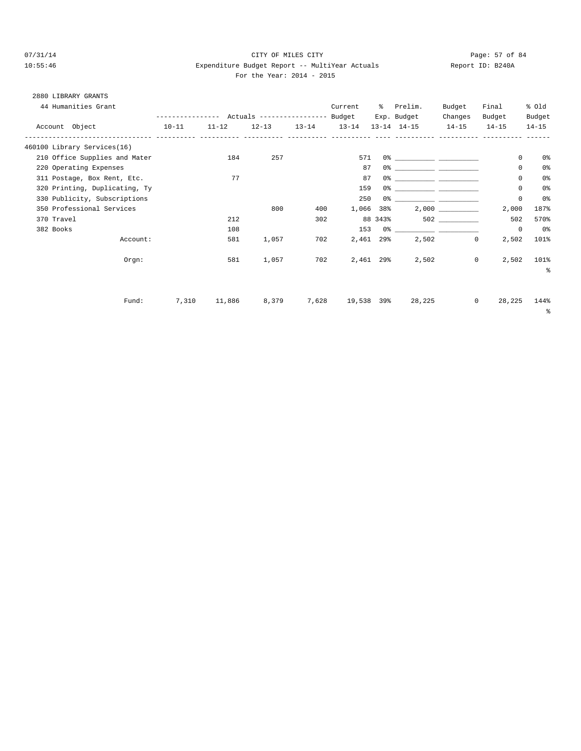# 07/31/14 Page: 57 of 84 10:55:46 Expenditure Budget Report -- MultiYear Actuals Report ID: B240A For the Year: 2014 - 2015

# 2880 LIBRARY GRANTS

| 44 Humanities Grant                                |           |           |                                                 |           | Current    | ွေ        | Prelim.             | Budget    | Final                  | % old          |
|----------------------------------------------------|-----------|-----------|-------------------------------------------------|-----------|------------|-----------|---------------------|-----------|------------------------|----------------|
|                                                    |           |           | --------------- Actuals ---------------- Budget |           |            |           | Exp. Budget         | Changes   | Budget                 | Budget         |
| Account Object<br>----------------------- -------- | $10 - 11$ | $11 - 12$ | $12 - 13$                                       | $13 - 14$ | $13 - 14$  |           | $13 - 14$ $14 - 15$ | $14 - 15$ | $14 - 15$              | $14 - 15$      |
| 460100 Library Services(16)                        |           |           |                                                 |           |            |           |                     |           |                        |                |
| 210 Office Supplies and Mater                      |           | 184       | 257                                             |           | 571        |           |                     |           | $\mathbf 0$            | 0 <sup>8</sup> |
| 220 Operating Expenses                             |           |           |                                                 |           | 87         |           |                     |           | 0                      | 0 <sub>8</sub> |
| 311 Postage, Box Rent, Etc.                        |           | 77        |                                                 |           | 87         |           |                     |           | 0                      | 0%             |
| 320 Printing, Duplicating, Ty                      |           |           |                                                 |           | 159        |           |                     |           | 0                      | 0%             |
| 330 Publicity, Subscriptions                       |           |           |                                                 |           | 250        |           |                     |           | $\mathbf 0$            | 0 <sup>o</sup> |
| 350 Professional Services                          |           |           | 800                                             | 400       | 1,066      | 38%       |                     |           | 2,000                  | 187%           |
| 370 Travel                                         |           | 212       |                                                 | 302       |            | 88 343%   |                     | 502 300   | 502                    | 570%           |
| 382 Books                                          |           | 108       |                                                 |           | 153        |           |                     |           | $\mathbf 0$            | 0%             |
| Account:                                           |           | 581       | 1,057                                           | 702       | 2,461      | 29%       | 2,502               |           | $\mathbf{0}$<br>2,502  | 101%           |
| Orgn:                                              |           | 581       | 1,057                                           | 702       |            | 2,461 29% | 2,502               |           | 2,502<br>$\mathbf{0}$  | 101%           |
|                                                    |           |           |                                                 |           |            |           |                     |           |                        | $\approx$      |
|                                                    |           |           |                                                 |           |            |           |                     |           |                        |                |
| Fund:                                              | 7,310     | 11,886    | 8,379                                           | 7,628     | 19,538 39% |           | 28,225              |           | $\mathbf{0}$<br>28,225 | 144%<br>နွ     |
|                                                    |           |           |                                                 |           |            |           |                     |           |                        |                |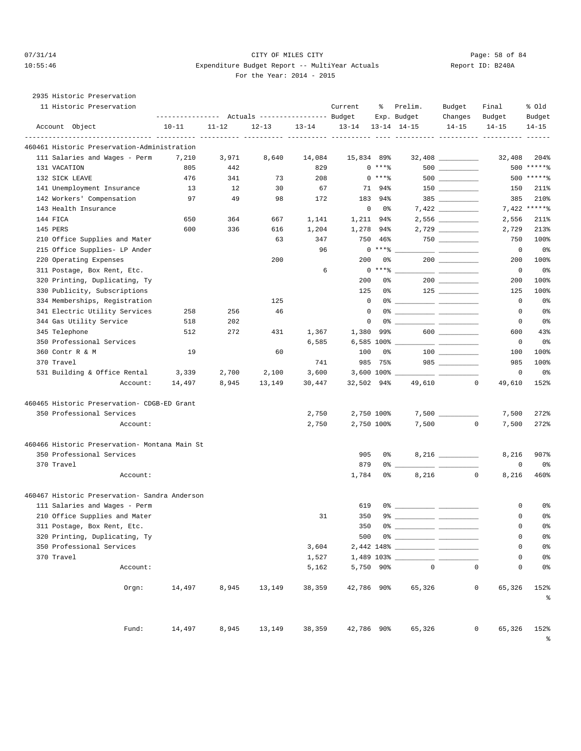# $O7/31/14$  Page: 58 of 84 10:55:46 Expenditure Budget Report -- MultiYear Actuals Report ID: B240A For the Year: 2014 - 2015

2935 Historic Preservation

|               | 11 Historic Preservation                      | --------------- Actuals ---------------- Budget |           |            |           | Current    | ႜ                 | Prelim.<br>Exp. Budget                                                                                                                                                                                                                                                                                                 | Budget<br>Changes | Final<br>Budget            | % old<br>Budget                  |
|---------------|-----------------------------------------------|-------------------------------------------------|-----------|------------|-----------|------------|-------------------|------------------------------------------------------------------------------------------------------------------------------------------------------------------------------------------------------------------------------------------------------------------------------------------------------------------------|-------------------|----------------------------|----------------------------------|
|               | Account Object                                | $10 - 11$                                       | $11 - 12$ | $12 - 13$  | $13 - 14$ | $13 - 14$  |                   | $13 - 14$ $14 - 15$                                                                                                                                                                                                                                                                                                    | $14 - 15$         | $14 - 15$                  | $14 - 15$                        |
|               | 460461 Historic Preservation-Administration   |                                                 |           | ---- ----- |           |            |                   |                                                                                                                                                                                                                                                                                                                        |                   |                            |                                  |
|               | 111 Salaries and Wages - Perm                 | 7,210                                           | 3,971     | 8,640      | 14,084    | 15,834 89% |                   |                                                                                                                                                                                                                                                                                                                        |                   | 32,408                     | 204%                             |
| 131 VACATION  |                                               | 805                                             | 442       |            | 829       |            | $0***8$           |                                                                                                                                                                                                                                                                                                                        |                   |                            | 500 ******                       |
|               | 132 SICK LEAVE                                | 476                                             | 341       | 73         | 208       |            | $0***8$           |                                                                                                                                                                                                                                                                                                                        |                   |                            | 500 ******                       |
|               | 141 Unemployment Insurance                    | 13                                              | 12        | 30         | 67        |            | 71<br>94%         |                                                                                                                                                                                                                                                                                                                        |                   | 150                        | 211%                             |
|               | 142 Workers' Compensation                     | 97                                              | 49        | 98         | 172       | 183        | 94%               |                                                                                                                                                                                                                                                                                                                        |                   | 385                        | 210%                             |
|               | 143 Health Insurance                          |                                                 |           |            |           | $\circ$    | 0%                |                                                                                                                                                                                                                                                                                                                        |                   |                            | 7,422 ******                     |
| 144 FICA      |                                               | 650                                             | 364       | 667        | 1,141     |            | 1,211 94%         |                                                                                                                                                                                                                                                                                                                        | 2,556             | 2,556                      | 211%                             |
| 145 PERS      |                                               | 600                                             | 336       | 616        | 1,204     | 1,278      | 94%               |                                                                                                                                                                                                                                                                                                                        |                   | 2,729                      | 213%                             |
|               | 210 Office Supplies and Mater                 |                                                 |           | 63         | 347       | 750        | 46%               |                                                                                                                                                                                                                                                                                                                        |                   | 750                        | 100%                             |
|               | 215 Office Supplies- LP Ander                 |                                                 |           |            | 96        |            | $0***$ $*$        |                                                                                                                                                                                                                                                                                                                        |                   | $\mathbf 0$                | 0 <sub>8</sub>                   |
|               | 220 Operating Expenses                        |                                                 |           | 200        |           | 200        | 0%                |                                                                                                                                                                                                                                                                                                                        |                   | 200                        | 100%                             |
|               | 311 Postage, Box Rent, Etc.                   |                                                 |           |            | 6         |            | $0$ *** $8$       |                                                                                                                                                                                                                                                                                                                        |                   | 0                          | 0 <sup>8</sup>                   |
|               | 320 Printing, Duplicating, Ty                 |                                                 |           |            |           | 200        | 0%                |                                                                                                                                                                                                                                                                                                                        | $200$             | 200                        | 100%                             |
|               | 330 Publicity, Subscriptions                  |                                                 |           |            |           | 125        | 0%                |                                                                                                                                                                                                                                                                                                                        |                   | 125                        | 100%                             |
|               | 334 Memberships, Registration                 |                                                 |           | 125        |           |            | $\mathbf{0}$      |                                                                                                                                                                                                                                                                                                                        |                   | $\mathbf 0$                | 0 <sub>8</sub>                   |
|               | 341 Electric Utility Services                 | 258                                             | 256       | 46         |           | $\circ$    |                   |                                                                                                                                                                                                                                                                                                                        |                   | 0                          | 0 <sup>8</sup>                   |
|               | 344 Gas Utility Service                       | 518                                             | 202       |            |           |            | 0                 |                                                                                                                                                                                                                                                                                                                        |                   | 0                          | 0 <sup>8</sup>                   |
| 345 Telephone |                                               | 512                                             | 272       | 431        | 1,367     | 1,380      | 99%               |                                                                                                                                                                                                                                                                                                                        | $600$             | 600                        | 43%                              |
|               | 350 Professional Services                     |                                                 |           |            | 6,585     |            | 6,585 100%        |                                                                                                                                                                                                                                                                                                                        |                   | 0                          | 0 <sub>8</sub>                   |
|               | 360 Contr R & M                               | 19                                              |           | 60         |           | 100        | 0%                |                                                                                                                                                                                                                                                                                                                        |                   | 100                        | 100%                             |
| 370 Travel    |                                               |                                                 |           |            | 741       |            | 985 75%           |                                                                                                                                                                                                                                                                                                                        | $985$ __________  | 985                        | 100%                             |
|               | 531 Building & Office Rental                  | 3,339                                           | 2,700     | 2,100      | 3,600     |            | $3,600$ 100% $\_$ | <u>the community of the community of the community of the community of the community of the community of the community of the community of the community of the community of the community of the community of the community of </u>                                                                                   |                   | 0                          | 0 <sub>8</sub>                   |
|               | Account:                                      | 14,497                                          | 8,945     | 13,149     | 30,447    |            | 32,502 94%        | 49,610                                                                                                                                                                                                                                                                                                                 |                   | $\mathbf 0$<br>49,610      | 152%                             |
|               | 460465 Historic Preservation- CDGB-ED Grant   |                                                 |           |            |           |            |                   |                                                                                                                                                                                                                                                                                                                        |                   |                            |                                  |
|               | 350 Professional Services                     |                                                 |           |            | 2,750     |            | 2,750 100%        |                                                                                                                                                                                                                                                                                                                        |                   | 7,500                      | 272%                             |
|               | Account:                                      |                                                 |           |            | 2,750     |            | 2,750 100%        | 7,500                                                                                                                                                                                                                                                                                                                  |                   | 0<br>7,500                 | 272%                             |
|               | 460466 Historic Preservation- Montana Main St |                                                 |           |            |           |            |                   |                                                                                                                                                                                                                                                                                                                        |                   |                            |                                  |
|               | 350 Professional Services                     |                                                 |           |            |           | 905        | 0%                |                                                                                                                                                                                                                                                                                                                        |                   | 8,216                      | 907%                             |
| 370 Travel    |                                               |                                                 |           |            |           | 879        |                   | 0 %                                                                                                                                                                                                                                                                                                                    |                   | 0                          | 0 <sup>8</sup>                   |
|               | Account:                                      |                                                 |           |            |           | 1,784      | 0%                | 8,216                                                                                                                                                                                                                                                                                                                  |                   | 0<br>8,216                 | 460%                             |
|               | 460467 Historic Preservation- Sandra Anderson |                                                 |           |            |           |            |                   |                                                                                                                                                                                                                                                                                                                        |                   |                            |                                  |
|               | 111 Salaries and Wages - Perm                 |                                                 |           |            |           | 619        |                   |                                                                                                                                                                                                                                                                                                                        |                   | 0                          | 0%                               |
|               | 210 Office Supplies and Mater                 |                                                 |           |            | 31        | 350        |                   |                                                                                                                                                                                                                                                                                                                        |                   | 0                          | 0 <sup>8</sup>                   |
|               | 311 Postage, Box Rent, Etc.                   |                                                 |           |            |           | 350        |                   | $0$ $\frac{1}{2}$ $\frac{1}{2}$ $\frac{1}{2}$ $\frac{1}{2}$ $\frac{1}{2}$ $\frac{1}{2}$ $\frac{1}{2}$ $\frac{1}{2}$ $\frac{1}{2}$ $\frac{1}{2}$ $\frac{1}{2}$ $\frac{1}{2}$ $\frac{1}{2}$ $\frac{1}{2}$ $\frac{1}{2}$ $\frac{1}{2}$ $\frac{1}{2}$ $\frac{1}{2}$ $\frac{1}{2}$ $\frac{1}{2}$ $\frac{1}{2}$ $\frac{1}{2$ |                   | 0                          | 0 <sup>8</sup>                   |
|               | 320 Printing, Duplicating, Ty                 |                                                 |           |            |           | 500        |                   |                                                                                                                                                                                                                                                                                                                        |                   | 0                          | 0 <sup>8</sup>                   |
|               | 350 Professional Services                     |                                                 |           |            | 3,604     |            |                   |                                                                                                                                                                                                                                                                                                                        |                   | $\mathbf 0$                | 0%                               |
| 370 Travel    |                                               |                                                 |           |            | 1,527     |            |                   |                                                                                                                                                                                                                                                                                                                        |                   | 0                          | 0 <sup>8</sup>                   |
|               | Account:                                      |                                                 |           |            | 5,162     |            | 5,750 90%         | $\mathbf 0$                                                                                                                                                                                                                                                                                                            |                   | $\mathbf 0$<br>$\mathbf 0$ | 0 <sup>8</sup>                   |
|               | $0$ rgn:                                      | 14,497                                          | 8,945     | 13,149     | 38,359    |            | 42,786 90%        | 65,326                                                                                                                                                                                                                                                                                                                 |                   | $\mathbf 0$<br>65,326      | 152%<br>ಕಿ                       |
|               | Fund:                                         | 14,497                                          | 8,945     | 13,149     | 38,359    |            | 42,786 90%        | 65,326                                                                                                                                                                                                                                                                                                                 |                   | 0<br>65,326                | 152%<br>$\,{}^{\circ}_{\circ}\,$ |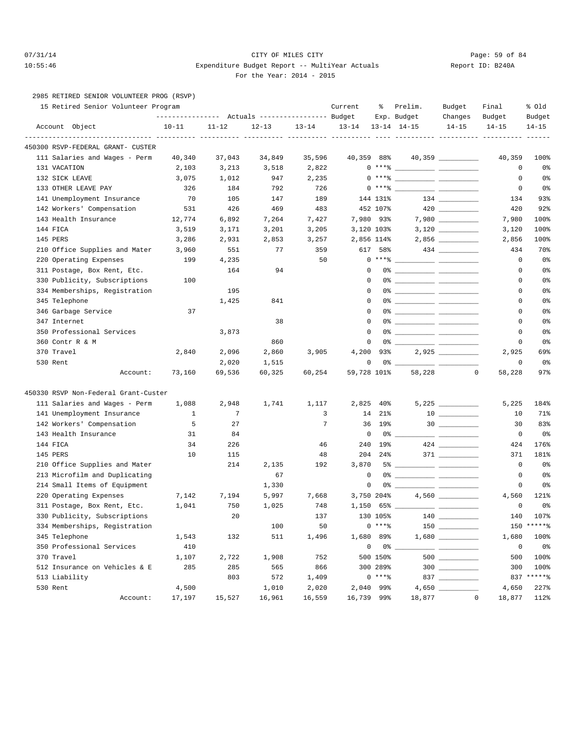# 07/31/14 Page: 59 of 84 10:55:46 Expenditure Budget Report -- MultiYear Actuals Report ID: B240A For the Year: 2014 - 2015

2985 RETIRED SENIOR VOLUNTEER PROG (RSVP)

|            | 15 Retired Senior Volunteer Program                    | ---------------    Actuals ----------------    Budget |           |             |                 | Current     | နွ         | Prelim.<br>Exp. Budget                           | Budget<br>Changes                             | Final<br>Budget       | % old<br>Budget |
|------------|--------------------------------------------------------|-------------------------------------------------------|-----------|-------------|-----------------|-------------|------------|--------------------------------------------------|-----------------------------------------------|-----------------------|-----------------|
|            | Account Object                                         | $10 - 11$                                             | $11 - 12$ | $12 - 13$   | $13 - 14$       | $13 - 14$   |            | $13 - 14$ $14 - 15$                              | $14 - 15$                                     | $14 - 15$             | $14 - 15$       |
|            | 450300 RSVP-FEDERAL GRANT- CUSTER                      |                                                       |           |             |                 |             |            |                                                  |                                               |                       |                 |
|            | 111 Salaries and Wages - Perm                          | 40,340                                                | 37,043    | 34,849      | 35,596          | 40,359 88%  |            |                                                  | 40,359 __________                             | 40,359                | 100%            |
|            | 131 VACATION                                           | 2,103                                                 | 3,213     | 3,518       | 2,822           |             |            | $0***$ $\frac{20}{10}$                           |                                               | 0                     | 0 <sup>8</sup>  |
|            | 132 SICK LEAVE                                         | 3,075                                                 | 1,012     | 947         | 2,235           |             | $0***8$    | <u> - The Communication of the Communication</u> |                                               | 0                     | 0 <sup>8</sup>  |
|            | 133 OTHER LEAVE PAY                                    | 326                                                   | 184       | 792         | 726             |             |            | $0***$ $\frac{20}{100}$                          |                                               | $\mathbf 0$           | 0 <sup>8</sup>  |
|            | 141 Unemployment Insurance                             | 70                                                    | 105       | 147         | 189             |             | 144 131%   |                                                  | $134 \begin{tabular}{l} \hline \end{tabular}$ | 134                   | 93%             |
|            | 142 Workers' Compensation                              | 531                                                   | 426       | 469         | 483             |             | 452 107%   |                                                  |                                               | 420                   | 92%             |
|            | 143 Health Insurance                                   | 12,774                                                | 6,892     | 7,264       | 7,427           |             | 7,980 93%  |                                                  |                                               | 7,980                 | 100%            |
| 144 FICA   |                                                        | 3,519                                                 | 3,171     | 3,201       | 3,205           |             | 3,120 103% |                                                  |                                               | 3,120                 | 100%            |
| 145 PERS   |                                                        | 3,286                                                 | 2,931     | 2,853       | 3,257           |             | 2,856 114% |                                                  |                                               | 2,856                 | 100%            |
|            | 210 Office Supplies and Mater                          | 3,960                                                 | 551       | 77          | 359             | 617         | 58%        |                                                  |                                               | 434                   | 70%             |
|            | 220 Operating Expenses                                 | 199                                                   | 4,235     |             | 50              |             |            | $0***$ $\frac{20}{100}$                          |                                               | $\mathbf 0$           | 0 <sup>8</sup>  |
|            | 311 Postage, Box Rent, Etc.                            |                                                       | 164       | 94          |                 | $\Omega$    |            |                                                  |                                               | 0                     | 0 <sup>8</sup>  |
|            | 330 Publicity, Subscriptions                           | 100                                                   |           |             |                 | 0           |            |                                                  |                                               | 0                     | 0 <sup>8</sup>  |
|            | 334 Memberships, Registration                          |                                                       | 195       |             |                 | 0           |            |                                                  |                                               | 0                     | 0 <sup>8</sup>  |
|            | 345 Telephone                                          |                                                       | 1,425     | 841         |                 | 0           |            |                                                  |                                               | 0                     | 0%              |
|            | 346 Garbage Service                                    | 37                                                    |           |             |                 | $\Omega$    |            |                                                  |                                               | 0                     | 0 <sup>8</sup>  |
|            | 347 Internet                                           |                                                       |           | 38          |                 | $\Omega$    |            |                                                  |                                               | 0                     | 0 <sup>8</sup>  |
|            | 350 Professional Services                              |                                                       | 3,873     |             |                 | 0           |            |                                                  |                                               | 0                     | 0 <sup>8</sup>  |
|            | 360 Contr R & M                                        |                                                       |           | 860         |                 | 0           |            |                                                  |                                               | $\mathbf 0$           | 0 <sup>8</sup>  |
| 370 Travel |                                                        | 2,840                                                 | 2,096     | 2,860       | 3,905           | 4,200       | 93%        |                                                  |                                               | 2,925                 | 69%             |
| 530 Rent   |                                                        |                                                       | 2,020     | 1,515       |                 | 0           |            |                                                  |                                               | $\mathbf 0$           | 0 <sub>8</sub>  |
|            | Account:                                               | 73,160                                                | 69,536    | 60,325      | 60,254          | 59,728 101% |            | 58,228                                           | 0                                             | 58,228                | $97$ $%$        |
|            | 450330 RSVP Non-Federal Grant-Custer                   |                                                       |           |             |                 |             |            |                                                  |                                               |                       |                 |
|            | 111 Salaries and Wages - Perm                          | 1,088                                                 | 2,948     | 1,741       | 1,117           | 2,825       | 40%        |                                                  |                                               | 5,225                 | 184%            |
|            | 141 Unemployment Insurance                             | 1                                                     | 7         |             | 3               | 14          | $21\%$     |                                                  |                                               | 10                    | 71%             |
|            | 142 Workers' Compensation                              | 5                                                     | 27        |             | $7\phantom{.0}$ | 36          | 19%        |                                                  |                                               | 30                    | 83%             |
|            | 143 Health Insurance                                   | 31                                                    | 84        |             |                 | $\mathbf 0$ |            | 0%                                               |                                               | $\mathbf 0$           | 0 <sup>8</sup>  |
| 144 FICA   |                                                        | 34                                                    | 226       |             | 46              | 240         | 19%        |                                                  |                                               | 424                   | 176%            |
| 145 PERS   |                                                        | 10                                                    | 115       |             | 48              | 204         | 24%        |                                                  |                                               | 371                   | 181%            |
|            |                                                        |                                                       | 214       |             | 192             | 3,870       |            |                                                  |                                               | $\mathbf 0$           | 0 <sup>8</sup>  |
|            | 210 Office Supplies and Mater                          |                                                       |           | 2,135<br>67 |                 | 0           |            | 5% _____________ ____________                    |                                               | 0                     | 0 <sup>8</sup>  |
|            | 213 Microfilm and Duplicating                          |                                                       |           |             |                 | 0           |            |                                                  |                                               | $\mathbf 0$           | 0 <sup>8</sup>  |
|            | 214 Small Items of Equipment<br>220 Operating Expenses |                                                       |           | 1,330       |                 |             |            |                                                  |                                               |                       |                 |
|            |                                                        | 7,142                                                 | 7,194     | 5,997       | 7,668           |             | 3,750 204% |                                                  |                                               | 4,560                 | 121%            |
|            | 311 Postage, Box Rent, Etc.                            | 1,041                                                 | 750       | 1,025       | 748             | 1,150       |            |                                                  |                                               | 0                     | 0 <sup>8</sup>  |
|            | 330 Publicity, Subscriptions                           |                                                       | 20        |             | 137             |             | 130 105%   |                                                  |                                               | 140                   | 107%            |
|            | 334 Memberships, Registration                          |                                                       |           | 100         | 50              |             | $0***$     |                                                  |                                               |                       | $150$ *****%    |
|            | 345 Telephone                                          | 1,543                                                 | 132       | 511         | 1,496           |             | 1,680 89%  |                                                  |                                               | 1,680                 | 100%            |
|            | 350 Professional Services                              | 410                                                   |           |             |                 | $\mathbf 0$ | 0 %        |                                                  | <u> La Carlo Carlo Carlo Ca</u>               | $\mathbf 0$           | 0%              |
| 370 Travel |                                                        | 1,107                                                 | 2,722     | 1,908       | 752             |             | 500 150%   |                                                  | $500$                                         | 500                   | 100%            |
|            | 512 Insurance on Vehicles & E                          | 285                                                   | 285       | 565         | 866             |             | 300 289%   |                                                  | $300$                                         | 300                   | 100%            |
|            | 513 Liability                                          |                                                       | 803       | 572         | 1,409           |             | $0***8$    |                                                  | $837 \ \ \underline{\hspace{1cm}}$            |                       | 837 ******      |
| 530 Rent   |                                                        | 4,500                                                 |           | 1,010       | 2,020           |             | 2,040 99%  |                                                  |                                               | 4,650                 | 227%            |
|            | Account:                                               | 17,197                                                | 15,527    | 16,961      | 16,559          | 16,739 99%  |            | 18,877                                           |                                               | $\mathbf 0$<br>18,877 | 112%            |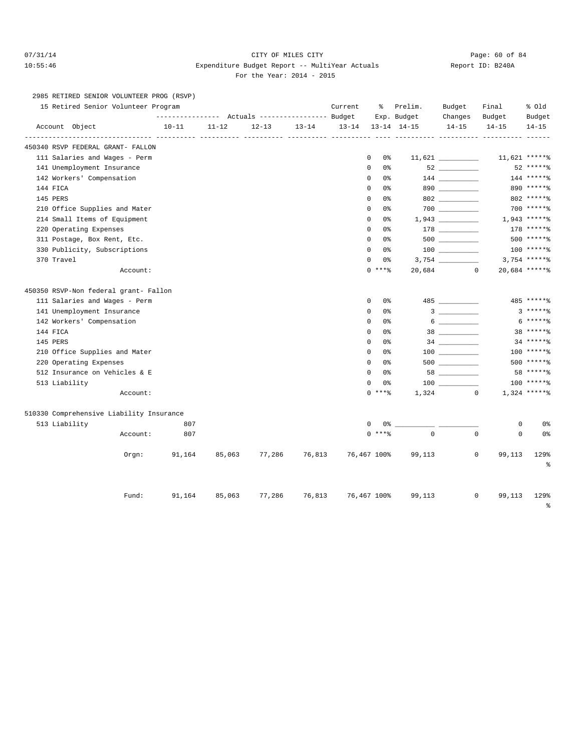# 07/31/14 Page: 60 of 84 10:55:46 Expenditure Budget Report -- MultiYear Actuals Report ID: B240A For the Year: 2014 - 2015

2985 RETIRED SENIOR VOLUNTEER PROG (RSVP)

|          |                              | 15 Retired Senior Volunteer Program      |           |           |           |           | Current   | ႜ                             | Prelim.             | Budget                                                                                                                                                                                                                                                                                                                                                | Final                      | % old           |
|----------|------------------------------|------------------------------------------|-----------|-----------|-----------|-----------|-----------|-------------------------------|---------------------|-------------------------------------------------------------------------------------------------------------------------------------------------------------------------------------------------------------------------------------------------------------------------------------------------------------------------------------------------------|----------------------------|-----------------|
|          |                              |                                          |           |           |           |           |           |                               | Exp. Budget         | Changes                                                                                                                                                                                                                                                                                                                                               | Budget                     | Budget          |
|          | Account Object               |                                          | $10 - 11$ | $11 - 12$ | $12 - 13$ | $13 - 14$ | $13 - 14$ |                               | $13 - 14$ $14 - 15$ | $14 - 15$                                                                                                                                                                                                                                                                                                                                             | $14 - 15$                  | $14 - 15$       |
|          |                              | 450340 RSVP FEDERAL GRANT- FALLON        |           |           |           |           |           |                               |                     |                                                                                                                                                                                                                                                                                                                                                       |                            |                 |
|          |                              | 111 Salaries and Wages - Perm            |           |           |           |           |           | 0<br>0%                       |                     |                                                                                                                                                                                                                                                                                                                                                       |                            | 11,621 ******   |
|          | 141 Unemployment Insurance   |                                          |           |           |           |           |           | $\mathbf 0$<br>0 <sup>8</sup> |                     | $52 \ \ \underline{\hspace{1.5cm}}$                                                                                                                                                                                                                                                                                                                   |                            | 52 ******       |
|          | 142 Workers' Compensation    |                                          |           |           |           |           |           | 0<br>0%                       |                     |                                                                                                                                                                                                                                                                                                                                                       |                            | 144 ******      |
| 144 FICA |                              |                                          |           |           |           |           |           | 0<br>0%                       |                     | $890$                                                                                                                                                                                                                                                                                                                                                 |                            | 890 ******      |
| 145 PERS |                              |                                          |           |           |           |           |           | 0 <sup>8</sup><br>0           |                     | 802                                                                                                                                                                                                                                                                                                                                                   |                            | 802 ******      |
|          |                              | 210 Office Supplies and Mater            |           |           |           |           |           | $\mathbf 0$<br>0 <sup>8</sup> |                     |                                                                                                                                                                                                                                                                                                                                                       |                            | $700$ *****%    |
|          | 214 Small Items of Equipment |                                          |           |           |           |           |           | $\mathbf 0$<br>0%             |                     |                                                                                                                                                                                                                                                                                                                                                       |                            | $1,943$ *****%  |
|          | 220 Operating Expenses       |                                          |           |           |           |           |           | $\mathbf 0$<br>0 <sup>8</sup> |                     |                                                                                                                                                                                                                                                                                                                                                       |                            | 178 ******      |
|          | 311 Postage, Box Rent, Etc.  |                                          |           |           |           |           |           | $\Omega$<br>0 <sup>8</sup>    |                     |                                                                                                                                                                                                                                                                                                                                                       |                            | 500 ******      |
|          | 330 Publicity, Subscriptions |                                          |           |           |           |           |           | $\Omega$<br>0.‱               |                     | $\begin{array}{c} 100 \\ - \end{array}$                                                                                                                                                                                                                                                                                                               |                            | 100 ******      |
|          | 370 Travel                   |                                          |           |           |           |           |           | $\mathbf 0$<br>0%             |                     |                                                                                                                                                                                                                                                                                                                                                       |                            | $3,754$ ***** % |
|          |                              | Account:                                 |           |           |           |           |           | $0$ ****                      |                     | 20,684 0                                                                                                                                                                                                                                                                                                                                              |                            | 20,684 ******   |
|          |                              | 450350 RSVP-Non federal grant- Fallon    |           |           |           |           |           |                               |                     |                                                                                                                                                                                                                                                                                                                                                       |                            |                 |
|          |                              | 111 Salaries and Wages - Perm            |           |           |           |           |           | $\mathbf 0$<br>0 <sup>8</sup> |                     | 485                                                                                                                                                                                                                                                                                                                                                   |                            | 485 ******      |
|          | 141 Unemployment Insurance   |                                          |           |           |           |           |           | $\mathbf 0$<br>0 <sup>8</sup> |                     | $3 \overline{\phantom{a} \phantom{a} \phantom{a}}$                                                                                                                                                                                                                                                                                                    |                            | $3****2$        |
|          | 142 Workers' Compensation    |                                          |           |           |           |           |           | 0<br>0%                       |                     | $6 \begin{tabular}{l} \hline \rule{0.2cm}{0.15cm} \rule{0.2cm}{0.15cm} \rule{0.2cm}{0.15cm} \rule{0.2cm}{0.15cm} \rule{0.2cm}{0.15cm} \rule{0.2cm}{0.15cm} \rule{0.2cm}{0.15cm} \rule{0.2cm}{0.15cm} \rule{0.2cm}{0.15cm} \rule{0.2cm}{0.15cm} \rule{0.2cm}{0.15cm} \rule{0.2cm}{0.15cm} \rule{0.2cm}{0.15cm} \rule{0.2cm}{0.15cm} \rule{0.2cm}{0.15$ |                            | $6****$         |
| 144 FICA |                              |                                          |           |           |           |           |           | 0 <sup>8</sup><br>0           |                     | $\begin{array}{c} 38 \end{array}$                                                                                                                                                                                                                                                                                                                     |                            | $38****$        |
| 145 PERS |                              |                                          |           |           |           |           |           | $\mathbf 0$<br>0 <sup>8</sup> |                     |                                                                                                                                                                                                                                                                                                                                                       |                            | $34****$        |
|          |                              | 210 Office Supplies and Mater            |           |           |           |           |           | $\mathbf 0$<br>0%             |                     | $100$                                                                                                                                                                                                                                                                                                                                                 |                            | 100 ******      |
|          | 220 Operating Expenses       |                                          |           |           |           |           |           | $\mathbf 0$<br>0 <sup>8</sup> |                     |                                                                                                                                                                                                                                                                                                                                                       |                            | 500 ******      |
|          |                              | 512 Insurance on Vehicles & E            |           |           |           |           |           | $\mathbf 0$<br>0 <sup>8</sup> |                     | 58                                                                                                                                                                                                                                                                                                                                                    |                            | 58 ******       |
|          | 513 Liability                |                                          |           |           |           |           |           | $\mathbf 0$<br>0%             |                     |                                                                                                                                                                                                                                                                                                                                                       |                            | 100 ******      |
|          |                              | Account:                                 |           |           |           |           |           | $0$ ****                      | 1,324               |                                                                                                                                                                                                                                                                                                                                                       | $\mathbf{0}$               | $1,324$ ******  |
|          |                              | 510330 Comprehensive Liability Insurance |           |           |           |           |           |                               |                     |                                                                                                                                                                                                                                                                                                                                                       |                            |                 |
|          | 513 Liability                |                                          | 807       |           |           |           |           | 0<br>0 %                      |                     |                                                                                                                                                                                                                                                                                                                                                       | $\mathbf 0$                | 0%              |
|          |                              | Account:                                 | 807       |           |           |           |           | $0$ ****                      | $\Omega$            |                                                                                                                                                                                                                                                                                                                                                       | $\mathbf 0$<br>$\mathbf 0$ | 0 <sup>°</sup>  |
|          |                              | Orgn:                                    | 91,164    | 85,063    | 77,286    | 76,813    |           | 76,467 100%                   | 99,113              |                                                                                                                                                                                                                                                                                                                                                       | 0<br>99,113                | 129%<br>န္      |
|          |                              | Fund:                                    | 91,164    | 85,063    | 77,286    | 76,813    |           | 76,467 100%                   | 99,113              |                                                                                                                                                                                                                                                                                                                                                       | 0<br>99,113                | 129%            |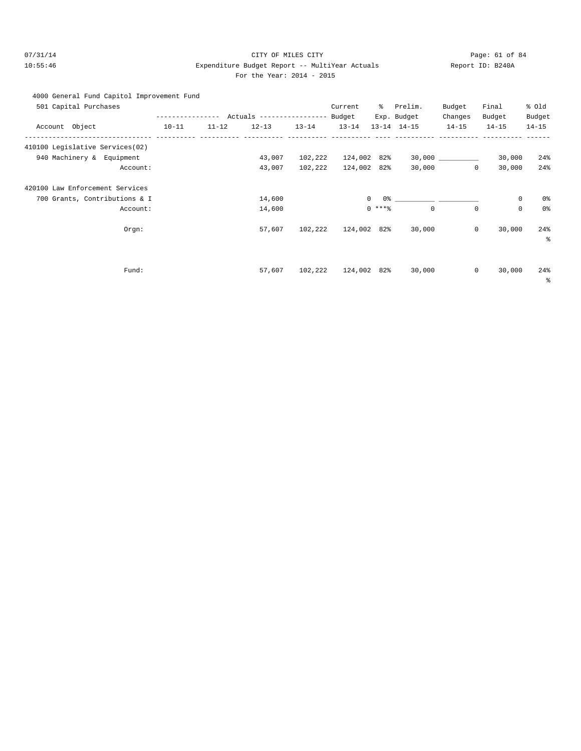# 07/31/14 Page: 61 of 84 10:55:46 Expenditure Budget Report -- MultiYear Actuals Report ID: B240A For the Year: 2014 - 2015

# 4000 General Fund Capitol Improvement Fund

| 501 Capital Purchases           |           |           |                                           |           | Current     | ွေ             | Prelim.                                 | Budget    | Final                      | % old     |
|---------------------------------|-----------|-----------|-------------------------------------------|-----------|-------------|----------------|-----------------------------------------|-----------|----------------------------|-----------|
|                                 |           |           | --------------- Actuals ----------------- |           | Budget      |                | Exp. Budget                             | Changes   | Budget                     | Budget    |
| Account Object                  | $10 - 11$ | $11 - 12$ | $12 - 13$                                 | $13 - 14$ | $13 - 14$   |                | $13 - 14$ $14 - 15$                     | $14 - 15$ | $14 - 15$                  | $14 - 15$ |
| 410100 Legislative Services(02) |           |           |                                           |           |             |                |                                         |           |                            |           |
| 940 Machinery & Equipment       |           |           | 43,007                                    | 102,222   | 124,002 82% |                |                                         |           | 30,000                     | 24%       |
| Account:                        |           |           | 43,007                                    | 102,222   | 124,002 82% |                | 30,000                                  |           | $\mathbf 0$<br>30,000      | 24%       |
| 420100 Law Enforcement Services |           |           |                                           |           |             |                |                                         |           |                            |           |
| 700 Grants, Contributions & I   |           |           | 14,600                                    |           |             | $\overline{0}$ | $0$ 왕 아이는 아이들은 아이들이 아이들이 아이들이 아이들이 있었다. |           | $\mathsf 0$                | 0%        |
| Account:                        |           |           | 14,600                                    |           |             | $0***$         | $\mathbf 0$                             |           | $\mathsf 0$<br>$\mathbf 0$ | 0%        |
| Orgn:                           |           |           | 57,607                                    | 102,222   | 124,002 82% |                | 30,000                                  |           | $\mathbf 0$<br>30,000      | 24%       |
|                                 |           |           |                                           |           |             |                |                                         |           |                            | る         |
|                                 |           |           |                                           |           |             |                |                                         |           |                            |           |
| Fund:                           |           |           | 57,607                                    | 102,222   | 124,002 82% |                | 30,000                                  |           | $\mathbf 0$<br>30,000      | 24%       |
|                                 |           |           |                                           |           |             |                |                                         |           |                            | နွ        |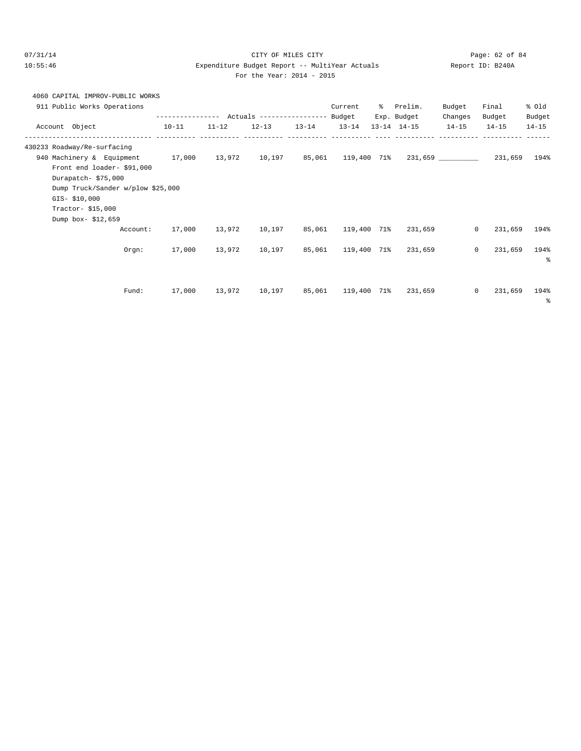## 07/31/14 Page: 62 of 84 10:55:46 Expenditure Budget Report -- MultiYear Actuals Report ID: B240A For the Year: 2014 - 2015

|  | 4060 CAPITAL IMPROV-PUBLIC WORKS |  |
|--|----------------------------------|--|
|  |                                  |  |

|                | 911 Public Works Operations       |                                                                                      |           |           |           | Current            | ွေ | Prelim.           | Budget  | Final                   | % Old     |
|----------------|-----------------------------------|--------------------------------------------------------------------------------------|-----------|-----------|-----------|--------------------|----|-------------------|---------|-------------------------|-----------|
|                |                                   |                                                                                      |           |           |           |                    |    | Exp. Budget       | Changes | Budget                  | Budget    |
| Account Object |                                   | $10 - 11$                                                                            | $11 - 12$ | $12 - 13$ | $13 - 14$ | $13 - 14$          |    | 13-14 14-15 14-15 |         | $14 - 15$               | $14 - 15$ |
|                |                                   |                                                                                      |           |           |           |                    |    |                   |         |                         |           |
|                | 430233 Roadway/Re-surfacing       |                                                                                      |           |           |           |                    |    |                   |         |                         |           |
|                | 940 Machinery & Equipment         | $17,000$ $13,972$ $10,197$ $85,061$ $119,400$ $71\%$ $231,659$ $\rule{2.5cm}{0.4cm}$ |           |           |           |                    |    |                   |         | 231,659 194%            |           |
|                | Front end loader- \$91,000        |                                                                                      |           |           |           |                    |    |                   |         |                         |           |
|                | Durapatch-\$75,000                |                                                                                      |           |           |           |                    |    |                   |         |                         |           |
|                | Dump Truck/Sander w/plow \$25,000 |                                                                                      |           |           |           |                    |    |                   |         |                         |           |
| GIS- \$10,000  |                                   |                                                                                      |           |           |           |                    |    |                   |         |                         |           |
|                | Tractor- $$15,000$                |                                                                                      |           |           |           |                    |    |                   |         |                         |           |
|                | Dump box-\$12,659                 |                                                                                      |           |           |           |                    |    |                   |         |                         |           |
|                | Account:                          | 17,000                                                                               | 13,972    | 10,197    |           | 85,061 119,400 71% |    | 231,659           |         | $\mathbf{0}$<br>231,659 | 194%      |
|                |                                   |                                                                                      |           |           |           |                    |    |                   |         |                         |           |
|                | Orgn:                             | 17,000                                                                               |           |           |           |                    |    | 231,659           |         | $\circ$<br>231,659      | 194%      |
|                |                                   |                                                                                      |           |           |           |                    |    |                   |         |                         | $\approx$ |
|                |                                   |                                                                                      |           |           |           |                    |    |                   |         |                         |           |
|                |                                   |                                                                                      |           |           |           |                    |    |                   |         |                         |           |
|                | Fund:                             | 17,000                                                                               | 13,972    | 10,197    |           | 85,061 119,400 71% |    | 231,659           |         | 231,659<br>$\circ$      | 194%      |
|                |                                   |                                                                                      |           |           |           |                    |    |                   |         |                         | ႜ         |
|                |                                   |                                                                                      |           |           |           |                    |    |                   |         |                         |           |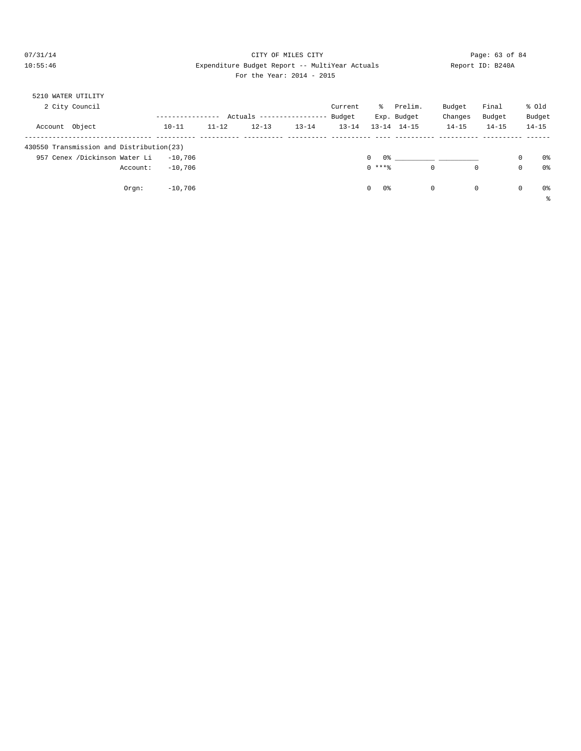# $O7/31/14$  Page: 63 of 84 10:55:46 Expenditure Budget Report -- MultiYear Actuals Report ID: B240A For the Year: 2014 - 2015

| 5210 WATER UTILITY                       |           |           |                            |           |           |                    |             |           |             |             |                |
|------------------------------------------|-----------|-----------|----------------------------|-----------|-----------|--------------------|-------------|-----------|-------------|-------------|----------------|
| 2 City Council                           |           |           |                            |           | Current   | ႜႜၟ                | Prelim.     | Budget    | Final       |             | % old          |
|                                          |           |           | Actuals ------------------ |           | Budget    |                    | Exp. Budget | Changes   | Budget      |             | Budget         |
| Account Object                           | $10 - 11$ | $11 - 12$ | $12 - 13$                  | $13 - 14$ | $13 - 14$ | $13 - 14$          | 14-15       | $14 - 15$ | $14 - 15$   |             | $14 - 15$      |
| 430550 Transmission and Distribution(23) |           |           |                            |           |           |                    |             |           |             |             |                |
| 957 Cenex /Dickinson Water Li            | $-10.706$ |           |                            |           |           | 0%<br>$\mathbf{0}$ |             |           |             | $\mathbf 0$ | 0 <sup>°</sup> |
| Account:                                 | $-10.706$ |           |                            |           |           | $0$ ****           |             | 0         | $\mathbf 0$ | $\mathbf 0$ | 0 <sup>°</sup> |
| Orgn:                                    | $-10,706$ |           |                            |           |           | $\circ$<br>0 %     |             | 0         | 0           | $\mathbf 0$ | 0%             |
|                                          |           |           |                            |           |           |                    |             |           |             |             | နွ             |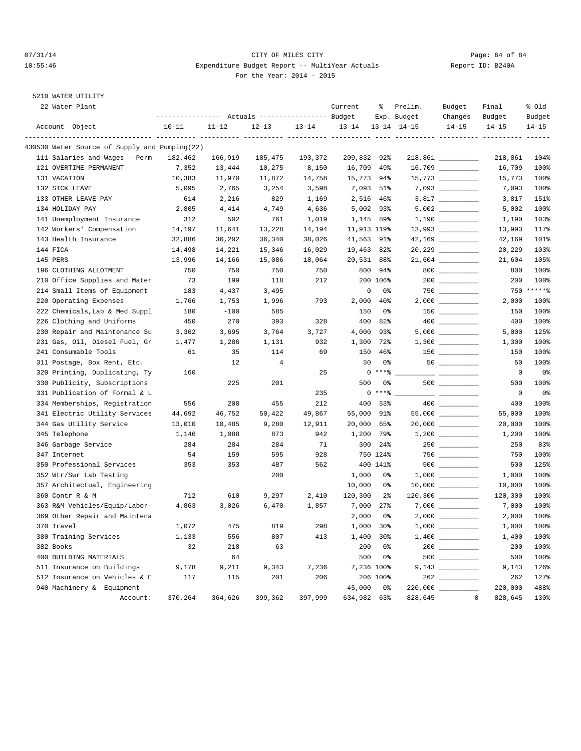## 07/31/14 Page: 64 of 84 10:55:46 Expenditure Budget Report -- MultiYear Actuals Report ID: B240A For the Year: 2014 - 2015

| 22 Water Plant                                |                                                 |           |                |           | Current     | ိင                        | Prelim.             | Budget                                                                                                                                                                                                                                                                                                                                                                                      | Final                                        | % old              |
|-----------------------------------------------|-------------------------------------------------|-----------|----------------|-----------|-------------|---------------------------|---------------------|---------------------------------------------------------------------------------------------------------------------------------------------------------------------------------------------------------------------------------------------------------------------------------------------------------------------------------------------------------------------------------------------|----------------------------------------------|--------------------|
|                                               | --------------- Actuals ---------------- Budget |           |                |           |             |                           | Exp. Budget         | Changes                                                                                                                                                                                                                                                                                                                                                                                     | Budget                                       | Budget             |
| Account Object                                | $10 - 11$                                       | $11 - 12$ | $12 - 13$      | $13 - 14$ | $13 - 14$   |                           | $13 - 14$ $14 - 15$ | $14 - 15$                                                                                                                                                                                                                                                                                                                                                                                   | $14 - 15$<br>---------- ---------- --------- | $14 - 15$<br>----- |
| 430530 Water Source of Supply and Pumping(22) |                                                 |           |                |           |             |                           |                     |                                                                                                                                                                                                                                                                                                                                                                                             |                                              |                    |
| 111 Salaries and Wages - Perm                 | 182,462                                         | 166,919   | 185,475        | 193,372   | 209,832     | 92%                       |                     |                                                                                                                                                                                                                                                                                                                                                                                             | 218,861                                      | 104%               |
| 121 OVERTIME-PERMANENT                        | 7,352                                           | 13,444    | 10,275         | 8,150     | 16,709      | 49%                       |                     | 16,709 __________                                                                                                                                                                                                                                                                                                                                                                           | 16,709                                       | 100%               |
| 131 VACATION                                  | 10,383                                          | 11,970    | 11,872         | 14,758    | 15,773 94%  |                           |                     |                                                                                                                                                                                                                                                                                                                                                                                             | 15,773                                       | 100%               |
| 132 SICK LEAVE                                | 5,095                                           | 2,765     | 3,254          | 3,598     | 7,093       | 51%                       |                     |                                                                                                                                                                                                                                                                                                                                                                                             | 7,093                                        | 100%               |
| 133 OTHER LEAVE PAY                           | 614                                             | 2,216     | 829            | 1,169     | 2,516       | 46%                       |                     |                                                                                                                                                                                                                                                                                                                                                                                             | 3,817                                        | 151%               |
| 134 HOLIDAY PAY                               | 2,805                                           | 4,414     | 4,749          | 4,636     | 5,002       | 93%                       |                     |                                                                                                                                                                                                                                                                                                                                                                                             | 5,002                                        | 100%               |
| 141 Unemployment Insurance                    | 312                                             | 502       | 761            | 1,019     | 1,145       | 89%                       |                     |                                                                                                                                                                                                                                                                                                                                                                                             | 1,190                                        | 103%               |
| 142 Workers' Compensation                     | 14,197                                          | 11,641    | 13,228         | 14,194    | 11,913 119% |                           |                     |                                                                                                                                                                                                                                                                                                                                                                                             | 13,993                                       | 117%               |
| 143 Health Insurance                          | 32,886                                          | 36,202    | 36,340         | 38,026    | 41,563 91%  |                           |                     |                                                                                                                                                                                                                                                                                                                                                                                             | 42,169                                       | 101%               |
| 144 FICA                                      | 14,498                                          | 14,221    | 15,346         | 16,029    | 19,463      | 82%                       |                     |                                                                                                                                                                                                                                                                                                                                                                                             | 20,229                                       | 103%               |
| 145 PERS                                      | 13,996                                          | 14,166    | 15,086         | 18,064    | 20,531 88%  |                           |                     |                                                                                                                                                                                                                                                                                                                                                                                             | 21,604                                       | 105%               |
| 196 CLOTHING ALLOTMENT                        | 750                                             | 750       | 750            | 750       | 800         | 94%                       |                     | $\begin{picture}(20,20) \put(0,0){\dashbox{0.5}(5,0){ }} \put(15,0){\circle{10}} \put(15,0){\circle{10}} \put(15,0){\circle{10}} \put(15,0){\circle{10}} \put(15,0){\circle{10}} \put(15,0){\circle{10}} \put(15,0){\circle{10}} \put(15,0){\circle{10}} \put(15,0){\circle{10}} \put(15,0){\circle{10}} \put(15,0){\circle{10}} \put(15,0){\circle{10}} \put(15,0){\circle{10}} \put(15,0$ | 800                                          | 100%               |
| 210 Office Supplies and Mater                 | 73                                              | 199       | 118            | 212       |             | 200 106%                  |                     |                                                                                                                                                                                                                                                                                                                                                                                             | 200                                          | 100%               |
| 214 Small Items of Equipment                  | 183                                             | 4,437     | 3,495          |           | $\mathbf 0$ | 0%                        |                     |                                                                                                                                                                                                                                                                                                                                                                                             |                                              | 750 ******         |
| 220 Operating Expenses                        | 1,766                                           | 1,753     | 1,996          | 793       | 2,000       | $40\%$                    |                     | $2,000$ ___________                                                                                                                                                                                                                                                                                                                                                                         | 2,000                                        | 100%               |
| 222 Chemicals, Lab & Med Suppl                | 180                                             | $-100$    | 585            |           | 150         | 0%                        |                     | $150$ _________                                                                                                                                                                                                                                                                                                                                                                             | 150                                          | 100%               |
| 226 Clothing and Uniforms                     | 450                                             | 270       | 393            | 328       | 400         | 82%                       |                     |                                                                                                                                                                                                                                                                                                                                                                                             | 400                                          | 100%               |
| 230 Repair and Maintenance Su                 | 3,362                                           | 3,695     | 3,764          | 3,727     | 4,000       | 93%                       |                     |                                                                                                                                                                                                                                                                                                                                                                                             | 5,000                                        | 125%               |
| 231 Gas, Oil, Diesel Fuel, Gr                 | 1,477                                           | 1,286     | 1,131          | 932       | 1,300       | 72%                       |                     |                                                                                                                                                                                                                                                                                                                                                                                             | 1,300                                        | 100%               |
| 241 Consumable Tools                          | 61                                              | 35        | 114            | 69        | 150         | 46%                       |                     |                                                                                                                                                                                                                                                                                                                                                                                             | 150                                          | 100%               |
| 311 Postage, Box Rent, Etc.                   |                                                 | 12        | $\overline{4}$ |           | 50          | 0%                        |                     |                                                                                                                                                                                                                                                                                                                                                                                             | 50                                           | 100%               |
| 320 Printing, Duplicating, Ty                 | 160                                             |           |                | 25        |             | $\mathbf{0}$<br>$***$ $%$ |                     |                                                                                                                                                                                                                                                                                                                                                                                             | 0                                            | 0%                 |
| 330 Publicity, Subscriptions                  |                                                 | 225       | 201            |           | 500         | 0%                        |                     |                                                                                                                                                                                                                                                                                                                                                                                             | 500                                          | 100%               |
| 331 Publication of Formal & L                 |                                                 |           |                | 235       |             | $0***$ $*$                |                     |                                                                                                                                                                                                                                                                                                                                                                                             | $\mathsf 0$                                  | 0 <sup>o</sup>     |
| 334 Memberships, Registration                 | 556                                             | 208       | 455            | 212       | 400         | 53%                       |                     |                                                                                                                                                                                                                                                                                                                                                                                             | 400                                          | 100%               |
| 341 Electric Utility Services                 | 44,692                                          | 46,752    | 50,422         | 49,867    | 55,000      | 91%                       |                     |                                                                                                                                                                                                                                                                                                                                                                                             | 55,000                                       | 100%               |
| 344 Gas Utility Service                       | 13,010                                          | 10,485    | 9,280          | 12,911    | 20,000      | 65%                       |                     |                                                                                                                                                                                                                                                                                                                                                                                             | 20,000                                       | 100%               |
| 345 Telephone                                 | 1,146                                           | 1,088     | 873            | 942       | 1,200       | 79%                       |                     |                                                                                                                                                                                                                                                                                                                                                                                             | 1,200                                        | 100%               |
| 346 Garbage Service                           | 284                                             | 284       | 284            | 71        | 300         | 24%                       |                     |                                                                                                                                                                                                                                                                                                                                                                                             | 250                                          | 83%                |
| 347 Internet                                  | 54                                              | 159       | 595            | 928       |             | 750 124%                  |                     |                                                                                                                                                                                                                                                                                                                                                                                             | 750                                          | 100%               |
| 350 Professional Services                     | 353                                             | 353       | 487            | 562       |             | 400 141%                  |                     |                                                                                                                                                                                                                                                                                                                                                                                             | 500                                          | 125%               |
| 352 Wtr/Swr Lab Testing                       |                                                 |           | 200            |           | 1,000       | 0%                        |                     |                                                                                                                                                                                                                                                                                                                                                                                             | 1,000                                        | 100%               |
| 357 Architectual, Engineering                 |                                                 |           |                |           | 10,000      | 0%                        |                     |                                                                                                                                                                                                                                                                                                                                                                                             | 10,000                                       | 100%               |
| 360 Contr R & M                               | 712                                             | 610       | 9,297          | 2,410     | 120,300     | $2\frac{6}{9}$            |                     |                                                                                                                                                                                                                                                                                                                                                                                             | 120,300                                      | 100%               |
| 363 R&M Vehicles/Equip/Labor-                 | 4,863                                           | 3,026     | 6,470          | 1,857     | 7,000       | 27%                       |                     |                                                                                                                                                                                                                                                                                                                                                                                             | 7,000                                        | 100%               |
| 369 Other Repair and Maintena                 |                                                 |           |                |           | 2,000       | 0%                        |                     |                                                                                                                                                                                                                                                                                                                                                                                             | 2,000                                        | 100%               |
| 370 Travel                                    | 1,072                                           | 475       | 819            | 298       | 1,000       | 30%                       |                     |                                                                                                                                                                                                                                                                                                                                                                                             | 1,000                                        | 100%               |
| 380 Training Services                         | 1,133                                           | 556       | 807            | 413       | 1,400       | 30%                       |                     |                                                                                                                                                                                                                                                                                                                                                                                             | 1,400                                        | 100%               |
| 382 Books                                     | 32                                              | 218       | 63             |           | 200         | 0 <sup>°</sup>            |                     |                                                                                                                                                                                                                                                                                                                                                                                             | 200                                          | 100%               |
| 400 BUILDING MATERIALS                        |                                                 | 64        |                |           | 500         | 0%                        |                     |                                                                                                                                                                                                                                                                                                                                                                                             | 500                                          | 100%               |
| 511 Insurance on Buildings                    | 9,178                                           | 9,211     | 9,343          | 7,236     |             | 7,236 100%                |                     |                                                                                                                                                                                                                                                                                                                                                                                             | 9,143                                        | 126%               |
| 512 Insurance on Vehicles & E                 | 117                                             | 115       | 201            | 206       |             | 206 100%                  |                     | $262$                                                                                                                                                                                                                                                                                                                                                                                       | 262                                          | 127%               |
| 940 Machinery & Equipment                     |                                                 |           |                |           | 45,000      | 0%                        |                     | 220,000 _________                                                                                                                                                                                                                                                                                                                                                                           | 220,000                                      | 488%               |
| Account:                                      | 370,264                                         | 364,626   | 399,362        | 397,999   | 634,982 63% |                           | 828,645             |                                                                                                                                                                                                                                                                                                                                                                                             | $\mathsf 0$<br>828,645                       | 130%               |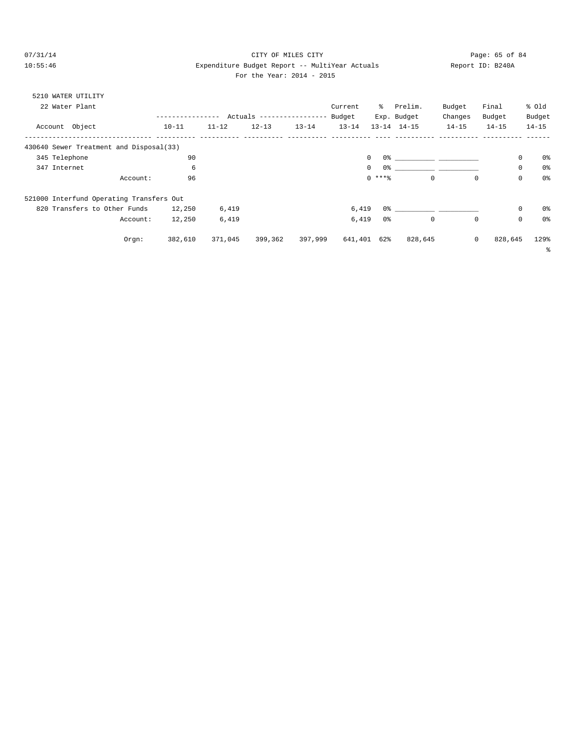# $O7/31/14$  Page: 65 of 84 10:55:46 Expenditure Budget Report -- MultiYear Actuals Report ID: B240A

|  | For the Year: 2014 - 2015 |  |  |
|--|---------------------------|--|--|
|  |                           |  |  |

| 5210 WATER UTILITY                       |          |                  |           |                            |           |           |                |                                                                                                      |             |           |             |                |
|------------------------------------------|----------|------------------|-----------|----------------------------|-----------|-----------|----------------|------------------------------------------------------------------------------------------------------|-------------|-----------|-------------|----------------|
| 22 Water Plant                           |          |                  |           |                            |           | Current   | ိ              | Prelim.                                                                                              | Budget      | Final     | % old       |                |
|                                          |          | ---------------- |           | Actuals ------------------ |           | Budget    |                | Exp. Budget                                                                                          | Changes     | Budget    | Budget      |                |
| Account Object                           |          | $10 - 11$        | $11 - 12$ | $12 - 13$                  | $13 - 14$ | $13 - 14$ |                | $13 - 14$ $14 - 15$                                                                                  | $14 - 15$   | $14 - 15$ | $14 - 15$   |                |
| 430640 Sewer Treatment and Disposal(33)  |          |                  |           |                            |           |           |                |                                                                                                      |             |           |             |                |
| 345 Telephone                            |          | 90               |           |                            |           | $\circ$   |                | $0$ 왕 아이는 아이들은 아이들은 아이들이 아이들이 아이들이 없었다.                                                              |             |           | $\mathbf 0$ | 0 <sup>8</sup> |
| 347 Internet                             |          | 6                |           |                            |           | $\circ$   | 0 %            |                                                                                                      |             |           | 0           | 0 <sup>°</sup> |
|                                          | Account: | 96               |           |                            |           |           | $0$ ****       | $\mathbf 0$                                                                                          | $^{\circ}$  |           | $\mathbf 0$ | 0 <sup>°</sup> |
| 521000 Interfund Operating Transfers Out |          |                  |           |                            |           |           |                |                                                                                                      |             |           |             |                |
| 820 Transfers to Other Funds             |          | 12,250           | 6,419     |                            |           | 6,419     |                | 0.3% - 2010 - 2010 - 2010 - 2010 - 2010 - 2010 - 2010 - 2010 - 2010 - 2010 - 2010 - 2010 - 2010 - 20 |             |           | $\mathbf 0$ | 0%             |
|                                          | Account: | 12,250           | 6,419     |                            |           | 6,419     | 0 <sup>°</sup> | $\mathbf 0$                                                                                          | $\mathbf 0$ |           | $\mathbf 0$ | 0 <sup>°</sup> |
|                                          | Orgn:    | 382,610          | 371,045   | 399,362                    | 397,999   | 641,401   | 62%            | 828,645                                                                                              | $\mathbf 0$ | 828,645   |             | 129%           |
|                                          |          |                  |           |                            |           |           |                |                                                                                                      |             |           |             | ៖              |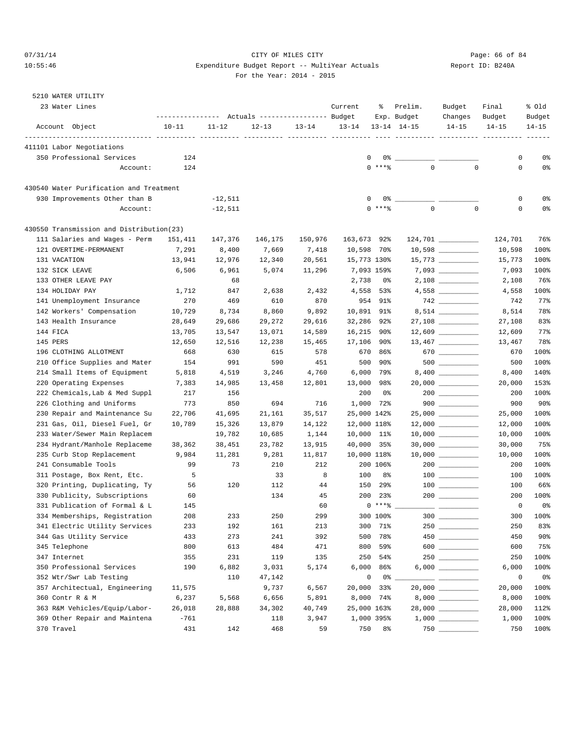# 07/31/14 Page: 66 of 84 10:55:46 Expenditure Budget Report -- MultiYear Actuals Report ID: B240A For the Year: 2014 - 2015

| 23 Water Lines                                              | --------------- Actuals ---------------- Budget | Current       | ွေ            | Prelim.<br>Exp. Budget | Budget<br>Changes | Final<br>Budget | % old<br>Budget     |                                                                                                                                                                                                                                                                                                                                                     |             |                         |
|-------------------------------------------------------------|-------------------------------------------------|---------------|---------------|------------------------|-------------------|-----------------|---------------------|-----------------------------------------------------------------------------------------------------------------------------------------------------------------------------------------------------------------------------------------------------------------------------------------------------------------------------------------------------|-------------|-------------------------|
| Account Object                                              | $10 - 11$                                       | $11 - 12$     | $12 - 13$     | $13 - 14$              | $13 - 14$         |                 | $13 - 14$ $14 - 15$ | $14 - 15$                                                                                                                                                                                                                                                                                                                                           | $14 - 15$   | $14 - 15$               |
| 411101 Labor Negotiations                                   |                                                 |               |               |                        |                   |                 |                     |                                                                                                                                                                                                                                                                                                                                                     |             |                         |
| 350 Professional Services                                   | 124                                             |               |               |                        | 0                 | 0%              |                     |                                                                                                                                                                                                                                                                                                                                                     | 0           | 0%                      |
| Account:                                                    | 124                                             |               |               |                        |                   | $0$ ****        | $\Omega$            | $\mathbf 0$                                                                                                                                                                                                                                                                                                                                         | $\mathbf 0$ | 0%                      |
| 430540 Water Purification and Treatment                     |                                                 |               |               |                        |                   |                 |                     |                                                                                                                                                                                                                                                                                                                                                     |             |                         |
| 930 Improvements Other than B                               |                                                 | $-12,511$     |               |                        | $\mathbf{0}$      | 0%              |                     |                                                                                                                                                                                                                                                                                                                                                     | 0           | 0%                      |
| Account:                                                    |                                                 | $-12,511$     |               |                        |                   | $0***$          | 0                   | $\mathbf 0$                                                                                                                                                                                                                                                                                                                                         | 0           | 0%                      |
| 430550 Transmission and Distribution(23)                    |                                                 |               |               |                        |                   |                 |                     |                                                                                                                                                                                                                                                                                                                                                     |             |                         |
| 111 Salaries and Wages - Perm                               | 151,411                                         | 147,376       | 146,175       | 150,976                | 163,673 92%       |                 |                     |                                                                                                                                                                                                                                                                                                                                                     | 124,701     | 76%                     |
| 121 OVERTIME-PERMANENT                                      | 7,291                                           | 8,400         | 7,669         | 7,418                  | 10,598 70%        |                 |                     |                                                                                                                                                                                                                                                                                                                                                     | 10,598      | 100%                    |
| 131 VACATION                                                | 13,941                                          | 12,976        | 12,340        | 20,561                 | 15,773 130%       |                 |                     |                                                                                                                                                                                                                                                                                                                                                     | 15,773      | 100%                    |
| 132 SICK LEAVE                                              | 6,506                                           | 6,961         | 5,074         | 11,296                 |                   | 7,093 159%      |                     |                                                                                                                                                                                                                                                                                                                                                     | 7,093       | 100%                    |
| 133 OTHER LEAVE PAY                                         |                                                 | 68            |               |                        | 2,738             | 0%              |                     |                                                                                                                                                                                                                                                                                                                                                     | 2,108       | 76%                     |
| 134 HOLIDAY PAY                                             | 1,712                                           | 847           | 2,638         | 2,432                  | 4,558             | 53%             |                     | 4,558 ___________                                                                                                                                                                                                                                                                                                                                   | 4,558       | 100%                    |
| 141 Unemployment Insurance                                  | 270                                             | 469           | 610           | 870                    |                   | 954 91%         |                     |                                                                                                                                                                                                                                                                                                                                                     | 742         | 77%                     |
| 142 Workers' Compensation                                   | 10,729                                          | 8,734         | 8,860         | 9,892                  | 10,891 91%        |                 |                     |                                                                                                                                                                                                                                                                                                                                                     | 8,514       | 78%                     |
| 143 Health Insurance                                        | 28,649                                          | 29,686        | 29,272        | 29,616                 | 32,286            | 92%             |                     |                                                                                                                                                                                                                                                                                                                                                     | 27,108      | 83%                     |
| 144 FICA                                                    | 13,705                                          | 13,547        | 13,071        | 14,589                 | 16,215            | 90%             |                     |                                                                                                                                                                                                                                                                                                                                                     | 12,609      | 77%                     |
| 145 PERS                                                    | 12,650                                          | 12,516        | 12,238        | 15,465                 | 17,106            | 90%             |                     |                                                                                                                                                                                                                                                                                                                                                     | 13,467      | 78%                     |
| 196 CLOTHING ALLOTMENT                                      | 668                                             | 630           | 615           | 578                    | 670               | 86%             |                     | 670                                                                                                                                                                                                                                                                                                                                                 | 670         | 100%                    |
| 210 Office Supplies and Mater                               | 154                                             | 991           | 590           | 451                    | 500               | 90%             |                     |                                                                                                                                                                                                                                                                                                                                                     | 500         | 100%                    |
| 214 Small Items of Equipment                                | 5,818                                           | 4,519         | 3,246         | 4,760                  |                   | 6,000 79%       |                     |                                                                                                                                                                                                                                                                                                                                                     | 8,400       | 140%                    |
| 220 Operating Expenses                                      | 7,383                                           | 14,985        | 13,458        | 12,801                 | 13,000            | 98%             |                     |                                                                                                                                                                                                                                                                                                                                                     | 20,000      | 153%                    |
| 222 Chemicals, Lab & Med Suppl<br>226 Clothing and Uniforms | 217<br>773                                      | 156           |               |                        | 200<br>1,000      | 0%<br>72%       |                     | $200$<br>$900$                                                                                                                                                                                                                                                                                                                                      | 200<br>900  | 100%<br>90 <sub>8</sub> |
| 230 Repair and Maintenance Su                               | 22,706                                          | 850<br>41,695 | 694<br>21,161 | 716<br>35,517          | 25,000 142%       |                 |                     |                                                                                                                                                                                                                                                                                                                                                     | 25,000      | 100%                    |
| 231 Gas, Oil, Diesel Fuel, Gr                               | 10,789                                          | 15,326        | 13,879        | 14,122                 | 12,000 118%       |                 |                     |                                                                                                                                                                                                                                                                                                                                                     | 12,000      | 100%                    |
| 233 Water/Sewer Main Replacem                               |                                                 | 19,782        | 10,685        | 1,144                  | 10,000 11%        |                 |                     |                                                                                                                                                                                                                                                                                                                                                     | 10,000      | 100%                    |
| 234 Hydrant/Manhole Replaceme                               | 38,362                                          | 38,451        | 23,782        | 13,915                 | 40,000 35%        |                 |                     | 30,000 ____________                                                                                                                                                                                                                                                                                                                                 | 30,000      | 75%                     |
| 235 Curb Stop Replacement                                   | 9,984                                           | 11,281        | 9,281         | 11,817                 | 10,000 118%       |                 |                     | $10,000$ ___________                                                                                                                                                                                                                                                                                                                                | 10,000      | 100%                    |
| 241 Consumable Tools                                        | 99                                              | 73            | 210           | 212                    |                   | 200 106%        |                     |                                                                                                                                                                                                                                                                                                                                                     | 200         | 100%                    |
| 311 Postage, Box Rent, Etc.                                 | 5                                               |               | 33            | 8                      | 100               | 8%              |                     |                                                                                                                                                                                                                                                                                                                                                     | 100         | 100%                    |
| 320 Printing, Duplicating, Ty                               | 56                                              | 120           | 112           | 44                     | 150               | 29%             |                     |                                                                                                                                                                                                                                                                                                                                                     | 100         | 66%                     |
| 330 Publicity, Subscriptions                                | 60                                              |               | 134           | 45                     | 200               | 23%             |                     |                                                                                                                                                                                                                                                                                                                                                     | 200         | 100%                    |
| 331 Publication of Formal & L                               | 145                                             |               |               | 60                     |                   | $0***8$         |                     |                                                                                                                                                                                                                                                                                                                                                     | $\mathbf 0$ | 0%                      |
| 334 Memberships, Registration                               | 208                                             | 233           | 250           | 299                    |                   | 300 100%        |                     | $300$                                                                                                                                                                                                                                                                                                                                               | 300         | 100%                    |
| 341 Electric Utility Services                               | 233                                             | 192           | 161           | 213                    |                   | 300 71%         |                     | 250                                                                                                                                                                                                                                                                                                                                                 | 250         | 83%                     |
| 344 Gas Utility Service                                     | 433                                             | 273           | 241           | 392                    | 500               | 78%             |                     |                                                                                                                                                                                                                                                                                                                                                     | 450         | 90 <sub>8</sub>         |
| 345 Telephone                                               | 800                                             | 613           | 484           | 471                    | 800               | 59%             |                     | $\begin{picture}(10,10) \put(0,0){\line(1,0){10}} \put(15,0){\line(1,0){10}} \put(15,0){\line(1,0){10}} \put(15,0){\line(1,0){10}} \put(15,0){\line(1,0){10}} \put(15,0){\line(1,0){10}} \put(15,0){\line(1,0){10}} \put(15,0){\line(1,0){10}} \put(15,0){\line(1,0){10}} \put(15,0){\line(1,0){10}} \put(15,0){\line(1,0){10}} \put(15,0){\line(1$ | 600         | 75%                     |
| 347 Internet                                                | 355                                             | 231           | 119           | 135                    | 250               | 54%             |                     |                                                                                                                                                                                                                                                                                                                                                     | 250         | 100%                    |
| 350 Professional Services                                   | 190                                             | 6,882         | 3,031         | 5,174                  | 6,000             | 86%             |                     |                                                                                                                                                                                                                                                                                                                                                     | 6,000       | 100%                    |
| 352 Wtr/Swr Lab Testing                                     |                                                 | 110           | 47,142        |                        | 0                 | $0\degree$ $-$  |                     |                                                                                                                                                                                                                                                                                                                                                     | 0           | 0%                      |
| 357 Architectual, Engineering                               | 11,575                                          |               | 9,737         | 6,567                  | 20,000            | 33%             |                     |                                                                                                                                                                                                                                                                                                                                                     | 20,000      | 100%                    |
| 360 Contr R & M                                             | 6,237                                           | 5,568         | 6,656         | 5,891                  | 8,000             | 74%             |                     |                                                                                                                                                                                                                                                                                                                                                     | 8,000       | 100%                    |
| 363 R&M Vehicles/Equip/Labor-                               | 26,018                                          | 28,888        | 34,302        | 40,749                 | 25,000 163%       |                 |                     |                                                                                                                                                                                                                                                                                                                                                     | 28,000      | 112%                    |
| 369 Other Repair and Maintena                               | $-761$                                          |               | 118           | 3,947                  |                   | 1,000 395%      |                     |                                                                                                                                                                                                                                                                                                                                                     | 1,000       | 100%                    |
| 370 Travel                                                  | 431                                             | 142           | 468           | 59                     | 750               | 8 <sup>°</sup>  |                     |                                                                                                                                                                                                                                                                                                                                                     | 750         | 100%                    |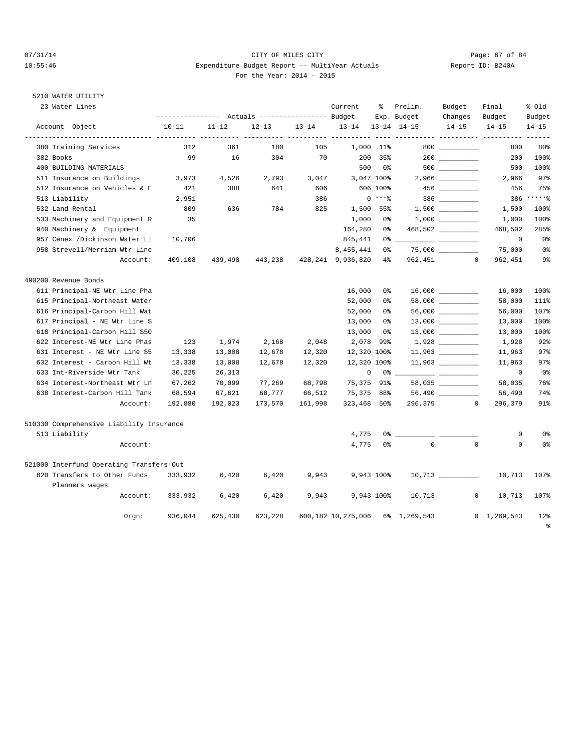# 07/31/14 Page: 67 of 84 10:55:46 Expenditure Budget Report -- MultiYear Actuals Report ID: B240A For the Year: 2014 - 2015

| 23 Water Lines                           |           |           |                                  |           | Current                             | ႜ              | Prelim.                                                                                                                                                                                                                                                                                                                | Budget                                                                                                                                                                                                                                                                                                                                                                                                                                                                     | Final          | % old          |
|------------------------------------------|-----------|-----------|----------------------------------|-----------|-------------------------------------|----------------|------------------------------------------------------------------------------------------------------------------------------------------------------------------------------------------------------------------------------------------------------------------------------------------------------------------------|----------------------------------------------------------------------------------------------------------------------------------------------------------------------------------------------------------------------------------------------------------------------------------------------------------------------------------------------------------------------------------------------------------------------------------------------------------------------------|----------------|----------------|
|                                          |           |           | Actuals ----------------- Budget |           |                                     | Exp. Budget    |                                                                                                                                                                                                                                                                                                                        | Changes                                                                                                                                                                                                                                                                                                                                                                                                                                                                    | Budget         | Budget         |
| Account Object                           | $10 - 11$ | $11 - 12$ | $12 - 13$                        | $13 - 14$ | $13 - 14$<br>----------- ---------- |                | $13 - 14$ $14 - 15$                                                                                                                                                                                                                                                                                                    | $14 - 15$                                                                                                                                                                                                                                                                                                                                                                                                                                                                  | $14 - 15$      | $14 - 15$      |
| 380 Training Services                    | 312       | 361       | 180                              | 105       |                                     | 1,000 11%      |                                                                                                                                                                                                                                                                                                                        |                                                                                                                                                                                                                                                                                                                                                                                                                                                                            | 800            | 80%            |
| 382 Books                                | 99        | 16        | 304                              | 70        | 200                                 | 35%            |                                                                                                                                                                                                                                                                                                                        |                                                                                                                                                                                                                                                                                                                                                                                                                                                                            | 200            | 100%           |
| 400 BUILDING MATERIALS                   |           |           |                                  |           | 500                                 | 0 %            |                                                                                                                                                                                                                                                                                                                        |                                                                                                                                                                                                                                                                                                                                                                                                                                                                            | 500            | 100%           |
| 511 Insurance on Buildings               | 3,973     | 4,526     | 2,793                            | 3,047     |                                     | 3,047 100%     |                                                                                                                                                                                                                                                                                                                        |                                                                                                                                                                                                                                                                                                                                                                                                                                                                            | 2,966          | 97%            |
| 512 Insurance on Vehicles & E            | 421       | 388       | 641                              | 606       |                                     | 606 100%       |                                                                                                                                                                                                                                                                                                                        |                                                                                                                                                                                                                                                                                                                                                                                                                                                                            | 456            | 75%            |
| 513 Liability                            | 2,951     |           |                                  | 386       |                                     | $0***8$        |                                                                                                                                                                                                                                                                                                                        | $386$                                                                                                                                                                                                                                                                                                                                                                                                                                                                      |                | 386 ******     |
| 532 Land Rental                          | 809       | 636       | 784                              | 825       | 1,500                               | 55%            |                                                                                                                                                                                                                                                                                                                        |                                                                                                                                                                                                                                                                                                                                                                                                                                                                            | 1,500          | 100%           |
| 533 Machinery and Equipment R            | 35        |           |                                  |           | 1,000                               | 0%             |                                                                                                                                                                                                                                                                                                                        |                                                                                                                                                                                                                                                                                                                                                                                                                                                                            | 1,000          | 100%           |
| 940 Machinery & Equipment                |           |           |                                  |           | 164,280                             | 0%             |                                                                                                                                                                                                                                                                                                                        | 468,502 _________                                                                                                                                                                                                                                                                                                                                                                                                                                                          | 468,502        | 285%           |
| 957 Cenex /Dickinson Water Li            | 10,706    |           |                                  |           | 845,441                             | 0%             |                                                                                                                                                                                                                                                                                                                        | $\frac{1}{2} \left( \frac{1}{2} \right) \left( \frac{1}{2} \right) \left( \frac{1}{2} \right) \left( \frac{1}{2} \right) \left( \frac{1}{2} \right) \left( \frac{1}{2} \right) \left( \frac{1}{2} \right) \left( \frac{1}{2} \right) \left( \frac{1}{2} \right) \left( \frac{1}{2} \right) \left( \frac{1}{2} \right) \left( \frac{1}{2} \right) \left( \frac{1}{2} \right) \left( \frac{1}{2} \right) \left( \frac{1}{2} \right) \left( \frac{1}{2} \right) \left( \frac$ | $\mathbf 0$    | 0 <sup>°</sup> |
| 958 Strevell/Merriam Wtr Line            |           |           |                                  |           | 8, 455, 441                         | 0%             |                                                                                                                                                                                                                                                                                                                        |                                                                                                                                                                                                                                                                                                                                                                                                                                                                            | 75,000         | 0 <sup>8</sup> |
| Account:                                 | 409,108   | 439,498   | 443,238                          |           | 428, 241 9, 936, 820                | $4\%$          | 962,451                                                                                                                                                                                                                                                                                                                | $\sim$ 0                                                                                                                                                                                                                                                                                                                                                                                                                                                                   | 962,451        | 9%             |
| 490200 Revenue Bonds                     |           |           |                                  |           |                                     |                |                                                                                                                                                                                                                                                                                                                        |                                                                                                                                                                                                                                                                                                                                                                                                                                                                            |                |                |
| 611 Principal-NE Wtr Line Pha            |           |           |                                  |           | 16,000                              | 0%             |                                                                                                                                                                                                                                                                                                                        |                                                                                                                                                                                                                                                                                                                                                                                                                                                                            | 16,000         | 100%           |
| 615 Principal-Northeast Water            |           |           |                                  |           | 52,000                              | 0%             |                                                                                                                                                                                                                                                                                                                        |                                                                                                                                                                                                                                                                                                                                                                                                                                                                            | 58,000         | 111%           |
| 616 Principal-Carbon Hill Wat            |           |           |                                  |           | 52,000                              | 0%             |                                                                                                                                                                                                                                                                                                                        |                                                                                                                                                                                                                                                                                                                                                                                                                                                                            | 56,000         | 107%           |
| 617 Principal - NE Wtr Line \$           |           |           |                                  |           | 13,000                              | 0%             |                                                                                                                                                                                                                                                                                                                        | $13,000$ __________                                                                                                                                                                                                                                                                                                                                                                                                                                                        | 13,000         | 100%           |
| 618 Principal-Carbon Hill \$50           |           |           |                                  |           | 13,000                              | 0%             |                                                                                                                                                                                                                                                                                                                        |                                                                                                                                                                                                                                                                                                                                                                                                                                                                            | 13,000         | 100%           |
| 622 Interest-NE Wtr Line Phas            | 123       | 1,974     | 2,168                            | 2,048     | 2,078 99%                           |                |                                                                                                                                                                                                                                                                                                                        |                                                                                                                                                                                                                                                                                                                                                                                                                                                                            | 1,928          | 92%            |
| 631 Interest - NE Wtr Line \$5           | 13,338    | 13,008    | 12,678                           | 12,320    | 12,320 100%                         |                |                                                                                                                                                                                                                                                                                                                        | 11,963                                                                                                                                                                                                                                                                                                                                                                                                                                                                     | 11,963         | 97%            |
| 632 Interest - Carbon Hill Wt            | 13,338    | 13,008    | 12,678                           | 12,320    | 12,320 100%                         |                |                                                                                                                                                                                                                                                                                                                        |                                                                                                                                                                                                                                                                                                                                                                                                                                                                            | 11,963         | 97%            |
| 633 Int-Riverside Wtr Tank               | 30,225    | 26,313    |                                  |           | 0                                   | 0%             |                                                                                                                                                                                                                                                                                                                        |                                                                                                                                                                                                                                                                                                                                                                                                                                                                            | $^{\circ}$     | 0%             |
| 634 Interest-Northeast Wtr Ln            | 67,262    | 70,099    | 77,269                           | 68,798    | 75,375 91%                          |                |                                                                                                                                                                                                                                                                                                                        | $58,035$ ___________                                                                                                                                                                                                                                                                                                                                                                                                                                                       | 58,035         | 76%            |
| 638 Interest-Carbon Hill Tank            | 68,594    | 67,621    | 68,777                           | 66,512    | 75,375 88%                          |                |                                                                                                                                                                                                                                                                                                                        | 56,490                                                                                                                                                                                                                                                                                                                                                                                                                                                                     | 56,490         | 74%            |
| Account:                                 | 192,880   | 192,023   | 173,570                          | 161,998   | 323,468 50%                         |                | 296,379                                                                                                                                                                                                                                                                                                                | $\circ$                                                                                                                                                                                                                                                                                                                                                                                                                                                                    | 296,379        | 91%            |
| 510330 Comprehensive Liability Insurance |           |           |                                  |           |                                     |                |                                                                                                                                                                                                                                                                                                                        |                                                                                                                                                                                                                                                                                                                                                                                                                                                                            |                |                |
| 513 Liability                            |           |           |                                  |           | 4,775                               |                | $0$ $\frac{1}{2}$ $\frac{1}{2}$ $\frac{1}{2}$ $\frac{1}{2}$ $\frac{1}{2}$ $\frac{1}{2}$ $\frac{1}{2}$ $\frac{1}{2}$ $\frac{1}{2}$ $\frac{1}{2}$ $\frac{1}{2}$ $\frac{1}{2}$ $\frac{1}{2}$ $\frac{1}{2}$ $\frac{1}{2}$ $\frac{1}{2}$ $\frac{1}{2}$ $\frac{1}{2}$ $\frac{1}{2}$ $\frac{1}{2}$ $\frac{1}{2}$ $\frac{1}{2$ |                                                                                                                                                                                                                                                                                                                                                                                                                                                                            | 0              | 0 <sup>8</sup> |
| Account:                                 |           |           |                                  |           | 4,775                               | 0 <sup>°</sup> | $\mathbf{0}$                                                                                                                                                                                                                                                                                                           | $\mathbf 0$                                                                                                                                                                                                                                                                                                                                                                                                                                                                | $\mathbf 0$    | 0 <sup>8</sup> |
| 521000 Interfund Operating Transfers Out |           |           |                                  |           |                                     |                |                                                                                                                                                                                                                                                                                                                        |                                                                                                                                                                                                                                                                                                                                                                                                                                                                            |                |                |
| 820 Transfers to Other Funds             | 333,932   | 6,420     | 6,420                            | 9,943     |                                     | 9,943 100%     |                                                                                                                                                                                                                                                                                                                        |                                                                                                                                                                                                                                                                                                                                                                                                                                                                            | 10,713         | 107%           |
| Planners wages                           |           |           |                                  |           |                                     |                |                                                                                                                                                                                                                                                                                                                        |                                                                                                                                                                                                                                                                                                                                                                                                                                                                            |                |                |
| Account:                                 | 333,932   | 6,420     | 6,420                            | 9,943     |                                     | 9,943 100%     | 10,713                                                                                                                                                                                                                                                                                                                 | $\mathbf{0}$                                                                                                                                                                                                                                                                                                                                                                                                                                                               | 10,713         | 107%           |
| Orgn:                                    | 936,044   | 625,430   | 623,228                          |           |                                     |                | 600,182 10,275,006 6% 1,269,543                                                                                                                                                                                                                                                                                        |                                                                                                                                                                                                                                                                                                                                                                                                                                                                            | 0, 1, 269, 543 | 12%<br>နွ      |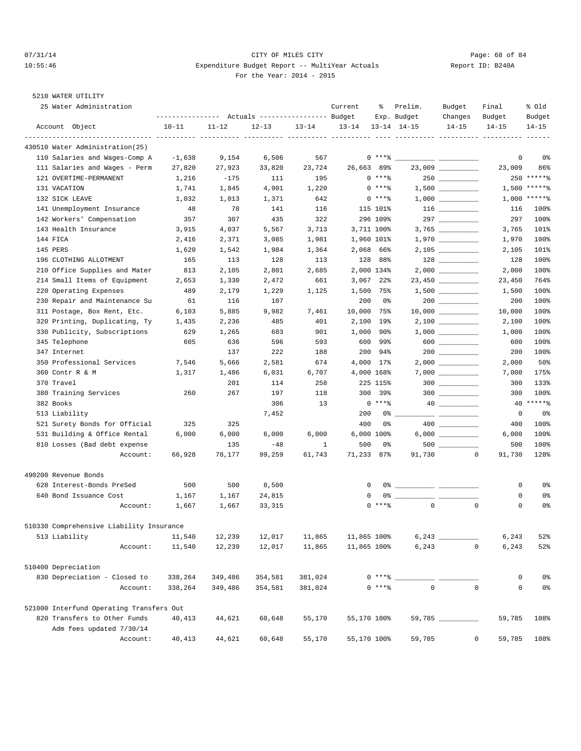## 07/31/14 Page: 68 of 84 10:55:46 Expenditure Budget Report -- MultiYear Actuals Report ID: B240A For the Year: 2014 - 2015

| --------------- Actuals ---------------- Budget<br>Exp. Budget<br>Changes<br>Budget<br>Account Object<br>$10 - 11$<br>$11 - 12$<br>$12 - 13$<br>$13 - 14$<br>$13 - 14$<br>$13 - 14$ $14 - 15$<br>$14 - 15$<br>$14 - 15$<br>430510 Water Administration(25)<br>110 Salaries and Wages-Comp A<br>$0***8$<br>$-1,638$<br>9,154<br>6,506<br>567<br>23,009<br>26,663 89%<br>111 Salaries and Wages - Perm<br>27,820<br>33,820<br>23,724<br>27,923<br>$0***8$<br>250<br>121 OVERTIME-PERMANENT<br>$-175$<br>195<br>1,216<br>111<br>$0***8$<br>$1\, , \, 500 \ \ \underline{\hspace{1cm}}$<br>131 VACATION<br>1,741<br>1,845<br>4,901<br>1,220 |             | Budget<br>$14 - 15$ |
|-----------------------------------------------------------------------------------------------------------------------------------------------------------------------------------------------------------------------------------------------------------------------------------------------------------------------------------------------------------------------------------------------------------------------------------------------------------------------------------------------------------------------------------------------------------------------------------------------------------------------------------------|-------------|---------------------|
|                                                                                                                                                                                                                                                                                                                                                                                                                                                                                                                                                                                                                                         |             |                     |
|                                                                                                                                                                                                                                                                                                                                                                                                                                                                                                                                                                                                                                         |             |                     |
|                                                                                                                                                                                                                                                                                                                                                                                                                                                                                                                                                                                                                                         |             |                     |
|                                                                                                                                                                                                                                                                                                                                                                                                                                                                                                                                                                                                                                         | 0           | 0%                  |
|                                                                                                                                                                                                                                                                                                                                                                                                                                                                                                                                                                                                                                         | 23,009      | 86%                 |
|                                                                                                                                                                                                                                                                                                                                                                                                                                                                                                                                                                                                                                         |             | 250 ******          |
|                                                                                                                                                                                                                                                                                                                                                                                                                                                                                                                                                                                                                                         | 1,500       | $*****$             |
| 132 SICK LEAVE<br>642<br>$0***8$<br>1,032<br>1,013<br>1,371                                                                                                                                                                                                                                                                                                                                                                                                                                                                                                                                                                             |             | $1,000$ *****%      |
| 141 Unemployment Insurance<br>48<br>78<br>141<br>115 101%<br>116                                                                                                                                                                                                                                                                                                                                                                                                                                                                                                                                                                        | 116         | 100%                |
| 297<br>142 Workers' Compensation<br>307<br>435<br>322<br>296 109%<br>357                                                                                                                                                                                                                                                                                                                                                                                                                                                                                                                                                                | 297         | 100%                |
| 143 Health Insurance<br>4,037<br>5,567<br>3,713<br>3,711 100%<br>3,915                                                                                                                                                                                                                                                                                                                                                                                                                                                                                                                                                                  | 3,765       | 101%                |
| 144 FICA<br>2,416<br>2,371<br>3,085<br>1,981<br>1,960 101%                                                                                                                                                                                                                                                                                                                                                                                                                                                                                                                                                                              | 1,970       | 100%                |
| 145 PERS<br>2,068 66%<br>1,620<br>1,542<br>1,984<br>1,364                                                                                                                                                                                                                                                                                                                                                                                                                                                                                                                                                                               | 2,105       | 101%                |
| 128 88%<br>196 CLOTHING ALLOTMENT<br>165<br>113<br>128<br>113                                                                                                                                                                                                                                                                                                                                                                                                                                                                                                                                                                           | 128         | 100%                |
| 2,801<br>2,000 134%<br>210 Office Supplies and Mater<br>813<br>2,105<br>2,685                                                                                                                                                                                                                                                                                                                                                                                                                                                                                                                                                           | 2,000       | 100%                |
| 214 Small Items of Equipment<br>661<br>$3,067$ 22%<br>2,653<br>1,330<br>2,472                                                                                                                                                                                                                                                                                                                                                                                                                                                                                                                                                           | 23,450      | 764%                |
| 220 Operating Expenses<br>489<br>2,179<br>1,229<br>1,125<br>1,500<br>75%                                                                                                                                                                                                                                                                                                                                                                                                                                                                                                                                                                | 1,500       | 100%                |
| 230 Repair and Maintenance Su<br>116<br>107<br>200<br>61<br>0%                                                                                                                                                                                                                                                                                                                                                                                                                                                                                                                                                                          | 200         | 100%                |
| 311 Postage, Box Rent, Etc.<br>10,000<br>6,103<br>5,885<br>9,982<br>7,461<br>75%                                                                                                                                                                                                                                                                                                                                                                                                                                                                                                                                                        | 10,000      | 100%                |
| 2,100<br>320 Printing, Duplicating, Ty<br>1,435<br>485<br>401<br>19%<br>2,236                                                                                                                                                                                                                                                                                                                                                                                                                                                                                                                                                           | 2,100       | 100%                |
| 901<br>330 Publicity, Subscriptions<br>629<br>1,265<br>683<br>1,000<br>90%                                                                                                                                                                                                                                                                                                                                                                                                                                                                                                                                                              | 1,000       | 100%                |
| 600<br>345 Telephone<br>605<br>636<br>596<br>593<br>99%<br>$600$                                                                                                                                                                                                                                                                                                                                                                                                                                                                                                                                                                        | 600         | 100%                |
| 200<br>347 Internet<br>137<br>222<br>188<br>94%                                                                                                                                                                                                                                                                                                                                                                                                                                                                                                                                                                                         | 200         | 100%                |
| 350 Professional Services<br>4,000 17%<br>7,546<br>5,666<br>2,581<br>674                                                                                                                                                                                                                                                                                                                                                                                                                                                                                                                                                                | 2,000       | 50%                 |
| 360 Contr R & M<br>1,317<br>1,486<br>6,031<br>6,707<br>4,000 168%                                                                                                                                                                                                                                                                                                                                                                                                                                                                                                                                                                       | 7,000       | 175%                |
| $300$<br>370 Travel<br>201<br>258<br>225 115%<br>114                                                                                                                                                                                                                                                                                                                                                                                                                                                                                                                                                                                    | 300         | 133%                |
| 380 Training Services<br>260<br>267<br>197<br>118<br>300 39%<br>$300$                                                                                                                                                                                                                                                                                                                                                                                                                                                                                                                                                                   | 300         | 100%                |
| 382 Books<br>306<br>13<br>$0***8$                                                                                                                                                                                                                                                                                                                                                                                                                                                                                                                                                                                                       |             | 40 ******           |
| 513 Liability<br>7,452<br>200<br>0%                                                                                                                                                                                                                                                                                                                                                                                                                                                                                                                                                                                                     | 0           | 0%                  |
| 521 Surety Bonds for Official<br>325<br>400<br>325<br>0%                                                                                                                                                                                                                                                                                                                                                                                                                                                                                                                                                                                | 400         | 100%                |
| $6,000$<br>531 Building & Office Rental<br>6,000 100%<br>6,000<br>6,000<br>6,000<br>6,000                                                                                                                                                                                                                                                                                                                                                                                                                                                                                                                                               | 6,000       | 100%                |
| 810 Losses (Bad debt expense<br>135<br>$-48$<br>1<br>500<br>0%<br>500                                                                                                                                                                                                                                                                                                                                                                                                                                                                                                                                                                   | 500         | 100%                |
| 71,233<br>Account:<br>66,928<br>78,177<br>99,259<br>61,743<br>87%<br>91,730<br>0                                                                                                                                                                                                                                                                                                                                                                                                                                                                                                                                                        | 91,730      | 128%                |
| 490200 Revenue Bonds                                                                                                                                                                                                                                                                                                                                                                                                                                                                                                                                                                                                                    |             |                     |
| 628 Interest-Bonds PreSed<br>500<br>500<br>8,500<br>0                                                                                                                                                                                                                                                                                                                                                                                                                                                                                                                                                                                   | 0           | 0%                  |
| 640 Bond Issuance Cost<br>1,167<br>1,167<br>24,815<br>0                                                                                                                                                                                                                                                                                                                                                                                                                                                                                                                                                                                 | 0           | 0%                  |
| $\Omega$<br>$0$ ****<br>$\mathbf 0$<br>Account:<br>1,667<br>1,667<br>33,315                                                                                                                                                                                                                                                                                                                                                                                                                                                                                                                                                             | 0           | 0%                  |
| 510330 Comprehensive Liability Insurance                                                                                                                                                                                                                                                                                                                                                                                                                                                                                                                                                                                                |             |                     |
| 513 Liability<br>11,540<br>12,239<br>12,017<br>11,865<br>11,865 100%                                                                                                                                                                                                                                                                                                                                                                                                                                                                                                                                                                    | 6,243       | 52%                 |
| 6,243<br>11,540<br>12,239<br>12,017<br>11,865<br>11,865 100%<br>$\mathbf 0$<br>Account:                                                                                                                                                                                                                                                                                                                                                                                                                                                                                                                                                 | 6,243       | 52%                 |
| 510400 Depreciation                                                                                                                                                                                                                                                                                                                                                                                                                                                                                                                                                                                                                     |             |                     |
| 830 Depreciation - Closed to<br>338,264<br>349,486<br>354,581<br>381,024<br>$0***$ $*$                                                                                                                                                                                                                                                                                                                                                                                                                                                                                                                                                  | 0           | 0%                  |
| $\mathbf 0$<br>$\mathbf 0$<br>$0***8$<br>338,264<br>381,024<br>Account:<br>349,486<br>354,581                                                                                                                                                                                                                                                                                                                                                                                                                                                                                                                                           | $\mathbf 0$ | 0%                  |
| 521000 Interfund Operating Transfers Out                                                                                                                                                                                                                                                                                                                                                                                                                                                                                                                                                                                                |             |                     |
| 820 Transfers to Other Funds<br>55,170 100%<br>$59,785$ __________<br>40,413<br>44,621<br>60,648<br>55,170                                                                                                                                                                                                                                                                                                                                                                                                                                                                                                                              | 59,785      | 108%                |
| Adm fees updated 7/30/14                                                                                                                                                                                                                                                                                                                                                                                                                                                                                                                                                                                                                |             |                     |
| 44,621<br>59,785<br>Account:<br>40,413<br>60,648<br>55,170<br>55,170 100%<br>0                                                                                                                                                                                                                                                                                                                                                                                                                                                                                                                                                          | 59,785      | 108%                |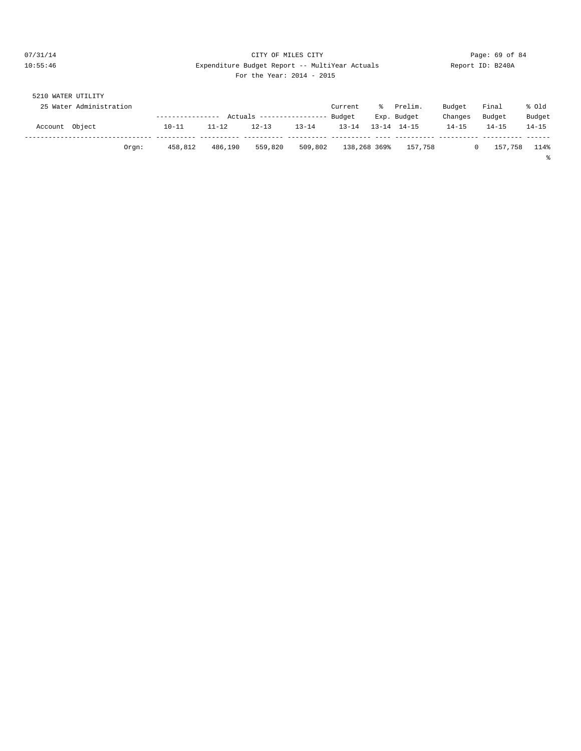## 07/31/14 Page: 69 of 84 10:55:46 Expenditure Budget Report -- MultiYear Actuals Report ID: B240A For the Year: 2014 - 2015

| 5210           | WATER UTILITY           |                  |           |                           |           |           |              |                     |           |           |           |
|----------------|-------------------------|------------------|-----------|---------------------------|-----------|-----------|--------------|---------------------|-----------|-----------|-----------|
|                | 25 Water Administration |                  |           |                           |           | Current   | ፟፟፟፟         | Prelim.             | Budget    | Final     | % old     |
|                |                         | ---------------- |           | Actuals ----------------- |           | Budget    |              | Exp. Budget         | Changes   | Budget    | Budget    |
| Account Object |                         | $10 - 11$        | $11 - 12$ | $12 - 13$                 | $13 - 14$ | $13 - 14$ |              | $13 - 14$ $14 - 15$ | $14 - 15$ | $14 - 15$ | $14 - 15$ |
|                |                         |                  |           |                           |           |           |              |                     |           |           |           |
|                | Orem:                   | 458,812          | 486,190   | 559,820                   | 509,802   |           | 138,268 369% | 157,758             |           | 157,758   | 114%      |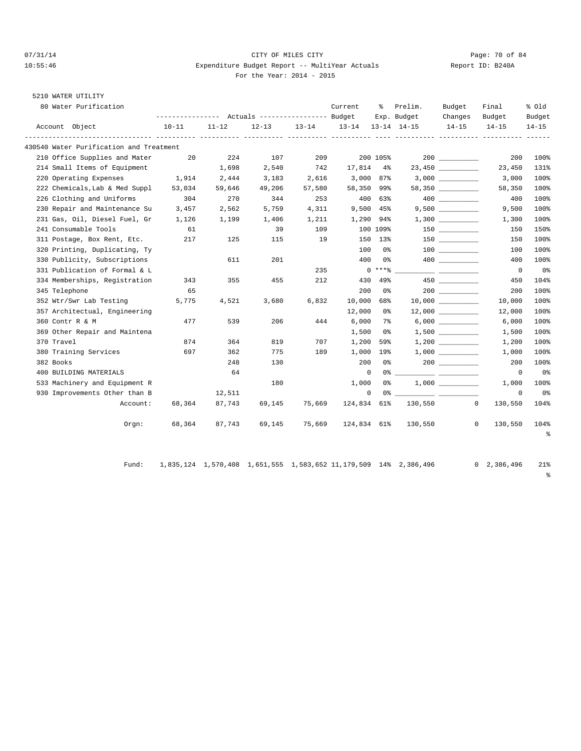#### 07/31/14 Page: 70 of 84 10:55:46 Expenditure Budget Report -- MultiYear Actuals Report ID: B240A For the Year: 2014 - 2015

# 5210 WATER UTILITY

| 80 Water Purification                   | --------------- Actuals ---------------- Budget |           |           |           | Current           | ႜၟ       | Prelim.     | Budget               | Final                    | % old               |
|-----------------------------------------|-------------------------------------------------|-----------|-----------|-----------|-------------------|----------|-------------|----------------------|--------------------------|---------------------|
| Account Object                          | $10 - 11$                                       | $11 - 12$ | $12 - 13$ | $13 - 14$ | 13-14 13-14 14-15 |          | Exp. Budget | Changes<br>$14 - 15$ | Budget<br>$14 - 15$      | Budget<br>$14 - 15$ |
| 430540 Water Purification and Treatment |                                                 |           |           |           |                   |          |             |                      |                          |                     |
| 210 Office Supplies and Mater           | 20                                              | 224       | 107       | 209       |                   | 200 105% |             | 200                  | 200                      | 100%                |
| 214 Small Items of Equipment            |                                                 | 1,698     | 2,540     | 742       | 17,814 4%         |          |             | 23,450               | 23,450                   | 131%                |
| 220 Operating Expenses                  | 1,914                                           | 2,444     | 3,183     | 2,616     | 3,000 87%         |          |             |                      | 3,000                    | 100%                |
| 222 Chemicals, Lab & Med Suppl          | 53,034                                          | 59,646    | 49,206    | 57,580    | 58,350 99%        |          |             | 58,350               | 58,350                   | 100%                |
| 226 Clothing and Uniforms               | 304                                             | 270       | 344       | 253       |                   | 400 63%  |             | 400 000              | 400                      | 100%                |
| 230 Repair and Maintenance Su           | 3,457                                           | 2,562     | 5,759     | 4,311     | $9,500$ 45%       |          |             | 9,500                | 9,500                    | 100%                |
| 231 Gas, Oil, Diesel Fuel, Gr           | 1,126                                           | 1,199     | 1,406     | 1,211     | 1,290 94%         |          |             |                      | 1,300                    | 100%                |
| 241 Consumable Tools                    | 61                                              |           | 39        | 109       |                   | 100 109% |             |                      | 150                      | 150%                |
| 311 Postage, Box Rent, Etc.             | 217                                             | 125       | 115       | 19        |                   | 150 13%  |             | 150 30               | 150                      | 100%                |
| 320 Printing, Duplicating, Ty           |                                                 |           |           |           | 100               | 0 %      |             | 100 000              | 100                      | 100%                |
| 330 Publicity, Subscriptions            |                                                 | 611       | 201       |           | 400               | 0%       |             |                      | 400                      | 100%                |
| 331 Publication of Formal & L           |                                                 |           |           | 235       |                   | $0***$   |             |                      | $\overline{\phantom{0}}$ | 0%                  |
| 334 Memberships, Registration           | 343                                             | 355       | 455       | 212       | 430               | 49%      |             |                      | 450                      | 104%                |
| 345 Telephone                           | 65                                              |           |           |           | 200               | 0%       |             |                      | 200                      | 100%                |
| 352 Wtr/Swr Lab Testing                 | 5,775                                           | 4,521     | 3,680     | 6,832     | 10,000            | 68%      |             |                      | 10,000                   | 100%                |
| 357 Architectual, Engineering           |                                                 |           |           |           | 12,000            | 0%       |             |                      | 12,000                   | 100%                |
| 360 Contr R & M                         | 477                                             | 539       | 206       | 444       | 6,000             | 7%       |             |                      | 6,000                    | 100%                |
| 369 Other Repair and Maintena           |                                                 |           |           |           | 1,500             | 0 %      |             |                      | 1,500                    | 100%                |
| 370 Travel                              | 874                                             | 364       | 819       | 707       | 1,200             | 59%      |             |                      | 1,200                    | 100%                |
| 380 Training Services                   | 697                                             | 362       | 775       | 189       | 1,000 19%         |          |             |                      | 1,000                    | 100%                |
| 382 Books                               |                                                 | 248       | 130       |           | 200               | 0 %      |             |                      | 200                      | 100%                |
| 400 BUILDING MATERIALS                  |                                                 | 64        |           |           | $\mathbf{0}$      |          |             |                      | $^{\circ}$               | 0%                  |
| 533 Machinery and Equipment R           |                                                 |           | 180       |           | 1,000             | 0 %      |             |                      | 1,000                    | 100%                |
| 930 Improvements Other than B           |                                                 | 12,511    |           |           | $\mathbf 0$       |          |             |                      | $^{\circ}$               | 0%                  |
| Account:                                | 68,364                                          | 87,743    | 69,145    | 75,669    | 124,834 61%       |          |             | 130,550              | $\Omega$<br>130,550      | 104%                |
| $0$ rgn:                                | 68,364                                          | 87,743    | 69,145    | 75,669    | 124,834 61%       |          | 130,550     |                      | $\mathbf{0}$<br>130,550  | 104%                |
|                                         |                                                 |           |           |           |                   |          |             |                      |                          | $\epsilon$          |

Fund: 1,835,124 1,570,408 1,651,555 1,583,652 11,179,509 14% 2,386,496 0 2,386,496 21%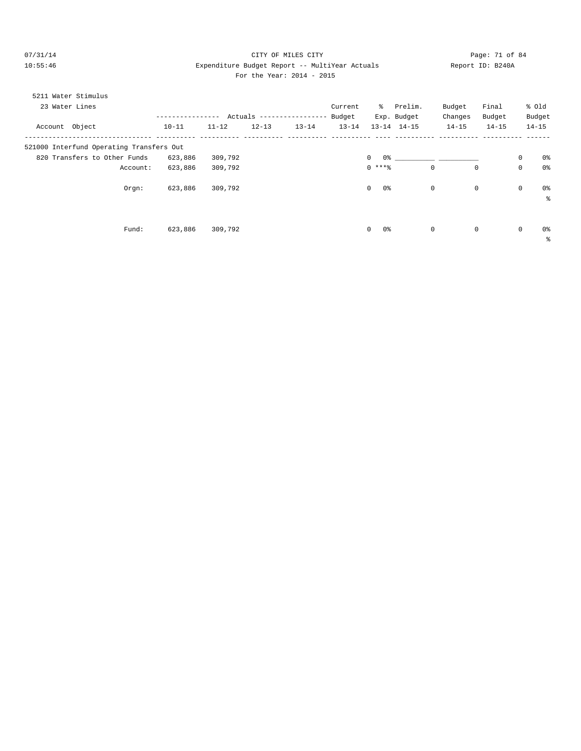# 07/31/14 Page: 71 of 84 10:55:46 Expenditure Budget Report -- MultiYear Actuals Report ID: B240A For the Year: 2014 - 2015

|  | For the Year: $2014$ - $20$ |  |  |
|--|-----------------------------|--|--|
|  |                             |  |  |

| 5211 Water Stimulus                      |           |           |            |               |           |                    |                     |              |           |             |                |
|------------------------------------------|-----------|-----------|------------|---------------|-----------|--------------------|---------------------|--------------|-----------|-------------|----------------|
| 23 Water Lines                           |           |           |            |               | Current   | ిం                 | Prelim.             | Budget       | Final     | % old       |                |
|                                          |           |           | Actuals -- | ------------- | Budget    |                    | Exp. Budget         | Changes      | Budget    |             | Budget         |
| Account Object                           | $10 - 11$ | $11 - 12$ | $12 - 13$  | $13 - 14$     | $13 - 14$ |                    | $13 - 14$ $14 - 15$ | $14 - 15$    | $14 - 15$ | $14 - 15$   |                |
| 521000 Interfund Operating Transfers Out |           |           |            |               |           |                    |                     |              |           |             |                |
| 820 Transfers to Other Funds             | 623,886   | 309,792   |            |               |           | $\mathbf{0}$<br>0% |                     |              |           | 0           | 0%             |
| Account:                                 | 623,886   | 309,792   |            |               |           | $0***8$            | $\mathbf 0$         | $\mathbf 0$  |           | $\mathbf 0$ | 0 <sub>8</sub> |
| Orgn:                                    | 623,886   | 309,792   |            |               |           | 0%<br>$\mathbf{0}$ | $\mathbf 0$         | $\mathbf 0$  |           | $\mathbf 0$ | 0 %<br>៖       |
|                                          |           |           |            |               |           |                    |                     |              |           |             |                |
| Fund:                                    | 623,886   | 309,792   |            |               |           | 0%<br>$\circ$      | 0                   | $\mathbf{0}$ |           | $\mathbf 0$ | 0 %            |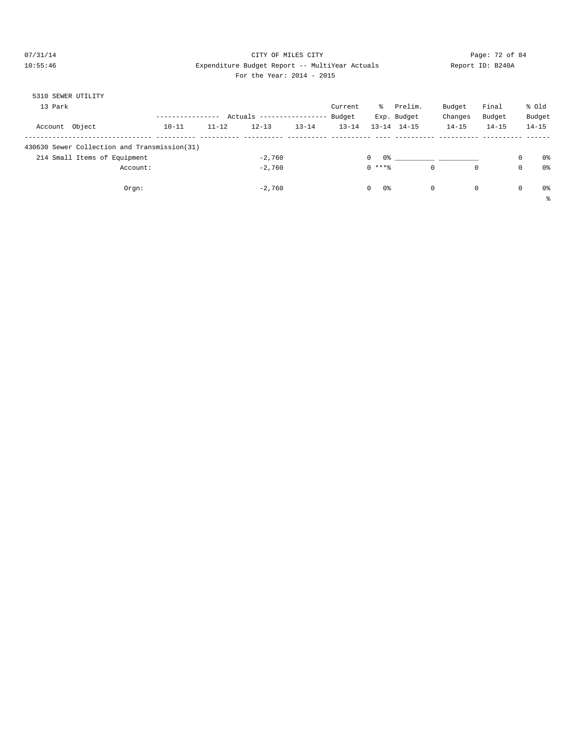# 07/31/14 Page: 72 of 84 10:55:46 Expenditure Budget Report -- MultiYear Actuals Report ID: B240A

# For the Year: 2014 - 2015

| 5310 SEWER UTILITY |                                              |           |           |           |                  |           |          |                            |             |           |             |                |
|--------------------|----------------------------------------------|-----------|-----------|-----------|------------------|-----------|----------|----------------------------|-------------|-----------|-------------|----------------|
| 13 Park            |                                              |           |           |           |                  | Current   | ွေ       | Prelim.                    | Budget      | Final     |             | % old          |
|                    |                                              |           | Actuals   |           | ---------------- | Budget    |          | Exp. Budget                | Changes     | Budget    |             | Budget         |
| Account            | Object                                       | $10 - 11$ | $11 - 12$ | $12 - 13$ | $13 - 14$        | $13 - 14$ |          | $13 - 14$ $14 - 15$        | $14 - 15$   | $14 - 15$ |             | $14 - 15$      |
|                    |                                              |           |           |           |                  |           |          |                            |             |           |             |                |
|                    | 430630 Sewer Collection and Transmission(31) |           |           |           |                  |           |          |                            |             |           |             |                |
|                    | 214 Small Items of Equipment                 |           |           | $-2.760$  |                  |           | 0        | 0.왕 - 대한민국의 대학 대학 대학 대학 대학 |             |           | $\mathbf 0$ | 0 <sup>8</sup> |
|                    | Account:                                     |           |           | $-2.760$  |                  |           | $0$ **** |                            | $\mathbf 0$ | 0         | 0           | 0 <sup>8</sup> |
|                    |                                              |           |           |           |                  |           |          |                            |             |           |             |                |
|                    | Orgn:                                        |           |           | $-2.760$  |                  |           | 0<br>0%  |                            | $\circ$     | 0         | $\mathbf 0$ | 0 <sup>8</sup> |
|                    |                                              |           |           |           |                  |           |          |                            |             |           |             | š              |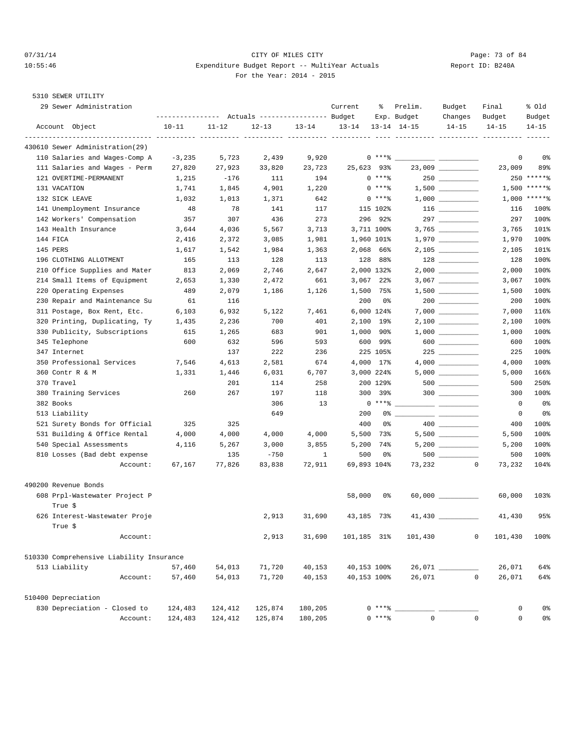## $O7/31/14$  Page: 73 of 84 10:55:46 Expenditure Budget Report -- MultiYear Actuals Report ID: B240A For the Year: 2014 - 2015

| 29 Sewer Administration                   | ---------------- |           | Actuals ----------------- Budget |           | Current           | ႜ          | Prelim.<br>Exp. Budget        | Budget<br>Changes                                                                           | Final<br>Budget        | % Old<br>Budget |
|-------------------------------------------|------------------|-----------|----------------------------------|-----------|-------------------|------------|-------------------------------|---------------------------------------------------------------------------------------------|------------------------|-----------------|
| Account Object                            | $10 - 11$        | $11 - 12$ | $12 - 13$                        | $13 - 14$ | $13 - 14$         |            | $13 - 14$ $14 - 15$           | $14 - 15$                                                                                   | $14 - 15$              | $14 - 15$       |
| 430610 Sewer Administration(29)           |                  |           |                                  |           | ______ __________ |            | ---------- ---------- ------- |                                                                                             |                        |                 |
| 110 Salaries and Wages-Comp A             | $-3,235$         | 5,723     | 2,439                            | 9,920     |                   | $0***8$    | <b>Contract Contract</b>      |                                                                                             | 0                      | 0%              |
| 111 Salaries and Wages - Perm             | 27,820           | 27,923    | 33,820                           | 23,723    | 25,623 93%        |            |                               |                                                                                             | 23,009                 | 89%             |
| 121 OVERTIME-PERMANENT                    | 1,215            | $-176$    | 111                              | 194       |                   | $0***8$    |                               | 250                                                                                         |                        | $250$ ******    |
| 131 VACATION                              | 1,741            | 1,845     | 4,901                            | 1,220     |                   | $0***8$    |                               |                                                                                             |                        | $1,500$ *****%  |
| 132 SICK LEAVE                            | 1,032            | 1,013     | 1,371                            | 642       |                   | $0***8$    |                               | $1\, , \, 0\, 0\, 0 \quad \underline{\hspace{1cm}} \rule{2.5cm}{0.4cm} \rule{2.5cm}{0.4cm}$ |                        | $1,000$ *****%  |
| 141 Unemployment Insurance                | 48               | 78        | 141                              | 117       |                   | 115 102%   |                               |                                                                                             | 116                    | 100%            |
| 142 Workers' Compensation                 | 357              | 307       | 436                              | 273       |                   | 296 92%    |                               |                                                                                             | 297                    | 100%            |
| 143 Health Insurance                      | 3,644            | 4,036     | 5,567                            | 3,713     |                   | 3,711 100% |                               |                                                                                             | 3,765                  | 101%            |
| 144 FICA                                  | 2,416            | 2,372     | 3,085                            | 1,981     |                   | 1,960 101% |                               |                                                                                             | 1,970                  | 100%            |
| 145 PERS                                  | 1,617            | 1,542     | 1,984                            | 1,363     |                   | 2,068 66%  |                               |                                                                                             | 2,105                  | 101%            |
| 196 CLOTHING ALLOTMENT                    | 165              | 113       | 128                              | 113       |                   | 128 88%    |                               |                                                                                             | 128                    | 100%            |
| 210 Office Supplies and Mater             | 813              | 2,069     | 2,746                            | 2,647     |                   | 2,000 132% |                               |                                                                                             | 2,000                  | 100%            |
| 214 Small Items of Equipment              | 2,653            | 1,330     | 2,472                            | 661       |                   | 3,067 22%  |                               |                                                                                             | 3,067                  | 100%            |
| 220 Operating Expenses                    | 489              | 2,079     | 1,186                            | 1,126     |                   | 1,500 75%  |                               |                                                                                             | 1,500                  | 100%            |
| 230 Repair and Maintenance Su             | 61               | 116       |                                  |           | 200               | 0%         |                               | $200$                                                                                       | 200                    | 100%            |
| 311 Postage, Box Rent, Etc.               | 6,103            | 6,932     | 5,122                            | 7,461     |                   | 6,000 124% |                               |                                                                                             | 7,000                  | 116%            |
| 320 Printing, Duplicating, Ty             | 1,435            | 2,236     | 700                              | 401       |                   | 2,100 19%  |                               |                                                                                             | 2,100                  | 100%            |
|                                           |                  |           |                                  | 901       |                   |            |                               |                                                                                             |                        |                 |
| 330 Publicity, Subscriptions              | 615              | 1,265     | 683                              |           | 1,000             | 90%        |                               |                                                                                             | 1,000                  | 100%            |
| 345 Telephone                             | 600              | 632       | 596                              | 593       |                   | 600 99%    |                               | 600                                                                                         | 600                    | 100%            |
| 347 Internet<br>350 Professional Services |                  | 137       | 222                              | 236       |                   | 225 105%   |                               | 225                                                                                         | 225                    | 100%            |
|                                           | 7,546            | 4,613     | 2,581                            | 674       |                   | 4,000 17%  |                               |                                                                                             | 4,000                  | 100%            |
| 360 Contr R & M                           | 1,331            | 1,446     | 6,031                            | 6,707     |                   | 3,000 224% |                               |                                                                                             | 5,000                  | 166%            |
| 370 Travel                                |                  | 201       | 114                              | 258       |                   | 200 129%   |                               |                                                                                             | 500                    | 250%            |
| 380 Training Services                     | 260              | 267       | 197                              | 118       |                   | 300 39%    |                               | $300$                                                                                       | 300                    | 100%            |
| 382 Books                                 |                  |           | 306                              | 13        |                   | $0***8$    |                               |                                                                                             | $\mathbf 0$            | 0%              |
| 513 Liability                             |                  |           | 649                              |           | 200               | 0%         |                               |                                                                                             | $^{\circ}$             | 0%              |
| 521 Surety Bonds for Official             | 325              | 325       |                                  |           | 400               | 0%         |                               |                                                                                             | 400                    | 100%            |
| 531 Building & Office Rental              | 4,000            | 4,000     | 4,000                            | 4,000     |                   | 5,500 73%  |                               |                                                                                             | 5,500                  | 100%            |
| 540 Special Assessments                   | 4,116            | 5,267     | 3,000                            | 3,855     |                   | 5,200 74%  |                               |                                                                                             | 5,200                  | 100%            |
| 810 Losses (Bad debt expense              |                  | 135       | $-750$                           | 1         | 500               | 0%         |                               | $500$                                                                                       | 500                    | 100%            |
| Account:                                  | 67,167           | 77,826    | 83,838                           | 72,911    | 69,893 104%       |            | 73,232                        |                                                                                             | $^{\circ}$<br>73,232   | 104%            |
| 490200 Revenue Bonds                      |                  |           |                                  |           |                   |            |                               |                                                                                             |                        |                 |
| 608 Prpl-Wastewater Project P             |                  |           |                                  |           | 58,000            | 0%         |                               |                                                                                             | 60,000                 | 103%            |
| True \$                                   |                  |           |                                  |           |                   |            |                               |                                                                                             |                        |                 |
| 626 Interest-Wastewater Proje<br>True \$  |                  |           | 2,913                            | 31,690    | 43,185 73%        |            |                               |                                                                                             | 41,430                 | 95%             |
| Account:                                  |                  |           | 2,913                            | 31,690    | 101,185 31%       |            | 101,430                       |                                                                                             | $\mathbf 0$<br>101,430 | 100%            |
| 510330 Comprehensive Liability Insurance  |                  |           |                                  |           |                   |            |                               |                                                                                             |                        |                 |
| 513 Liability                             | 57,460           | 54,013    | 71,720                           | 40,153    | 40,153 100%       |            |                               |                                                                                             | 26,071                 | 64%             |
| Account:                                  | 57,460           | 54,013    | 71,720                           | 40,153    | 40,153 100%       |            | 26,071                        |                                                                                             | $\mathbf 0$<br>26,071  | 64%             |
| 510400 Depreciation                       |                  |           |                                  |           |                   |            |                               |                                                                                             |                        |                 |
|                                           |                  |           |                                  |           |                   | $0***8$    |                               |                                                                                             |                        |                 |
| 830 Depreciation - Closed to              | 124,483          | 124,412   | 125,874                          | 180,205   |                   |            | $\mathbf{0}$                  |                                                                                             | 0                      | 0%              |
| Account:                                  | 124,483          | 124,412   | 125,874                          | 180,205   |                   | $0***8$    |                               |                                                                                             | $\mathbf 0$<br>0       | 0%              |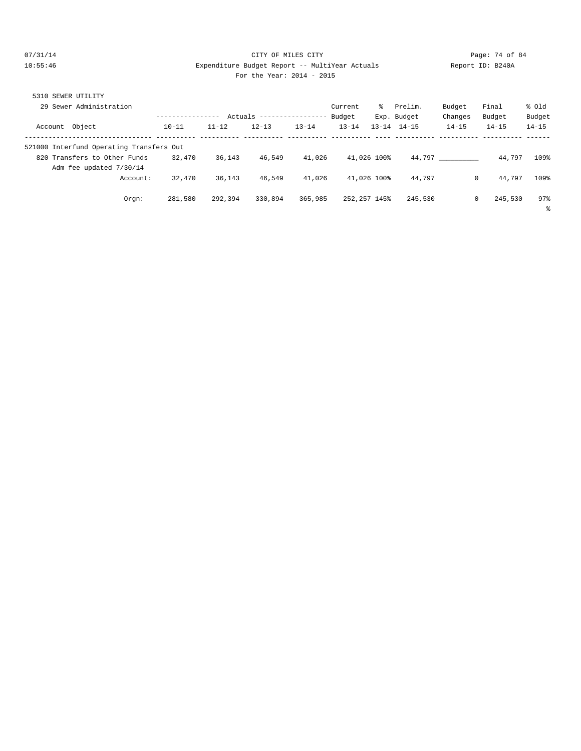### 07/31/14 Page: 74 of 84 10:55:46 Expenditure Budget Report -- MultiYear Actuals Report ID: B240A For the Year: 2014 - 2015

|  |  | For the Year: 2014 - 201 |  |  |  |
|--|--|--------------------------|--|--|--|
|--|--|--------------------------|--|--|--|

| 5310 SEWER UTILITY                       |           |           |           |           |              |           |             |           |           |           |
|------------------------------------------|-----------|-----------|-----------|-----------|--------------|-----------|-------------|-----------|-----------|-----------|
| 29 Sewer Administration                  |           |           |           |           | Current      | ႜၟ        | Prelim.     | Budget    | Final     | % old     |
|                                          |           | Actuals   |           |           | Budget       |           | Exp. Budget | Changes   | Budget    | Budget    |
| Account Object                           | $10 - 11$ | $11 - 12$ | $12 - 13$ | $13 - 14$ | $13 - 14$    | $13 - 14$ | $14 - 15$   | $14 - 15$ | $14 - 15$ | $14 - 15$ |
| 521000 Interfund Operating Transfers Out |           |           |           |           |              |           |             |           |           |           |
| 820 Transfers to Other Funds             | 32,470    | 36,143    | 46,549    | 41,026    | 41,026 100%  |           | 44,797      |           | 44,797    | 109%      |
| Adm fee updated 7/30/14                  |           |           |           |           |              |           |             |           |           |           |
| Account:                                 | 32,470    | 36,143    | 46,549    | 41,026    | 41,026 100%  |           | 44.797      | 0         | 44,797    | 109%      |
| Orgn:                                    | 281,580   | 292,394   | 330,894   | 365,985   | 252,257 145% |           | 245,530     | 0         | 245,530   | 97%       |
|                                          |           |           |           |           |              |           |             |           |           | ႜ         |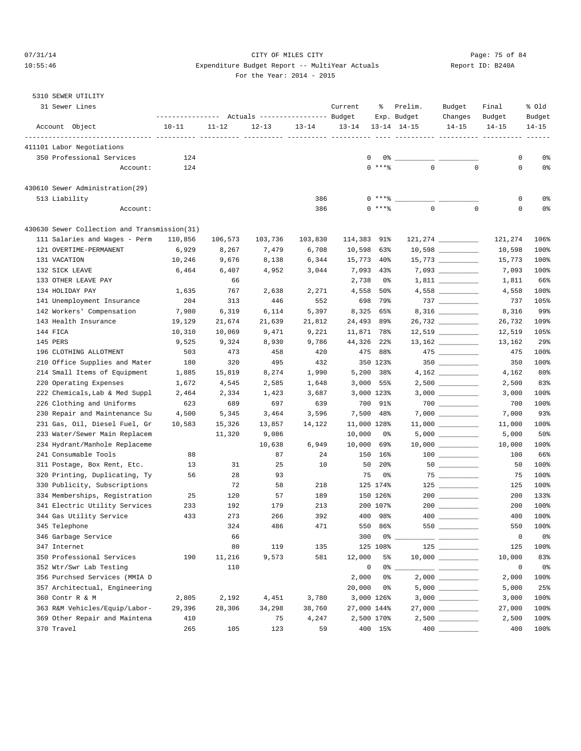## 07/31/14 Page: 75 of 84 10:55:46 Expenditure Budget Report -- MultiYear Actuals Report ID: B240A For the Year: 2014 - 2015

| 31 Sewer Lines                                                 |               |           | Actuals ----------------- Budget |                 | Current     | ႜ               | Prelim.<br>Exp. Budget | Budget<br>Changes                                                                                                                                                                                                                                                                                                                                                                                                                                                          | Final<br>Budget       | % Old<br>Budget |
|----------------------------------------------------------------|---------------|-----------|----------------------------------|-----------------|-------------|-----------------|------------------------|----------------------------------------------------------------------------------------------------------------------------------------------------------------------------------------------------------------------------------------------------------------------------------------------------------------------------------------------------------------------------------------------------------------------------------------------------------------------------|-----------------------|-----------------|
| Account Object                                                 | $10 - 11$     | $11 - 12$ | $12 - 13$                        | $13 - 14$       | $13 - 14$   |                 | $13 - 14$ $14 - 15$    | $14 - 15$                                                                                                                                                                                                                                                                                                                                                                                                                                                                  | $14 - 15$             | $14 - 15$       |
| 411101 Labor Negotiations                                      |               |           | ----------- ---------- --------- |                 |             |                 | ----------- ---------- |                                                                                                                                                                                                                                                                                                                                                                                                                                                                            |                       |                 |
| 350 Professional Services                                      | 124           |           |                                  |                 | 0           | 0%              |                        |                                                                                                                                                                                                                                                                                                                                                                                                                                                                            | 0                     | 0%              |
| Account:                                                       | 124           |           |                                  |                 |             | $0$ ****        | $\mathbf{0}$           | $\mathbf 0$                                                                                                                                                                                                                                                                                                                                                                                                                                                                | $\mathbf 0$           | 0%              |
| 430610 Sewer Administration(29)                                |               |           |                                  |                 |             |                 |                        |                                                                                                                                                                                                                                                                                                                                                                                                                                                                            |                       |                 |
| 513 Liability                                                  |               |           |                                  | 386             |             | $0***8$         |                        |                                                                                                                                                                                                                                                                                                                                                                                                                                                                            | $\mathsf 0$           | 0%              |
| Account:                                                       |               |           |                                  | 386             |             | 0 ****          | $\mathsf{O}\xspace$    | $\mathbf 0$                                                                                                                                                                                                                                                                                                                                                                                                                                                                | $\mathsf 0$           | 0%              |
| 430630 Sewer Collection and Transmission(31)                   |               |           |                                  |                 |             |                 |                        |                                                                                                                                                                                                                                                                                                                                                                                                                                                                            |                       |                 |
| 111 Salaries and Wages - Perm                                  | 110,856       | 106,573   | 103,736                          | 103,830         | 114,383     | 91%             |                        |                                                                                                                                                                                                                                                                                                                                                                                                                                                                            | 121,274               | 106%            |
| 121 OVERTIME-PERMANENT                                         | 6,929         | 8,267     | 7,479                            | 6,708           | 10,598      | 63%             |                        |                                                                                                                                                                                                                                                                                                                                                                                                                                                                            | 10,598                | 100%            |
| 131 VACATION                                                   | 10,246        | 9,676     | 8,138                            | 6,344           | 15,773      | 40%             |                        |                                                                                                                                                                                                                                                                                                                                                                                                                                                                            | 15,773                | 100%            |
| 132 SICK LEAVE                                                 | 6,464         | 6,407     | 4,952                            | 3,044           | 7,093       | 43%             |                        |                                                                                                                                                                                                                                                                                                                                                                                                                                                                            | 7,093                 | 100%            |
| 133 OTHER LEAVE PAY                                            |               | 66        |                                  |                 | 2,738       | 0%              |                        |                                                                                                                                                                                                                                                                                                                                                                                                                                                                            | 1,811                 | 66%             |
| 134 HOLIDAY PAY                                                | 1,635         | 767       | 2,638                            | 2,271           | 4,558       | 50%             |                        |                                                                                                                                                                                                                                                                                                                                                                                                                                                                            | 4,558                 | 100%            |
| 141 Unemployment Insurance                                     | 204           | 313       | 446                              | 552             | 698         | 79%             |                        |                                                                                                                                                                                                                                                                                                                                                                                                                                                                            | 737                   | 105%            |
| 142 Workers' Compensation                                      | 7,980         | 6,319     | 6,114                            | 5,397           | 8,325       | 65%             |                        |                                                                                                                                                                                                                                                                                                                                                                                                                                                                            | 8,316                 | 99%             |
| 143 Health Insurance                                           | 19,129        | 21,674    | 21,639                           | 21,812          | 24,493      | 89%             |                        |                                                                                                                                                                                                                                                                                                                                                                                                                                                                            | 26,732                | 109%            |
| 144 FICA                                                       | 10,310        | 10,069    | 9,471                            | 9,221           | 11,871 78%  |                 |                        |                                                                                                                                                                                                                                                                                                                                                                                                                                                                            | 12,519                | 105%            |
| 145 PERS                                                       | 9,525         | 9,324     | 8,930                            | 9,786           | 44,326      | $22$ $%$        |                        |                                                                                                                                                                                                                                                                                                                                                                                                                                                                            | 13,162                | 29%             |
| 196 CLOTHING ALLOTMENT                                         | 503           | 473       | 458                              | 420             | 475         | 88%             |                        | $475$ _________                                                                                                                                                                                                                                                                                                                                                                                                                                                            | 475                   | 100%            |
| 210 Office Supplies and Mater                                  | 180           | 320       | 495                              | 432             |             | 350 123%        |                        |                                                                                                                                                                                                                                                                                                                                                                                                                                                                            | 350                   | 100%            |
| 214 Small Items of Equipment                                   | 1,885         | 15,819    | 8,274                            | 1,990           | 5,200       | 38%             |                        |                                                                                                                                                                                                                                                                                                                                                                                                                                                                            | 4,162                 | 80%             |
| 220 Operating Expenses                                         | 1,672         | 4,545     | 2,585                            | 1,648           |             | $3,000$ 55%     |                        |                                                                                                                                                                                                                                                                                                                                                                                                                                                                            | 2,500                 | 83%             |
| 222 Chemicals, Lab & Med Suppl                                 | 2,464         | 2,334     | 1,423                            | 3,687           |             | 3,000 123%      |                        |                                                                                                                                                                                                                                                                                                                                                                                                                                                                            | 3,000                 | 100%            |
| 226 Clothing and Uniforms                                      | 623           | 689       | 697                              | 639             | 700         | 91%             |                        |                                                                                                                                                                                                                                                                                                                                                                                                                                                                            | 700                   | 100%            |
| 230 Repair and Maintenance Su                                  | 4,500         | 5,345     | 3,464                            | 3,596           | 7,500       | 48%             |                        |                                                                                                                                                                                                                                                                                                                                                                                                                                                                            | 7,000                 | 93%             |
| 231 Gas, Oil, Diesel Fuel, Gr                                  | 10,583        | 15,326    | 13,857                           | 14,122          | 11,000 128% |                 |                        |                                                                                                                                                                                                                                                                                                                                                                                                                                                                            | 11,000                | 100%            |
| 233 Water/Sewer Main Replacem                                  |               | 11,320    | 9,086                            |                 | 10,000      | 0%              |                        |                                                                                                                                                                                                                                                                                                                                                                                                                                                                            | 5,000                 | 50%             |
| 234 Hydrant/Manhole Replaceme                                  |               |           | 10,638                           | 6,949           | 10,000      | 69%             |                        | $10,000$ ____________                                                                                                                                                                                                                                                                                                                                                                                                                                                      | 10,000                | 100%            |
| 241 Consumable Tools                                           | 88            |           | 87                               | 24              | 150         | 16%             |                        |                                                                                                                                                                                                                                                                                                                                                                                                                                                                            | 100                   | 66%             |
| 311 Postage, Box Rent, Etc.                                    | 13            | 31        | 25                               | 10              | 50          | 20 <sub>8</sub> |                        |                                                                                                                                                                                                                                                                                                                                                                                                                                                                            | 50                    | 100%            |
| 320 Printing, Duplicating, Ty                                  | 56            | 28        | 93                               |                 | 75          | 0%              |                        | $75$ _________                                                                                                                                                                                                                                                                                                                                                                                                                                                             | 75                    | 100%            |
| 330 Publicity, Subscriptions                                   |               | 72        | 58                               | 218             |             | 125 174%        |                        | $125$                                                                                                                                                                                                                                                                                                                                                                                                                                                                      | 125                   | 100%            |
| 334 Memberships, Registration                                  | 25            | 120       | 57                               | 189             |             | 150 126%        |                        | $200$                                                                                                                                                                                                                                                                                                                                                                                                                                                                      | 200                   | 133%            |
| 341 Electric Utility Services                                  | 233           | 192       | 179                              | 213             |             | 200 107%        |                        |                                                                                                                                                                                                                                                                                                                                                                                                                                                                            | 200                   | 100%            |
| 344 Gas Utility Service                                        | 433           | 273       | 266                              | 392             |             | 400 98%         |                        |                                                                                                                                                                                                                                                                                                                                                                                                                                                                            | 400                   | 100%<br>100%    |
| 345 Telephone                                                  |               | 324       | 486                              | 471             |             | 550 86%         |                        |                                                                                                                                                                                                                                                                                                                                                                                                                                                                            | 550                   |                 |
| 346 Garbage Service                                            |               | 66        |                                  |                 | 300         |                 |                        |                                                                                                                                                                                                                                                                                                                                                                                                                                                                            | 0                     | 0%              |
| 347 Internet<br>350 Professional Services                      |               | 80        | 119                              | 135             |             | 125 108%        |                        |                                                                                                                                                                                                                                                                                                                                                                                                                                                                            | 125                   | 100%            |
| 352 Wtr/Swr Lab Testing                                        | 190           | 11,216    | 9,573                            | 581             | 12,000      | 5%              |                        |                                                                                                                                                                                                                                                                                                                                                                                                                                                                            | 10,000<br>$\mathbf 0$ | 83%             |
|                                                                |               | 110       |                                  |                 | 0           | 0%              |                        | $\frac{1}{1} \left( \frac{1}{1} \right) \left( \frac{1}{1} \right) \left( \frac{1}{1} \right) \left( \frac{1}{1} \right) \left( \frac{1}{1} \right) \left( \frac{1}{1} \right) \left( \frac{1}{1} \right) \left( \frac{1}{1} \right) \left( \frac{1}{1} \right) \left( \frac{1}{1} \right) \left( \frac{1}{1} \right) \left( \frac{1}{1} \right) \left( \frac{1}{1} \right) \left( \frac{1}{1} \right) \left( \frac{1}{1} \right) \left( \frac{1}{1} \right) \left( \frac$ |                       | 0%              |
| 356 Purchsed Services (MMIA D                                  |               |           |                                  |                 | 2,000       | 0%              |                        |                                                                                                                                                                                                                                                                                                                                                                                                                                                                            | 2,000                 | 100%            |
| 357 Architectual, Engineering<br>360 Contr R & M               |               |           |                                  |                 | 20,000      | 0%              |                        |                                                                                                                                                                                                                                                                                                                                                                                                                                                                            | 5,000                 | 25%             |
|                                                                | 2,805         | 2,192     | 4,451                            | 3,780           | 27,000 144% | 3,000 126%      |                        |                                                                                                                                                                                                                                                                                                                                                                                                                                                                            | 3,000<br>27,000       | 100%<br>100%    |
| 363 R&M Vehicles/Equip/Labor-<br>369 Other Repair and Maintena | 29,396<br>410 | 28,306    | 34,298<br>75                     | 38,760<br>4,247 |             | 2,500 170%      |                        |                                                                                                                                                                                                                                                                                                                                                                                                                                                                            | 2,500                 | 100%            |
| 370 Travel                                                     | 265           | 105       | 123                              | 59              |             | 400 15%         |                        |                                                                                                                                                                                                                                                                                                                                                                                                                                                                            | 400                   | 100%            |
|                                                                |               |           |                                  |                 |             |                 |                        |                                                                                                                                                                                                                                                                                                                                                                                                                                                                            |                       |                 |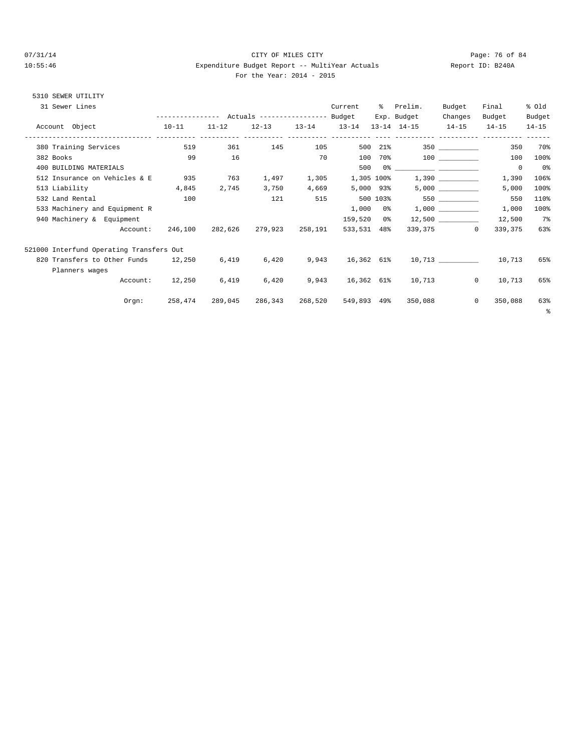### 07/31/14 Page: 76 of 84 10:55:46 Expenditure Budget Report -- MultiYear Actuals Report ID: B240A For the Year: 2014 - 2015

| 31 Sewer Lines |                                          |                 |            |                                     |       | Current    | % Prelim.               | Budget                | Final                    | % Old     |
|----------------|------------------------------------------|-----------------|------------|-------------------------------------|-------|------------|-------------------------|-----------------------|--------------------------|-----------|
|                |                                          |                 |            |                                     |       |            | Exp. Budget             | Changes               | Budget                   | Budget    |
|                | Account Object 10-11                     |                 | $11 - 12$  | $12-13$ $13-14$ $13-14$             |       |            | 13-14 14-15 14-15 14-15 |                       |                          | $14 - 15$ |
|                | 380 Training Services                    |                 | 519<br>361 | 145 105                             |       |            | 500 21%                 | 350                   | 350                      | 70%       |
|                | 382 Books                                | 99              | 16         |                                     | 70    |            | 100 70% 100             |                       | 100                      | 100%      |
|                | 400 BUILDING MATERIALS                   |                 |            |                                     |       |            |                         |                       | $\overline{0}$           | 0 %       |
|                | 512 Insurance on Vehicles & E            | 935             | 763        | 1,497                               | 1,305 |            |                         |                       | 1,390                    | 106%      |
|                | 513 Liability 4,845                      |                 | 2,745      | 3,750                               | 4,669 | 5,000 93%  |                         |                       | 5,000                    | 100%      |
|                | 532 Land Rental                          | 100             |            | 121                                 | 515   |            |                         |                       | 550                      | 110%      |
|                | 533 Machinery and Equipment R            |                 |            |                                     |       |            | $1,000$ 0% $1,000$ 1.   |                       | 1,000                    | 100%      |
|                | 940 Machinery & Equipment                |                 |            |                                     |       | 159,520 0% |                         | $12,500$ ____________ | 12,500                   | 7%        |
|                | Account:                                 | 246,100         |            | 282,626 279,923 258,191 533,531 48% |       |            |                         | 339,375 0             | 339,375                  | 63%       |
|                | 521000 Interfund Operating Transfers Out |                 |            |                                     |       |            |                         |                       |                          |           |
|                | 820 Transfers to Other Funds 12,250      |                 | 6,419      | 6,420                               | 9,943 |            |                         |                       | 16,362 61% 10,713 10,713 | 65%       |
|                | Planners wages                           |                 |            |                                     |       |            |                         |                       |                          |           |
|                |                                          | Account: 12,250 | 6,419      | 6,420                               |       |            | 9,943 16,362 61% 10,713 | $\mathbf{0}$          | 10,713                   | 65%       |
|                | Orem:                                    | 258,474         | 289,045    | 286,343 268,520 549,893 49%         |       |            | 350,088                 | $\circ$               | 350,088                  | 63%<br>ి  |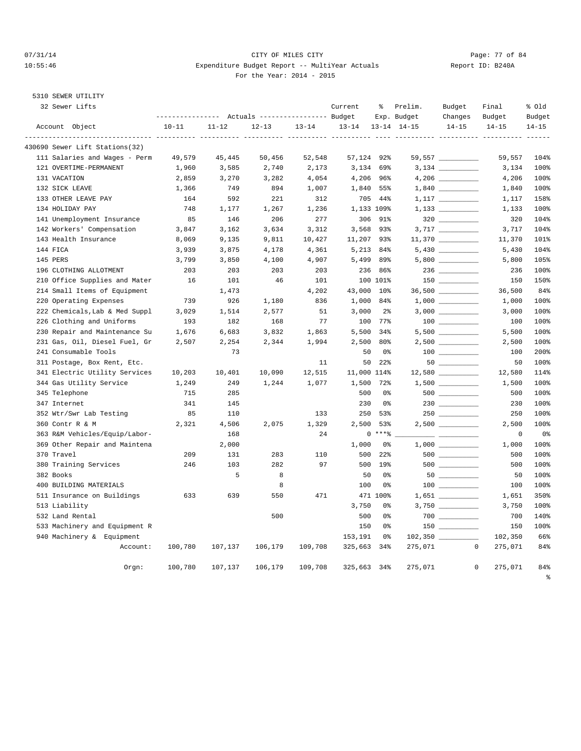### 07/31/14 Page: 77 of 84 10:55:46 Expenditure Budget Report -- MultiYear Actuals Report ID: B240A For the Year: 2014 - 2015

| 32 Sewer Lifts                 | ---------------- |           | Actuals ----------------- Budget |           | Current                    | ႜွ              | Prelim.<br>Exp. Budget | Budget<br>Changes                      | Final<br>Budget         | % old<br>Budget                 |
|--------------------------------|------------------|-----------|----------------------------------|-----------|----------------------------|-----------------|------------------------|----------------------------------------|-------------------------|---------------------------------|
| Account Object                 | $10 - 11$        | $11 - 12$ | $12 - 13$                        | $13 - 14$ | $13 - 14$                  |                 | $13 - 14$ $14 - 15$    | $14 - 15$                              | $14 - 15$               | $14 - 15$                       |
| 430690 Sewer Lift Stations(32) |                  |           |                                  |           | __________________________ |                 |                        |                                        |                         |                                 |
| 111 Salaries and Wages - Perm  | 49,579           | 45,445    | 50,456                           | 52,548    | 57,124 92%                 |                 |                        |                                        | 59,557                  | 104%                            |
| 121 OVERTIME-PERMANENT         | 1,960            | 3,585     | 2,740                            | 2,173     |                            | $3,134$ 69%     |                        |                                        | 3,134                   | 100%                            |
| 131 VACATION                   | 2,859            | 3,270     | 3,282                            | 4,054     |                            | 4,206 96%       |                        |                                        | 4,206                   | 100%                            |
| 132 SICK LEAVE                 | 1,366            | 749       | 894                              | 1,007     |                            | 1,840 55%       |                        |                                        | 1,840                   | 100%                            |
| 133 OTHER LEAVE PAY            | 164              | 592       | 221                              | 312       |                            | 705 44%         |                        |                                        | 1,117                   | 158%                            |
| 134 HOLIDAY PAY                | 748              | 1,177     | 1,267                            | 1,236     |                            | 1,133 109%      |                        |                                        | 1,133                   | 100%                            |
| 141 Unemployment Insurance     | 85               | 146       | 206                              | 277       |                            | 306 91%         |                        |                                        | 320                     | 104%                            |
| 142 Workers' Compensation      | 3,847            | 3,162     | 3,634                            | 3,312     |                            | 3,568 93%       |                        |                                        | 3,717                   | 104%                            |
| 143 Health Insurance           | 8,069            | 9,135     | 9,811                            | 10,427    | 11,207 93%                 |                 |                        |                                        | 11,370                  | 101%                            |
| 144 FICA                       | 3,939            | 3,875     | 4,178                            | 4,361     |                            | 5,213 84%       |                        |                                        | 5,430                   | 104%                            |
| 145 PERS                       | 3,799            | 3,850     | 4,100                            | 4,907     |                            | 5,499 89%       |                        |                                        | 5,800                   | 105%                            |
| 196 CLOTHING ALLOTMENT         | 203              | 203       | 203                              | 203       |                            | 236 86%         |                        |                                        | 236                     | 100%                            |
| 210 Office Supplies and Mater  | 16               | 101       | 46                               | 101       |                            | 100 101%        |                        | 150                                    | 150                     | 150%                            |
| 214 Small Items of Equipment   |                  | 1,473     |                                  | 4,202     | 43,000                     | 10 <sup>8</sup> |                        |                                        | 36,500                  | 84%                             |
| 220 Operating Expenses         | 739              | 926       | 1,180                            | 836       | 1,000                      | 84%             |                        |                                        | 1,000                   | 100%                            |
| 222 Chemicals, Lab & Med Suppl | 3,029            | 1,514     | 2,577                            | 51        | 3,000                      | 2 <sup>°</sup>  |                        |                                        | 3,000                   | 100%                            |
| 226 Clothing and Uniforms      | 193              | 182       | 168                              | 77        |                            | 100 77%         |                        | $\begin{tabular}{c} 100 \end{tabular}$ | 100                     | 100%                            |
| 230 Repair and Maintenance Su  | 1,676            | 6,683     | 3,832                            | 1,863     | 5,500                      | 34%             |                        |                                        | 5,500                   | 100%                            |
| 231 Gas, Oil, Diesel Fuel, Gr  | 2,507            | 2,254     | 2,344                            | 1,994     | 2,500                      | 80%             |                        |                                        | 2,500                   | 100%                            |
| 241 Consumable Tools           |                  | 73        |                                  |           | 50                         | 0 <sup>8</sup>  |                        | $100$                                  | 100                     | 200%                            |
| 311 Postage, Box Rent, Etc.    |                  |           |                                  | 11        | 50                         | 22%             |                        |                                        | 50                      | 100%                            |
| 341 Electric Utility Services  | 10,203           | 10,401    | 10,090                           | 12,515    | 11,000 114%                |                 |                        |                                        | 12,580                  | 114%                            |
| 344 Gas Utility Service        | 1,249            | 249       | 1,244                            | 1,077     | 1,500                      | 72%             |                        |                                        | 1,500                   | 100%                            |
| 345 Telephone                  | 715              | 285       |                                  |           | 500                        | 0%              |                        |                                        | 500                     | 100%                            |
| 347 Internet                   | 341              | 145       |                                  |           | 230                        | 0%              |                        |                                        | 230                     | 100%                            |
| 352 Wtr/Swr Lab Testing        | 85               | 110       |                                  | 133       | 250                        | 53%             |                        |                                        | 250                     | 100%                            |
| 360 Contr R & M                | 2,321            | 4,506     | 2,075                            | 1,329     | 2,500                      | 53%             |                        |                                        | 2,500                   | 100%                            |
| 363 R&M Vehicles/Equip/Labor-  |                  | 168       |                                  | 24        |                            | $0***8$         |                        |                                        | $\mathbf 0$             | $0\,$                           |
| 369 Other Repair and Maintena  |                  | 2,000     |                                  |           | 1,000                      | 0%              |                        |                                        | 1,000                   | 100%                            |
| 370 Travel                     | 209              | 131       | 283                              | 110       | 500                        | 22%             |                        | $500$                                  | 500                     | 100%                            |
| 380 Training Services          | 246              | 103       | 282                              | 97        | 500                        | 19%             |                        |                                        | 500                     | 100%                            |
| 382 Books                      |                  | 5         | 8                                |           | 50                         | 0%              |                        |                                        | 50                      | 100%                            |
| 400 BUILDING MATERIALS         |                  |           | 8                                |           | 100                        | 0%              |                        |                                        | 100                     | 100%                            |
| 511 Insurance on Buildings     | 633              | 639       | 550                              | 471       |                            | 471 100%        |                        | $1,651$ _________                      | 1,651                   | 350%                            |
| 513 Liability                  |                  |           |                                  |           | 3,750                      | 0%              |                        |                                        | 3,750                   | 100%                            |
| 532 Land Rental                |                  |           | 500                              |           | 500                        | 0%              |                        |                                        | 700                     | 140%                            |
| 533 Machinery and Equipment R  |                  |           |                                  |           | 150                        | 0%              |                        | 150                                    | 150                     | 100%                            |
| 940 Machinery & Equipment      |                  |           |                                  |           | 153,191                    | 0%              |                        |                                        | 102,350                 | 66%                             |
| Account:                       | 100,780          | 107,137   | 106,179                          | 109,708   | 325,663 34%                |                 | 275,071                |                                        | $\mathbf{0}$<br>275,071 | 84%                             |
| Orgn:                          | 100,780          | 107,137   | 106,179                          | 109,708   | 325,663 34%                |                 | 275,071                | $\mathbf 0$                            | 275,071                 | 84%<br>$\,{}^{\circ}_{\circ}\,$ |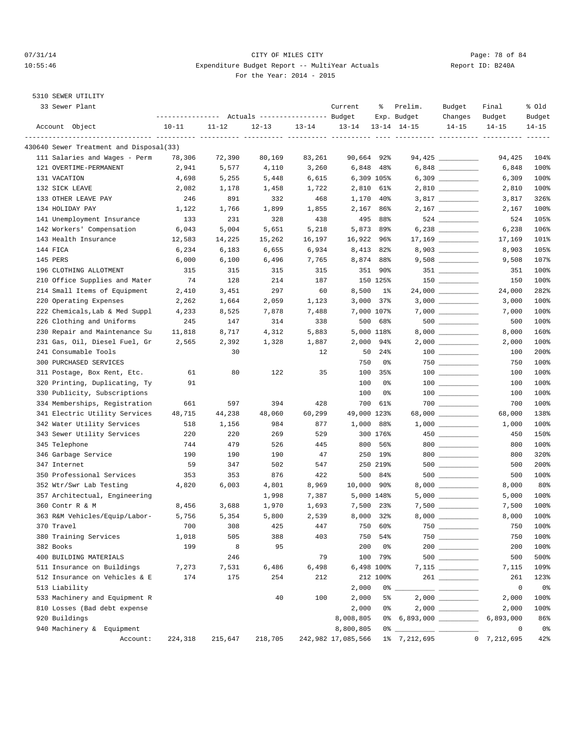### 07/31/14 Page: 78 of 84 10:55:46 Expenditure Budget Report -- MultiYear Actuals Report ID: B240A For the Year: 2014 - 2015

| 33 Sewer Plant                          |                                                 |           |           |           | Current            | နွ         | Prelim.                 | Budget                                 | Final          | % old          |
|-----------------------------------------|-------------------------------------------------|-----------|-----------|-----------|--------------------|------------|-------------------------|----------------------------------------|----------------|----------------|
|                                         | --------------- Actuals ---------------- Budget |           |           |           |                    |            | Exp. Budget             | Changes                                | Budget         | Budget         |
| Account Object                          | $10 - 11$                                       | $11 - 12$ | $12 - 13$ | $13 - 14$ | $13 - 14$          |            | $13 - 14$ $14 - 15$     | $14 - 15$                              | $14 - 15$      | $14 - 15$      |
| 430640 Sewer Treatment and Disposal(33) |                                                 |           |           |           |                    |            |                         |                                        |                |                |
| 111 Salaries and Wages - Perm           | 78,306                                          | 72,390    | 80,169    | 83,261    | 90,664 92%         |            |                         | 94,425 __________                      | 94,425         | 104%           |
| 121 OVERTIME-PERMANENT                  | 2,941                                           | 5,577     | 4,110     | 3,260     | 6,848              | 48%        |                         |                                        | 6,848          | 100%           |
| 131 VACATION                            | 4,698                                           | 5,255     | 5,448     | 6,615     |                    | 6,309 105% |                         |                                        | 6,309          | 100%           |
| 132 SICK LEAVE                          | 2,082                                           | 1,178     | 1,458     | 1,722     |                    | 2,810 61%  |                         |                                        | 2,810          | 100%           |
| 133 OTHER LEAVE PAY                     | 246                                             | 891       | 332       | 468       | 1,170              | 40%        |                         |                                        | 3,817          | 326%           |
| 134 HOLIDAY PAY                         | 1,122                                           | 1,766     | 1,899     | 1,855     |                    | 2,167 86%  |                         |                                        | 2,167          | 100%           |
| 141 Unemployment Insurance              | 133                                             | 231       | 328       | 438       | 495                | 88%        |                         | 524 __________                         | 524            | 105%           |
| 142 Workers' Compensation               | 6,043                                           | 5,004     | 5,651     | 5,218     |                    | 5,873 89%  |                         |                                        | 6,238          | 106%           |
| 143 Health Insurance                    | 12,583                                          | 14,225    | 15,262    | 16,197    | 16,922             | 96%        |                         |                                        | 17,169         | 101%           |
| 144 FICA                                | 6,234                                           | 6,183     | 6,655     | 6,934     | 8,413              | 82%        |                         | 8,903 __________                       | 8,903          | 105%           |
| 145 PERS                                | 6,000                                           | 6,100     | 6,496     | 7,765     |                    | 8,874 88%  |                         |                                        | 9,508          | 107%           |
| 196 CLOTHING ALLOTMENT                  | 315                                             | 315       | 315       | 315       |                    | 351 90%    |                         | $351$ __________                       | 351            | 100%           |
| 210 Office Supplies and Mater           | 74                                              | 128       | 214       | 187       |                    | 150 125%   |                         |                                        | 150            | 100%           |
| 214 Small Items of Equipment            | 2,410                                           | 3,451     | 297       | 60        | 8,500              | 1%         |                         |                                        | 24,000         | 282%           |
| 220 Operating Expenses                  | 2,262                                           | 1,664     | 2,059     | 1,123     | 3,000              | 37%        |                         |                                        | 3,000          | 100%           |
| 222 Chemicals, Lab & Med Suppl          | 4,233                                           | 8,525     | 7,878     | 7,488     |                    | 7,000 107% |                         |                                        | 7,000          | 100%           |
| 226 Clothing and Uniforms               | 245                                             | 147       | 314       | 338       | 500                | 68%        |                         |                                        | 500            | 100%           |
| 230 Repair and Maintenance Su           | 11,818                                          | 8,717     | 4,312     | 5,883     |                    | 5,000 118% |                         |                                        | 8,000          | 160%           |
| 231 Gas, Oil, Diesel Fuel, Gr           | 2,565                                           | 2,392     | 1,328     | 1,887     |                    | 2,000 94%  |                         |                                        | 2,000          | 100%           |
| 241 Consumable Tools                    |                                                 | 30        |           | 12        | 50                 | $24\%$     |                         |                                        | 100            | 200%           |
| 300 PURCHASED SERVICES                  |                                                 |           |           |           | 750                | 0%         |                         |                                        | 750            | 100%           |
| 311 Postage, Box Rent, Etc.             | 61                                              | 80        | 122       | 35        | 100                | 35%        |                         |                                        | 100            | 100%           |
| 320 Printing, Duplicating, Ty           | 91                                              |           |           |           | 100                | 0 %        |                         | $\begin{tabular}{c} 100 \end{tabular}$ | 100            | 100%           |
| 330 Publicity, Subscriptions            |                                                 |           |           |           | 100                | 0%         |                         | $\begin{tabular}{c} 100 \end{tabular}$ | 100            | 100%           |
| 334 Memberships, Registration           | 661                                             | 597       | 394       | 428       | 700                | 61%        |                         |                                        | 700            | 100%           |
| 341 Electric Utility Services           | 48,715                                          | 44,238    | 48,060    | 60,299    | 49,000 123%        |            |                         | 68,000 __________                      | 68,000         | 138%           |
| 342 Water Utility Services              | 518                                             | 1,156     | 984       | 877       | 1,000              | 88%        |                         |                                        | 1,000          | 100%           |
| 343 Sewer Utility Services              | 220                                             | 220       | 269       | 529       |                    | 300 176%   |                         |                                        | 450            | 150%           |
| 345 Telephone                           | 744                                             | 479       | 526       | 445       | 800                | 56%        |                         | $800$                                  | 800            | 100%           |
| 346 Garbage Service                     | 190                                             | 190       | 190       | 47        | 250                | 19%        |                         | $800$                                  | 800            | 320%           |
| 347 Internet                            | 59                                              | 347       | 502       | 547       |                    | 250 219%   |                         |                                        | 500            | 200%           |
| 350 Professional Services               | 353                                             | 353       | 876       | 422       | 500                | 84%        |                         | $500$ ___________                      | 500            | 100%           |
| 352 Wtr/Swr Lab Testing                 | 4,820                                           | 6,003     | 4,801     | 8,969     | 10,000             | 90%        |                         | 8,000                                  | 8,000          | 80%            |
| 357 Architectual, Engineering           |                                                 |           | 1,998     | 7,387     |                    | 5,000 148% |                         |                                        | 5,000          | 100%           |
| 360 Contr R & M                         | 8,456                                           | 3,688     | 1,970     | 1,693     | 7,500              | 23%        |                         | $7,500$ ___________                    | 7,500          | 100%           |
| 363 R&M Vehicles/Equip/Labor-           | 5,756                                           | 5,354     | 5,800     | 2,539     | 8,000              | 32%        |                         |                                        | 8,000          | 100%           |
| 370 Travel                              | 700                                             | 308       | 425       | 447       | 750                | 60%        |                         | $750$                                  | 750            | 100%           |
| 380 Training Services                   | 1,018                                           | 505       | 388       | 403       | 750                | 54%        |                         |                                        | 750            | 100%           |
| 382 Books                               | 199                                             | 8         | 95        |           | 200                | 0%         |                         |                                        | 200            | 100%           |
| 400 BUILDING MATERIALS                  |                                                 | 246       |           | 79        | 100                | 79%        |                         |                                        | 500            | 500%           |
| 511 Insurance on Buildings              | 7,273                                           | 7,531     | 6,486     | 6,498     |                    | 6,498 100% |                         |                                        | 7,115          | 109%           |
| 512 Insurance on Vehicles & E           | 174                                             | 175       | 254       | 212       |                    | 212 100%   |                         |                                        | 261            | 123%           |
| 513 Liability                           |                                                 |           |           |           | 2,000              | 0 %        |                         |                                        | $\mathbf 0$    | 0 <sub>8</sub> |
| 533 Machinery and Equipment R           |                                                 |           | 40        | 100       | 2,000              | 5%         |                         |                                        | 2,000          | 100%           |
| 810 Losses (Bad debt expense            |                                                 |           |           |           | 2,000              | 0 %        |                         |                                        | 2,000          | 100%           |
| 920 Buildings                           |                                                 |           |           |           | 8,008,805          |            | 0% 6,893,000 __________ |                                        | 6,893,000      | 86%            |
| 940 Machinery & Equipment               |                                                 |           |           |           | 8,800,805          |            | $0\%$ ___               |                                        | 0              | 0%             |
| Account:                                | 224,318                                         | 215,647   | 218,705   |           | 242,982 17,085,566 |            | 1% 7,212,695            |                                        | 0, 7, 212, 695 | 42%            |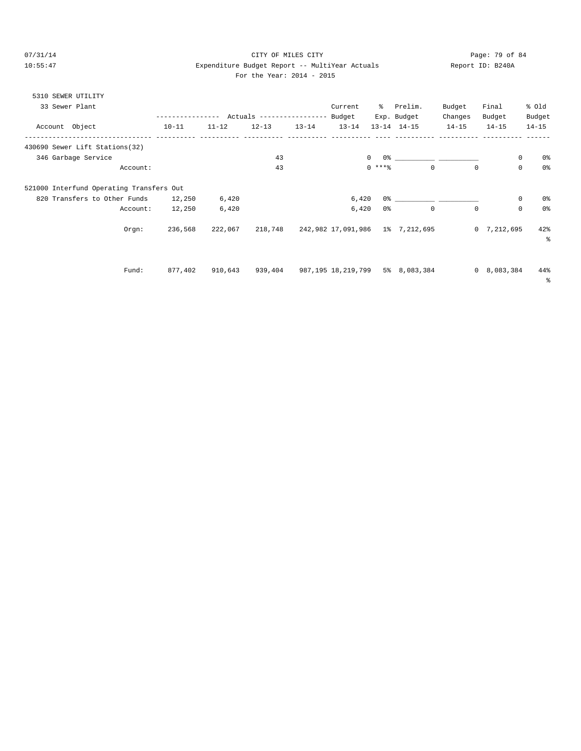## 07/31/14 Page: 79 of 84 10:55:47 Expenditure Budget Report -- MultiYear Actuals Report ID: B240A For the Year: 2014 - 2015

|  | 5310 SEWER UTILITY |  |
|--|--------------------|--|
|  |                    |  |

| 33 Sewer Plant                           |               |           |                                  |           | Current            | ి      | Prelim.                                                                                                                                                                                                                       | Budget      | Final              | % old          |
|------------------------------------------|---------------|-----------|----------------------------------|-----------|--------------------|--------|-------------------------------------------------------------------------------------------------------------------------------------------------------------------------------------------------------------------------------|-------------|--------------------|----------------|
|                                          | ------------- |           | Actuals ----------------- Budget |           |                    |        | Exp. Budget                                                                                                                                                                                                                   | Changes     | Budget             | Budget         |
| Account Object<br>--------------         | $10 - 11$     | $11 - 12$ | $12 - 13$                        | $13 - 14$ | $13 - 14$          |        | $13 - 14$ $14 - 15$                                                                                                                                                                                                           | $14 - 15$   | $14 - 15$          | $14 - 15$      |
| 430690 Sewer Lift Stations(32)           |               |           |                                  |           |                    |        |                                                                                                                                                                                                                               |             |                    |                |
| 346 Garbage Service                      |               |           | 43                               |           | $\mathbf{0}$       |        | $0$ 왕 아이는 아이에게 아이를 하는 것이 없어요.                                                                                                                                                                                                 |             | 0                  | 0%             |
| Account:                                 |               |           | 43                               |           |                    | $0***$ | $\Omega$                                                                                                                                                                                                                      | $\mathbf 0$ | $\mathbf 0$        | 0 <sup>8</sup> |
| 521000 Interfund Operating Transfers Out |               |           |                                  |           |                    |        |                                                                                                                                                                                                                               |             |                    |                |
| 820 Transfers to Other Funds             | 12,250        | 6,420     |                                  |           | 6,420              |        | 0.3 - 0.3 - 0.3 - 0.3 - 0.3 - 0.3 - 0.3 - 0.3 - 0.3 - 0.3 - 0.3 - 0.3 - 0.3 - 0.3 - 0.3 - 0.3 - 0.3 - 0.3 - 0.3 - 0.3 - 0.3 - 0.3 - 0.3 - 0.3 - 0.3 - 0.3 - 0.3 - 0.3 - 0.3 - 0.3 - 0.3 - 0.3 - 0.3 - 0.3 - 0.3 - 0.3 - 0.3 - |             | 0                  | 0%             |
| Account:                                 | 12,250        | 6,420     |                                  |           | 6,420              | 0%     | $\mathbf 0$                                                                                                                                                                                                                   | 0           | $\mathbf 0$        | 0%             |
| Orgn:                                    | 236,568       | 222,067   |                                  |           |                    |        | 218,748 242,982 17,091,986 1% 7,212,695                                                                                                                                                                                       |             | 0, 7, 212, 695     | 42%<br>နွ      |
| Fund:                                    | 877,402       | 910,643   | 939,404                          |           | 987,195 18,219,799 |        | 5% 8,083,384                                                                                                                                                                                                                  |             | $0\quad 8,083,384$ | 44%<br>နွ      |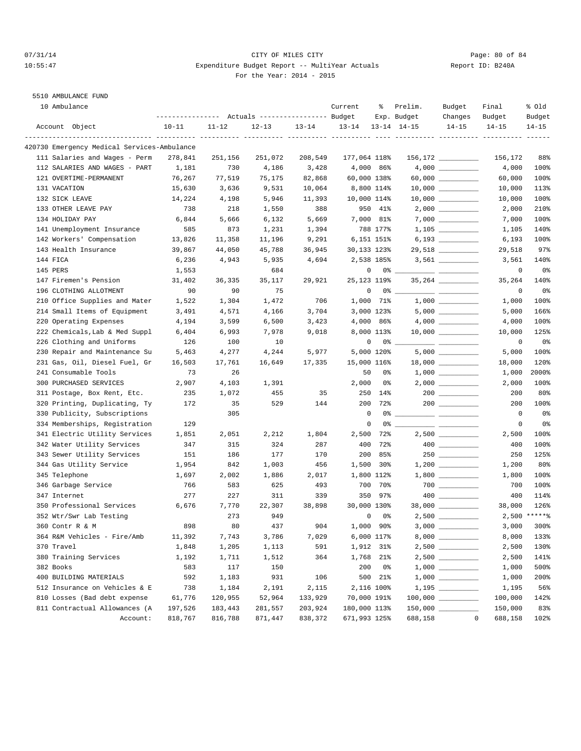### 07/31/14 Page: 80 of 84 10:55:47 Expenditure Budget Report -- MultiYear Actuals Report ID: B240A For the Year: 2014 - 2015

# 5510 AMBULANCE FUND

|              | 10 Ambulance                                | --------------- Actuals ---------------- Budget |           |           |           | Current      | ႜૢ          | Prelim.<br>Exp. Budget | Budget<br>Changes                                                                                                                                                                                                                                                                                                                                   | Final<br>Budget | % old<br>Budget |
|--------------|---------------------------------------------|-------------------------------------------------|-----------|-----------|-----------|--------------|-------------|------------------------|-----------------------------------------------------------------------------------------------------------------------------------------------------------------------------------------------------------------------------------------------------------------------------------------------------------------------------------------------------|-----------------|-----------------|
|              | Account Object                              | $10 - 11$                                       | $11 - 12$ | $12 - 13$ | $13 - 14$ | $13 - 14$    |             | $13 - 14$ $14 - 15$    | $14 - 15$                                                                                                                                                                                                                                                                                                                                           | $14 - 15$       | $14 - 15$       |
|              | 420730 Emergency Medical Services-Ambulance |                                                 |           |           |           |              |             |                        |                                                                                                                                                                                                                                                                                                                                                     |                 |                 |
|              | 111 Salaries and Wages - Perm               | 278,841                                         | 251,156   | 251,072   | 208,549   | 177,064 118% |             |                        | $156, 172$ _________                                                                                                                                                                                                                                                                                                                                | 156,172         | 88%             |
|              | 112 SALARIES AND WAGES - PART               | 1,181                                           | 730       | 4,186     | 3,428     |              | 4,000 86%   |                        |                                                                                                                                                                                                                                                                                                                                                     | 4,000           | 100%            |
|              | 121 OVERTIME-PERMANENT                      | 76,267                                          | 77,519    | 75,175    | 82,868    | 60,000 138%  |             |                        |                                                                                                                                                                                                                                                                                                                                                     | 60,000          | 100%            |
| 131 VACATION |                                             | 15,630                                          | 3,636     | 9,531     | 10,064    | 8,800 114%   |             |                        |                                                                                                                                                                                                                                                                                                                                                     | 10,000          | 113%            |
|              | 132 SICK LEAVE                              | 14,224                                          | 4,198     | 5,946     | 11,393    | 10,000 114%  |             |                        |                                                                                                                                                                                                                                                                                                                                                     | 10,000          | 100%            |
|              | 133 OTHER LEAVE PAY                         | 738                                             | 218       | 1,550     | 388       |              | 950 41%     |                        |                                                                                                                                                                                                                                                                                                                                                     | 2,000           | 210%            |
|              | 134 HOLIDAY PAY                             | 6,844                                           | 5,666     | 6,132     | 5,669     |              | 7,000 81%   |                        |                                                                                                                                                                                                                                                                                                                                                     | 7,000           | 100%            |
|              | 141 Unemployment Insurance                  | 585                                             | 873       | 1,231     | 1,394     |              | 788 177%    |                        |                                                                                                                                                                                                                                                                                                                                                     | 1,105           | 140%            |
|              | 142 Workers' Compensation                   | 13,826                                          | 11,358    | 11,196    | 9,291     |              | 6,151 151%  |                        |                                                                                                                                                                                                                                                                                                                                                     | 6,193           | 100%            |
|              | 143 Health Insurance                        | 39,867                                          | 44,050    | 45,788    | 36,945    | 30,133 123%  |             |                        | 29,518 __________                                                                                                                                                                                                                                                                                                                                   | 29,518          | 97%             |
| 144 FICA     |                                             | 6,236                                           | 4,943     | 5,935     | 4,694     |              | 2,538 185%  |                        | $3,561$ _________                                                                                                                                                                                                                                                                                                                                   | 3,561           | 140%            |
| 145 PERS     |                                             | 1,553                                           |           | 684       |           | 0            |             | $0\%$ _                |                                                                                                                                                                                                                                                                                                                                                     | 0               | 0%              |
|              | 147 Firemen's Pension                       | 31,402                                          | 36,335    | 35,117    | 29,921    | 25,123 119%  |             |                        | 35, 264 ___________                                                                                                                                                                                                                                                                                                                                 | 35,264          | 140%            |
|              | 196 CLOTHING ALLOTMENT                      | 90                                              | 90        | 75        |           | 0            |             | $0\%$ ___              |                                                                                                                                                                                                                                                                                                                                                     | 0               | 0%              |
|              | 210 Office Supplies and Mater               | 1,522                                           | 1,304     | 1,472     | 706       | 1,000        | 71%         |                        |                                                                                                                                                                                                                                                                                                                                                     | 1,000           | 100%            |
|              | 214 Small Items of Equipment                | 3,491                                           | 4,571     | 4,166     | 3,704     |              | 3,000 123%  |                        |                                                                                                                                                                                                                                                                                                                                                     | 5,000           | 166%            |
|              | 220 Operating Expenses                      | 4,194                                           | 3,599     | 6,500     | 3,423     |              | 4,000 86%   |                        |                                                                                                                                                                                                                                                                                                                                                     | 4,000           | 100%            |
|              | 222 Chemicals, Lab & Med Suppl              | 6,404                                           | 6,993     | 7,978     | 9,018     |              | 8,000 113%  |                        |                                                                                                                                                                                                                                                                                                                                                     | 10,000          | 125%            |
|              | 226 Clothing and Uniforms                   | 126                                             | 100       | 10        |           | 0            |             | $0$ % ___              |                                                                                                                                                                                                                                                                                                                                                     | 0               | 0%              |
|              | 230 Repair and Maintenance Su               | 5,463                                           | 4,277     | 4,244     | 5,977     |              | 5,000 120%  |                        |                                                                                                                                                                                                                                                                                                                                                     | 5,000           | 100%            |
|              | 231 Gas, Oil, Diesel Fuel, Gr               | 16,503                                          | 17,761    | 16,649    | 17,335    | 15,000 116%  |             |                        |                                                                                                                                                                                                                                                                                                                                                     | 18,000          | 120%            |
|              | 241 Consumable Tools                        | 73                                              | 26        |           |           | 50           | 0%          |                        |                                                                                                                                                                                                                                                                                                                                                     | 1,000           | 2000%           |
|              | 300 PURCHASED SERVICES                      | 2,907                                           | 4,103     | 1,391     |           | 2,000        | 0%          |                        |                                                                                                                                                                                                                                                                                                                                                     | 2,000           | 100%            |
|              | 311 Postage, Box Rent, Etc.                 | 235                                             | 1,072     | 455       | 35        | 250          | 14%         |                        | $200$                                                                                                                                                                                                                                                                                                                                               | 200             | 80%             |
|              | 320 Printing, Duplicating, Ty               | 172                                             | 35        | 529       | 144       | 200          | 72%         |                        |                                                                                                                                                                                                                                                                                                                                                     | 200             | 100%            |
|              | 330 Publicity, Subscriptions                |                                                 | 305       |           |           | $\mathbf 0$  |             |                        |                                                                                                                                                                                                                                                                                                                                                     | $\mathbf 0$     | 0 <sub>8</sub>  |
|              | 334 Memberships, Registration               | 129                                             |           |           |           | $\mathbf 0$  |             |                        |                                                                                                                                                                                                                                                                                                                                                     | 0               | 0%              |
|              | 341 Electric Utility Services               | 1,851                                           | 2,051     | 2,212     | 1,804     | 2,500        | 72%         |                        |                                                                                                                                                                                                                                                                                                                                                     | 2,500           | 100%            |
|              | 342 Water Utility Services                  | 347                                             | 315       | 324       | 287       | 400          | 72%         |                        | $\begin{picture}(10,10) \put(0,0){\line(1,0){10}} \put(15,0){\line(1,0){10}} \put(15,0){\line(1,0){10}} \put(15,0){\line(1,0){10}} \put(15,0){\line(1,0){10}} \put(15,0){\line(1,0){10}} \put(15,0){\line(1,0){10}} \put(15,0){\line(1,0){10}} \put(15,0){\line(1,0){10}} \put(15,0){\line(1,0){10}} \put(15,0){\line(1,0){10}} \put(15,0){\line(1$ | 400             | 100%            |
|              | 343 Sewer Utility Services                  | 151                                             | 186       | 177       | 170       | 200          | 85%         |                        |                                                                                                                                                                                                                                                                                                                                                     | 250             | 125%            |
|              | 344 Gas Utility Service                     | 1,954                                           | 842       | 1,003     | 456       | 1,500        | $30\%$      |                        |                                                                                                                                                                                                                                                                                                                                                     | 1,200           | 80%             |
|              | 345 Telephone                               | 1,697                                           | 2,002     | 1,886     | 2,017     |              | 1,800 112%  |                        |                                                                                                                                                                                                                                                                                                                                                     | 1,800           | 100%            |
|              | 346 Garbage Service                         | 766                                             | 583       | 625       | 493       | 700          | 70%         |                        | $700$                                                                                                                                                                                                                                                                                                                                               | 700             | 100%            |
| 347 Internet |                                             | 277                                             | 227       | 311       | 339       | 350          | 97%         |                        |                                                                                                                                                                                                                                                                                                                                                     | 400             | 114%            |
|              | 350 Professional Services                   | 6,676                                           | 7,770     | 22,307    | 38,898    | 30,000 130%  |             |                        |                                                                                                                                                                                                                                                                                                                                                     | 38,000          | 126%            |
|              | 352 Wtr/Swr Lab Testing                     |                                                 | 273       | 949       |           | $\mathbf 0$  | 0%          |                        |                                                                                                                                                                                                                                                                                                                                                     |                 | $2,500$ *****%  |
|              | 360 Contr R & M                             | 898                                             | 80        | 437       | 904       |              | $1,000$ 90% | 3,000                  |                                                                                                                                                                                                                                                                                                                                                     | 3,000           | 300%            |
|              | 364 R&M Vehicles - Fire/Amb                 | 11,392                                          | 7,743     | 3,786     | 7,029     |              | 6,000 117%  |                        |                                                                                                                                                                                                                                                                                                                                                     | 8,000           | 133%            |
| 370 Travel   |                                             | 1,848                                           | 1,205     | 1,113     | 591       |              | 1,912 31%   |                        |                                                                                                                                                                                                                                                                                                                                                     | 2,500           | 130%            |
|              | 380 Training Services                       | 1,192                                           | 1,711     | 1,512     | 364       |              | 1,768 21%   |                        |                                                                                                                                                                                                                                                                                                                                                     | 2,500           | 141%            |
| 382 Books    |                                             | 583                                             | 117       | 150       |           | 200          | 0 %         |                        |                                                                                                                                                                                                                                                                                                                                                     | 1,000           | 500%            |
|              | 400 BUILDING MATERIALS                      | 592                                             | 1,183     | 931       | 106       |              | 500 21%     |                        |                                                                                                                                                                                                                                                                                                                                                     | 1,000           | 200%            |
|              | 512 Insurance on Vehicles & E               | 738                                             | 1,184     | 2,191     | 2,115     |              | 2,116 100%  |                        |                                                                                                                                                                                                                                                                                                                                                     | 1,195           | 56%             |
|              | 810 Losses (Bad debt expense                | 61,776                                          | 120,955   | 52,964    | 133,929   | 70,000 191%  |             |                        |                                                                                                                                                                                                                                                                                                                                                     | 100,000         | 142%            |
|              | 811 Contractual Allowances (A               | 197,526                                         | 183,443   | 281,557   | 203,924   | 180,000 113% |             |                        |                                                                                                                                                                                                                                                                                                                                                     | 150,000         | 83%             |
|              | Account:                                    | 818,767                                         | 816,788   | 871,447   | 838,372   | 671,993 125% |             | 688,158                | $\overline{0}$                                                                                                                                                                                                                                                                                                                                      | 688,158         | 102%            |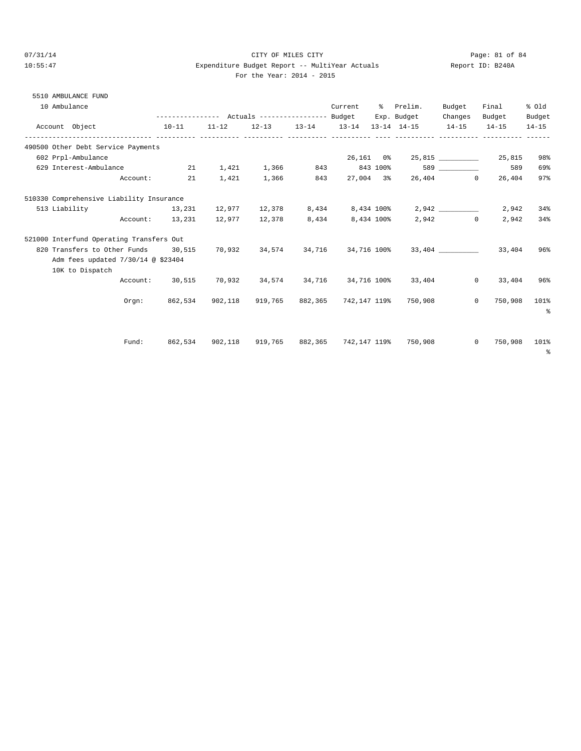5510 AMBULANCE FUND

## 07/31/14 Page: 81 of 84 10:55:47 Expenditure Budget Report -- MultiYear Actuals Report ID: B240A For the Year: 2014 - 2015

| 10 Ambulance                                                       |                                                |    |       |       |     | Current | % Prelim.<br>Exp. Budget                                             | Budget<br>Changes | Final<br>Budget           | % old<br>Budget |
|--------------------------------------------------------------------|------------------------------------------------|----|-------|-------|-----|---------|----------------------------------------------------------------------|-------------------|---------------------------|-----------------|
| Account Object                                                     | $10 - 11$                                      |    |       |       |     |         | $11-12$ $12-13$ $13-14$ $13-14$ $13-14$ $14-15$ $14-15$              |                   | $14 - 15$                 | $14 - 15$       |
| 490500 Other Debt Service Payments                                 |                                                |    |       |       |     |         |                                                                      |                   |                           |                 |
| 602 Prpl-Ambulance                                                 |                                                |    |       |       |     |         | 26,161 0% 25,815 2001 25,815                                         |                   |                           | 98%             |
| 629 Interest-Ambulance $21$ 1,421 1,366 843 843 100% 589 _________ |                                                |    |       |       |     |         |                                                                      |                   | 589                       | 69%             |
|                                                                    | Account:                                       | 21 | 1,421 | 1,366 | 843 |         | 27,004 3% 26,404 0                                                   |                   | 26,404                    | 97%             |
| 510330 Comprehensive Liability Insurance                           |                                                |    |       |       |     |         |                                                                      |                   |                           |                 |
| 513 Liability                                                      |                                                |    |       |       |     |         | $13,231$ $12,977$ $12,378$ $8,434$ $8,434$ $100\%$ $2,942$ _________ |                   | 2,942                     | 34%             |
|                                                                    | Account: 13,231 12,977 12,378 8,434 8,434 100% |    |       |       |     |         |                                                                      | $2,942$ 0         | 2,942                     | 34%             |
| 521000 Interfund Operating Transfers Out                           |                                                |    |       |       |     |         |                                                                      |                   |                           |                 |
| 820 Transfers to Other Funds 30,515                                |                                                |    |       |       |     |         | $70,932$ $34,574$ $34,716$ $34,716$ $100\%$ $33,404$ $33,404$        |                   |                           | 96%             |
| Adm fees updated 7/30/14 @ \$23404                                 |                                                |    |       |       |     |         |                                                                      |                   |                           |                 |
| 10K to Dispatch                                                    |                                                |    |       |       |     |         |                                                                      |                   |                           |                 |
|                                                                    |                                                |    |       |       |     |         | Account: 30,515 70,932 34,574 34,716 34,716 100% 33,404              |                   | $0 \t33,404$              | 96%             |
|                                                                    | Orem:                                          |    |       |       |     |         | 862,534 902,118 919,765 882,365 742,147-119% 750,908                 |                   | $\Omega$<br>750,908       | 101%            |
|                                                                    |                                                |    |       |       |     |         |                                                                      |                   |                           | $\approx$       |
|                                                                    |                                                |    |       |       |     |         |                                                                      |                   |                           |                 |
|                                                                    | Fund:                                          |    |       |       |     |         | 862,534 902,118 919,765 882,365 742,147 119% 750,908                 |                   | $\overline{0}$<br>750,908 | 101%            |
|                                                                    |                                                |    |       |       |     |         |                                                                      |                   |                           | $\sim$          |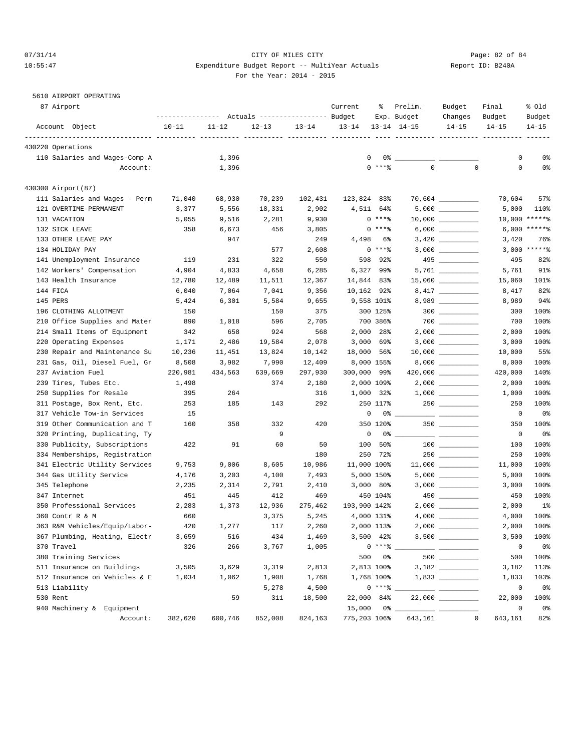### 07/31/14 Page: 82 of 84 10:55:47 Expenditure Budget Report -- MultiYear Actuals Report ID: B240A For the Year: 2014 - 2015

# 5610 AIRPORT OPERATING

| 87 Airport                    |           |           | Actuals ----------------- Budget |           | Current             | ႜ              | Prelim.<br>Exp. Budget          | Budget<br>Changes                                                                                                                                                                                                                                                                                                                                                                                                                                                          | Final<br>Budget | % Old<br>Budget |
|-------------------------------|-----------|-----------|----------------------------------|-----------|---------------------|----------------|---------------------------------|----------------------------------------------------------------------------------------------------------------------------------------------------------------------------------------------------------------------------------------------------------------------------------------------------------------------------------------------------------------------------------------------------------------------------------------------------------------------------|-----------------|-----------------|
| Account Object                | $10 - 11$ | $11 - 12$ | $12 - 13$                        | $13 - 14$ | $13 - 14$           |                | $13 - 14$ $14 - 15$             | $14 - 15$                                                                                                                                                                                                                                                                                                                                                                                                                                                                  | $14 - 15$       | $14 - 15$       |
| 430220 Operations             |           |           |                                  |           |                     |                |                                 |                                                                                                                                                                                                                                                                                                                                                                                                                                                                            |                 |                 |
| 110 Salaries and Wages-Comp A |           | 1,396     |                                  |           | 0                   |                | $0\%$ __                        |                                                                                                                                                                                                                                                                                                                                                                                                                                                                            | 0               | 0%              |
| Account:                      |           | 1,396     |                                  |           |                     | $0$ ****       | $\mathbf 0$                     | $\mathbf 0$                                                                                                                                                                                                                                                                                                                                                                                                                                                                | $\mathsf 0$     | 0%              |
| 430300 Airport(87)            |           |           |                                  |           |                     |                |                                 |                                                                                                                                                                                                                                                                                                                                                                                                                                                                            |                 |                 |
| 111 Salaries and Wages - Perm | 71,040    | 68,930    | 70,239                           | 102,431   | 123,824 83%         |                |                                 |                                                                                                                                                                                                                                                                                                                                                                                                                                                                            | 70,604          | 57%             |
| 121 OVERTIME-PERMANENT        | 3,377     | 5,556     | 18,331                           | 2,902     | 4,511 64%           |                |                                 |                                                                                                                                                                                                                                                                                                                                                                                                                                                                            | 5,000           | 110%            |
| 131 VACATION                  | 5,055     | 9,516     | 2,281                            | 9,930     |                     | $0***$         |                                 |                                                                                                                                                                                                                                                                                                                                                                                                                                                                            |                 | 10,000 ******   |
| 132 SICK LEAVE                | 358       | 6,673     | 456                              | 3,805     |                     | $0***8$        |                                 |                                                                                                                                                                                                                                                                                                                                                                                                                                                                            |                 | $6,000$ *****%  |
| 133 OTHER LEAVE PAY           |           | 947       |                                  | 249       | 4,498               | 6%             |                                 |                                                                                                                                                                                                                                                                                                                                                                                                                                                                            | 3,420           | 76%             |
| 134 HOLIDAY PAY               |           |           | 577                              | 2,608     |                     | $0***8$        |                                 |                                                                                                                                                                                                                                                                                                                                                                                                                                                                            |                 | $3,000$ *****%  |
| 141 Unemployment Insurance    | 119       | 231       | 322                              | 550       |                     | 598 92%        |                                 |                                                                                                                                                                                                                                                                                                                                                                                                                                                                            | 495             | 82%             |
| 142 Workers' Compensation     | 4,904     | 4,833     | 4,658                            | 6,285     | 6,327 99%           |                |                                 |                                                                                                                                                                                                                                                                                                                                                                                                                                                                            | 5,761           | 91%             |
| 143 Health Insurance          | 12,780    | 12,489    | 11,511                           | 12,367    | 14,844 83%          |                |                                 |                                                                                                                                                                                                                                                                                                                                                                                                                                                                            | 15,060          | 101%            |
| 144 FICA                      | 6,040     | 7,064     | 7,041                            | 9,356     | 10,162 92%          |                |                                 |                                                                                                                                                                                                                                                                                                                                                                                                                                                                            | 8,417           | 82%             |
| 145 PERS                      | 5,424     | 6,301     | 5,584                            | 9,655     | 9,558 101%          |                |                                 |                                                                                                                                                                                                                                                                                                                                                                                                                                                                            | 8,989           | 94%             |
| 196 CLOTHING ALLOTMENT        | 150       |           | 150                              | 375       |                     | 300 125%       |                                 |                                                                                                                                                                                                                                                                                                                                                                                                                                                                            | 300             | 100%            |
| 210 Office Supplies and Mater | 890       | 1,018     | 596                              | 2,705     |                     | 700 386%       |                                 |                                                                                                                                                                                                                                                                                                                                                                                                                                                                            | 700             | 100%            |
| 214 Small Items of Equipment  | 342       | 658       | 924                              | 568       | 2,000 28%           |                |                                 |                                                                                                                                                                                                                                                                                                                                                                                                                                                                            | 2,000           | 100%            |
| 220 Operating Expenses        | 1,171     | 2,486     | 19,584                           | 2,078     | $3,000$ 69%         |                |                                 |                                                                                                                                                                                                                                                                                                                                                                                                                                                                            | 3,000           | 100%            |
| 230 Repair and Maintenance Su | 10,236    | 11,451    | 13,824                           | 10,142    | 18,000 56%          |                |                                 |                                                                                                                                                                                                                                                                                                                                                                                                                                                                            | 10,000          | 55%             |
| 231 Gas, Oil, Diesel Fuel, Gr | 8,508     | 3,982     | 7,990                            | 12,409    | 8,000 155%          |                |                                 |                                                                                                                                                                                                                                                                                                                                                                                                                                                                            | 8,000           | 100%            |
| 237 Aviation Fuel             | 220,981   | 434,563   | 639,669                          | 297,930   | 300,000 99%         |                |                                 |                                                                                                                                                                                                                                                                                                                                                                                                                                                                            | 420,000         | 140%            |
| 239 Tires, Tubes Etc.         | 1,498     |           | 374                              | 2,180     | 2,000 109%          |                |                                 |                                                                                                                                                                                                                                                                                                                                                                                                                                                                            | 2,000           | 100%            |
| 250 Supplies for Resale       | 395       | 264       |                                  | 316       | 1,000 32%           |                |                                 | $1,000$ __________                                                                                                                                                                                                                                                                                                                                                                                                                                                         | 1,000           | 100%            |
| 311 Postage, Box Rent, Etc.   | 253       | 185       | 143                              | 292       |                     | 250 117%       |                                 |                                                                                                                                                                                                                                                                                                                                                                                                                                                                            | 250             | 100%            |
| 317 Vehicle Tow-in Services   | 15        |           |                                  |           | $\circ$             |                | 0 %                             | $\frac{1}{2} \left( \frac{1}{2} \right) \left( \frac{1}{2} \right) \left( \frac{1}{2} \right) \left( \frac{1}{2} \right) \left( \frac{1}{2} \right) \left( \frac{1}{2} \right) \left( \frac{1}{2} \right) \left( \frac{1}{2} \right) \left( \frac{1}{2} \right) \left( \frac{1}{2} \right) \left( \frac{1}{2} \right) \left( \frac{1}{2} \right) \left( \frac{1}{2} \right) \left( \frac{1}{2} \right) \left( \frac{1}{2} \right) \left( \frac{1}{2} \right) \left( \frac$ | $\mathbb O$     | 0%              |
| 319 Other Communication and T | 160       | 358       | 332                              | 420       |                     | 350 120%       |                                 |                                                                                                                                                                                                                                                                                                                                                                                                                                                                            | 350             | 100%            |
| 320 Printing, Duplicating, Ty |           |           | 9                                |           | 0                   | 0%             | <u> Alexandria (Alexandria)</u> |                                                                                                                                                                                                                                                                                                                                                                                                                                                                            | 0               | 0 <sub>8</sub>  |
| 330 Publicity, Subscriptions  | 422       | 91        | 60                               | 50        | 100                 | 50%            |                                 |                                                                                                                                                                                                                                                                                                                                                                                                                                                                            | 100             | 100%            |
| 334 Memberships, Registration |           |           |                                  | 180       |                     | 250 72%        |                                 |                                                                                                                                                                                                                                                                                                                                                                                                                                                                            | 250             | 100%            |
| 341 Electric Utility Services | 9,753     | 9,006     | 8,605                            | 10,986    | 11,000 100%         |                |                                 |                                                                                                                                                                                                                                                                                                                                                                                                                                                                            | 11,000          | 100%            |
| 344 Gas Utility Service       | 4,176     | 3,203     | 4,100                            | 7,493     | 5,000 150%          |                |                                 |                                                                                                                                                                                                                                                                                                                                                                                                                                                                            | 5,000           | 100%            |
| 345 Telephone                 | 2,235     | 2,314     | 2,791                            | 2,410     | $3,000$ 80%         |                |                                 |                                                                                                                                                                                                                                                                                                                                                                                                                                                                            | 3,000           | 100%            |
| 347 Internet                  | 451       | 445       | 412                              | 469       |                     | 450 104%       |                                 | $450$ ___________                                                                                                                                                                                                                                                                                                                                                                                                                                                          | 450             | 100%            |
| 350 Professional Services     | 2,283     | 1,373     | 12,936                           | 275,462   | 193,900 142%        |                |                                 |                                                                                                                                                                                                                                                                                                                                                                                                                                                                            | 2,000           | 1 <sup>°</sup>  |
| 360 Contr R & M               | 660       |           | 3,375                            | 5,245     | 4,000 131%          |                |                                 |                                                                                                                                                                                                                                                                                                                                                                                                                                                                            | 4,000           | 100%            |
| 363 R&M Vehicles/Equip/Labor- | 420       | 1,277     | 117                              | 2,260     | 2,000 113%          |                |                                 |                                                                                                                                                                                                                                                                                                                                                                                                                                                                            | 2,000           | 100%            |
| 367 Plumbing, Heating, Electr | 3,659     | 516       | 434                              | 1,469     |                     | $3,500$ 42%    |                                 |                                                                                                                                                                                                                                                                                                                                                                                                                                                                            | 3,500           | 100%            |
| 370 Travel                    | 326       | 266       | 3,767                            | 1,005     |                     | $0***8$        |                                 |                                                                                                                                                                                                                                                                                                                                                                                                                                                                            | $\mathsf 0$     | 0 <sup>o</sup>  |
| 380 Training Services         |           |           |                                  |           | 500                 | 0 <sup>8</sup> |                                 |                                                                                                                                                                                                                                                                                                                                                                                                                                                                            | 500             | 100%            |
| 511 Insurance on Buildings    | 3,505     | 3,629     | 3,319                            | 2,813     | 2,813 100%          |                |                                 |                                                                                                                                                                                                                                                                                                                                                                                                                                                                            | 3,182           | 113%            |
| 512 Insurance on Vehicles & E | 1,034     | 1,062     | 1,908                            | 1,768     | 1,768 100%          |                |                                 |                                                                                                                                                                                                                                                                                                                                                                                                                                                                            | 1,833           | 103%            |
| 513 Liability                 |           |           | 5,278                            | 4,500     |                     | $0***$ $*$     |                                 |                                                                                                                                                                                                                                                                                                                                                                                                                                                                            | $\mathbf 0$     | 0 <sub>8</sub>  |
| 530 Rent                      |           | 59        | 311                              | 18,500    | 22,000 84%          |                |                                 |                                                                                                                                                                                                                                                                                                                                                                                                                                                                            | 22,000          | 100%            |
| 940 Machinery & Equipment     |           |           |                                  |           | $15,000$ $0\%$ $\_$ |                |                                 |                                                                                                                                                                                                                                                                                                                                                                                                                                                                            | $\mathsf 0$     | 0%              |
| Account:                      | 382,620   | 600,746   | 852,008                          | 824,163   | 775,203 106%        |                | 643,161                         | $\mathbb O$                                                                                                                                                                                                                                                                                                                                                                                                                                                                | 643,161         | 82%             |
|                               |           |           |                                  |           |                     |                |                                 |                                                                                                                                                                                                                                                                                                                                                                                                                                                                            |                 |                 |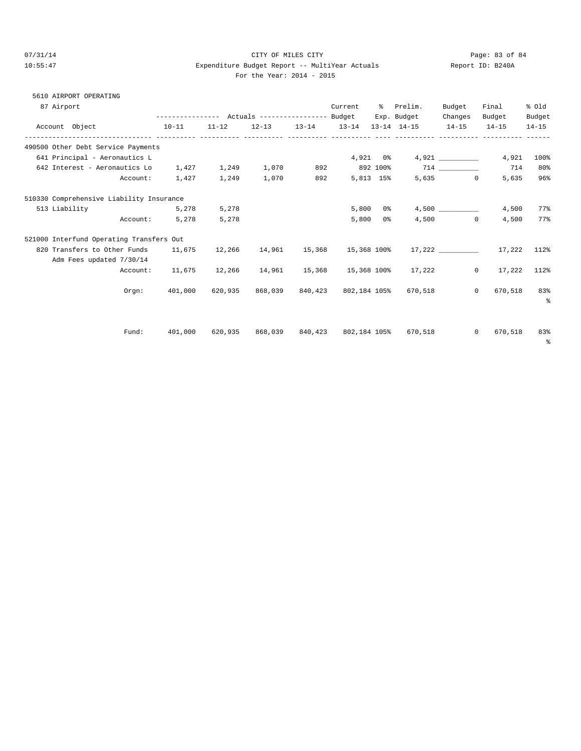## 07/31/14 Page: 83 of 84 10:55:47 Expenditure Budget Report -- MultiYear Actuals For the Year: 2014 - 2015

| Report ID: B240A |  |
|------------------|--|
|                  |  |

|  | 5610 AIRPORT OPERATING |
|--|------------------------|
|  |                        |

| 87 Airport                               |         |           |                               |         | Current      | ိ   | Prelim.<br>Exp. Budget    | Budget<br>Changes       | Final<br>Budget            | % old<br>Budget |
|------------------------------------------|---------|-----------|-------------------------------|---------|--------------|-----|---------------------------|-------------------------|----------------------------|-----------------|
| Account Object<br>$10-11$                |         | $11 - 12$ | 12-13 13-14 13-14 13-14 14-15 |         |              |     |                           | $14 - 15$               | $14 - 15$                  | $14 - 15$       |
| 490500 Other Debt Service Payments       |         |           |                               |         |              |     |                           |                         |                            |                 |
| 641 Principal - Aeronautics L            |         |           |                               |         |              |     | $4,921$ 0%                |                         | 4,921                      | 100%            |
| 642 Interest - Aeronautics Lo            | 1,427   | 1,249     | 1,070                         | 892     |              |     |                           |                         | 714                        | 80%             |
| Account:                                 | 1,427   | 1,249     | 1,070                         | 892     | 5,813 15%    |     |                           | 5,635                   | $0 \qquad \qquad$<br>5,635 | 96%             |
| 510330 Comprehensive Liability Insurance |         |           |                               |         |              |     |                           |                         |                            |                 |
| 513 Liability                            | 5,278   | 5,278     |                               |         | 5,800        | 0 % |                           | 4,500                   | 4,500                      | 77%             |
| Account:                                 | 5,278   | 5,278     |                               |         | 5,800        | 0 응 |                           | 4,500<br>$\overline{0}$ | 4,500                      | 77%             |
| 521000 Interfund Operating Transfers Out |         |           |                               |         |              |     |                           |                         |                            |                 |
| 820 Transfers to Other Funds             | 11,675  | 12,266    | 14,961                        | 15,368  | 15,368 100%  |     |                           |                         | 17,222                     | 112%            |
| Adm Fees updated 7/30/14                 |         |           |                               |         |              |     |                           |                         |                            |                 |
| Account:                                 | 11,675  |           | 12,266 14,961                 |         |              |     | 15,368 15,368 100% 17,222 |                         | $\circ$<br>17,222          | 112%            |
| Orem:                                    | 401,000 | 620,935   | 868,039                       | 840,423 |              |     | 802,184 105% 670,518      |                         | $\mathbf{0}$<br>670,518    | 83%             |
|                                          |         |           |                               |         |              |     |                           |                         |                            | $\epsilon$      |
|                                          |         |           |                               |         |              |     |                           |                         |                            |                 |
| Fund:                                    | 401,000 | 620,935   | 868,039                       | 840,423 | 802,184 105% |     | 670,518                   |                         | $\mathbf{0}$<br>670,518    | 83%             |
|                                          |         |           |                               |         |              |     |                           |                         |                            | $^{\circ}$      |